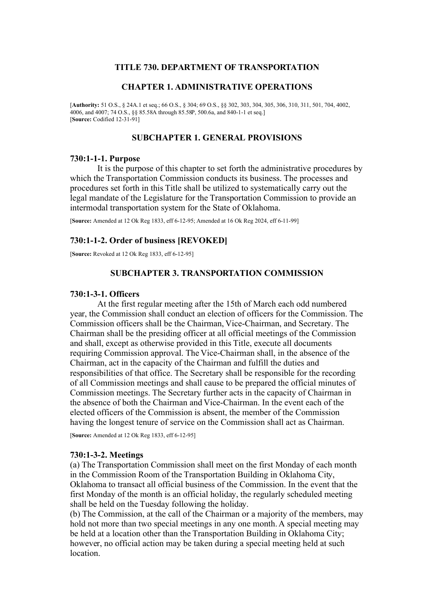## **TITLE 730. DEPARTMENT OF TRANSPORTATION**

## **CHAPTER 1. ADMINISTRATIVE OPERATIONS**

[**Authority:** 51 O.S., § 24A.1 et seq.; 66 O.S., § 304; 69 O.S., §§ 302, 303, 304, 305, 306, 310, 311, 501, 704, 4002, 4006, and 4007; 74 O.S., §§ 85.58A through 85.58P, 500.6a, and 840-1-1 et seq.] [**Source:** Codified 12-31-91]

## **SUBCHAPTER 1. GENERAL PROVISIONS**

### **730:1-1-1. Purpose**

It is the purpose of this chapter to set forth the administrative procedures by which the Transportation Commission conducts its business. The processes and procedures set forth in this Title shall be utilized to systematically carry out the legal mandate of the Legislature for the Transportation Commission to provide an intermodal transportation system for the State of Oklahoma.

[**Source:** Amended at 12 Ok Reg 1833, eff 6-12-95; Amended at 16 Ok Reg 2024, eff 6-11-99]

## **730:1-1-2. Order of business [REVOKED]**

[**Source:** Revoked at 12 Ok Reg 1833, eff 6-12-95]

### **SUBCHAPTER 3. TRANSPORTATION COMMISSION**

### **730:1-3-1. Officers**

At the first regular meeting after the 15th of March each odd numbered year, the Commission shall conduct an election of officers for the Commission. The Commission officers shall be the Chairman, Vice-Chairman, and Secretary. The Chairman shall be the presiding officer at all official meetings of the Commission and shall, except as otherwise provided in this Title, execute all documents requiring Commission approval. The Vice-Chairman shall, in the absence of the Chairman, act in the capacity of the Chairman and fulfill the duties and responsibilities of that office. The Secretary shall be responsible for the recording of all Commission meetings and shall cause to be prepared the official minutes of Commission meetings. The Secretary further acts in the capacity of Chairman in the absence of both the Chairman and Vice-Chairman. In the event each of the elected officers of the Commission is absent, the member of the Commission having the longest tenure of service on the Commission shall act as Chairman.

[**Source:** Amended at 12 Ok Reg 1833, eff 6-12-95]

#### **730:1-3-2. Meetings**

(a) The Transportation Commission shall meet on the first Monday of each month in the Commission Room of the Transportation Building in Oklahoma City, Oklahoma to transact all official business of the Commission. In the event that the first Monday of the month is an official holiday, the regularly scheduled meeting shall be held on the Tuesday following the holiday.

(b) The Commission, at the call of the Chairman or a majority of the members, may hold not more than two special meetings in any one month. A special meeting may be held at a location other than the Transportation Building in Oklahoma City; however, no official action may be taken during a special meeting held at such location.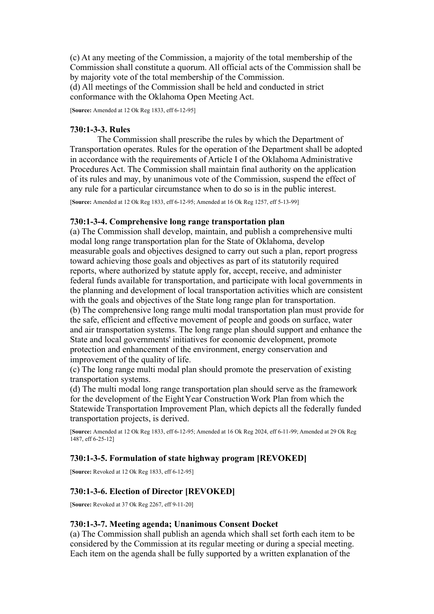(c) At any meeting of the Commission, a majority of the total membership of the Commission shall constitute a quorum. All official acts of the Commission shall be by majority vote of the total membership of the Commission. (d) All meetings of the Commission shall be held and conducted in strict conformance with the Oklahoma Open Meeting Act.

[**Source:** Amended at 12 Ok Reg 1833, eff 6-12-95]

# **730:1-3-3. Rules**

The Commission shall prescribe the rules by which the Department of Transportation operates. Rules for the operation of the Department shall be adopted in accordance with the requirements of Article I of the Oklahoma Administrative Procedures Act. The Commission shall maintain final authority on the application of its rules and may, by unanimous vote of the Commission, suspend the effect of any rule for a particular circumstance when to do so is in the public interest.

[**Source:** Amended at 12 Ok Reg 1833, eff 6-12-95; Amended at 16 Ok Reg 1257, eff 5-13-99]

# **730:1-3-4. Comprehensive long range transportation plan**

(a) The Commission shall develop, maintain, and publish a comprehensive multi modal long range transportation plan for the State of Oklahoma, develop measurable goals and objectives designed to carry out such a plan, report progress toward achieving those goals and objectives as part of its statutorily required reports, where authorized by statute apply for, accept, receive, and administer federal funds available for transportation, and participate with local governments in the planning and development of local transportation activities which are consistent with the goals and objectives of the State long range plan for transportation. (b) The comprehensive long range multi modal transportation plan must provide for the safe, efficient and effective movement of people and goods on surface, water and air transportation systems. The long range plan should support and enhance the State and local governments' initiatives for economic development, promote protection and enhancement of the environment, energy conservation and improvement of the quality of life.

(c) The long range multi modal plan should promote the preservation of existing transportation systems.

(d) The multi modal long range transportation plan should serve as the framework for the development of the Eight Year Construction Work Plan from which the Statewide Transportation Improvement Plan, which depicts all the federally funded transportation projects, is derived.

[**Source:** Amended at 12 Ok Reg 1833, eff 6-12-95; Amended at 16 Ok Reg 2024, eff 6-11-99; Amended at 29 Ok Reg  $1487$ , eff 6-25-121

# **730:1-3-5. Formulation of state highway program [REVOKED]**

[**Source:** Revoked at 12 Ok Reg 1833, eff 6-12-95]

# **730:1-3-6. Election of Director [REVOKED]**

[**Source:** Revoked at 37 Ok Reg 2267, eff 9-11-20]

# **730:1-3-7. Meeting agenda; Unanimous Consent Docket**

(a) The Commission shall publish an agenda which shall set forth each item to be considered by the Commission at its regular meeting or during a special meeting. Each item on the agenda shall be fully supported by a written explanation of the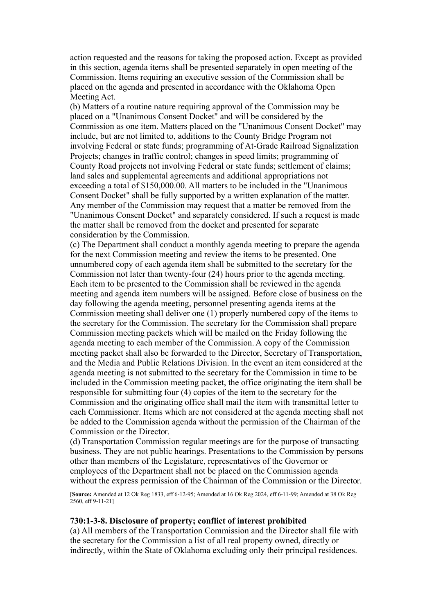action requested and the reasons for taking the proposed action. Except as provided in this section, agenda items shall be presented separately in open meeting of the Commission. Items requiring an executive session of the Commission shall be placed on the agenda and presented in accordance with the Oklahoma Open Meeting Act.

(b) Matters of a routine nature requiring approval of the Commission may be placed on a "Unanimous Consent Docket" and will be considered by the Commission as one item. Matters placed on the "Unanimous Consent Docket" may include, but are not limited to, additions to the County Bridge Program not involving Federal or state funds; programming of At-Grade Railroad Signalization Projects; changes in traffic control; changes in speed limits; programming of County Road projects not involving Federal or state funds; settlement of claims; land sales and supplemental agreements and additional appropriations not exceeding a total of \$150,000.00. All matters to be included in the "Unanimous Consent Docket" shall be fully supported by a written explanation of the matter. Any member of the Commission may request that a matter be removed from the "Unanimous Consent Docket" and separately considered. If such a request is made the matter shall be removed from the docket and presented for separate consideration by the Commission.

(c) The Department shall conduct a monthly agenda meeting to prepare the agenda for the next Commission meeting and review the items to be presented. One unnumbered copy of each agenda item shall be submitted to the secretary for the Commission not later than twenty-four (24) hours prior to the agenda meeting. Each item to be presented to the Commission shall be reviewed in the agenda meeting and agenda item numbers will be assigned. Before close of business on the day following the agenda meeting, personnel presenting agenda items at the Commission meeting shall deliver one (1) properly numbered copy of the items to the secretary for the Commission. The secretary for the Commission shall prepare Commission meeting packets which will be mailed on the Friday following the agenda meeting to each member of the Commission. A copy of the Commission meeting packet shall also be forwarded to the Director, Secretary of Transportation, and the Media and Public Relations Division. In the event an item considered at the agenda meeting is not submitted to the secretary for the Commission in time to be included in the Commission meeting packet, the office originating the item shall be responsible for submitting four (4) copies of the item to the secretary for the Commission and the originating office shall mail the item with transmittal letter to each Commissioner. Items which are not considered at the agenda meeting shall not be added to the Commission agenda without the permission of the Chairman of the Commission or the Director.

(d) Transportation Commission regular meetings are for the purpose of transacting business. They are not public hearings. Presentations to the Commission by persons other than members of the Legislature, representatives of the Governor or employees of the Department shall not be placed on the Commission agenda without the express permission of the Chairman of the Commission or the Director.

[**Source:** Amended at 12 Ok Reg 1833, eff 6-12-95; Amended at 16 Ok Reg 2024, eff 6-11-99; Amended at 38 Ok Reg  $2560$ , eff 9-11-211

### **730:1-3-8. Disclosure of property; conflict of interest prohibited**

(a) All members of the Transportation Commission and the Director shall file with the secretary for the Commission a list of all real property owned, directly or indirectly, within the State of Oklahoma excluding only their principal residences.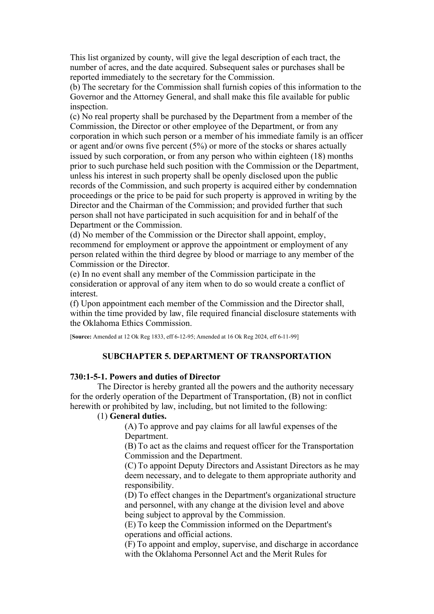This list organized by county, will give the legal description of each tract, the number of acres, and the date acquired. Subsequent sales or purchases shall be reported immediately to the secretary for the Commission.

(b) The secretary for the Commission shall furnish copies of this information to the Governor and the Attorney General, and shall make this file available for public inspection.

(c) No real property shall be purchased by the Department from a member of the Commission, the Director or other employee of the Department, or from any corporation in which such person or a member of his immediate family is an officer or agent and/or owns five percent (5%) or more of the stocks or shares actually issued by such corporation, or from any person who within eighteen (18) months prior to such purchase held such position with the Commission or the Department, unless his interest in such property shall be openly disclosed upon the public records of the Commission, and such property is acquired either by condemnation proceedings or the price to be paid for such property is approved in writing by the Director and the Chairman of the Commission; and provided further that such person shall not have participated in such acquisition for and in behalf of the Department or the Commission.

(d) No member of the Commission or the Director shall appoint, employ, recommend for employment or approve the appointment or employment of any person related within the third degree by blood or marriage to any member of the Commission or the Director.

(e) In no event shall any member of the Commission participate in the consideration or approval of any item when to do so would create a conflict of interest.

(f) Upon appointment each member of the Commission and the Director shall, within the time provided by law, file required financial disclosure statements with the Oklahoma Ethics Commission.

[**Source:** Amended at 12 Ok Reg 1833, eff 6-12-95; Amended at 16 Ok Reg 2024, eff 6-11-99]

## **SUBCHAPTER 5. DEPARTMENT OF TRANSPORTATION**

### **730:1-5-1. Powers and duties of Director**

The Director is hereby granted all the powers and the authority necessary for the orderly operation of the Department of Transportation, (B) not in conflict herewith or prohibited by law, including, but not limited to the following:

# (1) **General duties.**

(A) To approve and pay claims for all lawful expenses of the Department.

(B) To act as the claims and request officer for the Transportation Commission and the Department.

(C) To appoint Deputy Directors and Assistant Directors as he may deem necessary, and to delegate to them appropriate authority and responsibility.

(D) To effect changes in the Department's organizational structure and personnel, with any change at the division level and above being subject to approval by the Commission.

(E) To keep the Commission informed on the Department's operations and official actions.

(F) To appoint and employ, supervise, and discharge in accordance with the Oklahoma Personnel Act and the Merit Rules for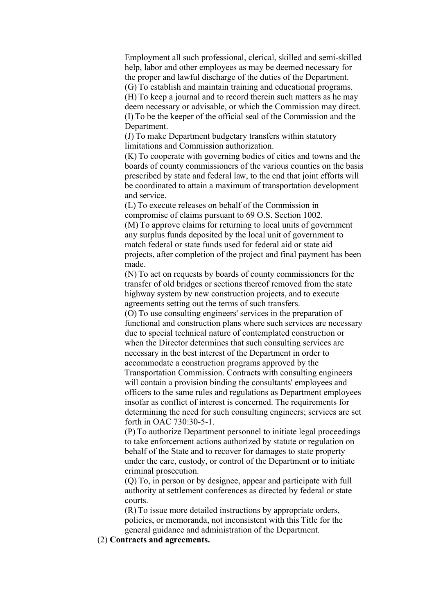Employment all such professional, clerical, skilled and semi-skilled help, labor and other employees as may be deemed necessary for the proper and lawful discharge of the duties of the Department. (G) To establish and maintain training and educational programs. (H) To keep a journal and to record therein such matters as he may deem necessary or advisable, or which the Commission may direct. (I) To be the keeper of the official seal of the Commission and the Department.

(J) To make Department budgetary transfers within statutory limitations and Commission authorization.

(K) To cooperate with governing bodies of cities and towns and the boards of county commissioners of the various counties on the basis prescribed by state and federal law, to the end that joint efforts will be coordinated to attain a maximum of transportation development and service.

(L) To execute releases on behalf of the Commission in compromise of claims pursuant to 69 O.S. Section 1002. (M) To approve claims for returning to local units of government any surplus funds deposited by the local unit of government to match federal or state funds used for federal aid or state aid projects, after completion of the project and final payment has been made.

(N) To act on requests by boards of county commissioners for the transfer of old bridges or sections thereof removed from the state highway system by new construction projects, and to execute agreements setting out the terms of such transfers.

(O) To use consulting engineers' services in the preparation of functional and construction plans where such services are necessary due to special technical nature of contemplated construction or when the Director determines that such consulting services are necessary in the best interest of the Department in order to accommodate a construction programs approved by the Transportation Commission. Contracts with consulting engineers will contain a provision binding the consultants' employees and officers to the same rules and regulations as Department employees insofar as conflict of interest is concerned. The requirements for determining the need for such consulting engineers; services are set forth in OAC 730:30-5-1.

(P) To authorize Department personnel to initiate legal proceedings to take enforcement actions authorized by statute or regulation on behalf of the State and to recover for damages to state property under the care, custody, or control of the Department or to initiate criminal prosecution.

(Q) To, in person or by designee, appear and participate with full authority at settlement conferences as directed by federal or state courts.

(R) To issue more detailed instructions by appropriate orders, policies, or memoranda, not inconsistent with this Title for the general guidance and administration of the Department.

(2) **Contracts and agreements.**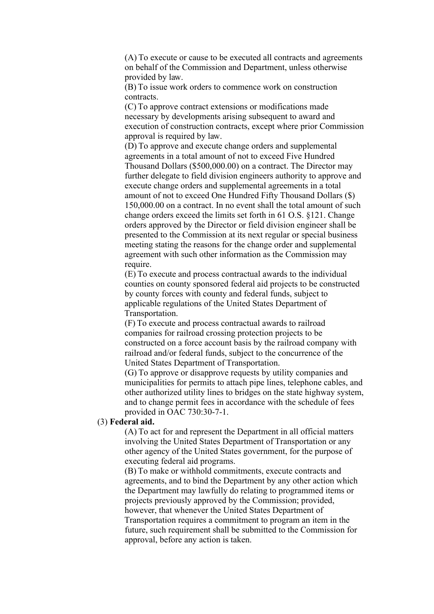(A) To execute or cause to be executed all contracts and agreements on behalf of the Commission and Department, unless otherwise provided by law.

(B) To issue work orders to commence work on construction contracts.

(C) To approve contract extensions or modifications made necessary by developments arising subsequent to award and execution of construction contracts, except where prior Commission approval is required by law.

(D) To approve and execute change orders and supplemental agreements in a total amount of not to exceed Five Hundred Thousand Dollars (\$500,000.00) on a contract. The Director may further delegate to field division engineers authority to approve and execute change orders and supplemental agreements in a total amount of not to exceed One Hundred Fifty Thousand Dollars (\$) 150,000.00 on a contract. In no event shall the total amount of such change orders exceed the limits set forth in 61 O.S. §121. Change orders approved by the Director or field division engineer shall be presented to the Commission at its next regular or special business meeting stating the reasons for the change order and supplemental agreement with such other information as the Commission may require.

(E) To execute and process contractual awards to the individual counties on county sponsored federal aid projects to be constructed by county forces with county and federal funds, subject to applicable regulations of the United States Department of Transportation.

(F) To execute and process contractual awards to railroad companies for railroad crossing protection projects to be constructed on a force account basis by the railroad company with railroad and/or federal funds, subject to the concurrence of the United States Department of Transportation.

(G) To approve or disapprove requests by utility companies and municipalities for permits to attach pipe lines, telephone cables, and other authorized utility lines to bridges on the state highway system, and to change permit fees in accordance with the schedule of fees provided in OAC 730:30-7-1.

## (3) **Federal aid.**

(A) To act for and represent the Department in all official matters involving the United States Department of Transportation or any other agency of the United States government, for the purpose of executing federal aid programs.

(B) To make or withhold commitments, execute contracts and agreements, and to bind the Department by any other action which the Department may lawfully do relating to programmed items or projects previously approved by the Commission; provided, however, that whenever the United States Department of Transportation requires a commitment to program an item in the future, such requirement shall be submitted to the Commission for approval, before any action is taken.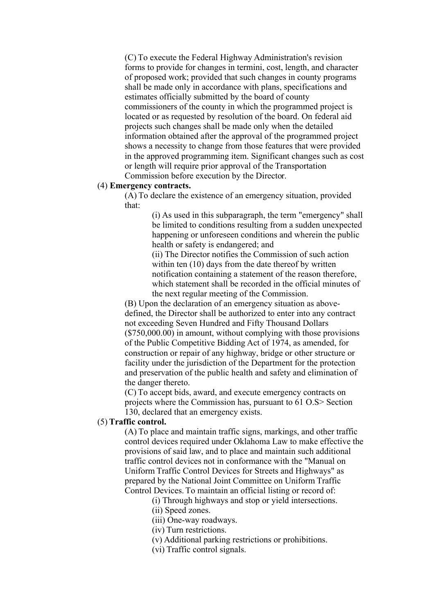(C) To execute the Federal Highway Administration's revision forms to provide for changes in termini, cost, length, and character of proposed work; provided that such changes in county programs shall be made only in accordance with plans, specifications and estimates officially submitted by the board of county commissioners of the county in which the programmed project is located or as requested by resolution of the board. On federal aid projects such changes shall be made only when the detailed information obtained after the approval of the programmed project shows a necessity to change from those features that were provided in the approved programming item. Significant changes such as cost or length will require prior approval of the Transportation Commission before execution by the Director.

### (4) **Emergency contracts.**

(A) To declare the existence of an emergency situation, provided that:

> (i) As used in this subparagraph, the term "emergency" shall be limited to conditions resulting from a sudden unexpected happening or unforeseen conditions and wherein the public health or safety is endangered; and

> (ii) The Director notifies the Commission of such action within ten (10) days from the date thereof by written notification containing a statement of the reason therefore, which statement shall be recorded in the official minutes of the next regular meeting of the Commission.

(B) Upon the declaration of an emergency situation as abovedefined, the Director shall be authorized to enter into any contract not exceeding Seven Hundred and Fifty Thousand Dollars (\$750,000.00) in amount, without complying with those provisions of the Public Competitive Bidding Act of 1974, as amended, for construction or repair of any highway, bridge or other structure or facility under the jurisdiction of the Department for the protection and preservation of the public health and safety and elimination of the danger thereto.

(C) To accept bids, award, and execute emergency contracts on projects where the Commission has, pursuant to 61 O.S> Section 130, declared that an emergency exists.

### (5) **Traffic control.**

(A) To place and maintain traffic signs, markings, and other traffic control devices required under Oklahoma Law to make effective the provisions of said law, and to place and maintain such additional traffic control devices not in conformance with the "Manual on Uniform Traffic Control Devices for Streets and Highways" as prepared by the National Joint Committee on Uniform Traffic Control Devices. To maintain an official listing or record of:

(i) Through highways and stop or yield intersections.

(ii) Speed zones.

(iii) One-way roadways.

(iv) Turn restrictions.

(v) Additional parking restrictions or prohibitions.

(vi) Traffic control signals.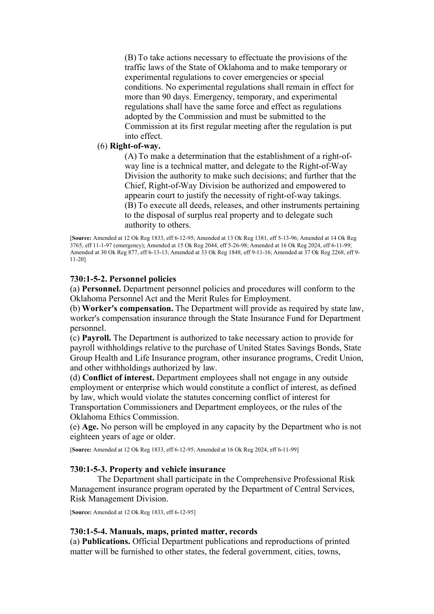(B) To take actions necessary to effectuate the provisions of the traffic laws of the State of Oklahoma and to make temporary or experimental regulations to cover emergencies or special conditions. No experimental regulations shall remain in effect for more than 90 days. Emergency, temporary, and experimental regulations shall have the same force and effect as regulations adopted by the Commission and must be submitted to the Commission at its first regular meeting after the regulation is put into effect.

## (6) **Right-of-way.**

(A) To make a determination that the establishment of a right-ofway line is a technical matter, and delegate to the Right-of-Way Division the authority to make such decisions; and further that the Chief, Right-of-Way Division be authorized and empowered to appearin court to justify the necessity of right-of-way takings. (B) To execute all deeds, releases, and other instruments pertaining to the disposal of surplus real property and to delegate such authority to others.

[**Source:** Amended at 12 Ok Reg 1833, eff 6-12-95; Amended at 13 Ok Reg 1381, eff 5-13-96; Amended at 14 Ok Reg 3765, eff 11-1-97 (emergency); Amended at 15 Ok Reg 2044, eff 5-26-98; Amended at 16 Ok Reg 2024, eff 6-11-99; Amended at 30 Ok Reg 877, eff 6-13-13; Amended at 33 Ok Reg 1848, eff 9-11-16; Amended at 37 Ok Reg 2268, eff 9- 11-20]

# **730:1-5-2. Personnel policies**

(a) **Personnel.** Department personnel policies and procedures will conform to the Oklahoma Personnel Act and the Merit Rules for Employment.

(b) **Worker's compensation.** The Department will provide as required by state law, worker's compensation insurance through the State Insurance Fund for Department personnel.

(c) **Payroll.** The Department is authorized to take necessary action to provide for payroll withholdings relative to the purchase of United States Savings Bonds, State Group Health and Life Insurance program, other insurance programs, Credit Union, and other withholdings authorized by law.

(d) **Conflict of interest.** Department employees shall not engage in any outside employment or enterprise which would constitute a conflict of interest, as defined by law, which would violate the statutes concerning conflict of interest for Transportation Commissioners and Department employees, or the rules of the Oklahoma Ethics Commission.

(e) **Age.** No person will be employed in any capacity by the Department who is not eighteen years of age or older.

[**Source:** Amended at 12 Ok Reg 1833, eff 6-12-95; Amended at 16 Ok Reg 2024, eff 6-11-99]

## **730:1-5-3. Property and vehicle insurance**

The Department shall participate in the Comprehensive Professional Risk Management insurance program operated by the Department of Central Services, Risk Management Division.

[**Source:** Amended at 12 Ok Reg 1833, eff 6-12-95]

# **730:1-5-4. Manuals, maps, printed matter, records**

(a) **Publications.** Official Department publications and reproductions of printed matter will be furnished to other states, the federal government, cities, towns,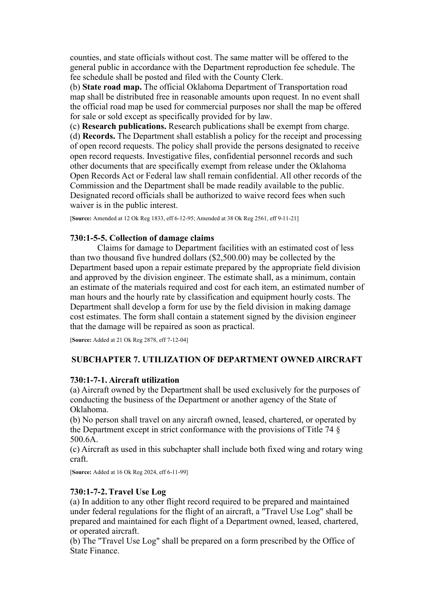counties, and state officials without cost. The same matter will be offered to the general public in accordance with the Department reproduction fee schedule. The fee schedule shall be posted and filed with the County Clerk.

(b) **State road map.** The official Oklahoma Department of Transportation road map shall be distributed free in reasonable amounts upon request. In no event shall the official road map be used for commercial purposes nor shall the map be offered for sale or sold except as specifically provided for by law.

(c) **Research publications.** Research publications shall be exempt from charge. (d) **Records.** The Department shall establish a policy for the receipt and processing of open record requests. The policy shall provide the persons designated to receive open record requests. Investigative files, confidential personnel records and such other documents that are specifically exempt from release under the Oklahoma Open Records Act or Federal law shall remain confidential. All other records of the Commission and the Department shall be made readily available to the public. Designated record officials shall be authorized to waive record fees when such waiver is in the public interest.

[**Source:** Amended at 12 Ok Reg 1833, eff 6-12-95; Amended at 38 Ok Reg 2561, eff 9-11-21]

# **730:1-5-5. Collection of damage claims**

Claims for damage to Department facilities with an estimated cost of less than two thousand five hundred dollars (\$2,500.00) may be collected by the Department based upon a repair estimate prepared by the appropriate field division and approved by the division engineer. The estimate shall, as a minimum, contain an estimate of the materials required and cost for each item, an estimated number of man hours and the hourly rate by classification and equipment hourly costs. The Department shall develop a form for use by the field division in making damage cost estimates. The form shall contain a statement signed by the division engineer that the damage will be repaired as soon as practical.

[**Source:** Added at 21 Ok Reg 2878, eff 7-12-04]

# **SUBCHAPTER 7. UTILIZATION OF DEPARTMENT OWNED AIRCRAFT**

# **730:1-7-1. Aircraft utilization**

(a) Aircraft owned by the Department shall be used exclusively for the purposes of conducting the business of the Department or another agency of the State of Oklahoma.

(b) No person shall travel on any aircraft owned, leased, chartered, or operated by the Department except in strict conformance with the provisions of Title 74 § 500.6A.

(c) Aircraft as used in this subchapter shall include both fixed wing and rotary wing craft.

[**Source:** Added at 16 Ok Reg 2024, eff 6-11-99]

# **730:1-7-2. Travel Use Log**

(a) In addition to any other flight record required to be prepared and maintained under federal regulations for the flight of an aircraft, a "Travel Use Log" shall be prepared and maintained for each flight of a Department owned, leased, chartered, or operated aircraft.

(b) The "Travel Use Log" shall be prepared on a form prescribed by the Office of State Finance.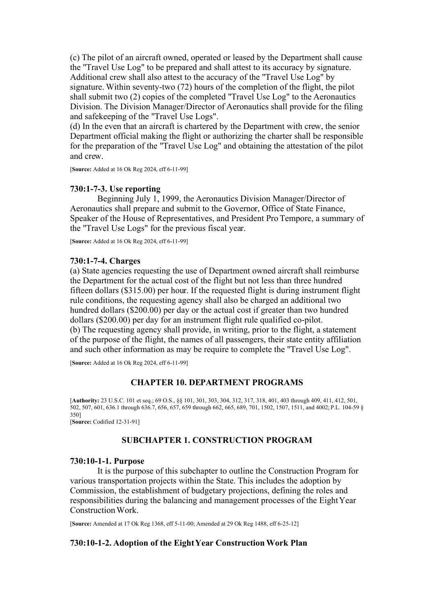(c) The pilot of an aircraft owned, operated or leased by the Department shall cause the "Travel Use Log" to be prepared and shall attest to its accuracy by signature. Additional crew shall also attest to the accuracy of the "Travel Use Log" by signature. Within seventy-two (72) hours of the completion of the flight, the pilot shall submit two (2) copies of the completed "Travel Use Log" to the Aeronautics Division. The Division Manager/Director of Aeronautics shall provide for the filing and safekeeping of the "Travel Use Logs".

(d) In the even that an aircraft is chartered by the Department with crew, the senior Department official making the flight or authorizing the charter shall be responsible for the preparation of the "Travel Use Log" and obtaining the attestation of the pilot and crew.

[**Source:** Added at 16 Ok Reg 2024, eff 6-11-99]

## **730:1-7-3. Use reporting**

Beginning July 1, 1999, the Aeronautics Division Manager/Director of Aeronautics shall prepare and submit to the Governor, Office of State Finance, Speaker of the House of Representatives, and President Pro Tempore, a summary of the "Travel Use Logs" for the previous fiscal year.

[**Source:** Added at 16 Ok Reg 2024, eff 6-11-99]

### **730:1-7-4. Charges**

(a) State agencies requesting the use of Department owned aircraft shall reimburse the Department for the actual cost of the flight but not less than three hundred fifteen dollars (\$315.00) per hour. If the requested flight is during instrument flight rule conditions, the requesting agency shall also be charged an additional two hundred dollars (\$200.00) per day or the actual cost if greater than two hundred dollars (\$200.00) per day for an instrument flight rule qualified co-pilot. (b) The requesting agency shall provide, in writing, prior to the flight, a statement of the purpose of the flight, the names of all passengers, their state entity affiliation and such other information as may be require to complete the "Travel Use Log".

[**Source:** Added at 16 Ok Reg 2024, eff 6-11-99]

## **CHAPTER 10. DEPARTMENT PROGRAMS**

[**Authority:** 23 U.S.C. 101 et seq.; 69 O.S., §§ 101, 301, 303, 304, 312, 317, 318, 401, 403 through 409, 411, 412, 501, 502, 507, 601, 636.1 through 636.7, 656, 657, 659 through 662, 665, 689, 701, 1502, 1507, 1511, and 4002; P.L. 104-59 § 350] [**Source:** Codified 12-31-91]

## **SUBCHAPTER 1. CONSTRUCTION PROGRAM**

### **730:10-1-1. Purpose**

It is the purpose of this subchapter to outline the Construction Program for various transportation projects within the State. This includes the adoption by Commission, the establishment of budgetary projections, defining the roles and responsibilities during the balancing and management processes of the Eight Year Construction Work.

[**Source:** Amended at 17 Ok Reg 1368, eff 5-11-00; Amended at 29 Ok Reg 1488, eff 6-25-12]

### **730:10-1-2. Adoption of the Eight Year Construction Work Plan**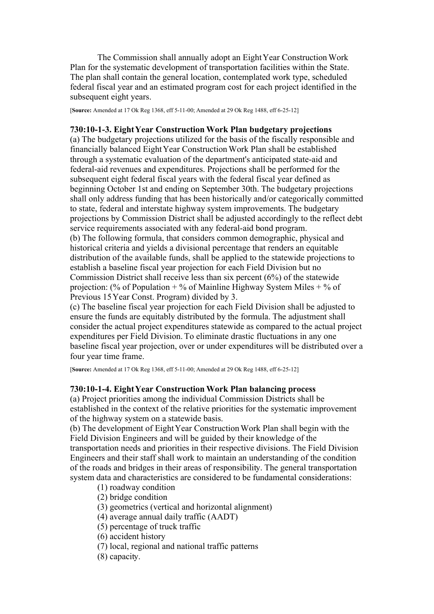The Commission shall annually adopt an Eight Year Construction Work Plan for the systematic development of transportation facilities within the State. The plan shall contain the general location, contemplated work type, scheduled federal fiscal year and an estimated program cost for each project identified in the subsequent eight years.

[**Source:** Amended at 17 Ok Reg 1368, eff 5-11-00; Amended at 29 Ok Reg 1488, eff 6-25-12]

## **730:10-1-3. Eight Year Construction Work Plan budgetary projections**

(a) The budgetary projections utilized for the basis of the fiscally responsible and financially balanced Eight Year Construction Work Plan shall be established through a systematic evaluation of the department's anticipated state-aid and federal-aid revenues and expenditures. Projections shall be performed for the subsequent eight federal fiscal years with the federal fiscal year defined as beginning October 1st and ending on September 30th. The budgetary projections shall only address funding that has been historically and/or categorically committed to state, federal and interstate highway system improvements. The budgetary projections by Commission District shall be adjusted accordingly to the reflect debt service requirements associated with any federal-aid bond program. (b) The following formula, that considers common demographic, physical and historical criteria and yields a divisional percentage that renders an equitable distribution of the available funds, shall be applied to the statewide projections to establish a baseline fiscal year projection for each Field Division but no Commission District shall receive less than six percent (6%) of the statewide projection: (% of Population + % of Mainline Highway System Miles + % of Previous 15 Year Const. Program) divided by 3.

(c) The baseline fiscal year projection for each Field Division shall be adjusted to ensure the funds are equitably distributed by the formula. The adjustment shall consider the actual project expenditures statewide as compared to the actual project expenditures per Field Division. To eliminate drastic fluctuations in any one baseline fiscal year projection, over or under expenditures will be distributed over a four year time frame.

[**Source:** Amended at 17 Ok Reg 1368, eff 5-11-00; Amended at 29 Ok Reg 1488, eff 6-25-12]

## **730:10-1-4. Eight Year Construction Work Plan balancing process**

(a) Project priorities among the individual Commission Districts shall be established in the context of the relative priorities for the systematic improvement of the highway system on a statewide basis.

(b) The development of Eight Year Construction Work Plan shall begin with the Field Division Engineers and will be guided by their knowledge of the transportation needs and priorities in their respective divisions. The Field Division Engineers and their staff shall work to maintain an understanding of the condition of the roads and bridges in their areas of responsibility. The general transportation system data and characteristics are considered to be fundamental considerations:

- (1) roadway condition
- (2) bridge condition
- (3) geometrics (vertical and horizontal alignment)
- (4) average annual daily traffic (AADT)
- (5) percentage of truck traffic
- (6) accident history
- (7) local, regional and national traffic patterns
- (8) capacity.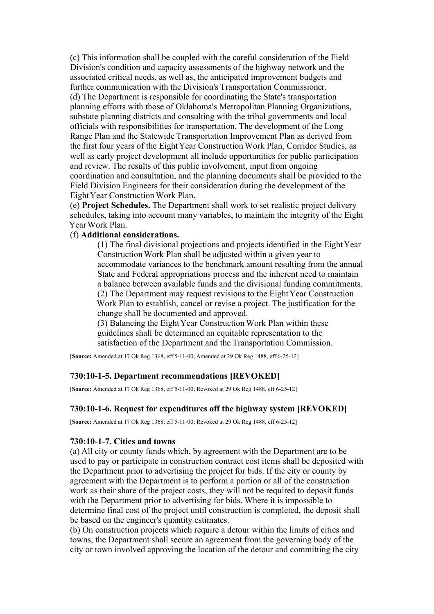(c) This information shall be coupled with the careful consideration of the Field Division's condition and capacity assessments of the highway network and the associated critical needs, as well as, the anticipated improvement budgets and further communication with the Division's Transportation Commissioner. (d) The Department is responsible for coordinating the State's transportation planning efforts with those of Oklahoma's Metropolitan Planning Organizations, substate planning districts and consulting with the tribal governments and local officials with responsibilities for transportation. The development of the Long Range Plan and the Statewide Transportation Improvement Plan as derived from the first four years of the Eight Year Construction Work Plan, Corridor Studies, as well as early project development all include opportunities for public participation and review. The results of this public involvement, input from ongoing coordination and consultation, and the planning documents shall be provided to the Field Division Engineers for their consideration during the development of the Eight Year Construction Work Plan.

(e) **Project Schedules.** The Department shall work to set realistic project delivery schedules, taking into account many variables, to maintain the integrity of the Eight Year Work Plan.

## (f) **Additional considerations.**

(1) The final divisional projections and projects identified in the Eight Year Construction Work Plan shall be adjusted within a given year to accommodate variances to the benchmark amount resulting from the annual State and Federal appropriations process and the inherent need to maintain a balance between available funds and the divisional funding commitments. (2) The Department may request revisions to the Eight Year Construction Work Plan to establish, cancel or revise a project. The justification for the change shall be documented and approved.

(3) Balancing the Eight Year Construction Work Plan within these guidelines shall be determined an equitable representation to the satisfaction of the Department and the Transportation Commission.

[**Source:** Amended at 17 Ok Reg 1368, eff 5-11-00; Amended at 29 Ok Reg 1488, eff 6-25-12]

## **730:10-1-5. Department recommendations [REVOKED]**

[**Source:** Amended at 17 Ok Reg 1368, eff 5-11-00; Revoked at 29 Ok Reg 1488, eff 6-25-12]

## **730:10-1-6. Request for expenditures off the highway system [REVOKED]**

[**Source:** Amended at 17 Ok Reg 1368, eff 5-11-00; Revoked at 29 Ok Reg 1488, eff 6-25-12]

### **730:10-1-7. Cities and towns**

(a) All city or county funds which, by agreement with the Department are to be used to pay or participate in construction contract cost items shall be deposited with the Department prior to advertising the project for bids. If the city or county by agreement with the Department is to perform a portion or all of the construction work as their share of the project costs, they will not be required to deposit funds with the Department prior to advertising for bids. Where it is impossible to determine final cost of the project until construction is completed, the deposit shall be based on the engineer's quantity estimates.

(b) On construction projects which require a detour within the limits of cities and towns, the Department shall secure an agreement from the governing body of the city or town involved approving the location of the detour and committing the city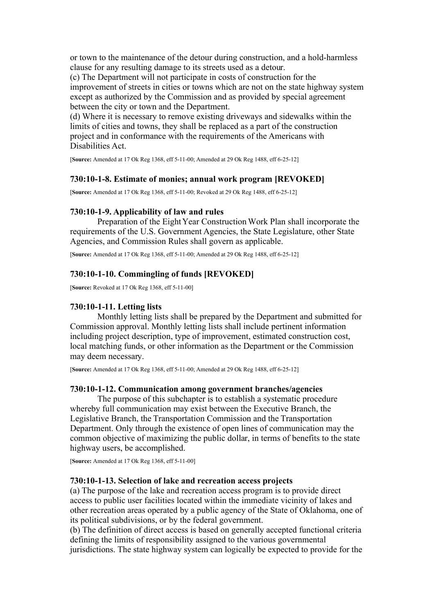or town to the maintenance of the detour during construction, and a hold-harmless clause for any resulting damage to its streets used as a detour.

(c) The Department will not participate in costs of construction for the improvement of streets in cities or towns which are not on the state highway system except as authorized by the Commission and as provided by special agreement between the city or town and the Department.

(d) Where it is necessary to remove existing driveways and sidewalks within the limits of cities and towns, they shall be replaced as a part of the construction project and in conformance with the requirements of the Americans with Disabilities Act.

[**Source:** Amended at 17 Ok Reg 1368, eff 5-11-00; Amended at 29 Ok Reg 1488, eff 6-25-12]

## **730:10-1-8. Estimate of monies; annual work program [REVOKED]**

[**Source:** Amended at 17 Ok Reg 1368, eff 5-11-00; Revoked at 29 Ok Reg 1488, eff 6-25-12]

## **730:10-1-9. Applicability of law and rules**

Preparation of the Eight Year Construction Work Plan shall incorporate the requirements of the U.S. Government Agencies, the State Legislature, other State Agencies, and Commission Rules shall govern as applicable.

[**Source:** Amended at 17 Ok Reg 1368, eff 5-11-00; Amended at 29 Ok Reg 1488, eff 6-25-12]

## **730:10-1-10. Commingling of funds [REVOKED]**

[**Source:** Revoked at 17 Ok Reg 1368, eff 5-11-00]

## **730:10-1-11. Letting lists**

Monthly letting lists shall be prepared by the Department and submitted for Commission approval. Monthly letting lists shall include pertinent information including project description, type of improvement, estimated construction cost, local matching funds, or other information as the Department or the Commission may deem necessary.

[**Source:** Amended at 17 Ok Reg 1368, eff 5-11-00; Amended at 29 Ok Reg 1488, eff 6-25-12]

## **730:10-1-12. Communication among government branches/agencies**

The purpose of this subchapter is to establish a systematic procedure whereby full communication may exist between the Executive Branch, the Legislative Branch, the Transportation Commission and the Transportation Department. Only through the existence of open lines of communication may the common objective of maximizing the public dollar, in terms of benefits to the state highway users, be accomplished.

[**Source:** Amended at 17 Ok Reg 1368, eff 5-11-00]

### **730:10-1-13. Selection of lake and recreation access projects**

(a) The purpose of the lake and recreation access program is to provide direct access to public user facilities located within the immediate vicinity of lakes and other recreation areas operated by a public agency of the State of Oklahoma, one of its political subdivisions, or by the federal government.

(b) The definition of direct access is based on generally accepted functional criteria defining the limits of responsibility assigned to the various governmental jurisdictions. The state highway system can logically be expected to provide for the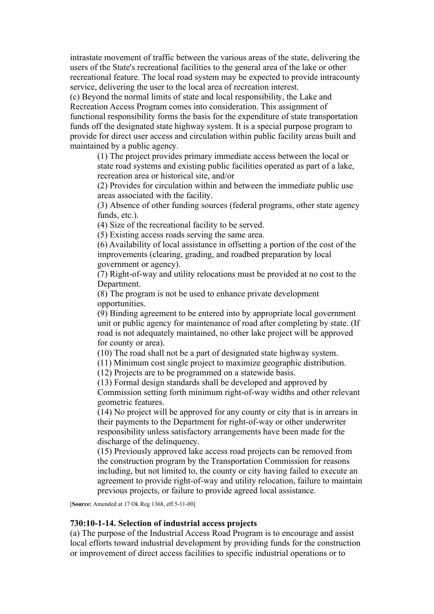intrastate movement of traffic between the various areas of the state, delivering the users of the State's recreational facilities to the general area of the lake or other recreational feature. The local road system may be expected to provide intracounty service, delivering the user to the local area of recreation interest.

(c) Beyond the normal limits of state and local responsibility, the Lake and Recreation Access Program comes into consideration. This assignment of functional responsibility forms the basis for the expenditure of state transportation funds off the designated state highway system. It is a special purpose program to provide for direct user access and circulation within public facility areas built and maintained by a public agency.

(1) The project provides primary immediate access between the local or state road systems and existing public facilities operated as part of a lake, recreation area or historical site, and/or

(2) Provides for circulation within and between the immediate public use areas associated with the facility.

(3) Absence of other funding sources (federal programs, other state agency funds, etc.).

(4) Size of the recreational facility to be served.

(5) Existing access roads serving the same area.

(6) Availability of local assistance in offsetting a portion of the cost of the improvements (clearing, grading, and roadbed preparation by local government or agency).

(7) Right-of-way and utility relocations must be provided at no cost to the Department.

(8) The program is not be used to enhance private development opportunities.

(9) Binding agreement to be entered into by appropriate local government unit or public agency for maintenance of road after completing by state. (If road is not adequately maintained, no other lake project will be approved for county or area).

(10) The road shall not be a part of designated state highway system.

(11) Minimum cost single project to maximize geographic distribution.

(12) Projects are to be programmed on a statewide basis.

(13) Formal design standards shall be developed and approved by Commission setting forth minimum right-of-way widths and other relevant geometric features.

(14) No project will be approved for any county or city that is in arrears in their payments to the Department for right-of-way or other underwriter responsibility unless satisfactory arrangements have been made for the discharge of the delinquency.

(15) Previously approved lake access road projects can be removed from the construction program by the Transportation Commission for reasons including, but not limited to, the county or city having failed to execute an agreement to provide right-of-way and utility relocation, failure to maintain previous projects, or failure to provide agreed local assistance.

[**Source:** Amended at 17 Ok Reg 1368, eff 5-11-00]

### **730:10-1-14. Selection of industrial access projects**

(a) The purpose of the Industrial Access Road Program is to encourage and assist local efforts toward industrial development by providing funds for the construction or improvement of direct access facilities to specific industrial operations or to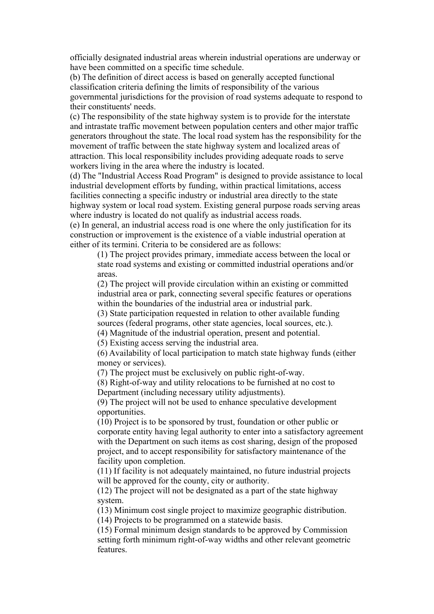officially designated industrial areas wherein industrial operations are underway or have been committed on a specific time schedule.

(b) The definition of direct access is based on generally accepted functional classification criteria defining the limits of responsibility of the various governmental jurisdictions for the provision of road systems adequate to respond to their constituents' needs.

(c) The responsibility of the state highway system is to provide for the interstate and intrastate traffic movement between population centers and other major traffic generators throughout the state. The local road system has the responsibility for the movement of traffic between the state highway system and localized areas of attraction. This local responsibility includes providing adequate roads to serve workers living in the area where the industry is located.

(d) The "Industrial Access Road Program" is designed to provide assistance to local industrial development efforts by funding, within practical limitations, access facilities connecting a specific industry or industrial area directly to the state highway system or local road system. Existing general purpose roads serving areas where industry is located do not qualify as industrial access roads.

(e) In general, an industrial access road is one where the only justification for its construction or improvement is the existence of a viable industrial operation at either of its termini. Criteria to be considered are as follows:

(1) The project provides primary, immediate access between the local or state road systems and existing or committed industrial operations and/or areas.

(2) The project will provide circulation within an existing or committed industrial area or park, connecting several specific features or operations within the boundaries of the industrial area or industrial park.

(3) State participation requested in relation to other available funding sources (federal programs, other state agencies, local sources, etc.).

(4) Magnitude of the industrial operation, present and potential.

(5) Existing access serving the industrial area.

(6) Availability of local participation to match state highway funds (either money or services).

(7) The project must be exclusively on public right-of-way.

(8) Right-of-way and utility relocations to be furnished at no cost to Department (including necessary utility adjustments).

(9) The project will not be used to enhance speculative development opportunities.

(10) Project is to be sponsored by trust, foundation or other public or corporate entity having legal authority to enter into a satisfactory agreement with the Department on such items as cost sharing, design of the proposed project, and to accept responsibility for satisfactory maintenance of the facility upon completion.

(11) If facility is not adequately maintained, no future industrial projects will be approved for the county, city or authority.

(12) The project will not be designated as a part of the state highway system.

(13) Minimum cost single project to maximize geographic distribution.

(14) Projects to be programmed on a statewide basis.

(15) Formal minimum design standards to be approved by Commission setting forth minimum right-of-way widths and other relevant geometric features.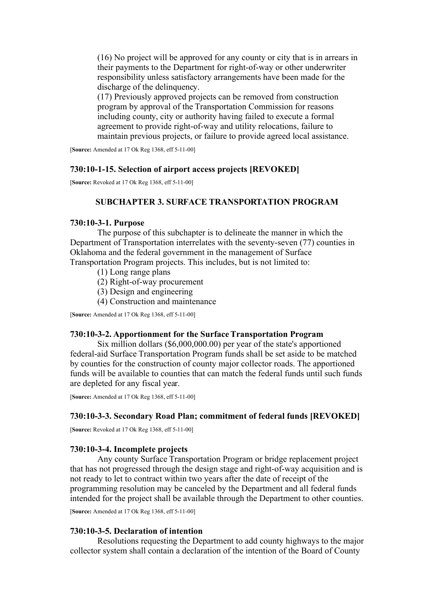(16) No project will be approved for any county or city that is in arrears in their payments to the Department for right-of-way or other underwriter responsibility unless satisfactory arrangements have been made for the discharge of the delinquency.

(17) Previously approved projects can be removed from construction program by approval of the Transportation Commission for reasons including county, city or authority having failed to execute a formal agreement to provide right-of-way and utility relocations, failure to maintain previous projects, or failure to provide agreed local assistance.

[**Source:** Amended at 17 Ok Reg 1368, eff 5-11-00]

## **730:10-1-15. Selection of airport access projects [REVOKED]**

[**Source:** Revoked at 17 Ok Reg 1368, eff 5-11-00]

## **SUBCHAPTER 3. SURFACE TRANSPORTATION PROGRAM**

### **730:10-3-1. Purpose**

The purpose of this subchapter is to delineate the manner in which the Department of Transportation interrelates with the seventy-seven (77) counties in Oklahoma and the federal government in the management of Surface Transportation Program projects. This includes, but is not limited to:

- (1) Long range plans
- (2) Right-of-way procurement
- (3) Design and engineering
- (4) Construction and maintenance

[**Source:** Amended at 17 Ok Reg 1368, eff 5-11-00]

# **730:10-3-2. Apportionment for the Surface Transportation Program**

Six million dollars (\$6,000,000.00) per year of the state's apportioned federal-aid Surface Transportation Program funds shall be set aside to be matched by counties for the construction of county major collector roads. The apportioned funds will be available to counties that can match the federal funds until such funds are depleted for any fiscal year.

[**Source:** Amended at 17 Ok Reg 1368, eff 5-11-00]

## **730:10-3-3. Secondary Road Plan; commitment of federal funds [REVOKED]**

[**Source:** Revoked at 17 Ok Reg 1368, eff 5-11-00]

### **730:10-3-4. Incomplete projects**

Any county Surface Transportation Program or bridge replacement project that has not progressed through the design stage and right-of-way acquisition and is not ready to let to contract within two years after the date of receipt of the programming resolution may be canceled by the Department and all federal funds intended for the project shall be available through the Department to other counties.

[**Source:** Amended at 17 Ok Reg 1368, eff 5-11-00]

### **730:10-3-5. Declaration of intention**

Resolutions requesting the Department to add county highways to the major collector system shall contain a declaration of the intention of the Board of County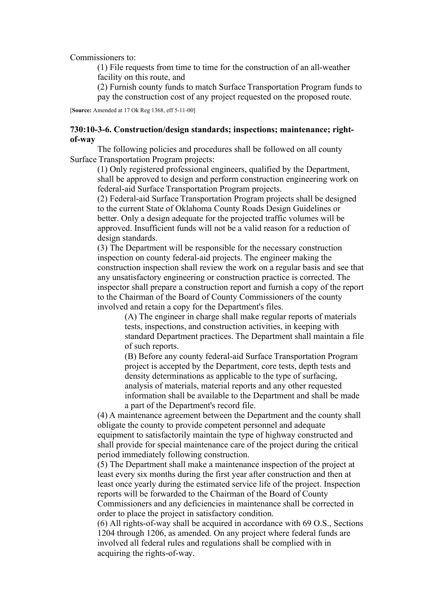Commissioners to:

(1) File requests from time to time for the construction of an all-weather facility on this route, and

(2) Furnish county funds to match Surface Transportation Program funds to

pay the construction cost of any project requested on the proposed route.

[**Source:** Amended at 17 Ok Reg 1368, eff 5-11-00]

# **730:10-3-6. Construction/design standards; inspections; maintenance; rightof-way**

The following policies and procedures shall be followed on all county Surface Transportation Program projects:

(1) Only registered professional engineers, qualified by the Department, shall be approved to design and perform construction engineering work on federal-aid Surface Transportation Program projects.

(2) Federal-aid Surface Transportation Program projects shall be designed to the current State of Oklahoma County Roads Design Guidelines or better. Only a design adequate for the projected traffic volumes will be approved. Insufficient funds will not be a valid reason for a reduction of design standards.

(3) The Department will be responsible for the necessary construction inspection on county federal-aid projects. The engineer making the construction inspection shall review the work on a regular basis and see that any unsatisfactory engineering or construction practice is corrected. The inspector shall prepare a construction report and furnish a copy of the report to the Chairman of the Board of County Commissioners of the county involved and retain a copy for the Department's files.

> (A) The engineer in charge shall make regular reports of materials tests, inspections, and construction activities, in keeping with standard Department practices. The Department shall maintain a file of such reports.

(B) Before any county federal-aid Surface Transportation Program project is accepted by the Department, core tests, depth tests and density determinations as applicable to the type of surfacing, analysis of materials, material reports and any other requested information shall be available to the Department and shall be made a part of the Department's record file.

(4) A maintenance agreement between the Department and the county shall obligate the county to provide competent personnel and adequate equipment to satisfactorily maintain the type of highway constructed and shall provide for special maintenance care of the project during the critical period immediately following construction.

(5) The Department shall make a maintenance inspection of the project at least every six months during the first year after construction and then at least once yearly during the estimated service life of the project. Inspection reports will be forwarded to the Chairman of the Board of County Commissioners and any deficiencies in maintenance shall be corrected in order to place the project in satisfactory condition.

(6) All rights-of-way shall be acquired in accordance with 69 O.S., Sections 1204 through 1206, as amended. On any project where federal funds are involved all federal rules and regulations shall be complied with in acquiring the rights-of-way.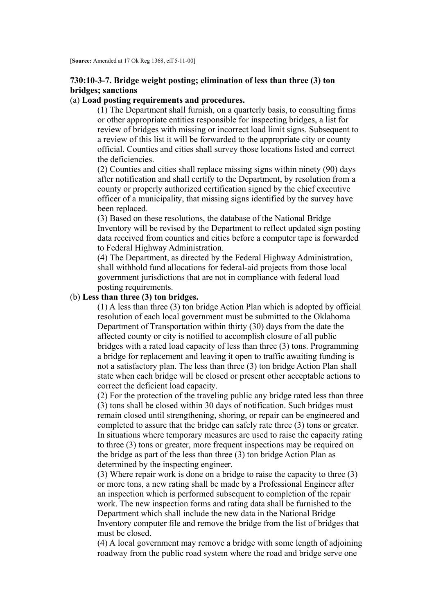# **730:10-3-7. Bridge weight posting; elimination of less than three (3) ton bridges; sanctions**

# (a) **Load posting requirements and procedures.**

(1) The Department shall furnish, on a quarterly basis, to consulting firms or other appropriate entities responsible for inspecting bridges, a list for review of bridges with missing or incorrect load limit signs. Subsequent to a review of this list it will be forwarded to the appropriate city or county official. Counties and cities shall survey those locations listed and correct the deficiencies.

(2) Counties and cities shall replace missing signs within ninety (90) days after notification and shall certify to the Department, by resolution from a county or properly authorized certification signed by the chief executive officer of a municipality, that missing signs identified by the survey have been replaced.

(3) Based on these resolutions, the database of the National Bridge Inventory will be revised by the Department to reflect updated sign posting data received from counties and cities before a computer tape is forwarded to Federal Highway Administration.

(4) The Department, as directed by the Federal Highway Administration, shall withhold fund allocations for federal-aid projects from those local government jurisdictions that are not in compliance with federal load posting requirements.

## (b) **Less than three (3) ton bridges.**

(1) A less than three (3) ton bridge Action Plan which is adopted by official resolution of each local government must be submitted to the Oklahoma Department of Transportation within thirty (30) days from the date the affected county or city is notified to accomplish closure of all public bridges with a rated load capacity of less than three (3) tons. Programming a bridge for replacement and leaving it open to traffic awaiting funding is not a satisfactory plan. The less than three (3) ton bridge Action Plan shall state when each bridge will be closed or present other acceptable actions to correct the deficient load capacity.

(2) For the protection of the traveling public any bridge rated less than three (3) tons shall be closed within 30 days of notification. Such bridges must remain closed until strengthening, shoring, or repair can be engineered and completed to assure that the bridge can safely rate three (3) tons or greater. In situations where temporary measures are used to raise the capacity rating to three (3) tons or greater, more frequent inspections may be required on the bridge as part of the less than three (3) ton bridge Action Plan as determined by the inspecting engineer.

(3) Where repair work is done on a bridge to raise the capacity to three (3) or more tons, a new rating shall be made by a Professional Engineer after an inspection which is performed subsequent to completion of the repair work. The new inspection forms and rating data shall be furnished to the Department which shall include the new data in the National Bridge Inventory computer file and remove the bridge from the list of bridges that must be closed.

(4) A local government may remove a bridge with some length of adjoining roadway from the public road system where the road and bridge serve one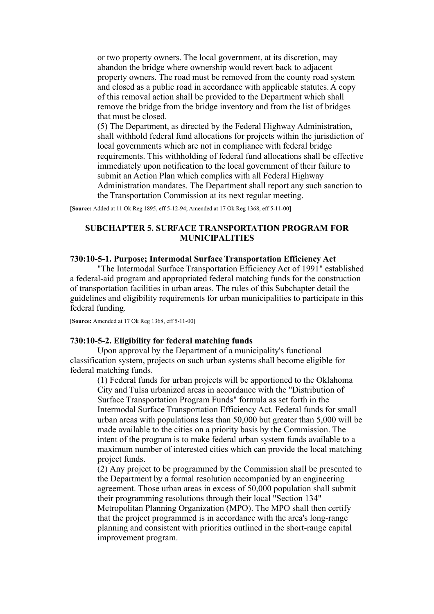or two property owners. The local government, at its discretion, may abandon the bridge where ownership would revert back to adjacent property owners. The road must be removed from the county road system and closed as a public road in accordance with applicable statutes. A copy of this removal action shall be provided to the Department which shall remove the bridge from the bridge inventory and from the list of bridges that must be closed.

(5) The Department, as directed by the Federal Highway Administration, shall withhold federal fund allocations for projects within the jurisdiction of local governments which are not in compliance with federal bridge requirements. This withholding of federal fund allocations shall be effective immediately upon notification to the local government of their failure to submit an Action Plan which complies with all Federal Highway Administration mandates. The Department shall report any such sanction to the Transportation Commission at its next regular meeting.

[**Source:** Added at 11 Ok Reg 1895, eff 5-12-94; Amended at 17 Ok Reg 1368, eff 5-11-00]

# **SUBCHAPTER 5. SURFACE TRANSPORTATION PROGRAM FOR MUNICIPALITIES**

## **730:10-5-1. Purpose; Intermodal Surface Transportation Efficiency Act**

"The Intermodal Surface Transportation Efficiency Act of 1991" established a federal-aid program and appropriated federal matching funds for the construction of transportation facilities in urban areas. The rules of this Subchapter detail the guidelines and eligibility requirements for urban municipalities to participate in this federal funding.

[**Source:** Amended at 17 Ok Reg 1368, eff 5-11-00]

### **730:10-5-2. Eligibility for federal matching funds**

Upon approval by the Department of a municipality's functional classification system, projects on such urban systems shall become eligible for federal matching funds.

(1) Federal funds for urban projects will be apportioned to the Oklahoma City and Tulsa urbanized areas in accordance with the "Distribution of Surface Transportation Program Funds" formula as set forth in the Intermodal Surface Transportation Efficiency Act. Federal funds for small urban areas with populations less than 50,000 but greater than 5,000 will be made available to the cities on a priority basis by the Commission. The intent of the program is to make federal urban system funds available to a maximum number of interested cities which can provide the local matching project funds.

(2) Any project to be programmed by the Commission shall be presented to the Department by a formal resolution accompanied by an engineering agreement. Those urban areas in excess of 50,000 population shall submit their programming resolutions through their local "Section 134" Metropolitan Planning Organization (MPO). The MPO shall then certify that the project programmed is in accordance with the area's long-range planning and consistent with priorities outlined in the short-range capital improvement program.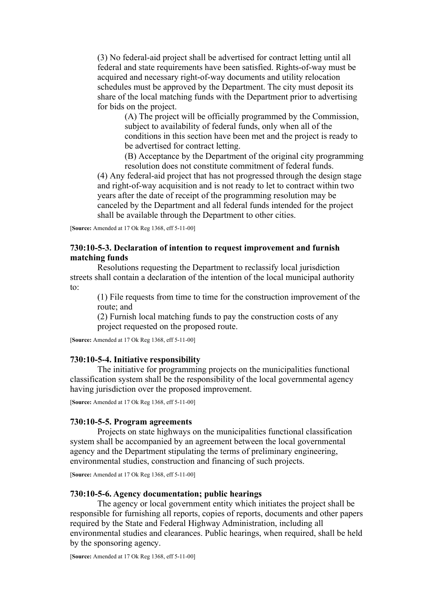(3) No federal-aid project shall be advertised for contract letting until all federal and state requirements have been satisfied. Rights-of-way must be acquired and necessary right-of-way documents and utility relocation schedules must be approved by the Department. The city must deposit its share of the local matching funds with the Department prior to advertising for bids on the project.

> (A) The project will be officially programmed by the Commission, subject to availability of federal funds, only when all of the conditions in this section have been met and the project is ready to be advertised for contract letting.

(B) Acceptance by the Department of the original city programming resolution does not constitute commitment of federal funds.

(4) Any federal-aid project that has not progressed through the design stage and right-of-way acquisition and is not ready to let to contract within two years after the date of receipt of the programming resolution may be canceled by the Department and all federal funds intended for the project shall be available through the Department to other cities.

[**Source:** Amended at 17 Ok Reg 1368, eff 5-11-00]

## **730:10-5-3. Declaration of intention to request improvement and furnish matching funds**

Resolutions requesting the Department to reclassify local jurisdiction streets shall contain a declaration of the intention of the local municipal authority to:

(1) File requests from time to time for the construction improvement of the route; and

(2) Furnish local matching funds to pay the construction costs of any project requested on the proposed route.

[**Source:** Amended at 17 Ok Reg 1368, eff 5-11-00]

### **730:10-5-4. Initiative responsibility**

The initiative for programming projects on the municipalities functional classification system shall be the responsibility of the local governmental agency having jurisdiction over the proposed improvement.

[**Source:** Amended at 17 Ok Reg 1368, eff 5-11-00]

### **730:10-5-5. Program agreements**

Projects on state highways on the municipalities functional classification system shall be accompanied by an agreement between the local governmental agency and the Department stipulating the terms of preliminary engineering, environmental studies, construction and financing of such projects.

[**Source:** Amended at 17 Ok Reg 1368, eff 5-11-00]

## **730:10-5-6. Agency documentation; public hearings**

The agency or local government entity which initiates the project shall be responsible for furnishing all reports, copies of reports, documents and other papers required by the State and Federal Highway Administration, including all environmental studies and clearances. Public hearings, when required, shall be held by the sponsoring agency.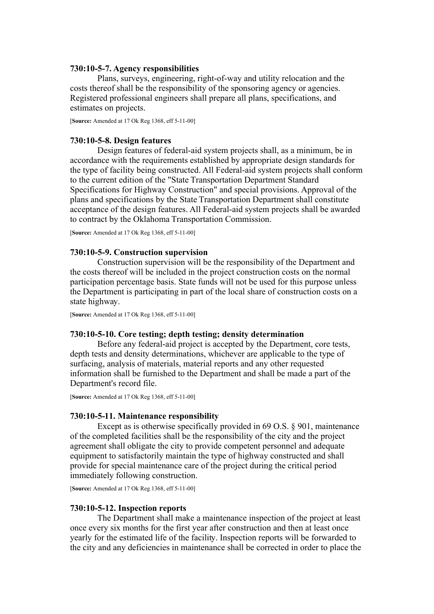### **730:10-5-7. Agency responsibilities**

Plans, surveys, engineering, right-of-way and utility relocation and the costs thereof shall be the responsibility of the sponsoring agency or agencies. Registered professional engineers shall prepare all plans, specifications, and estimates on projects.

[**Source:** Amended at 17 Ok Reg 1368, eff 5-11-00]

### **730:10-5-8. Design features**

Design features of federal-aid system projects shall, as a minimum, be in accordance with the requirements established by appropriate design standards for the type of facility being constructed. All Federal-aid system projects shall conform to the current edition of the "State Transportation Department Standard Specifications for Highway Construction" and special provisions. Approval of the plans and specifications by the State Transportation Department shall constitute acceptance of the design features. All Federal-aid system projects shall be awarded to contract by the Oklahoma Transportation Commission.

[**Source:** Amended at 17 Ok Reg 1368, eff 5-11-00]

## **730:10-5-9. Construction supervision**

Construction supervision will be the responsibility of the Department and the costs thereof will be included in the project construction costs on the normal participation percentage basis. State funds will not be used for this purpose unless the Department is participating in part of the local share of construction costs on a state highway.

[**Source:** Amended at 17 Ok Reg 1368, eff 5-11-00]

### **730:10-5-10. Core testing; depth testing; density determination**

Before any federal-aid project is accepted by the Department, core tests, depth tests and density determinations, whichever are applicable to the type of surfacing, analysis of materials, material reports and any other requested information shall be furnished to the Department and shall be made a part of the Department's record file.

[**Source:** Amended at 17 Ok Reg 1368, eff 5-11-00]

### **730:10-5-11. Maintenance responsibility**

Except as is otherwise specifically provided in 69 O.S. § 901, maintenance of the completed facilities shall be the responsibility of the city and the project agreement shall obligate the city to provide competent personnel and adequate equipment to satisfactorily maintain the type of highway constructed and shall provide for special maintenance care of the project during the critical period immediately following construction.

[**Source:** Amended at 17 Ok Reg 1368, eff 5-11-00]

### **730:10-5-12. Inspection reports**

The Department shall make a maintenance inspection of the project at least once every six months for the first year after construction and then at least once yearly for the estimated life of the facility. Inspection reports will be forwarded to the city and any deficiencies in maintenance shall be corrected in order to place the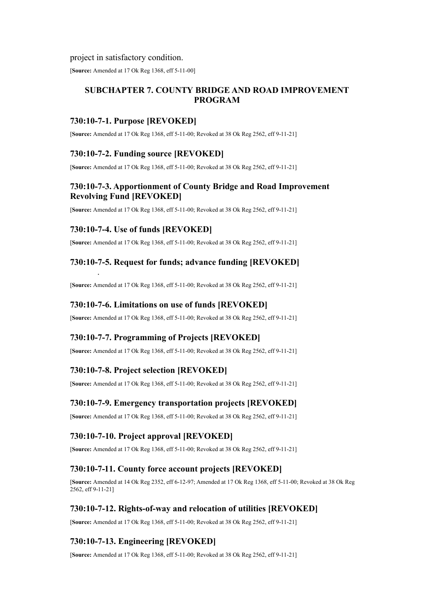### project in satisfactory condition.

[**Source:** Amended at 17 Ok Reg 1368, eff 5-11-00]

# **SUBCHAPTER 7. COUNTY BRIDGE AND ROAD IMPROVEMENT PROGRAM**

# **730:10-7-1. Purpose [REVOKED]**

[**Source:** Amended at 17 Ok Reg 1368, eff 5-11-00; Revoked at 38 Ok Reg 2562, eff 9-11-21]

# **730:10-7-2. Funding source [REVOKED]**

[**Source:** Amended at 17 Ok Reg 1368, eff 5-11-00; Revoked at 38 Ok Reg 2562, eff 9-11-21]

# **730:10-7-3. Apportionment of County Bridge and Road Improvement Revolving Fund [REVOKED]**

[**Source:** Amended at 17 Ok Reg 1368, eff 5-11-00; Revoked at 38 Ok Reg 2562, eff 9-11-21]

# **730:10-7-4. Use of funds [REVOKED]**

.

[**Source:** Amended at 17 Ok Reg 1368, eff 5-11-00; Revoked at 38 Ok Reg 2562, eff 9-11-21]

# **730:10-7-5. Request for funds; advance funding [REVOKED]**

[**Source:** Amended at 17 Ok Reg 1368, eff 5-11-00; Revoked at 38 Ok Reg 2562, eff 9-11-21]

# **730:10-7-6. Limitations on use of funds [REVOKED]**

[**Source:** Amended at 17 Ok Reg 1368, eff 5-11-00; Revoked at 38 Ok Reg 2562, eff 9-11-21]

# **730:10-7-7. Programming of Projects [REVOKED]**

[**Source:** Amended at 17 Ok Reg 1368, eff 5-11-00; Revoked at 38 Ok Reg 2562, eff 9-11-21]

# **730:10-7-8. Project selection [REVOKED]**

[**Source:** Amended at 17 Ok Reg 1368, eff 5-11-00; Revoked at 38 Ok Reg 2562, eff 9-11-21]

# **730:10-7-9. Emergency transportation projects [REVOKED]**

[**Source:** Amended at 17 Ok Reg 1368, eff 5-11-00; Revoked at 38 Ok Reg 2562, eff 9-11-21]

# **730:10-7-10. Project approval [REVOKED]**

[**Source:** Amended at 17 Ok Reg 1368, eff 5-11-00; Revoked at 38 Ok Reg 2562, eff 9-11-21]

# **730:10-7-11. County force account projects [REVOKED]**

[**Source:** Amended at 14 Ok Reg 2352, eff 6-12-97; Amended at 17 Ok Reg 1368, eff 5-11-00; Revoked at 38 Ok Reg 2562, eff 9-11-21]

# **730:10-7-12. Rights-of-way and relocation of utilities [REVOKED]**

[**Source:** Amended at 17 Ok Reg 1368, eff 5-11-00; Revoked at 38 Ok Reg 2562, eff 9-11-21]

# **730:10-7-13. Engineering [REVOKED]**

[**Source:** Amended at 17 Ok Reg 1368, eff 5-11-00; Revoked at 38 Ok Reg 2562, eff 9-11-21]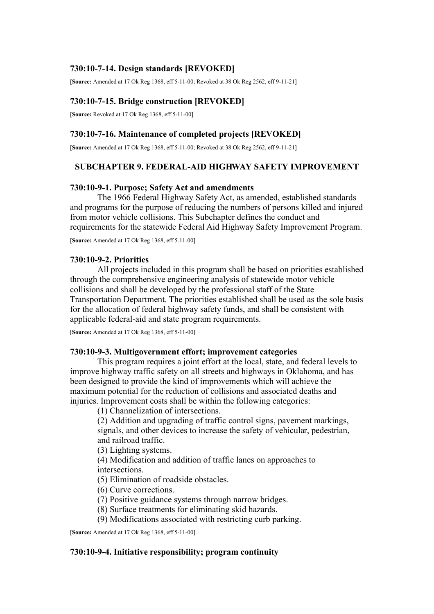# **730:10-7-14. Design standards [REVOKED]**

[**Source:** Amended at 17 Ok Reg 1368, eff 5-11-00; Revoked at 38 Ok Reg 2562, eff 9-11-21]

# **730:10-7-15. Bridge construction [REVOKED]**

[**Source:** Revoked at 17 Ok Reg 1368, eff 5-11-00]

## **730:10-7-16. Maintenance of completed projects [REVOKED]**

[**Source:** Amended at 17 Ok Reg 1368, eff 5-11-00; Revoked at 38 Ok Reg 2562, eff 9-11-21]

# **SUBCHAPTER 9. FEDERAL-AID HIGHWAY SAFETY IMPROVEMENT**

## **730:10-9-1. Purpose; Safety Act and amendments**

The 1966 Federal Highway Safety Act, as amended, established standards and programs for the purpose of reducing the numbers of persons killed and injured from motor vehicle collisions. This Subchapter defines the conduct and requirements for the statewide Federal Aid Highway Safety Improvement Program.

[**Source:** Amended at 17 Ok Reg 1368, eff 5-11-00]

### **730:10-9-2. Priorities**

All projects included in this program shall be based on priorities established through the comprehensive engineering analysis of statewide motor vehicle collisions and shall be developed by the professional staff of the State Transportation Department. The priorities established shall be used as the sole basis for the allocation of federal highway safety funds, and shall be consistent with applicable federal-aid and state program requirements.

[**Source:** Amended at 17 Ok Reg 1368, eff 5-11-00]

## **730:10-9-3. Multigovernment effort; improvement categories**

This program requires a joint effort at the local, state, and federal levels to improve highway traffic safety on all streets and highways in Oklahoma, and has been designed to provide the kind of improvements which will achieve the maximum potential for the reduction of collisions and associated deaths and injuries. Improvement costs shall be within the following categories:

(1) Channelization of intersections.

(2) Addition and upgrading of traffic control signs, pavement markings, signals, and other devices to increase the safety of vehicular, pedestrian, and railroad traffic.

(3) Lighting systems.

(4) Modification and addition of traffic lanes on approaches to intersections.

(5) Elimination of roadside obstacles.

(6) Curve corrections.

(7) Positive guidance systems through narrow bridges.

(8) Surface treatments for eliminating skid hazards.

(9) Modifications associated with restricting curb parking.

[**Source:** Amended at 17 Ok Reg 1368, eff 5-11-00]

## **730:10-9-4. Initiative responsibility; program continuity**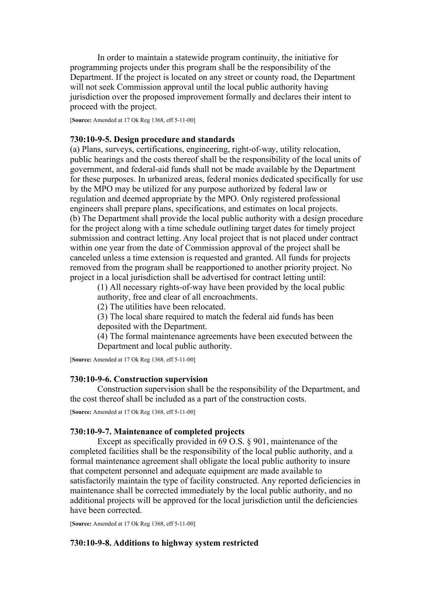In order to maintain a statewide program continuity, the initiative for programming projects under this program shall be the responsibility of the Department. If the project is located on any street or county road, the Department will not seek Commission approval until the local public authority having jurisdiction over the proposed improvement formally and declares their intent to proceed with the project.

[**Source:** Amended at 17 Ok Reg 1368, eff 5-11-00]

### **730:10-9-5. Design procedure and standards**

(a) Plans, surveys, certifications, engineering, right-of-way, utility relocation, public hearings and the costs thereof shall be the responsibility of the local units of government, and federal-aid funds shall not be made available by the Department for these purposes. In urbanized areas, federal monies dedicated specifically for use by the MPO may be utilized for any purpose authorized by federal law or regulation and deemed appropriate by the MPO. Only registered professional engineers shall prepare plans, specifications, and estimates on local projects. (b) The Department shall provide the local public authority with a design procedure for the project along with a time schedule outlining target dates for timely project submission and contract letting. Any local project that is not placed under contract within one year from the date of Commission approval of the project shall be canceled unless a time extension is requested and granted. All funds for projects removed from the program shall be reapportioned to another priority project. No project in a local jurisdiction shall be advertised for contract letting until:

(1) All necessary rights-of-way have been provided by the local public authority, free and clear of all encroachments.

(2) The utilities have been relocated.

(3) The local share required to match the federal aid funds has been deposited with the Department.

(4) The formal maintenance agreements have been executed between the Department and local public authority.

[**Source:** Amended at 17 Ok Reg 1368, eff 5-11-00]

### **730:10-9-6. Construction supervision**

Construction supervision shall be the responsibility of the Department, and the cost thereof shall be included as a part of the construction costs.

[**Source:** Amended at 17 Ok Reg 1368, eff 5-11-00]

### **730:10-9-7. Maintenance of completed projects**

Except as specifically provided in 69 O.S. § 901, maintenance of the completed facilities shall be the responsibility of the local public authority, and a formal maintenance agreement shall obligate the local public authority to insure that competent personnel and adequate equipment are made available to satisfactorily maintain the type of facility constructed. Any reported deficiencies in maintenance shall be corrected immediately by the local public authority, and no additional projects will be approved for the local jurisdiction until the deficiencies have been corrected.

[**Source:** Amended at 17 Ok Reg 1368, eff 5-11-00]

### **730:10-9-8. Additions to highway system restricted**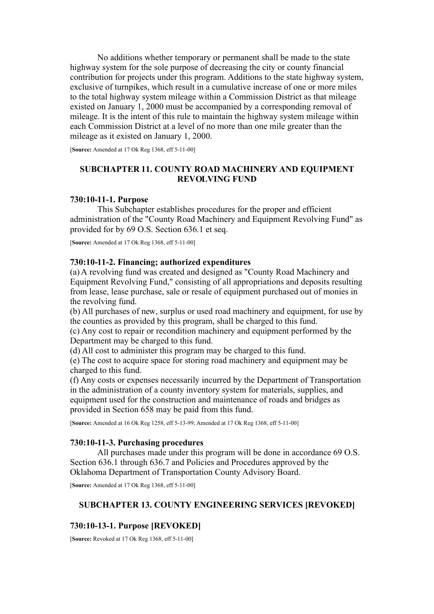No additions whether temporary or permanent shall be made to the state highway system for the sole purpose of decreasing the city or county financial contribution for projects under this program. Additions to the state highway system, exclusive of turnpikes, which result in a cumulative increase of one or more miles to the total highway system mileage within a Commission District as that mileage existed on January 1, 2000 must be accompanied by a corresponding removal of mileage. It is the intent of this rule to maintain the highway system mileage within each Commission District at a level of no more than one mile greater than the mileage as it existed on January 1, 2000.

[**Source:** Amended at 17 Ok Reg 1368, eff 5-11-00]

# **SUBCHAPTER 11. COUNTY ROAD MACHINERY AND EQUIPMENT REVOLVING FUND**

## **730:10-11-1. Purpose**

This Subchapter establishes procedures for the proper and efficient administration of the "County Road Machinery and Equipment Revolving Fund" as provided for by 69 O.S. Section 636.1 et seq.

[**Source:** Amended at 17 Ok Reg 1368, eff 5-11-00]

## **730:10-11-2. Financing; authorized expenditures**

(a) A revolving fund was created and designed as "County Road Machinery and Equipment Revolving Fund," consisting of all appropriations and deposits resulting from lease, lease purchase, sale or resale of equipment purchased out of monies in the revolving fund.

(b) All purchases of new, surplus or used road machinery and equipment, for use by the counties as provided by this program, shall be charged to this fund.

(c) Any cost to repair or recondition machinery and equipment performed by the Department may be charged to this fund.

(d) All cost to administer this program may be charged to this fund.

(e) The cost to acquire space for storing road machinery and equipment may be charged to this fund.

(f) Any costs or expenses necessarily incurred by the Department of Transportation in the administration of a county inventory system for materials, supplies, and equipment used for the construction and maintenance of roads and bridges as provided in Section 658 may be paid from this fund.

[**Source:** Amended at 16 Ok Reg 1258, eff 5-13-99; Amended at 17 Ok Reg 1368, eff 5-11-00]

## **730:10-11-3. Purchasing procedures**

All purchases made under this program will be done in accordance 69 O.S. Section 636.1 through 636.7 and Policies and Procedures approved by the Oklahoma Department of Transportation County Advisory Board.

[**Source:** Amended at 17 Ok Reg 1368, eff 5-11-00]

### **SUBCHAPTER 13. COUNTY ENGINEERING SERVICES [REVOKED]**

## **730:10-13-1. Purpose [REVOKED]**

[**Source:** Revoked at 17 Ok Reg 1368, eff 5-11-00]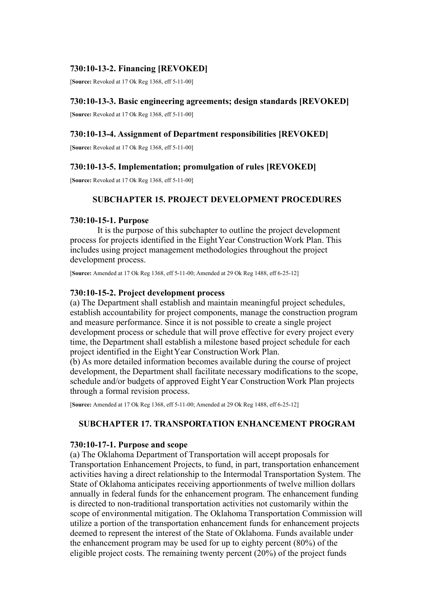# **730:10-13-2. Financing [REVOKED]**

[**Source:** Revoked at 17 Ok Reg 1368, eff 5-11-00]

# **730:10-13-3. Basic engineering agreements; design standards [REVOKED]**

[**Source:** Revoked at 17 Ok Reg 1368, eff 5-11-00]

# **730:10-13-4. Assignment of Department responsibilities [REVOKED]**

[**Source:** Revoked at 17 Ok Reg 1368, eff 5-11-00]

# **730:10-13-5. Implementation; promulgation of rules [REVOKED]**

[**Source:** Revoked at 17 Ok Reg 1368, eff 5-11-00]

# **SUBCHAPTER 15. PROJECT DEVELOPMENT PROCEDURES**

# **730:10-15-1. Purpose**

It is the purpose of this subchapter to outline the project development process for projects identified in the Eight Year Construction Work Plan. This includes using project management methodologies throughout the project development process.

[**Source:** Amended at 17 Ok Reg 1368, eff 5-11-00; Amended at 29 Ok Reg 1488, eff 6-25-12]

# **730:10-15-2. Project development process**

(a) The Department shall establish and maintain meaningful project schedules, establish accountability for project components, manage the construction program and measure performance. Since it is not possible to create a single project development process or schedule that will prove effective for every project every time, the Department shall establish a milestone based project schedule for each project identified in the Eight Year Construction Work Plan.

(b) As more detailed information becomes available during the course of project development, the Department shall facilitate necessary modifications to the scope, schedule and/or budgets of approved Eight Year Construction Work Plan projects through a formal revision process.

[**Source:** Amended at 17 Ok Reg 1368, eff 5-11-00; Amended at 29 Ok Reg 1488, eff 6-25-12]

# **SUBCHAPTER 17. TRANSPORTATION ENHANCEMENT PROGRAM**

# **730:10-17-1. Purpose and scope**

(a) The Oklahoma Department of Transportation will accept proposals for Transportation Enhancement Projects, to fund, in part, transportation enhancement activities having a direct relationship to the Intermodal Transportation System. The State of Oklahoma anticipates receiving apportionments of twelve million dollars annually in federal funds for the enhancement program. The enhancement funding is directed to non-traditional transportation activities not customarily within the scope of environmental mitigation. The Oklahoma Transportation Commission will utilize a portion of the transportation enhancement funds for enhancement projects deemed to represent the interest of the State of Oklahoma. Funds available under the enhancement program may be used for up to eighty percent (80%) of the eligible project costs. The remaining twenty percent (20%) of the project funds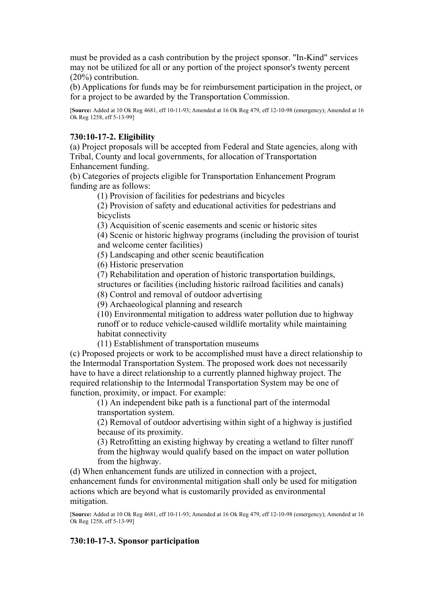must be provided as a cash contribution by the project sponsor. "In-Kind" services may not be utilized for all or any portion of the project sponsor's twenty percent (20%) contribution.

(b) Applications for funds may be for reimbursement participation in the project, or for a project to be awarded by the Transportation Commission.

[**Source:** Added at 10 Ok Reg 4681, eff 10-11-93; Amended at 16 Ok Reg 479, eff 12-10-98 (emergency); Amended at 16 Ok Reg 1258, eff 5-13-99]

## **730:10-17-2. Eligibility**

(a) Project proposals will be accepted from Federal and State agencies, along with Tribal, County and local governments, for allocation of Transportation Enhancement funding.

(b) Categories of projects eligible for Transportation Enhancement Program funding are as follows:

(1) Provision of facilities for pedestrians and bicycles

(2) Provision of safety and educational activities for pedestrians and bicyclists

(3) Acquisition of scenic easements and scenic or historic sites

(4) Scenic or historic highway programs (including the provision of tourist and welcome center facilities)

(5) Landscaping and other scenic beautification

(6) Historic preservation

(7) Rehabilitation and operation of historic transportation buildings, structures or facilities (including historic railroad facilities and canals)

(8) Control and removal of outdoor advertising

(9) Archaeological planning and research

(10) Environmental mitigation to address water pollution due to highway runoff or to reduce vehicle-caused wildlife mortality while maintaining habitat connectivity

(11) Establishment of transportation museums

(c) Proposed projects or work to be accomplished must have a direct relationship to the Intermodal Transportation System. The proposed work does not necessarily have to have a direct relationship to a currently planned highway project. The required relationship to the Intermodal Transportation System may be one of function, proximity, or impact. For example:

(1) An independent bike path is a functional part of the intermodal transportation system.

(2) Removal of outdoor advertising within sight of a highway is justified because of its proximity.

(3) Retrofitting an existing highway by creating a wetland to filter runoff from the highway would qualify based on the impact on water pollution from the highway.

(d) When enhancement funds are utilized in connection with a project, enhancement funds for environmental mitigation shall only be used for mitigation actions which are beyond what is customarily provided as environmental mitigation.

[**Source:** Added at 10 Ok Reg 4681, eff 10-11-93; Amended at 16 Ok Reg 479, eff 12-10-98 (emergency); Amended at 16 Ok Reg 1258, eff 5-13-99]

# **730:10-17-3. Sponsor participation**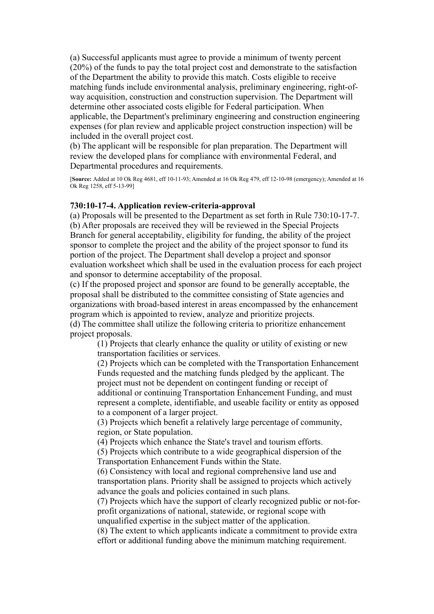(a) Successful applicants must agree to provide a minimum of twenty percent (20%) of the funds to pay the total project cost and demonstrate to the satisfaction of the Department the ability to provide this match. Costs eligible to receive matching funds include environmental analysis, preliminary engineering, right-ofway acquisition, construction and construction supervision. The Department will determine other associated costs eligible for Federal participation. When applicable, the Department's preliminary engineering and construction engineering expenses (for plan review and applicable project construction inspection) will be included in the overall project cost.

(b) The applicant will be responsible for plan preparation. The Department will review the developed plans for compliance with environmental Federal, and Departmental procedures and requirements.

[**Source:** Added at 10 Ok Reg 4681, eff 10-11-93; Amended at 16 Ok Reg 479, eff 12-10-98 (emergency); Amended at 16 Ok Reg 1258, eff 5-13-99]

## **730:10-17-4. Application review-criteria-approval**

(a) Proposals will be presented to the Department as set forth in Rule 730:10-17-7. (b) After proposals are received they will be reviewed in the Special Projects Branch for general acceptability, eligibility for funding, the ability of the project sponsor to complete the project and the ability of the project sponsor to fund its portion of the project. The Department shall develop a project and sponsor evaluation worksheet which shall be used in the evaluation process for each project and sponsor to determine acceptability of the proposal.

(c) If the proposed project and sponsor are found to be generally acceptable, the proposal shall be distributed to the committee consisting of State agencies and organizations with broad-based interest in areas encompassed by the enhancement program which is appointed to review, analyze and prioritize projects.

(d) The committee shall utilize the following criteria to prioritize enhancement project proposals.

(1) Projects that clearly enhance the quality or utility of existing or new transportation facilities or services.

(2) Projects which can be completed with the Transportation Enhancement Funds requested and the matching funds pledged by the applicant. The project must not be dependent on contingent funding or receipt of additional or continuing Transportation Enhancement Funding, and must represent a complete, identifiable, and useable facility or entity as opposed to a component of a larger project.

(3) Projects which benefit a relatively large percentage of community, region, or State population.

(4) Projects which enhance the State's travel and tourism efforts.

(5) Projects which contribute to a wide geographical dispersion of the Transportation Enhancement Funds within the State.

(6) Consistency with local and regional comprehensive land use and transportation plans. Priority shall be assigned to projects which actively advance the goals and policies contained in such plans.

(7) Projects which have the support of clearly recognized public or not-forprofit organizations of national, statewide, or regional scope with unqualified expertise in the subject matter of the application.

(8) The extent to which applicants indicate a commitment to provide extra effort or additional funding above the minimum matching requirement.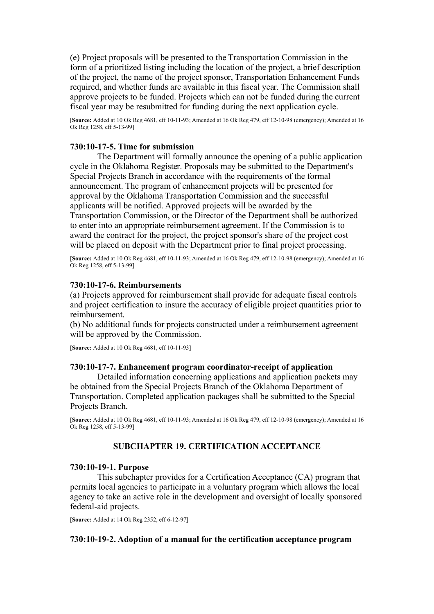(e) Project proposals will be presented to the Transportation Commission in the form of a prioritized listing including the location of the project, a brief description of the project, the name of the project sponsor, Transportation Enhancement Funds required, and whether funds are available in this fiscal year. The Commission shall approve projects to be funded. Projects which can not be funded during the current fiscal year may be resubmitted for funding during the next application cycle.

[**Source:** Added at 10 Ok Reg 4681, eff 10-11-93; Amended at 16 Ok Reg 479, eff 12-10-98 (emergency); Amended at 16 Ok Reg 1258, eff 5-13-99]

## **730:10-17-5. Time for submission**

The Department will formally announce the opening of a public application cycle in the Oklahoma Register. Proposals may be submitted to the Department's Special Projects Branch in accordance with the requirements of the formal announcement. The program of enhancement projects will be presented for approval by the Oklahoma Transportation Commission and the successful applicants will be notified. Approved projects will be awarded by the Transportation Commission, or the Director of the Department shall be authorized to enter into an appropriate reimbursement agreement. If the Commission is to award the contract for the project, the project sponsor's share of the project cost will be placed on deposit with the Department prior to final project processing.

[**Source:** Added at 10 Ok Reg 4681, eff 10-11-93; Amended at 16 Ok Reg 479, eff 12-10-98 (emergency); Amended at 16 Ok Reg 1258, eff 5-13-99]

## **730:10-17-6. Reimbursements**

(a) Projects approved for reimbursement shall provide for adequate fiscal controls and project certification to insure the accuracy of eligible project quantities prior to reimbursement.

(b) No additional funds for projects constructed under a reimbursement agreement will be approved by the Commission.

[**Source:** Added at 10 Ok Reg 4681, eff 10-11-93]

### **730:10-17-7. Enhancement program coordinator-receipt of application**

Detailed information concerning applications and application packets may be obtained from the Special Projects Branch of the Oklahoma Department of Transportation. Completed application packages shall be submitted to the Special Projects Branch.

[**Source:** Added at 10 Ok Reg 4681, eff 10-11-93; Amended at 16 Ok Reg 479, eff 12-10-98 (emergency); Amended at 16 Ok Reg 1258, eff 5-13-99]

## **SUBCHAPTER 19. CERTIFICATION ACCEPTANCE**

### **730:10-19-1. Purpose**

This subchapter provides for a Certification Acceptance (CA) program that permits local agencies to participate in a voluntary program which allows the local agency to take an active role in the development and oversight of locally sponsored federal-aid projects.

[**Source:** Added at 14 Ok Reg 2352, eff 6-12-97]

### **730:10-19-2. Adoption of a manual for the certification acceptance program**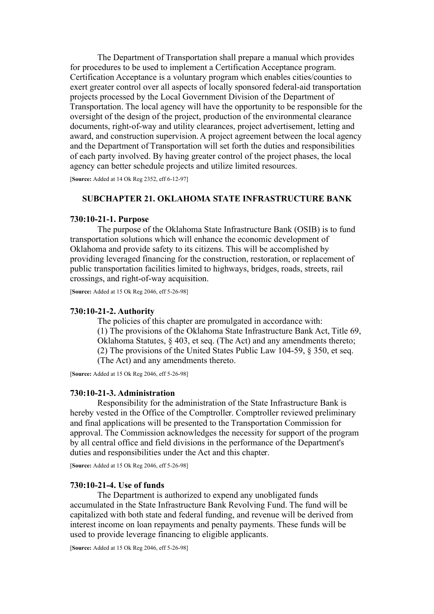The Department of Transportation shall prepare a manual which provides for procedures to be used to implement a Certification Acceptance program. Certification Acceptance is a voluntary program which enables cities/counties to exert greater control over all aspects of locally sponsored federal-aid transportation projects processed by the Local Government Division of the Department of Transportation. The local agency will have the opportunity to be responsible for the oversight of the design of the project, production of the environmental clearance documents, right-of-way and utility clearances, project advertisement, letting and award, and construction supervision. A project agreement between the local agency and the Department of Transportation will set forth the duties and responsibilities of each party involved. By having greater control of the project phases, the local agency can better schedule projects and utilize limited resources.

[**Source:** Added at 14 Ok Reg 2352, eff 6-12-97]

# **SUBCHAPTER 21. OKLAHOMA STATE INFRASTRUCTURE BANK**

### **730:10-21-1. Purpose**

The purpose of the Oklahoma State Infrastructure Bank (OSIB) is to fund transportation solutions which will enhance the economic development of Oklahoma and provide safety to its citizens. This will be accomplished by providing leveraged financing for the construction, restoration, or replacement of public transportation facilities limited to highways, bridges, roads, streets, rail crossings, and right-of-way acquisition.

[**Source:** Added at 15 Ok Reg 2046, eff 5-26-98]

### **730:10-21-2. Authority**

The policies of this chapter are promulgated in accordance with: (1) The provisions of the Oklahoma State Infrastructure Bank Act, Title 69, Oklahoma Statutes, § 403, et seq. (The Act) and any amendments thereto; (2) The provisions of the United States Public Law 104-59, § 350, et seq. (The Act) and any amendments thereto.

[**Source:** Added at 15 Ok Reg 2046, eff 5-26-98]

### **730:10-21-3. Administration**

Responsibility for the administration of the State Infrastructure Bank is hereby vested in the Office of the Comptroller. Comptroller reviewed preliminary and final applications will be presented to the Transportation Commission for approval. The Commission acknowledges the necessity for support of the program by all central office and field divisions in the performance of the Department's duties and responsibilities under the Act and this chapter.

[**Source:** Added at 15 Ok Reg 2046, eff 5-26-98]

### **730:10-21-4. Use of funds**

The Department is authorized to expend any unobligated funds accumulated in the State Infrastructure Bank Revolving Fund. The fund will be capitalized with both state and federal funding, and revenue will be derived from interest income on loan repayments and penalty payments. These funds will be used to provide leverage financing to eligible applicants.

[**Source:** Added at 15 Ok Reg 2046, eff 5-26-98]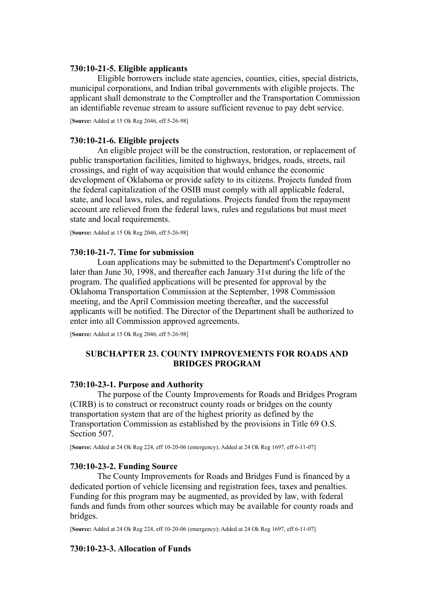## **730:10-21-5. Eligible applicants**

Eligible borrowers include state agencies, counties, cities, special districts, municipal corporations, and Indian tribal governments with eligible projects. The applicant shall demonstrate to the Comptroller and the Transportation Commission an identifiable revenue stream to assure sufficient revenue to pay debt service.

[**Source:** Added at 15 Ok Reg 2046, eff 5-26-98]

## **730:10-21-6. Eligible projects**

An eligible project will be the construction, restoration, or replacement of public transportation facilities, limited to highways, bridges, roads, streets, rail crossings, and right of way acquisition that would enhance the economic development of Oklahoma or provide safety to its citizens. Projects funded from the federal capitalization of the OSIB must comply with all applicable federal, state, and local laws, rules, and regulations. Projects funded from the repayment account are relieved from the federal laws, rules and regulations but must meet state and local requirements.

[**Source:** Added at 15 Ok Reg 2046, eff 5-26-98]

## **730:10-21-7. Time for submission**

Loan applications may be submitted to the Department's Comptroller no later than June 30, 1998, and thereafter each January 31st during the life of the program. The qualified applications will be presented for approval by the Oklahoma Transportation Commission at the September, 1998 Commission meeting, and the April Commission meeting thereafter, and the successful applicants will be notified. The Director of the Department shall be authorized to enter into all Commission approved agreements.

[**Source:** Added at 15 Ok Reg 2046, eff 5-26-98]

# **SUBCHAPTER 23. COUNTY IMPROVEMENTS FOR ROADS AND BRIDGES PROGRAM**

## **730:10-23-1. Purpose and Authority**

The purpose of the County Improvements for Roads and Bridges Program (CIRB) is to construct or reconstruct county roads or bridges on the county transportation system that are of the highest priority as defined by the Transportation Commission as established by the provisions in Title 69 O.S. Section 507.

[**Source:** Added at 24 Ok Reg 224, eff 10-20-06 (emergency); Added at 24 Ok Reg 1697, eff 6-11-07]

# **730:10-23-2. Funding Source**

The County Improvements for Roads and Bridges Fund is financed by a dedicated portion of vehicle licensing and registration fees, taxes and penalties. Funding for this program may be augmented, as provided by law, with federal funds and funds from other sources which may be available for county roads and bridges.

[**Source:** Added at 24 Ok Reg 224, eff 10-20-06 (emergency); Added at 24 Ok Reg 1697, eff 6-11-07]

## **730:10-23-3. Allocation of Funds**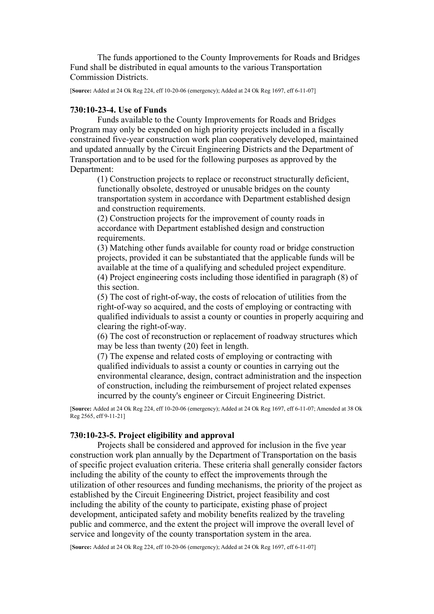The funds apportioned to the County Improvements for Roads and Bridges Fund shall be distributed in equal amounts to the various Transportation Commission Districts.

[**Source:** Added at 24 Ok Reg 224, eff 10-20-06 (emergency); Added at 24 Ok Reg 1697, eff 6-11-07]

### **730:10-23-4. Use of Funds**

Funds available to the County Improvements for Roads and Bridges Program may only be expended on high priority projects included in a fiscally constrained five-year construction work plan cooperatively developed, maintained and updated annually by the Circuit Engineering Districts and the Department of Transportation and to be used for the following purposes as approved by the Department:

(1) Construction projects to replace or reconstruct structurally deficient, functionally obsolete, destroyed or unusable bridges on the county transportation system in accordance with Department established design and construction requirements.

(2) Construction projects for the improvement of county roads in accordance with Department established design and construction requirements.

(3) Matching other funds available for county road or bridge construction projects, provided it can be substantiated that the applicable funds will be available at the time of a qualifying and scheduled project expenditure. (4) Project engineering costs including those identified in paragraph (8) of this section.

(5) The cost of right-of-way, the costs of relocation of utilities from the right-of-way so acquired, and the costs of employing or contracting with qualified individuals to assist a county or counties in properly acquiring and clearing the right-of-way.

(6) The cost of reconstruction or replacement of roadway structures which may be less than twenty (20) feet in length.

(7) The expense and related costs of employing or contracting with qualified individuals to assist a county or counties in carrying out the environmental clearance, design, contract administration and the inspection of construction, including the reimbursement of project related expenses incurred by the county's engineer or Circuit Engineering District.

[**Source:** Added at 24 Ok Reg 224, eff 10-20-06 (emergency); Added at 24 Ok Reg 1697, eff 6-11-07; Amended at 38 Ok Reg 2565, eff 9-11-21]

# **730:10-23-5. Project eligibility and approval**

Projects shall be considered and approved for inclusion in the five year construction work plan annually by the Department of Transportation on the basis of specific project evaluation criteria. These criteria shall generally consider factors including the ability of the county to effect the improvements through the utilization of other resources and funding mechanisms, the priority of the project as established by the Circuit Engineering District, project feasibility and cost including the ability of the county to participate, existing phase of project development, anticipated safety and mobility benefits realized by the traveling public and commerce, and the extent the project will improve the overall level of service and longevity of the county transportation system in the area.

[**Source:** Added at 24 Ok Reg 224, eff 10-20-06 (emergency); Added at 24 Ok Reg 1697, eff 6-11-07]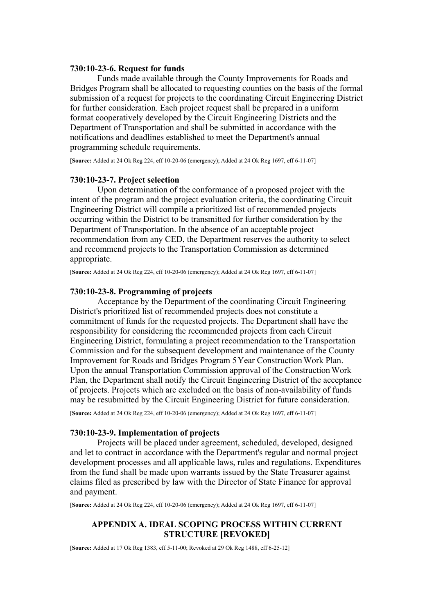### **730:10-23-6. Request for funds**

Funds made available through the County Improvements for Roads and Bridges Program shall be allocated to requesting counties on the basis of the formal submission of a request for projects to the coordinating Circuit Engineering District for further consideration. Each project request shall be prepared in a uniform format cooperatively developed by the Circuit Engineering Districts and the Department of Transportation and shall be submitted in accordance with the notifications and deadlines established to meet the Department's annual programming schedule requirements.

[**Source:** Added at 24 Ok Reg 224, eff 10-20-06 (emergency); Added at 24 Ok Reg 1697, eff 6-11-07]

### **730:10-23-7. Project selection**

Upon determination of the conformance of a proposed project with the intent of the program and the project evaluation criteria, the coordinating Circuit Engineering District will compile a prioritized list of recommended projects occurring within the District to be transmitted for further consideration by the Department of Transportation. In the absence of an acceptable project recommendation from any CED, the Department reserves the authority to select and recommend projects to the Transportation Commission as determined appropriate.

[**Source:** Added at 24 Ok Reg 224, eff 10-20-06 (emergency); Added at 24 Ok Reg 1697, eff 6-11-07]

### **730:10-23-8. Programming of projects**

Acceptance by the Department of the coordinating Circuit Engineering District's prioritized list of recommended projects does not constitute a commitment of funds for the requested projects. The Department shall have the responsibility for considering the recommended projects from each Circuit Engineering District, formulating a project recommendation to the Transportation Commission and for the subsequent development and maintenance of the County Improvement for Roads and Bridges Program 5 Year Construction Work Plan. Upon the annual Transportation Commission approval of the Construction Work Plan, the Department shall notify the Circuit Engineering District of the acceptance of projects. Projects which are excluded on the basis of non-availability of funds may be resubmitted by the Circuit Engineering District for future consideration.

[**Source:** Added at 24 Ok Reg 224, eff 10-20-06 (emergency); Added at 24 Ok Reg 1697, eff 6-11-07]

## **730:10-23-9. Implementation of projects**

Projects will be placed under agreement, scheduled, developed, designed and let to contract in accordance with the Department's regular and normal project development processes and all applicable laws, rules and regulations. Expenditures from the fund shall be made upon warrants issued by the State Treasurer against claims filed as prescribed by law with the Director of State Finance for approval and payment.

[**Source:** Added at 24 Ok Reg 224, eff 10-20-06 (emergency); Added at 24 Ok Reg 1697, eff 6-11-07]

## **APPENDIX A. IDEAL SCOPING PROCESS WITHIN CURRENT STRUCTURE [REVOKED]**

[**Source:** Added at 17 Ok Reg 1383, eff 5-11-00; Revoked at 29 Ok Reg 1488, eff 6-25-12]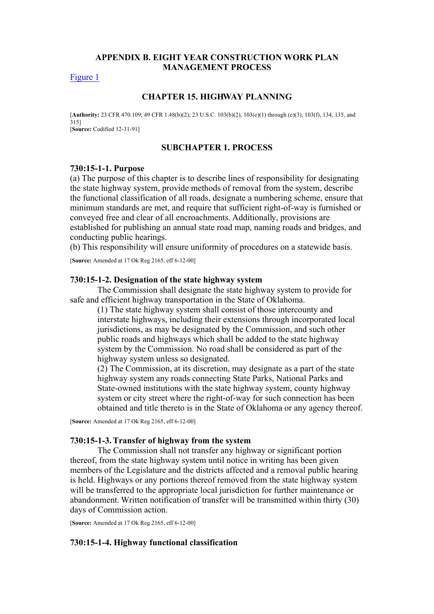## **APPENDIX B. EIGHT YEAR CONSTRUCTION WORK PLAN MANAGEMENT PROCESS**

[Figure 1](https://oklahomarules.blob.core.windows.net/appendix-figures/730_10B1.tif)

### **CHAPTER 15. HIGHWAY PLANNING**

[**Authority:** 23 CFR 470.109; 49 CFR 1.48(b)(2); 23 U.S.C. 103(b)(2), 103(e)(1) through (e)(3), 103(f), 134, 135, and 315] [**Source:** Codified 12-31-91]

### **SUBCHAPTER 1. PROCESS**

### **730:15-1-1. Purpose**

(a) The purpose of this chapter is to describe lines of responsibility for designating the state highway system, provide methods of removal from the system, describe the functional classification of all roads, designate a numbering scheme, ensure that minimum standards are met, and require that sufficient right-of-way is furnished or conveyed free and clear of all encroachments. Additionally, provisions are established for publishing an annual state road map, naming roads and bridges, and conducting public hearings.

(b) This responsibility will ensure uniformity of procedures on a statewide basis.

[**Source:** Amended at 17 Ok Reg 2165, eff 6-12-00]

### **730:15-1-2. Designation of the state highway system**

The Commission shall designate the state highway system to provide for safe and efficient highway transportation in the State of Oklahoma.

(1) The state highway system shall consist of those intercounty and interstate highways, including their extensions through incorporated local jurisdictions, as may be designated by the Commission, and such other public roads and highways which shall be added to the state highway system by the Commission. No road shall be considered as part of the highway system unless so designated.

(2) The Commission, at its discretion, may designate as a part of the state highway system any roads connecting State Parks, National Parks and State-owned institutions with the state highway system, county highway system or city street where the right-of-way for such connection has been obtained and title thereto is in the State of Oklahoma or any agency thereof.

[**Source:** Amended at 17 Ok Reg 2165, eff 6-12-00]

#### **730:15-1-3. Transfer of highway from the system**

The Commission shall not transfer any highway or significant portion thereof, from the state highway system until notice in writing has been given members of the Legislature and the districts affected and a removal public hearing is held. Highways or any portions thereof removed from the state highway system will be transferred to the appropriate local jurisdiction for further maintenance or abandonment. Written notification of transfer will be transmitted within thirty (30) days of Commission action.

[**Source:** Amended at 17 Ok Reg 2165, eff 6-12-00]

## **730:15-1-4. Highway functional classification**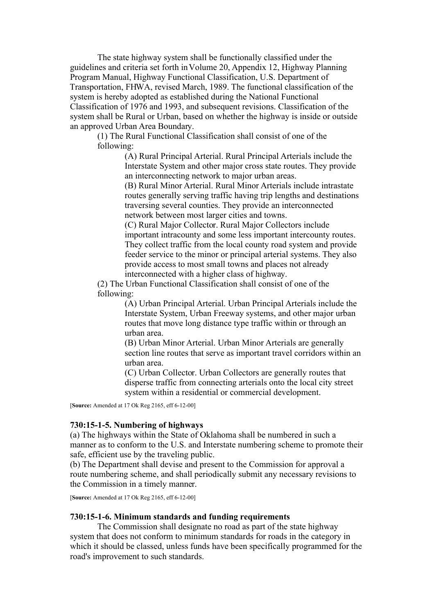The state highway system shall be functionally classified under the guidelines and criteria set forth in Volume 20, Appendix 12, Highway Planning Program Manual, Highway Functional Classification, U.S. Department of Transportation, FHWA, revised March, 1989. The functional classification of the system is hereby adopted as established during the National Functional Classification of 1976 and 1993, and subsequent revisions. Classification of the system shall be Rural or Urban, based on whether the highway is inside or outside an approved Urban Area Boundary.

(1) The Rural Functional Classification shall consist of one of the following:

> (A) Rural Principal Arterial. Rural Principal Arterials include the Interstate System and other major cross state routes. They provide an interconnecting network to major urban areas.

> (B) Rural Minor Arterial. Rural Minor Arterials include intrastate routes generally serving traffic having trip lengths and destinations traversing several counties. They provide an interconnected network between most larger cities and towns.

> (C) Rural Major Collector. Rural Major Collectors include important intracounty and some less important intercounty routes. They collect traffic from the local county road system and provide feeder service to the minor or principal arterial systems. They also provide access to most small towns and places not already interconnected with a higher class of highway.

(2) The Urban Functional Classification shall consist of one of the following:

> (A) Urban Principal Arterial. Urban Principal Arterials include the Interstate System, Urban Freeway systems, and other major urban routes that move long distance type traffic within or through an urban area.

(B) Urban Minor Arterial. Urban Minor Arterials are generally section line routes that serve as important travel corridors within an urban area.

(C) Urban Collector. Urban Collectors are generally routes that disperse traffic from connecting arterials onto the local city street system within a residential or commercial development.

[**Source:** Amended at 17 Ok Reg 2165, eff 6-12-00]

## **730:15-1-5. Numbering of highways**

(a) The highways within the State of Oklahoma shall be numbered in such a manner as to conform to the U.S. and Interstate numbering scheme to promote their safe, efficient use by the traveling public.

(b) The Department shall devise and present to the Commission for approval a route numbering scheme, and shall periodically submit any necessary revisions to the Commission in a timely manner.

[**Source:** Amended at 17 Ok Reg 2165, eff 6-12-00]

### **730:15-1-6. Minimum standards and funding requirements**

The Commission shall designate no road as part of the state highway system that does not conform to minimum standards for roads in the category in which it should be classed, unless funds have been specifically programmed for the road's improvement to such standards.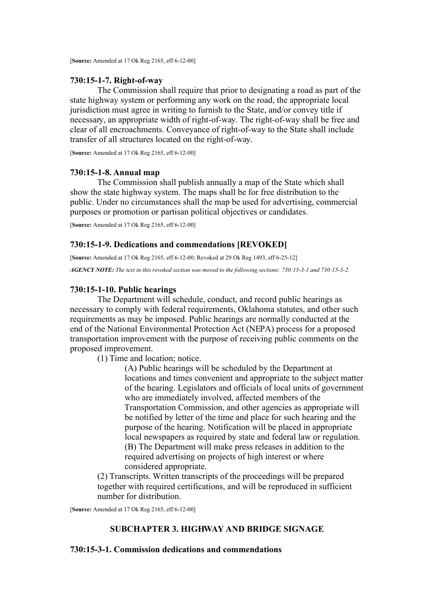## **730:15-1-7. Right-of-way**

The Commission shall require that prior to designating a road as part of the state highway system or performing any work on the road, the appropriate local jurisdiction must agree in writing to furnish to the State, and/or convey title if necessary, an appropriate width of right-of-way. The right-of-way shall be free and clear of all encroachments. Conveyance of right-of-way to the State shall include transfer of all structures located on the right-of-way.

[**Source:** Amended at 17 Ok Reg 2165, eff 6-12-00]

## **730:15-1-8. Annual map**

The Commission shall publish annually a map of the State which shall show the state highway system. The maps shall be for free distribution to the public. Under no circumstances shall the map be used for advertising, commercial purposes or promotion or partisan political objectives or candidates.

[**Source:** Amended at 17 Ok Reg 2165, eff 6-12-00]

# **730:15-1-9. Dedications and commendations [REVOKED]**

[**Source:** Amended at 17 Ok Reg 2165, eff 6-12-00; Revoked at 29 Ok Reg 1493, eff 6-25-12]

*AGENCY NOTE: The text in this revoked section was moved to the following sections: 730:15-3-1 and 730:15-3-2.*

# **730:15-1-10. Public hearings**

The Department will schedule, conduct, and record public hearings as necessary to comply with federal requirements, Oklahoma statutes, and other such requirements as may be imposed. Public hearings are normally conducted at the end of the National Environmental Protection Act (NEPA) process for a proposed transportation improvement with the purpose of receiving public comments on the proposed improvement.

(1) Time and location; notice.

(A) Public hearings will be scheduled by the Department at locations and times convenient and appropriate to the subject matter of the hearing. Legislators and officials of local units of government who are immediately involved, affected members of the Transportation Commission, and other agencies as appropriate will be notified by letter of the time and place for such hearing and the purpose of the hearing. Notification will be placed in appropriate local newspapers as required by state and federal law or regulation. (B) The Department will make press releases in addition to the required advertising on projects of high interest or where considered appropriate.

(2) Transcripts. Written transcripts of the proceedings will be prepared together with required certifications, and will be reproduced in sufficient number for distribution.

[**Source:** Amended at 17 Ok Reg 2165, eff 6-12-00]

# **SUBCHAPTER 3. HIGHWAY AND BRIDGE SIGNAGE**

# **730:15-3-1. Commission dedications and commendations**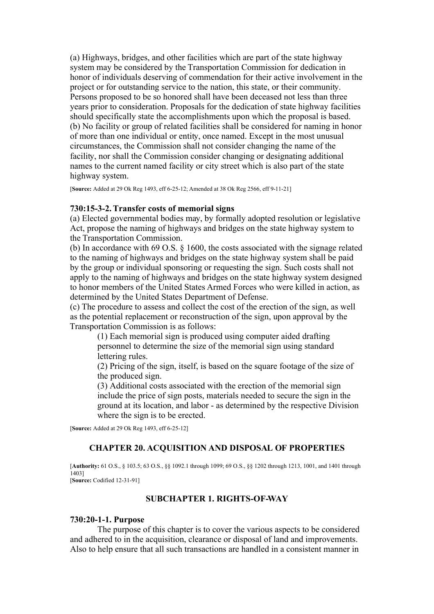(a) Highways, bridges, and other facilities which are part of the state highway system may be considered by the Transportation Commission for dedication in honor of individuals deserving of commendation for their active involvement in the project or for outstanding service to the nation, this state, or their community. Persons proposed to be so honored shall have been deceased not less than three years prior to consideration. Proposals for the dedication of state highway facilities should specifically state the accomplishments upon which the proposal is based. (b) No facility or group of related facilities shall be considered for naming in honor of more than one individual or entity, once named. Except in the most unusual circumstances, the Commission shall not consider changing the name of the facility, nor shall the Commission consider changing or designating additional names to the current named facility or city street which is also part of the state highway system.

[**Source:** Added at 29 Ok Reg 1493, eff 6-25-12; Amended at 38 Ok Reg 2566, eff 9-11-21]

#### **730:15-3-2. Transfer costs of memorial signs**

(a) Elected governmental bodies may, by formally adopted resolution or legislative Act, propose the naming of highways and bridges on the state highway system to the Transportation Commission.

(b) In accordance with 69 O.S. § 1600, the costs associated with the signage related to the naming of highways and bridges on the state highway system shall be paid by the group or individual sponsoring or requesting the sign. Such costs shall not apply to the naming of highways and bridges on the state highway system designed to honor members of the United States Armed Forces who were killed in action, as determined by the United States Department of Defense.

(c) The procedure to assess and collect the cost of the erection of the sign, as well as the potential replacement or reconstruction of the sign, upon approval by the Transportation Commission is as follows:

(1) Each memorial sign is produced using computer aided drafting personnel to determine the size of the memorial sign using standard lettering rules.

(2) Pricing of the sign, itself, is based on the square footage of the size of the produced sign.

(3) Additional costs associated with the erection of the memorial sign include the price of sign posts, materials needed to secure the sign in the ground at its location, and labor - as determined by the respective Division where the sign is to be erected.

[**Source:** Added at 29 Ok Reg 1493, eff 6-25-12]

### **CHAPTER 20. ACQUISITION AND DISPOSAL OF PROPERTIES**

[**Authority:** 61 O.S., § 103.5; 63 O.S., §§ 1092.1 through 1099; 69 O.S., §§ 1202 through 1213, 1001, and 1401 through 1403] [**Source:** Codified 12-31-91]

# **SUBCHAPTER 1. RIGHTS-OF-WAY**

#### **730:20-1-1. Purpose**

The purpose of this chapter is to cover the various aspects to be considered and adhered to in the acquisition, clearance or disposal of land and improvements. Also to help ensure that all such transactions are handled in a consistent manner in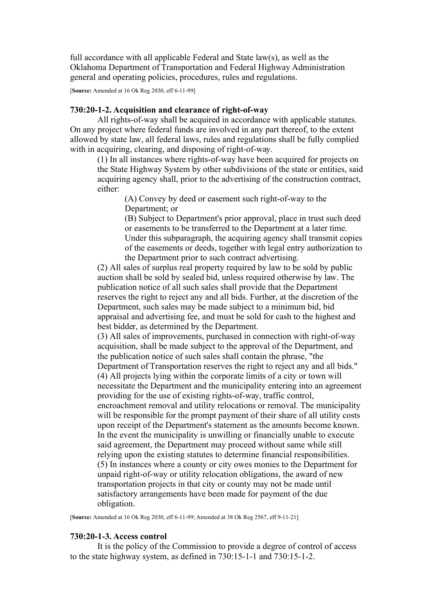full accordance with all applicable Federal and State law(s), as well as the Oklahoma Department of Transportation and Federal Highway Administration general and operating policies, procedures, rules and regulations.

[**Source:** Amended at 16 Ok Reg 2030, eff 6-11-99]

### **730:20-1-2. Acquisition and clearance of right-of-way**

All rights-of-way shall be acquired in accordance with applicable statutes. On any project where federal funds are involved in any part thereof, to the extent allowed by state law, all federal laws, rules and regulations shall be fully complied with in acquiring, clearing, and disposing of right-of-way.

(1) In all instances where rights-of-way have been acquired for projects on the State Highway System by other subdivisions of the state or entities, said acquiring agency shall, prior to the advertising of the construction contract, either:

> (A) Convey by deed or easement such right-of-way to the Department; or

(B) Subject to Department's prior approval, place in trust such deed or easements to be transferred to the Department at a later time. Under this subparagraph, the acquiring agency shall transmit copies of the easements or deeds, together with legal entry authorization to the Department prior to such contract advertising.

(2) All sales of surplus real property required by law to be sold by public auction shall be sold by sealed bid, unless required otherwise by law. The publication notice of all such sales shall provide that the Department reserves the right to reject any and all bids. Further, at the discretion of the Department, such sales may be made subject to a minimum bid, bid appraisal and advertising fee, and must be sold for cash to the highest and best bidder, as determined by the Department.

(3) All sales of improvements, purchased in connection with right-of-way acquisition, shall be made subject to the approval of the Department, and the publication notice of such sales shall contain the phrase, "the Department of Transportation reserves the right to reject any and all bids." (4) All projects lying within the corporate limits of a city or town will necessitate the Department and the municipality entering into an agreement providing for the use of existing rights-of-way, traffic control, encroachment removal and utility relocations or removal. The municipality will be responsible for the prompt payment of their share of all utility costs upon receipt of the Department's statement as the amounts become known. In the event the municipality is unwilling or financially unable to execute said agreement, the Department may proceed without same while still relying upon the existing statutes to determine financial responsibilities. (5) In instances where a county or city owes monies to the Department for unpaid right-of-way or utility relocation obligations, the award of new transportation projects in that city or county may not be made until satisfactory arrangements have been made for payment of the due obligation.

[**Source:** Amended at 16 Ok Reg 2030, eff 6-11-99; Amended at 38 Ok Reg 2567, eff 9-11-21]

#### **730:20-1-3. Access control**

It is the policy of the Commission to provide a degree of control of access to the state highway system, as defined in 730:15-1-1 and 730:15-1-2.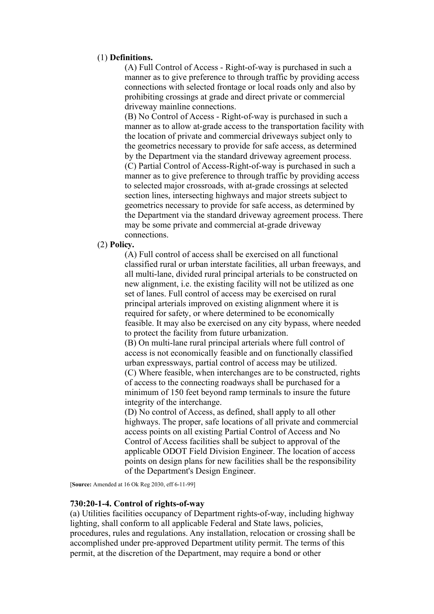## (1) **Definitions.**

(A) Full Control of Access - Right-of-way is purchased in such a manner as to give preference to through traffic by providing access connections with selected frontage or local roads only and also by prohibiting crossings at grade and direct private or commercial driveway mainline connections.

(B) No Control of Access - Right-of-way is purchased in such a manner as to allow at-grade access to the transportation facility with the location of private and commercial driveways subject only to the geometrics necessary to provide for safe access, as determined by the Department via the standard driveway agreement process. (C) Partial Control of Access-Right-of-way is purchased in such a manner as to give preference to through traffic by providing access to selected major crossroads, with at-grade crossings at selected section lines, intersecting highways and major streets subject to geometrics necessary to provide for safe access, as determined by the Department via the standard driveway agreement process. There may be some private and commercial at-grade driveway connections.

# (2) **Policy.**

(A) Full control of access shall be exercised on all functional classified rural or urban interstate facilities, all urban freeways, and all multi-lane, divided rural principal arterials to be constructed on new alignment, i.e. the existing facility will not be utilized as one set of lanes. Full control of access may be exercised on rural principal arterials improved on existing alignment where it is required for safety, or where determined to be economically feasible. It may also be exercised on any city bypass, where needed to protect the facility from future urbanization.

(B) On multi-lane rural principal arterials where full control of access is not economically feasible and on functionally classified urban expressways, partial control of access may be utilized. (C) Where feasible, when interchanges are to be constructed, rights of access to the connecting roadways shall be purchased for a minimum of 150 feet beyond ramp terminals to insure the future integrity of the interchange.

(D) No control of Access, as defined, shall apply to all other highways. The proper, safe locations of all private and commercial access points on all existing Partial Control of Access and No Control of Access facilities shall be subject to approval of the applicable ODOT Field Division Engineer. The location of access points on design plans for new facilities shall be the responsibility of the Department's Design Engineer.

[**Source:** Amended at 16 Ok Reg 2030, eff 6-11-99]

### **730:20-1-4. Control of rights-of-way**

(a) Utilities facilities occupancy of Department rights-of-way, including highway lighting, shall conform to all applicable Federal and State laws, policies, procedures, rules and regulations. Any installation, relocation or crossing shall be accomplished under pre-approved Department utility permit. The terms of this permit, at the discretion of the Department, may require a bond or other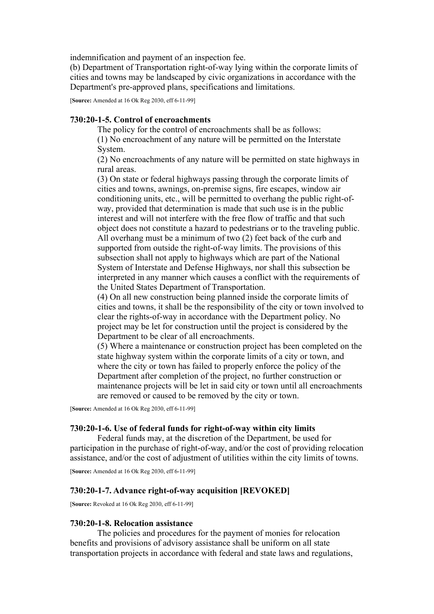indemnification and payment of an inspection fee.

(b) Department of Transportation right-of-way lying within the corporate limits of cities and towns may be landscaped by civic organizations in accordance with the Department's pre-approved plans, specifications and limitations.

[**Source:** Amended at 16 Ok Reg 2030, eff 6-11-99]

### **730:20-1-5. Control of encroachments**

The policy for the control of encroachments shall be as follows: (1) No encroachment of any nature will be permitted on the Interstate System.

(2) No encroachments of any nature will be permitted on state highways in rural areas.

(3) On state or federal highways passing through the corporate limits of cities and towns, awnings, on-premise signs, fire escapes, window air conditioning units, etc., will be permitted to overhang the public right-ofway, provided that determination is made that such use is in the public interest and will not interfere with the free flow of traffic and that such object does not constitute a hazard to pedestrians or to the traveling public. All overhang must be a minimum of two (2) feet back of the curb and supported from outside the right-of-way limits. The provisions of this subsection shall not apply to highways which are part of the National System of Interstate and Defense Highways, nor shall this subsection be interpreted in any manner which causes a conflict with the requirements of the United States Department of Transportation.

(4) On all new construction being planned inside the corporate limits of cities and towns, it shall be the responsibility of the city or town involved to clear the rights-of-way in accordance with the Department policy. No project may be let for construction until the project is considered by the Department to be clear of all encroachments.

(5) Where a maintenance or construction project has been completed on the state highway system within the corporate limits of a city or town, and where the city or town has failed to properly enforce the policy of the Department after completion of the project, no further construction or maintenance projects will be let in said city or town until all encroachments are removed or caused to be removed by the city or town.

[**Source:** Amended at 16 Ok Reg 2030, eff 6-11-99]

## **730:20-1-6. Use of federal funds for right-of-way within city limits**

Federal funds may, at the discretion of the Department, be used for participation in the purchase of right-of-way, and/or the cost of providing relocation assistance, and/or the cost of adjustment of utilities within the city limits of towns.

[**Source:** Amended at 16 Ok Reg 2030, eff 6-11-99]

### **730:20-1-7. Advance right-of-way acquisition [REVOKED]**

[**Source:** Revoked at 16 Ok Reg 2030, eff 6-11-99]

### **730:20-1-8. Relocation assistance**

The policies and procedures for the payment of monies for relocation benefits and provisions of advisory assistance shall be uniform on all state transportation projects in accordance with federal and state laws and regulations,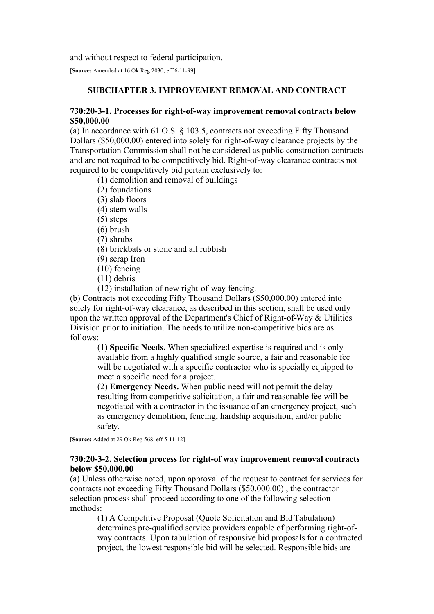and without respect to federal participation.

[**Source:** Amended at 16 Ok Reg 2030, eff 6-11-99]

# **SUBCHAPTER 3. IMPROVEMENT REMOVAL AND CONTRACT**

# **730:20-3-1. Processes for right-of-way improvement removal contracts below \$50,000.00**

(a) In accordance with 61 O.S. § 103.5, contracts not exceeding Fifty Thousand Dollars (\$50,000.00) entered into solely for right-of-way clearance projects by the Transportation Commission shall not be considered as public construction contracts and are not required to be competitively bid. Right-of-way clearance contracts not required to be competitively bid pertain exclusively to:

(1) demolition and removal of buildings

- (2) foundations
- (3) slab floors
- (4) stem walls
- (5) steps
- (6) brush
- (7) shrubs
- (8) brickbats or stone and all rubbish
- (9) scrap Iron
- (10) fencing
- (11) debris
- (12) installation of new right-of-way fencing.

(b) Contracts not exceeding Fifty Thousand Dollars (\$50,000.00) entered into solely for right-of-way clearance, as described in this section, shall be used only upon the written approval of the Department's Chief of Right-of-Way & Utilities Division prior to initiation. The needs to utilize non-competitive bids are as follows:

(1) **Specific Needs.** When specialized expertise is required and is only available from a highly qualified single source, a fair and reasonable fee will be negotiated with a specific contractor who is specially equipped to meet a specific need for a project.

(2) **Emergency Needs.** When public need will not permit the delay resulting from competitive solicitation, a fair and reasonable fee will be negotiated with a contractor in the issuance of an emergency project, such as emergency demolition, fencing, hardship acquisition, and/or public safety.

[**Source:** Added at 29 Ok Reg 568, eff 5-11-12]

# **730:20-3-2. Selection process for right-of way improvement removal contracts below \$50,000.00**

(a) Unless otherwise noted, upon approval of the request to contract for services for contracts not exceeding Fifty Thousand Dollars (\$50,000.00) , the contractor selection process shall proceed according to one of the following selection methods:

(1) A Competitive Proposal (Quote Solicitation and Bid Tabulation) determines pre-qualified service providers capable of performing right-ofway contracts. Upon tabulation of responsive bid proposals for a contracted project, the lowest responsible bid will be selected. Responsible bids are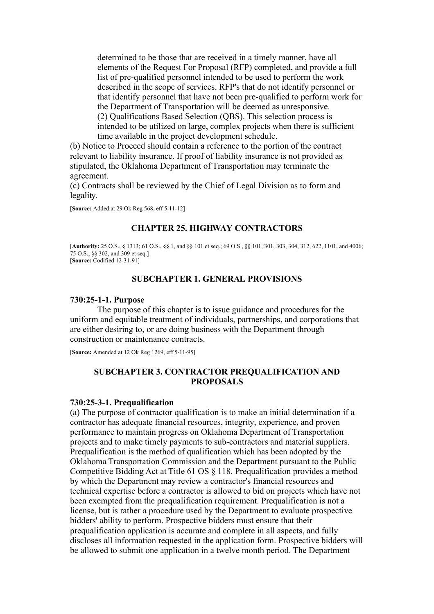determined to be those that are received in a timely manner, have all elements of the Request For Proposal (RFP) completed, and provide a full list of pre-qualified personnel intended to be used to perform the work described in the scope of services. RFP's that do not identify personnel or that identify personnel that have not been pre-qualified to perform work for the Department of Transportation will be deemed as unresponsive. (2) Qualifications Based Selection (QBS). This selection process is intended to be utilized on large, complex projects when there is sufficient time available in the project development schedule.

(b) Notice to Proceed should contain a reference to the portion of the contract relevant to liability insurance. If proof of liability insurance is not provided as stipulated, the Oklahoma Department of Transportation may terminate the agreement.

(c) Contracts shall be reviewed by the Chief of Legal Division as to form and legality.

[**Source:** Added at 29 Ok Reg 568, eff 5-11-12]

# **CHAPTER 25. HIGHWAY CONTRACTORS**

[**Authority:** 25 O.S., § 1313; 61 O.S., §§ 1, and §§ 101 et seq.; 69 O.S., §§ 101, 301, 303, 304, 312, 622, 1101, and 4006; 75 O.S., §§ 302, and 309 et seq.] [**Source:** Codified 12-31-91]

### **SUBCHAPTER 1. GENERAL PROVISIONS**

#### **730:25-1-1. Purpose**

The purpose of this chapter is to issue guidance and procedures for the uniform and equitable treatment of individuals, partnerships, and corporations that are either desiring to, or are doing business with the Department through construction or maintenance contracts.

[**Source:** Amended at 12 Ok Reg 1269, eff 5-11-95]

# **SUBCHAPTER 3. CONTRACTOR PREQUALIFICATION AND PROPOSALS**

#### **730:25-3-1. Prequalification**

(a) The purpose of contractor qualification is to make an initial determination if a contractor has adequate financial resources, integrity, experience, and proven performance to maintain progress on Oklahoma Department of Transportation projects and to make timely payments to sub-contractors and material suppliers. Prequalification is the method of qualification which has been adopted by the Oklahoma Transportation Commission and the Department pursuant to the Public Competitive Bidding Act at Title 61 OS § 118. Prequalification provides a method by which the Department may review a contractor's financial resources and technical expertise before a contractor is allowed to bid on projects which have not been exempted from the prequalification requirement. Prequalification is not a license, but is rather a procedure used by the Department to evaluate prospective bidders' ability to perform. Prospective bidders must ensure that their prequalification application is accurate and complete in all aspects, and fully discloses all information requested in the application form. Prospective bidders will be allowed to submit one application in a twelve month period. The Department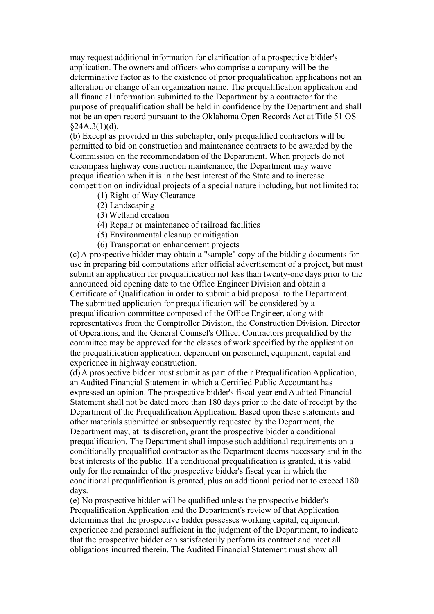may request additional information for clarification of a prospective bidder's application. The owners and officers who comprise a company will be the determinative factor as to the existence of prior prequalification applications not an alteration or change of an organization name. The prequalification application and all financial information submitted to the Department by a contractor for the purpose of prequalification shall be held in confidence by the Department and shall not be an open record pursuant to the Oklahoma Open Records Act at Title 51 OS  $$24A.3(1)(d).$ 

(b) Except as provided in this subchapter, only prequalified contractors will be permitted to bid on construction and maintenance contracts to be awarded by the Commission on the recommendation of the Department. When projects do not encompass highway construction maintenance, the Department may waive prequalification when it is in the best interest of the State and to increase competition on individual projects of a special nature including, but not limited to:

- (1) Right-of-Way Clearance
- (2) Landscaping
- (3) Wetland creation
- (4) Repair or maintenance of railroad facilities
- (5) Environmental cleanup or mitigation
- (6) Transportation enhancement projects

(c) A prospective bidder may obtain a "sample" copy of the bidding documents for use in preparing bid computations after official advertisement of a project, but must submit an application for prequalification not less than twenty-one days prior to the announced bid opening date to the Office Engineer Division and obtain a Certificate of Qualification in order to submit a bid proposal to the Department. The submitted application for prequalification will be considered by a prequalification committee composed of the Office Engineer, along with representatives from the Comptroller Division, the Construction Division, Director of Operations, and the General Counsel's Office. Contractors prequalified by the committee may be approved for the classes of work specified by the applicant on the prequalification application, dependent on personnel, equipment, capital and experience in highway construction.

(d) A prospective bidder must submit as part of their Prequalification Application, an Audited Financial Statement in which a Certified Public Accountant has expressed an opinion. The prospective bidder's fiscal year end Audited Financial Statement shall not be dated more than 180 days prior to the date of receipt by the Department of the Prequalification Application. Based upon these statements and other materials submitted or subsequently requested by the Department, the Department may, at its discretion, grant the prospective bidder a conditional prequalification. The Department shall impose such additional requirements on a conditionally prequalified contractor as the Department deems necessary and in the best interests of the public. If a conditional prequalification is granted, it is valid only for the remainder of the prospective bidder's fiscal year in which the conditional prequalification is granted, plus an additional period not to exceed 180 days.

(e) No prospective bidder will be qualified unless the prospective bidder's Prequalification Application and the Department's review of that Application determines that the prospective bidder possesses working capital, equipment, experience and personnel sufficient in the judgment of the Department, to indicate that the prospective bidder can satisfactorily perform its contract and meet all obligations incurred therein. The Audited Financial Statement must show all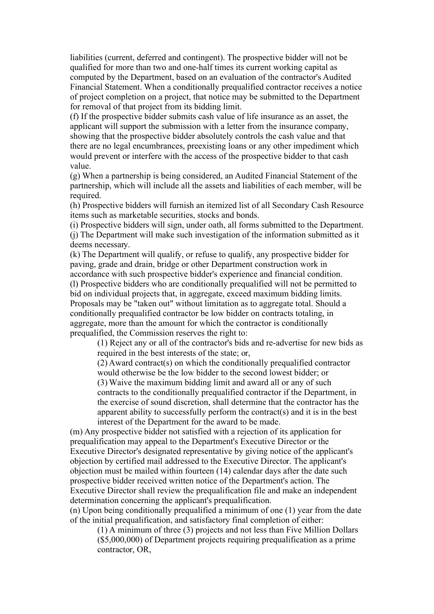liabilities (current, deferred and contingent). The prospective bidder will not be qualified for more than two and one-half times its current working capital as computed by the Department, based on an evaluation of the contractor's Audited Financial Statement. When a conditionally prequalified contractor receives a notice of project completion on a project, that notice may be submitted to the Department for removal of that project from its bidding limit.

(f) If the prospective bidder submits cash value of life insurance as an asset, the applicant will support the submission with a letter from the insurance company, showing that the prospective bidder absolutely controls the cash value and that there are no legal encumbrances, preexisting loans or any other impediment which would prevent or interfere with the access of the prospective bidder to that cash value.

(g) When a partnership is being considered, an Audited Financial Statement of the partnership, which will include all the assets and liabilities of each member, will be required.

(h) Prospective bidders will furnish an itemized list of all Secondary Cash Resource items such as marketable securities, stocks and bonds.

(i) Prospective bidders will sign, under oath, all forms submitted to the Department. (j) The Department will make such investigation of the information submitted as it deems necessary.

(k) The Department will qualify, or refuse to qualify, any prospective bidder for paving, grade and drain, bridge or other Department construction work in accordance with such prospective bidder's experience and financial condition. (l) Prospective bidders who are conditionally prequalified will not be permitted to bid on individual projects that, in aggregate, exceed maximum bidding limits. Proposals may be "taken out" without limitation as to aggregate total. Should a conditionally prequalified contractor be low bidder on contracts totaling, in aggregate, more than the amount for which the contractor is conditionally prequalified, the Commission reserves the right to:

(1) Reject any or all of the contractor's bids and re-advertise for new bids as required in the best interests of the state; or,

(2) Award contract(s) on which the conditionally prequalified contractor would otherwise be the low bidder to the second lowest bidder; or (3) Waive the maximum bidding limit and award all or any of such contracts to the conditionally prequalified contractor if the Department, in the exercise of sound discretion, shall determine that the contractor has the apparent ability to successfully perform the contract(s) and it is in the best interest of the Department for the award to be made.

(m) Any prospective bidder not satisfied with a rejection of its application for prequalification may appeal to the Department's Executive Director or the Executive Director's designated representative by giving notice of the applicant's objection by certified mail addressed to the Executive Director. The applicant's objection must be mailed within fourteen (14) calendar days after the date such prospective bidder received written notice of the Department's action. The Executive Director shall review the prequalification file and make an independent determination concerning the applicant's prequalification.

(n) Upon being conditionally prequalified a minimum of one (1) year from the date of the initial prequalification, and satisfactory final completion of either:

(1) A minimum of three (3) projects and not less than Five Million Dollars (\$5,000,000) of Department projects requiring prequalification as a prime contractor, OR,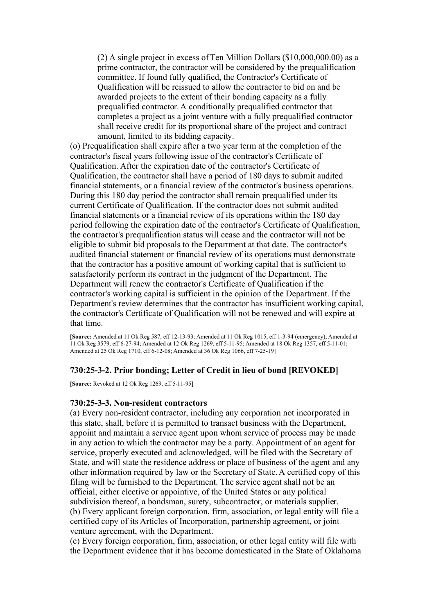(2) A single project in excess of Ten Million Dollars (\$10,000,000.00) as a prime contractor, the contractor will be considered by the prequalification committee. If found fully qualified, the Contractor's Certificate of Qualification will be reissued to allow the contractor to bid on and be awarded projects to the extent of their bonding capacity as a fully prequalified contractor. A conditionally prequalified contractor that completes a project as a joint venture with a fully prequalified contractor shall receive credit for its proportional share of the project and contract amount, limited to its bidding capacity.

(o) Prequalification shall expire after a two year term at the completion of the contractor's fiscal years following issue of the contractor's Certificate of Qualification. After the expiration date of the contractor's Certificate of Qualification, the contractor shall have a period of 180 days to submit audited financial statements, or a financial review of the contractor's business operations. During this 180 day period the contractor shall remain prequalified under its current Certificate of Qualification. If the contractor does not submit audited financial statements or a financial review of its operations within the 180 day period following the expiration date of the contractor's Certificate of Qualification, the contractor's prequalification status will cease and the contractor will not be eligible to submit bid proposals to the Department at that date. The contractor's audited financial statement or financial review of its operations must demonstrate that the contractor has a positive amount of working capital that is sufficient to satisfactorily perform its contract in the judgment of the Department. The Department will renew the contractor's Certificate of Qualification if the contractor's working capital is sufficient in the opinion of the Department. If the Department's review determines that the contractor has insufficient working capital, the contractor's Certificate of Qualification will not be renewed and will expire at that time.

[**Source:** Amended at 11 Ok Reg 587, eff 12-13-93; Amended at 11 Ok Reg 1015, eff 1-3-94 (emergency); Amended at 11 Ok Reg 3579, eff 6-27-94; Amended at 12 Ok Reg 1269, eff 5-11-95; Amended at 18 Ok Reg 1357, eff 5-11-01; Amended at 25 Ok Reg 1710, eff 6-12-08; Amended at 36 Ok Reg 1066, eff 7-25-19]

### **730:25-3-2. Prior bonding; Letter of Credit in lieu of bond [REVOKED]**

[**Source:** Revoked at 12 Ok Reg 1269, eff 5-11-95]

#### **730:25-3-3. Non-resident contractors**

(a) Every non-resident contractor, including any corporation not incorporated in this state, shall, before it is permitted to transact business with the Department, appoint and maintain a service agent upon whom service of process may be made in any action to which the contractor may be a party. Appointment of an agent for service, properly executed and acknowledged, will be filed with the Secretary of State, and will state the residence address or place of business of the agent and any other information required by law or the Secretary of State. A certified copy of this filing will be furnished to the Department. The service agent shall not be an official, either elective or appointive, of the United States or any political subdivision thereof, a bondsman, surety, subcontractor, or materials supplier. (b) Every applicant foreign corporation, firm, association, or legal entity will file a certified copy of its Articles of Incorporation, partnership agreement, or joint venture agreement, with the Department.

(c) Every foreign corporation, firm, association, or other legal entity will file with the Department evidence that it has become domesticated in the State of Oklahoma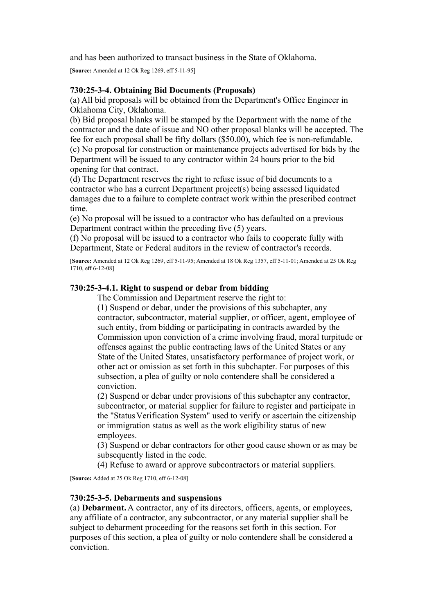and has been authorized to transact business in the State of Oklahoma.

[**Source:** Amended at 12 Ok Reg 1269, eff 5-11-95]

# **730:25-3-4. Obtaining Bid Documents (Proposals)**

(a) All bid proposals will be obtained from the Department's Office Engineer in Oklahoma City, Oklahoma.

(b) Bid proposal blanks will be stamped by the Department with the name of the contractor and the date of issue and NO other proposal blanks will be accepted. The fee for each proposal shall be fifty dollars (\$50.00), which fee is non-refundable. (c) No proposal for construction or maintenance projects advertised for bids by the Department will be issued to any contractor within 24 hours prior to the bid opening for that contract.

(d) The Department reserves the right to refuse issue of bid documents to a contractor who has a current Department project(s) being assessed liquidated damages due to a failure to complete contract work within the prescribed contract time.

(e) No proposal will be issued to a contractor who has defaulted on a previous Department contract within the preceding five (5) years.

(f) No proposal will be issued to a contractor who fails to cooperate fully with Department, State or Federal auditors in the review of contractor's records.

[**Source:** Amended at 12 Ok Reg 1269, eff 5-11-95; Amended at 18 Ok Reg 1357, eff 5-11-01; Amended at 25 Ok Reg 1710, eff 6-12-08]

# **730:25-3-4.1. Right to suspend or debar from bidding**

The Commission and Department reserve the right to:

(1) Suspend or debar, under the provisions of this subchapter, any contractor, subcontractor, material supplier, or officer, agent, employee of such entity, from bidding or participating in contracts awarded by the Commission upon conviction of a crime involving fraud, moral turpitude or offenses against the public contracting laws of the United States or any State of the United States, unsatisfactory performance of project work, or other act or omission as set forth in this subchapter. For purposes of this subsection, a plea of guilty or nolo contendere shall be considered a conviction.

(2) Suspend or debar under provisions of this subchapter any contractor, subcontractor, or material supplier for failure to register and participate in the "Status Verification System" used to verify or ascertain the citizenship or immigration status as well as the work eligibility status of new employees.

(3) Suspend or debar contractors for other good cause shown or as may be subsequently listed in the code.

(4) Refuse to award or approve subcontractors or material suppliers.

[**Source:** Added at 25 Ok Reg 1710, eff 6-12-08]

# **730:25-3-5. Debarments and suspensions**

(a) **Debarment.** A contractor, any of its directors, officers, agents, or employees, any affiliate of a contractor, any subcontractor, or any material supplier shall be subject to debarment proceeding for the reasons set forth in this section. For purposes of this section, a plea of guilty or nolo contendere shall be considered a conviction.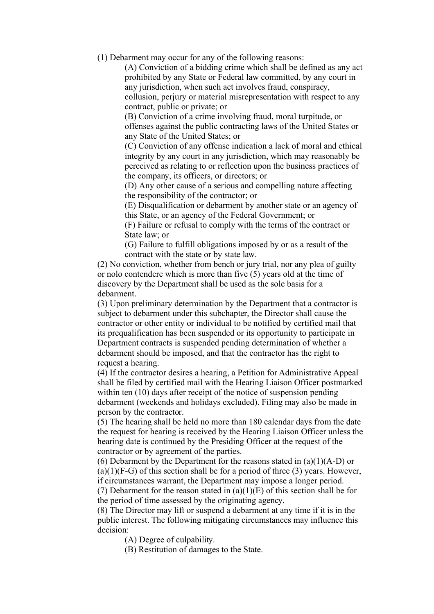(1) Debarment may occur for any of the following reasons:

(A) Conviction of a bidding crime which shall be defined as any act prohibited by any State or Federal law committed, by any court in any jurisdiction, when such act involves fraud, conspiracy, collusion, perjury or material misrepresentation with respect to any contract, public or private; or

(B) Conviction of a crime involving fraud, moral turpitude, or offenses against the public contracting laws of the United States or any State of the United States; or

(C) Conviction of any offense indication a lack of moral and ethical integrity by any court in any jurisdiction, which may reasonably be perceived as relating to or reflection upon the business practices of the company, its officers, or directors; or

(D) Any other cause of a serious and compelling nature affecting the responsibility of the contractor; or

(E) Disqualification or debarment by another state or an agency of this State, or an agency of the Federal Government; or

(F) Failure or refusal to comply with the terms of the contract or State law; or

(G) Failure to fulfill obligations imposed by or as a result of the contract with the state or by state law.

(2) No conviction, whether from bench or jury trial, nor any plea of guilty or nolo contendere which is more than five (5) years old at the time of discovery by the Department shall be used as the sole basis for a debarment.

(3) Upon preliminary determination by the Department that a contractor is subject to debarment under this subchapter, the Director shall cause the contractor or other entity or individual to be notified by certified mail that its prequalification has been suspended or its opportunity to participate in Department contracts is suspended pending determination of whether a debarment should be imposed, and that the contractor has the right to request a hearing.

(4) If the contractor desires a hearing, a Petition for Administrative Appeal shall be filed by certified mail with the Hearing Liaison Officer postmarked within ten (10) days after receipt of the notice of suspension pending debarment (weekends and holidays excluded). Filing may also be made in person by the contractor.

(5) The hearing shall be held no more than 180 calendar days from the date the request for hearing is received by the Hearing Liaison Officer unless the hearing date is continued by the Presiding Officer at the request of the contractor or by agreement of the parties.

(6) Debarment by the Department for the reasons stated in  $(a)(1)(A-D)$  or  $(a)(1)(F-G)$  of this section shall be for a period of three (3) years. However, if circumstances warrant, the Department may impose a longer period.

(7) Debarment for the reason stated in  $(a)(1)(E)$  of this section shall be for the period of time assessed by the originating agency.

(8) The Director may lift or suspend a debarment at any time if it is in the public interest. The following mitigating circumstances may influence this decision:

(A) Degree of culpability.

(B) Restitution of damages to the State.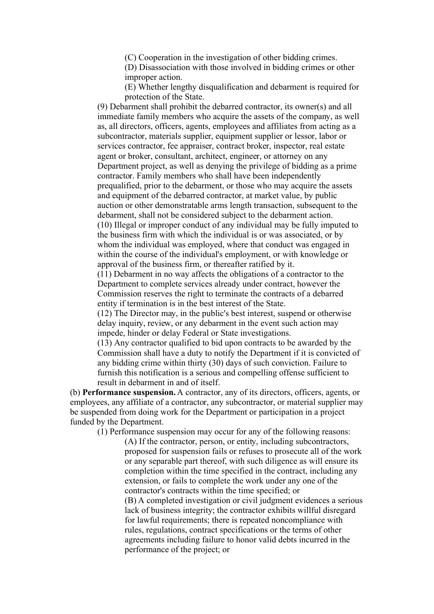(C) Cooperation in the investigation of other bidding crimes.

(D) Disassociation with those involved in bidding crimes or other improper action.

(E) Whether lengthy disqualification and debarment is required for protection of the State.

(9) Debarment shall prohibit the debarred contractor, its owner(s) and all immediate family members who acquire the assets of the company, as well as, all directors, officers, agents, employees and affiliates from acting as a subcontractor, materials supplier, equipment supplier or lessor, labor or services contractor, fee appraiser, contract broker, inspector, real estate agent or broker, consultant, architect, engineer, or attorney on any Department project, as well as denying the privilege of bidding as a prime contractor. Family members who shall have been independently prequalified, prior to the debarment, or those who may acquire the assets and equipment of the debarred contractor, at market value, by public auction or other demonstratable arms length transaction, subsequent to the debarment, shall not be considered subject to the debarment action. (10) Illegal or improper conduct of any individual may be fully imputed to the business firm with which the individual is or was associated, or by whom the individual was employed, where that conduct was engaged in within the course of the individual's employment, or with knowledge or approval of the business firm, or thereafter ratified by it.

(11) Debarment in no way affects the obligations of a contractor to the Department to complete services already under contract, however the Commission reserves the right to terminate the contracts of a debarred entity if termination is in the best interest of the State.

(12) The Director may, in the public's best interest, suspend or otherwise delay inquiry, review, or any debarment in the event such action may impede, hinder or delay Federal or State investigations.

(13) Any contractor qualified to bid upon contracts to be awarded by the Commission shall have a duty to notify the Department if it is convicted of any bidding crime within thirty (30) days of such conviction. Failure to furnish this notification is a serious and compelling offense sufficient to result in debarment in and of itself.

(b) **Performance suspension.** A contractor, any of its directors, officers, agents, or employees, any affiliate of a contractor, any subcontractor, or material supplier may be suspended from doing work for the Department or participation in a project funded by the Department.

(1) Performance suspension may occur for any of the following reasons: (A) If the contractor, person, or entity, including subcontractors, proposed for suspension fails or refuses to prosecute all of the work or any separable part thereof, with such diligence as will ensure its completion within the time specified in the contract, including any extension, or fails to complete the work under any one of the contractor's contracts within the time specified; or

> (B) A completed investigation or civil judgment evidences a serious lack of business integrity; the contractor exhibits willful disregard for lawful requirements; there is repeated noncompliance with rules, regulations, contract specifications or the terms of other agreements including failure to honor valid debts incurred in the performance of the project; or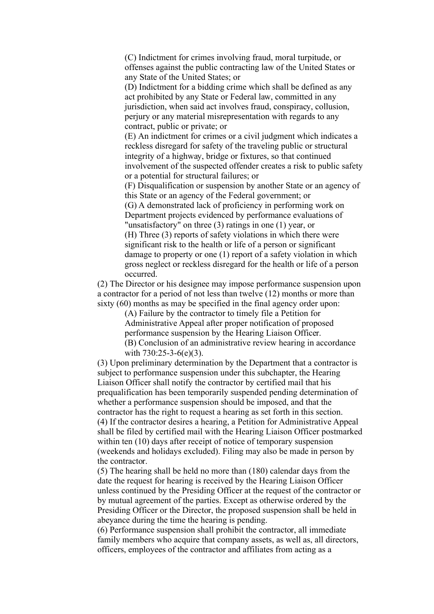(C) Indictment for crimes involving fraud, moral turpitude, or offenses against the public contracting law of the United States or any State of the United States; or

(D) Indictment for a bidding crime which shall be defined as any act prohibited by any State or Federal law, committed in any jurisdiction, when said act involves fraud, conspiracy, collusion, perjury or any material misrepresentation with regards to any contract, public or private; or

(E) An indictment for crimes or a civil judgment which indicates a reckless disregard for safety of the traveling public or structural integrity of a highway, bridge or fixtures, so that continued involvement of the suspected offender creates a risk to public safety or a potential for structural failures; or

(F) Disqualification or suspension by another State or an agency of this State or an agency of the Federal government; or

(G) A demonstrated lack of proficiency in performing work on Department projects evidenced by performance evaluations of "unsatisfactory" on three (3) ratings in one (1) year, or (H) Three (3) reports of safety violations in which there were significant risk to the health or life of a person or significant

damage to property or one (1) report of a safety violation in which gross neglect or reckless disregard for the health or life of a person occurred.

(2) The Director or his designee may impose performance suspension upon a contractor for a period of not less than twelve (12) months or more than sixty (60) months as may be specified in the final agency order upon:

> (A) Failure by the contractor to timely file a Petition for Administrative Appeal after proper notification of proposed performance suspension by the Hearing Liaison Officer. (B) Conclusion of an administrative review hearing in accordance with 730:25-3-6(e)(3).

(3) Upon preliminary determination by the Department that a contractor is subject to performance suspension under this subchapter, the Hearing Liaison Officer shall notify the contractor by certified mail that his prequalification has been temporarily suspended pending determination of whether a performance suspension should be imposed, and that the contractor has the right to request a hearing as set forth in this section. (4) If the contractor desires a hearing, a Petition for Administrative Appeal shall be filed by certified mail with the Hearing Liaison Officer postmarked within ten (10) days after receipt of notice of temporary suspension (weekends and holidays excluded). Filing may also be made in person by the contractor.

(5) The hearing shall be held no more than (180) calendar days from the date the request for hearing is received by the Hearing Liaison Officer unless continued by the Presiding Officer at the request of the contractor or by mutual agreement of the parties. Except as otherwise ordered by the Presiding Officer or the Director, the proposed suspension shall be held in abeyance during the time the hearing is pending.

(6) Performance suspension shall prohibit the contractor, all immediate family members who acquire that company assets, as well as, all directors, officers, employees of the contractor and affiliates from acting as a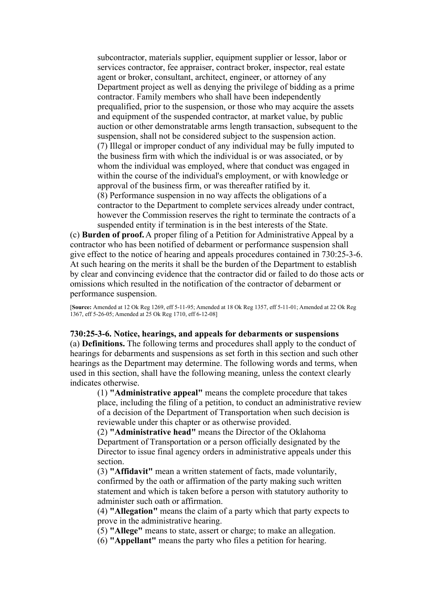subcontractor, materials supplier, equipment supplier or lessor, labor or services contractor, fee appraiser, contract broker, inspector, real estate agent or broker, consultant, architect, engineer, or attorney of any Department project as well as denying the privilege of bidding as a prime contractor. Family members who shall have been independently prequalified, prior to the suspension, or those who may acquire the assets and equipment of the suspended contractor, at market value, by public auction or other demonstratable arms length transaction, subsequent to the suspension, shall not be considered subject to the suspension action. (7) Illegal or improper conduct of any individual may be fully imputed to the business firm with which the individual is or was associated, or by whom the individual was employed, where that conduct was engaged in within the course of the individual's employment, or with knowledge or approval of the business firm, or was thereafter ratified by it. (8) Performance suspension in no way affects the obligations of a contractor to the Department to complete services already under contract, however the Commission reserves the right to terminate the contracts of a suspended entity if termination is in the best interests of the State.

(c) **Burden of proof.** A proper filing of a Petition for Administrative Appeal by a contractor who has been notified of debarment or performance suspension shall give effect to the notice of hearing and appeals procedures contained in 730:25-3-6. At such hearing on the merits it shall be the burden of the Department to establish by clear and convincing evidence that the contractor did or failed to do those acts or omissions which resulted in the notification of the contractor of debarment or performance suspension.

[**Source:** Amended at 12 Ok Reg 1269, eff 5-11-95; Amended at 18 Ok Reg 1357, eff 5-11-01; Amended at 22 Ok Reg 1367, eff 5-26-05; Amended at 25 Ok Reg 1710, eff 6-12-08]

**730:25-3-6. Notice, hearings, and appeals for debarments or suspensions** (a) **Definitions.** The following terms and procedures shall apply to the conduct of hearings for debarments and suspensions as set forth in this section and such other hearings as the Department may determine. The following words and terms, when used in this section, shall have the following meaning, unless the context clearly indicates otherwise.

(1) **"Administrative appeal"** means the complete procedure that takes place, including the filing of a petition, to conduct an administrative review of a decision of the Department of Transportation when such decision is reviewable under this chapter or as otherwise provided.

(2) **"Administrative head"** means the Director of the Oklahoma Department of Transportation or a person officially designated by the Director to issue final agency orders in administrative appeals under this section.

(3) **"Affidavit"** mean a written statement of facts, made voluntarily, confirmed by the oath or affirmation of the party making such written statement and which is taken before a person with statutory authority to administer such oath or affirmation.

(4) **"Allegation"** means the claim of a party which that party expects to prove in the administrative hearing.

(5) **"Allege"** means to state, assert or charge; to make an allegation.

(6) **"Appellant"** means the party who files a petition for hearing.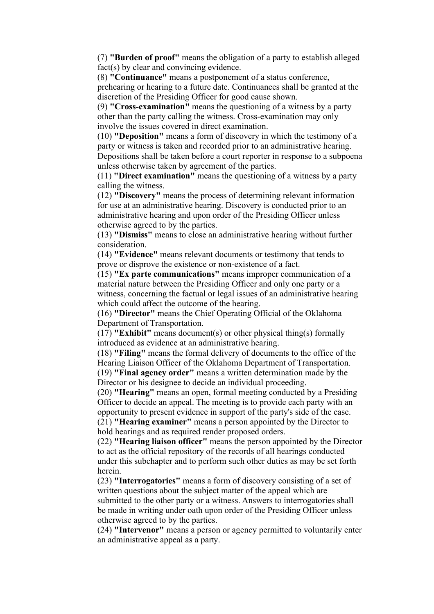(7) **"Burden of proof"** means the obligation of a party to establish alleged fact(s) by clear and convincing evidence.

(8) **"Continuance"** means a postponement of a status conference, prehearing or hearing to a future date. Continuances shall be granted at the discretion of the Presiding Officer for good cause shown.

(9) **"Cross-examination"** means the questioning of a witness by a party other than the party calling the witness. Cross-examination may only involve the issues covered in direct examination.

(10) **"Deposition"** means a form of discovery in which the testimony of a party or witness is taken and recorded prior to an administrative hearing. Depositions shall be taken before a court reporter in response to a subpoena unless otherwise taken by agreement of the parties.

(11) **"Direct examination"** means the questioning of a witness by a party calling the witness.

(12) **"Discovery"** means the process of determining relevant information for use at an administrative hearing. Discovery is conducted prior to an administrative hearing and upon order of the Presiding Officer unless otherwise agreed to by the parties.

(13) **"Dismiss"** means to close an administrative hearing without further consideration.

(14) **"Evidence"** means relevant documents or testimony that tends to prove or disprove the existence or non-existence of a fact.

(15) **"Ex parte communications"** means improper communication of a material nature between the Presiding Officer and only one party or a witness, concerning the factual or legal issues of an administrative hearing which could affect the outcome of the hearing.

(16) **"Director"** means the Chief Operating Official of the Oklahoma Department of Transportation.

(17) **"Exhibit"** means document(s) or other physical thing(s) formally introduced as evidence at an administrative hearing.

(18) **"Filing"** means the formal delivery of documents to the office of the Hearing Liaison Officer of the Oklahoma Department of Transportation. (19) **"Final agency order"** means a written determination made by the Director or his designee to decide an individual proceeding.

(20) **"Hearing"** means an open, formal meeting conducted by a Presiding Officer to decide an appeal. The meeting is to provide each party with an opportunity to present evidence in support of the party's side of the case. (21) **"Hearing examiner"** means a person appointed by the Director to

hold hearings and as required render proposed orders.

(22) **"Hearing liaison officer"** means the person appointed by the Director to act as the official repository of the records of all hearings conducted under this subchapter and to perform such other duties as may be set forth herein.

(23) **"Interrogatories"** means a form of discovery consisting of a set of written questions about the subject matter of the appeal which are submitted to the other party or a witness. Answers to interrogatories shall be made in writing under oath upon order of the Presiding Officer unless otherwise agreed to by the parties.

(24) **"Intervenor"** means a person or agency permitted to voluntarily enter an administrative appeal as a party.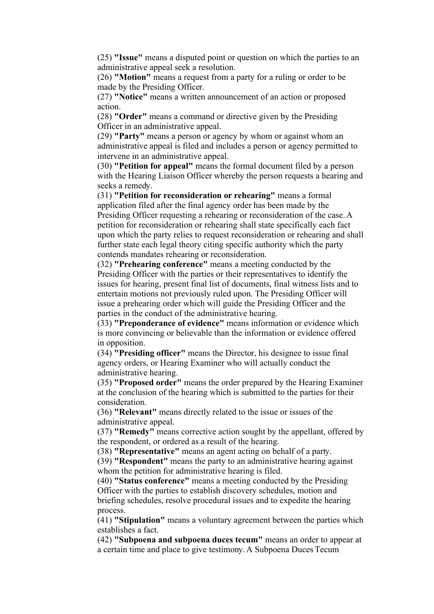(25) **"Issue"** means a disputed point or question on which the parties to an administrative appeal seek a resolution.

(26) **"Motion"** means a request from a party for a ruling or order to be made by the Presiding Officer.

(27) **"Notice"** means a written announcement of an action or proposed action.

(28) **"Order"** means a command or directive given by the Presiding Officer in an administrative appeal.

(29) **"Party"** means a person or agency by whom or against whom an administrative appeal is filed and includes a person or agency permitted to intervene in an administrative appeal.

(30) **"Petition for appeal"** means the formal document filed by a person with the Hearing Liaison Officer whereby the person requests a hearing and seeks a remedy.

(31) **"Petition for reconsideration or rehearing"** means a formal application filed after the final agency order has been made by the Presiding Officer requesting a rehearing or reconsideration of the case. A petition for reconsideration or rehearing shall state specifically each fact upon which the party relies to request reconsideration or rehearing and shall further state each legal theory citing specific authority which the party contends mandates rehearing or reconsideration.

(32) **"Prehearing conference"** means a meeting conducted by the Presiding Officer with the parties or their representatives to identify the issues for hearing, present final list of documents, final witness lists and to entertain motions not previously ruled upon. The Presiding Officer will issue a prehearing order which will guide the Presiding Officer and the parties in the conduct of the administrative hearing.

(33) **"Preponderance of evidence"** means information or evidence which is more convincing or believable than the information or evidence offered in opposition.

(34) **"Presiding officer"** means the Director, his designee to issue final agency orders, or Hearing Examiner who will actually conduct the administrative hearing.

(35) **"Proposed order"** means the order prepared by the Hearing Examiner at the conclusion of the hearing which is submitted to the parties for their consideration.

(36) **"Relevant"** means directly related to the issue or issues of the administrative appeal.

(37) **"Remedy"** means corrective action sought by the appellant, offered by the respondent, or ordered as a result of the hearing.

(38) **"Representative"** means an agent acting on behalf of a party.

(39) **"Respondent"** means the party to an administrative hearing against whom the petition for administrative hearing is filed.

(40) **"Status conference"** means a meeting conducted by the Presiding Officer with the parties to establish discovery schedules, motion and briefing schedules, resolve procedural issues and to expedite the hearing process.

(41) **"Stipulation"** means a voluntary agreement between the parties which establishes a fact.

(42) **"Subpoena and subpoena duces tecum"** means an order to appear at a certain time and place to give testimony. A Subpoena Duces Tecum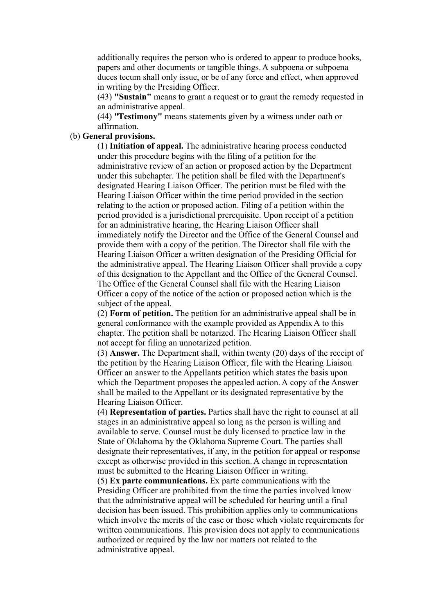additionally requires the person who is ordered to appear to produce books, papers and other documents or tangible things. A subpoena or subpoena duces tecum shall only issue, or be of any force and effect, when approved in writing by the Presiding Officer.

(43) **"Sustain"** means to grant a request or to grant the remedy requested in an administrative appeal.

(44) **"Testimony"** means statements given by a witness under oath or affirmation.

### (b) **General provisions.**

(1) **Initiation of appeal.** The administrative hearing process conducted under this procedure begins with the filing of a petition for the administrative review of an action or proposed action by the Department under this subchapter. The petition shall be filed with the Department's designated Hearing Liaison Officer. The petition must be filed with the Hearing Liaison Officer within the time period provided in the section relating to the action or proposed action. Filing of a petition within the period provided is a jurisdictional prerequisite. Upon receipt of a petition for an administrative hearing, the Hearing Liaison Officer shall immediately notify the Director and the Office of the General Counsel and provide them with a copy of the petition. The Director shall file with the Hearing Liaison Officer a written designation of the Presiding Official for the administrative appeal. The Hearing Liaison Officer shall provide a copy of this designation to the Appellant and the Office of the General Counsel. The Office of the General Counsel shall file with the Hearing Liaison Officer a copy of the notice of the action or proposed action which is the subject of the appeal.

(2) **Form of petition.** The petition for an administrative appeal shall be in general conformance with the example provided as Appendix A to this chapter. The petition shall be notarized. The Hearing Liaison Officer shall not accept for filing an unnotarized petition.

(3) **Answer.** The Department shall, within twenty (20) days of the receipt of the petition by the Hearing Liaison Officer, file with the Hearing Liaison Officer an answer to the Appellants petition which states the basis upon which the Department proposes the appealed action. A copy of the Answer shall be mailed to the Appellant or its designated representative by the Hearing Liaison Officer.

(4) **Representation of parties.** Parties shall have the right to counsel at all stages in an administrative appeal so long as the person is willing and available to serve. Counsel must be duly licensed to practice law in the State of Oklahoma by the Oklahoma Supreme Court. The parties shall designate their representatives, if any, in the petition for appeal or response except as otherwise provided in this section. A change in representation must be submitted to the Hearing Liaison Officer in writing.

(5) **Ex parte communications.** Ex parte communications with the Presiding Officer are prohibited from the time the parties involved know that the administrative appeal will be scheduled for hearing until a final decision has been issued. This prohibition applies only to communications which involve the merits of the case or those which violate requirements for written communications. This provision does not apply to communications authorized or required by the law nor matters not related to the administrative appeal.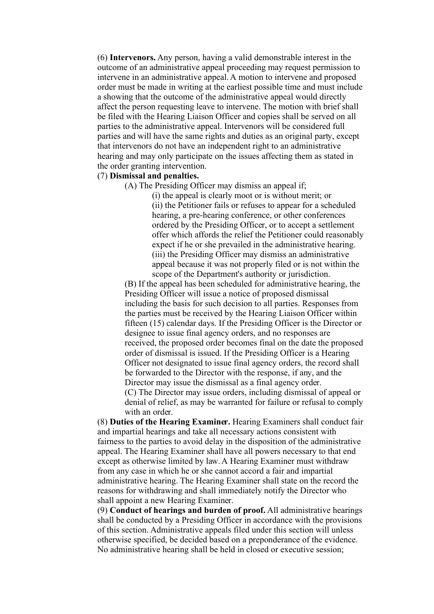(6) **Intervenors.** Any person, having a valid demonstrable interest in the outcome of an administrative appeal proceeding may request permission to intervene in an administrative appeal. A motion to intervene and proposed order must be made in writing at the earliest possible time and must include a showing that the outcome of the administrative appeal would directly affect the person requesting leave to intervene. The motion with brief shall be filed with the Hearing Liaison Officer and copies shall be served on all parties to the administrative appeal. Intervenors will be considered full parties and will have the same rights and duties as an original party, except that intervenors do not have an independent right to an administrative hearing and may only participate on the issues affecting them as stated in the order granting intervention.

### (7) **Dismissal and penalties.**

(A) The Presiding Officer may dismiss an appeal if;

(i) the appeal is clearly moot or is without merit; or (ii) the Petitioner fails or refuses to appear for a scheduled hearing, a pre-hearing conference, or other conferences ordered by the Presiding Officer, or to accept a settlement offer which affords the relief the Petitioner could reasonably expect if he or she prevailed in the administrative hearing. (iii) the Presiding Officer may dismiss an administrative appeal because it was not properly filed or is not within the scope of the Department's authority or jurisdiction.

(B) If the appeal has been scheduled for administrative hearing, the Presiding Officer will issue a notice of proposed dismissal including the basis for such decision to all parties. Responses from the parties must be received by the Hearing Liaison Officer within fifteen (15) calendar days. If the Presiding Officer is the Director or designee to issue final agency orders, and no responses are received, the proposed order becomes final on the date the proposed order of dismissal is issued. If the Presiding Officer is a Hearing Officer not designated to issue final agency orders, the record shall be forwarded to the Director with the response, if any, and the Director may issue the dismissal as a final agency order. (C) The Director may issue orders, including dismissal of appeal or denial of relief, as may be warranted for failure or refusal to comply with an order.

(8) **Duties of the Hearing Examiner.** Hearing Examiners shall conduct fair and impartial hearings and take all necessary actions consistent with fairness to the parties to avoid delay in the disposition of the administrative appeal. The Hearing Examiner shall have all powers necessary to that end except as otherwise limited by law. A Hearing Examiner must withdraw from any case in which he or she cannot accord a fair and impartial administrative hearing. The Hearing Examiner shall state on the record the reasons for withdrawing and shall immediately notify the Director who shall appoint a new Hearing Examiner.

(9) **Conduct of hearings and burden of proof.** All administrative hearings shall be conducted by a Presiding Officer in accordance with the provisions of this section. Administrative appeals filed under this section will unless otherwise specified, be decided based on a preponderance of the evidence. No administrative hearing shall be held in closed or executive session;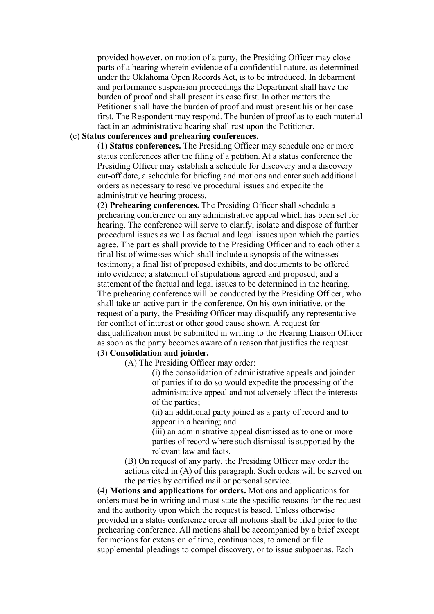provided however, on motion of a party, the Presiding Officer may close parts of a hearing wherein evidence of a confidential nature, as determined under the Oklahoma Open Records Act, is to be introduced. In debarment and performance suspension proceedings the Department shall have the burden of proof and shall present its case first. In other matters the Petitioner shall have the burden of proof and must present his or her case first. The Respondent may respond. The burden of proof as to each material fact in an administrative hearing shall rest upon the Petitioner.

# (c) **Status conferences and prehearing conferences.**

(1) **Status conferences.** The Presiding Officer may schedule one or more status conferences after the filing of a petition. At a status conference the Presiding Officer may establish a schedule for discovery and a discovery cut-off date, a schedule for briefing and motions and enter such additional orders as necessary to resolve procedural issues and expedite the administrative hearing process.

(2) **Prehearing conferences.** The Presiding Officer shall schedule a prehearing conference on any administrative appeal which has been set for hearing. The conference will serve to clarify, isolate and dispose of further procedural issues as well as factual and legal issues upon which the parties agree. The parties shall provide to the Presiding Officer and to each other a final list of witnesses which shall include a synopsis of the witnesses' testimony; a final list of proposed exhibits, and documents to be offered into evidence; a statement of stipulations agreed and proposed; and a statement of the factual and legal issues to be determined in the hearing. The prehearing conference will be conducted by the Presiding Officer, who shall take an active part in the conference. On his own initiative, or the request of a party, the Presiding Officer may disqualify any representative for conflict of interest or other good cause shown. A request for disqualification must be submitted in writing to the Hearing Liaison Officer as soon as the party becomes aware of a reason that justifies the request. (3) **Consolidation and joinder.**

(A) The Presiding Officer may order:

(i) the consolidation of administrative appeals and joinder of parties if to do so would expedite the processing of the administrative appeal and not adversely affect the interests of the parties;

(ii) an additional party joined as a party of record and to appear in a hearing; and

(iii) an administrative appeal dismissed as to one or more parties of record where such dismissal is supported by the relevant law and facts.

(B) On request of any party, the Presiding Officer may order the actions cited in (A) of this paragraph. Such orders will be served on the parties by certified mail or personal service.

(4) **Motions and applications for orders.** Motions and applications for orders must be in writing and must state the specific reasons for the request and the authority upon which the request is based. Unless otherwise provided in a status conference order all motions shall be filed prior to the prehearing conference. All motions shall be accompanied by a brief except for motions for extension of time, continuances, to amend or file supplemental pleadings to compel discovery, or to issue subpoenas. Each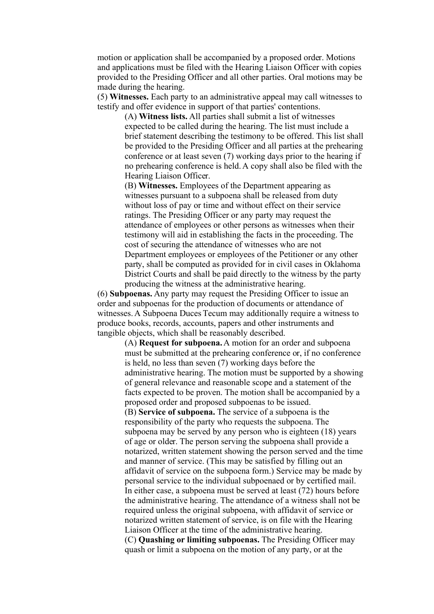motion or application shall be accompanied by a proposed order. Motions and applications must be filed with the Hearing Liaison Officer with copies provided to the Presiding Officer and all other parties. Oral motions may be made during the hearing.

(5) **Witnesses.** Each party to an administrative appeal may call witnesses to testify and offer evidence in support of that parties' contentions.

(A) **Witness lists.** All parties shall submit a list of witnesses expected to be called during the hearing. The list must include a brief statement describing the testimony to be offered. This list shall be provided to the Presiding Officer and all parties at the prehearing conference or at least seven (7) working days prior to the hearing if no prehearing conference is held. A copy shall also be filed with the Hearing Liaison Officer.

(B) **Witnesses.** Employees of the Department appearing as witnesses pursuant to a subpoena shall be released from duty without loss of pay or time and without effect on their service ratings. The Presiding Officer or any party may request the attendance of employees or other persons as witnesses when their testimony will aid in establishing the facts in the proceeding. The cost of securing the attendance of witnesses who are not Department employees or employees of the Petitioner or any other party, shall be computed as provided for in civil cases in Oklahoma District Courts and shall be paid directly to the witness by the party producing the witness at the administrative hearing.

(6) **Subpoenas.** Any party may request the Presiding Officer to issue an order and subpoenas for the production of documents or attendance of witnesses. A Subpoena Duces Tecum may additionally require a witness to produce books, records, accounts, papers and other instruments and tangible objects, which shall be reasonably described.

> (A) **Request for subpoena.** A motion for an order and subpoena must be submitted at the prehearing conference or, if no conference is held, no less than seven (7) working days before the administrative hearing. The motion must be supported by a showing of general relevance and reasonable scope and a statement of the facts expected to be proven. The motion shall be accompanied by a proposed order and proposed subpoenas to be issued. (B) **Service of subpoena.** The service of a subpoena is the responsibility of the party who requests the subpoena. The subpoena may be served by any person who is eighteen (18) years of age or older. The person serving the subpoena shall provide a notarized, written statement showing the person served and the time and manner of service. (This may be satisfied by filling out an affidavit of service on the subpoena form.) Service may be made by personal service to the individual subpoenaed or by certified mail. In either case, a subpoena must be served at least (72) hours before the administrative hearing. The attendance of a witness shall not be required unless the original subpoena, with affidavit of service or notarized written statement of service, is on file with the Hearing Liaison Officer at the time of the administrative hearing. (C) **Quashing or limiting subpoenas.** The Presiding Officer may quash or limit a subpoena on the motion of any party, or at the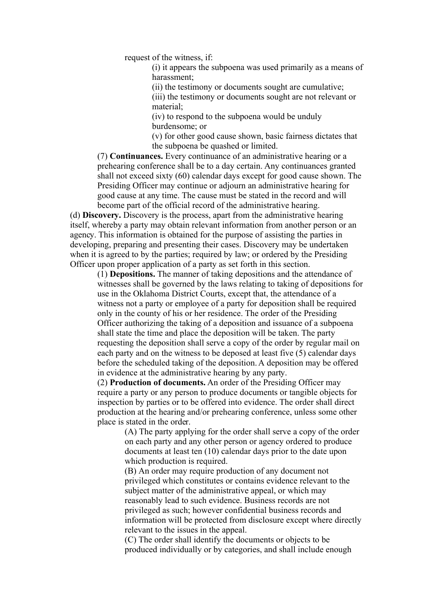request of the witness, if:

(i) it appears the subpoena was used primarily as a means of harassment;

(ii) the testimony or documents sought are cumulative;

(iii) the testimony or documents sought are not relevant or material;

(iv) to respond to the subpoena would be unduly burdensome; or

(v) for other good cause shown, basic fairness dictates that the subpoena be quashed or limited.

(7) **Continuances.** Every continuance of an administrative hearing or a prehearing conference shall be to a day certain. Any continuances granted shall not exceed sixty (60) calendar days except for good cause shown. The Presiding Officer may continue or adjourn an administrative hearing for good cause at any time. The cause must be stated in the record and will become part of the official record of the administrative hearing.

(d) **Discovery.** Discovery is the process, apart from the administrative hearing itself, whereby a party may obtain relevant information from another person or an agency. This information is obtained for the purpose of assisting the parties in developing, preparing and presenting their cases. Discovery may be undertaken when it is agreed to by the parties; required by law; or ordered by the Presiding Officer upon proper application of a party as set forth in this section.

(1) **Depositions.** The manner of taking depositions and the attendance of witnesses shall be governed by the laws relating to taking of depositions for use in the Oklahoma District Courts, except that, the attendance of a witness not a party or employee of a party for deposition shall be required only in the county of his or her residence. The order of the Presiding Officer authorizing the taking of a deposition and issuance of a subpoena shall state the time and place the deposition will be taken. The party requesting the deposition shall serve a copy of the order by regular mail on each party and on the witness to be deposed at least five (5) calendar days before the scheduled taking of the deposition. A deposition may be offered in evidence at the administrative hearing by any party.

(2) **Production of documents.** An order of the Presiding Officer may require a party or any person to produce documents or tangible objects for inspection by parties or to be offered into evidence. The order shall direct production at the hearing and/or prehearing conference, unless some other place is stated in the order.

> (A) The party applying for the order shall serve a copy of the order on each party and any other person or agency ordered to produce documents at least ten (10) calendar days prior to the date upon which production is required.

> (B) An order may require production of any document not privileged which constitutes or contains evidence relevant to the subject matter of the administrative appeal, or which may reasonably lead to such evidence. Business records are not privileged as such; however confidential business records and information will be protected from disclosure except where directly relevant to the issues in the appeal.

(C) The order shall identify the documents or objects to be produced individually or by categories, and shall include enough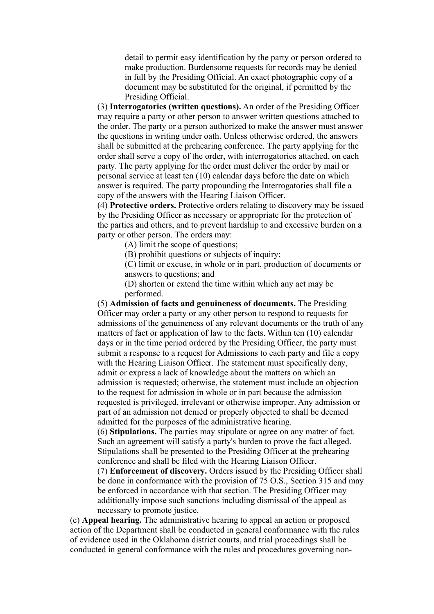detail to permit easy identification by the party or person ordered to make production. Burdensome requests for records may be denied in full by the Presiding Official. An exact photographic copy of a document may be substituted for the original, if permitted by the Presiding Official.

(3) **Interrogatories (written questions).** An order of the Presiding Officer may require a party or other person to answer written questions attached to the order. The party or a person authorized to make the answer must answer the questions in writing under oath. Unless otherwise ordered, the answers shall be submitted at the prehearing conference. The party applying for the order shall serve a copy of the order, with interrogatories attached, on each party. The party applying for the order must deliver the order by mail or personal service at least ten (10) calendar days before the date on which answer is required. The party propounding the Interrogatories shall file a copy of the answers with the Hearing Liaison Officer.

(4) **Protective orders.** Protective orders relating to discovery may be issued by the Presiding Officer as necessary or appropriate for the protection of the parties and others, and to prevent hardship to and excessive burden on a party or other person. The orders may:

(A) limit the scope of questions;

(B) prohibit questions or subjects of inquiry;

(C) limit or excuse, in whole or in part, production of documents or answers to questions; and

(D) shorten or extend the time within which any act may be performed.

(5) **Admission of facts and genuineness of documents.** The Presiding Officer may order a party or any other person to respond to requests for admissions of the genuineness of any relevant documents or the truth of any matters of fact or application of law to the facts. Within ten (10) calendar days or in the time period ordered by the Presiding Officer, the party must submit a response to a request for Admissions to each party and file a copy with the Hearing Liaison Officer. The statement must specifically deny, admit or express a lack of knowledge about the matters on which an admission is requested; otherwise, the statement must include an objection to the request for admission in whole or in part because the admission requested is privileged, irrelevant or otherwise improper. Any admission or part of an admission not denied or properly objected to shall be deemed admitted for the purposes of the administrative hearing.

(6) **Stipulations.** The parties may stipulate or agree on any matter of fact. Such an agreement will satisfy a party's burden to prove the fact alleged. Stipulations shall be presented to the Presiding Officer at the prehearing conference and shall be filed with the Hearing Liaison Officer.

(7) **Enforcement of discovery.** Orders issued by the Presiding Officer shall be done in conformance with the provision of 75 O.S., Section 315 and may be enforced in accordance with that section. The Presiding Officer may additionally impose such sanctions including dismissal of the appeal as necessary to promote justice.

(e) **Appeal hearing.** The administrative hearing to appeal an action or proposed action of the Department shall be conducted in general conformance with the rules of evidence used in the Oklahoma district courts, and trial proceedings shall be conducted in general conformance with the rules and procedures governing non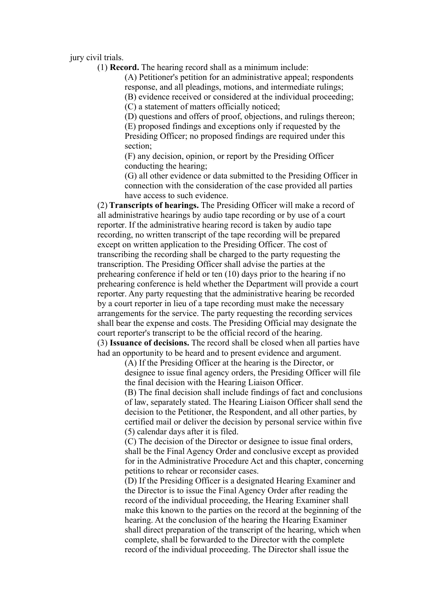jury civil trials.

(1) **Record.** The hearing record shall as a minimum include:

(A) Petitioner's petition for an administrative appeal; respondents response, and all pleadings, motions, and intermediate rulings;

(B) evidence received or considered at the individual proceeding; (C) a statement of matters officially noticed;

(D) questions and offers of proof, objections, and rulings thereon; (E) proposed findings and exceptions only if requested by the Presiding Officer; no proposed findings are required under this section;

(F) any decision, opinion, or report by the Presiding Officer conducting the hearing;

(G) all other evidence or data submitted to the Presiding Officer in connection with the consideration of the case provided all parties have access to such evidence.

(2) **Transcripts of hearings.** The Presiding Officer will make a record of all administrative hearings by audio tape recording or by use of a court reporter. If the administrative hearing record is taken by audio tape recording, no written transcript of the tape recording will be prepared except on written application to the Presiding Officer. The cost of transcribing the recording shall be charged to the party requesting the transcription. The Presiding Officer shall advise the parties at the prehearing conference if held or ten (10) days prior to the hearing if no prehearing conference is held whether the Department will provide a court reporter. Any party requesting that the administrative hearing be recorded by a court reporter in lieu of a tape recording must make the necessary arrangements for the service. The party requesting the recording services shall bear the expense and costs. The Presiding Official may designate the court reporter's transcript to be the official record of the hearing. (3) **Issuance of decisions.** The record shall be closed when all parties have had an opportunity to be heard and to present evidence and argument.

> (A) If the Presiding Officer at the hearing is the Director, or designee to issue final agency orders, the Presiding Officer will file the final decision with the Hearing Liaison Officer.

(B) The final decision shall include findings of fact and conclusions of law, separately stated. The Hearing Liaison Officer shall send the decision to the Petitioner, the Respondent, and all other parties, by certified mail or deliver the decision by personal service within five (5) calendar days after it is filed.

(C) The decision of the Director or designee to issue final orders, shall be the Final Agency Order and conclusive except as provided for in the Administrative Procedure Act and this chapter, concerning petitions to rehear or reconsider cases.

(D) If the Presiding Officer is a designated Hearing Examiner and the Director is to issue the Final Agency Order after reading the record of the individual proceeding, the Hearing Examiner shall make this known to the parties on the record at the beginning of the hearing. At the conclusion of the hearing the Hearing Examiner shall direct preparation of the transcript of the hearing, which when complete, shall be forwarded to the Director with the complete record of the individual proceeding. The Director shall issue the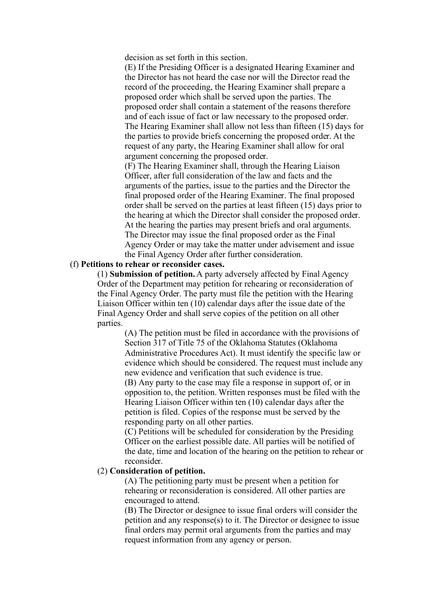decision as set forth in this section.

(E) If the Presiding Officer is a designated Hearing Examiner and the Director has not heard the case nor will the Director read the record of the proceeding, the Hearing Examiner shall prepare a proposed order which shall be served upon the parties. The proposed order shall contain a statement of the reasons therefore and of each issue of fact or law necessary to the proposed order. The Hearing Examiner shall allow not less than fifteen (15) days for the parties to provide briefs concerning the proposed order. At the request of any party, the Hearing Examiner shall allow for oral argument concerning the proposed order.

(F) The Hearing Examiner shall, through the Hearing Liaison Officer, after full consideration of the law and facts and the arguments of the parties, issue to the parties and the Director the final proposed order of the Hearing Examiner. The final proposed order shall be served on the parties at least fifteen (15) days prior to the hearing at which the Director shall consider the proposed order. At the hearing the parties may present briefs and oral arguments. The Director may issue the final proposed order as the Final Agency Order or may take the matter under advisement and issue the Final Agency Order after further consideration.

# (f) **Petitions to rehear or reconsider cases.**

(1) **Submission of petition.** A party adversely affected by Final Agency Order of the Department may petition for rehearing or reconsideration of the Final Agency Order. The party must file the petition with the Hearing Liaison Officer within ten (10) calendar days after the issue date of the Final Agency Order and shall serve copies of the petition on all other parties.

> (A) The petition must be filed in accordance with the provisions of Section 317 of Title 75 of the Oklahoma Statutes (Oklahoma Administrative Procedures Act). It must identify the specific law or evidence which should be considered. The request must include any new evidence and verification that such evidence is true.

(B) Any party to the case may file a response in support of, or in opposition to, the petition. Written responses must be filed with the Hearing Liaison Officer within ten (10) calendar days after the petition is filed. Copies of the response must be served by the responding party on all other parties.

(C) Petitions will be scheduled for consideration by the Presiding Officer on the earliest possible date. All parties will be notified of the date, time and location of the hearing on the petition to rehear or reconsider.

### (2) **Consideration of petition.**

(A) The petitioning party must be present when a petition for rehearing or reconsideration is considered. All other parties are encouraged to attend.

(B) The Director or designee to issue final orders will consider the petition and any response(s) to it. The Director or designee to issue final orders may permit oral arguments from the parties and may request information from any agency or person.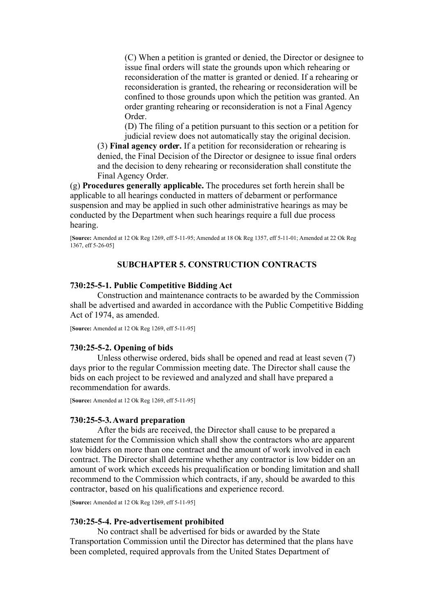(C) When a petition is granted or denied, the Director or designee to issue final orders will state the grounds upon which rehearing or reconsideration of the matter is granted or denied. If a rehearing or reconsideration is granted, the rehearing or reconsideration will be confined to those grounds upon which the petition was granted. An order granting rehearing or reconsideration is not a Final Agency Order.

(D) The filing of a petition pursuant to this section or a petition for judicial review does not automatically stay the original decision.

(3) **Final agency order.** If a petition for reconsideration or rehearing is denied, the Final Decision of the Director or designee to issue final orders and the decision to deny rehearing or reconsideration shall constitute the Final Agency Order.

(g) **Procedures generally applicable.** The procedures set forth herein shall be applicable to all hearings conducted in matters of debarment or performance suspension and may be applied in such other administrative hearings as may be conducted by the Department when such hearings require a full due process hearing.

[**Source:** Amended at 12 Ok Reg 1269, eff 5-11-95; Amended at 18 Ok Reg 1357, eff 5-11-01; Amended at 22 Ok Reg 1367, eff 5-26-051

### **SUBCHAPTER 5. CONSTRUCTION CONTRACTS**

### **730:25-5-1. Public Competitive Bidding Act**

Construction and maintenance contracts to be awarded by the Commission shall be advertised and awarded in accordance with the Public Competitive Bidding Act of 1974, as amended.

[**Source:** Amended at 12 Ok Reg 1269, eff 5-11-95]

#### **730:25-5-2. Opening of bids**

Unless otherwise ordered, bids shall be opened and read at least seven (7) days prior to the regular Commission meeting date. The Director shall cause the bids on each project to be reviewed and analyzed and shall have prepared a recommendation for awards.

[**Source:** Amended at 12 Ok Reg 1269, eff 5-11-95]

#### **730:25-5-3. Award preparation**

After the bids are received, the Director shall cause to be prepared a statement for the Commission which shall show the contractors who are apparent low bidders on more than one contract and the amount of work involved in each contract. The Director shall determine whether any contractor is low bidder on an amount of work which exceeds his prequalification or bonding limitation and shall recommend to the Commission which contracts, if any, should be awarded to this contractor, based on his qualifications and experience record.

[**Source:** Amended at 12 Ok Reg 1269, eff 5-11-95]

#### **730:25-5-4. Pre-advertisement prohibited**

No contract shall be advertised for bids or awarded by the State Transportation Commission until the Director has determined that the plans have been completed, required approvals from the United States Department of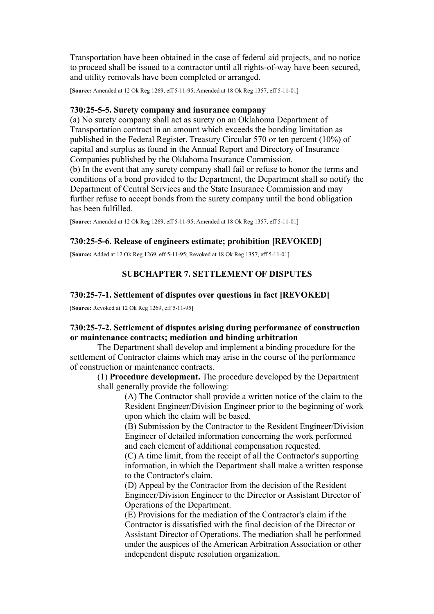Transportation have been obtained in the case of federal aid projects, and no notice to proceed shall be issued to a contractor until all rights-of-way have been secured, and utility removals have been completed or arranged.

[**Source:** Amended at 12 Ok Reg 1269, eff 5-11-95; Amended at 18 Ok Reg 1357, eff 5-11-01]

### **730:25-5-5. Surety company and insurance company**

(a) No surety company shall act as surety on an Oklahoma Department of Transportation contract in an amount which exceeds the bonding limitation as published in the Federal Register, Treasury Circular 570 or ten percent (10%) of capital and surplus as found in the Annual Report and Directory of Insurance Companies published by the Oklahoma Insurance Commission.

(b) In the event that any surety company shall fail or refuse to honor the terms and conditions of a bond provided to the Department, the Department shall so notify the Department of Central Services and the State Insurance Commission and may further refuse to accept bonds from the surety company until the bond obligation has been fulfilled.

[**Source:** Amended at 12 Ok Reg 1269, eff 5-11-95; Amended at 18 Ok Reg 1357, eff 5-11-01]

# **730:25-5-6. Release of engineers estimate; prohibition [REVOKED]**

[**Source:** Added at 12 Ok Reg 1269, eff 5-11-95; Revoked at 18 Ok Reg 1357, eff 5-11-01]

# **SUBCHAPTER 7. SETTLEMENT OF DISPUTES**

# **730:25-7-1. Settlement of disputes over questions in fact [REVOKED]**

[**Source:** Revoked at 12 Ok Reg 1269, eff 5-11-95]

# **730:25-7-2. Settlement of disputes arising during performance of construction or maintenance contracts; mediation and binding arbitration**

The Department shall develop and implement a binding procedure for the settlement of Contractor claims which may arise in the course of the performance of construction or maintenance contracts.

(1) **Procedure development.** The procedure developed by the Department shall generally provide the following:

> (A) The Contractor shall provide a written notice of the claim to the Resident Engineer/Division Engineer prior to the beginning of work upon which the claim will be based.

> (B) Submission by the Contractor to the Resident Engineer/Division Engineer of detailed information concerning the work performed and each element of additional compensation requested.

> (C) A time limit, from the receipt of all the Contractor's supporting information, in which the Department shall make a written response to the Contractor's claim.

> (D) Appeal by the Contractor from the decision of the Resident Engineer/Division Engineer to the Director or Assistant Director of Operations of the Department.

> (E) Provisions for the mediation of the Contractor's claim if the Contractor is dissatisfied with the final decision of the Director or Assistant Director of Operations. The mediation shall be performed under the auspices of the American Arbitration Association or other independent dispute resolution organization.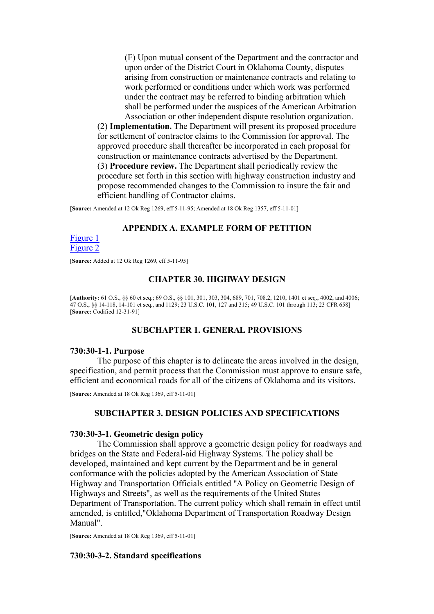(F) Upon mutual consent of the Department and the contractor and upon order of the District Court in Oklahoma County, disputes arising from construction or maintenance contracts and relating to work performed or conditions under which work was performed under the contract may be referred to binding arbitration which shall be performed under the auspices of the American Arbitration Association or other independent dispute resolution organization.

(2) **Implementation.** The Department will present its proposed procedure for settlement of contractor claims to the Commission for approval. The approved procedure shall thereafter be incorporated in each proposal for construction or maintenance contracts advertised by the Department. (3) **Procedure review.** The Department shall periodically review the procedure set forth in this section with highway construction industry and propose recommended changes to the Commission to insure the fair and efficient handling of Contractor claims.

[**Source:** Amended at 12 Ok Reg 1269, eff 5-11-95; Amended at 18 Ok Reg 1357, eff 5-11-01]

# **APPENDIX A. EXAMPLE FORM OF PETITION**

### [Figure 1](https://oklahomarules.blob.core.windows.net/appendix-figures/730_25A1.tif) [Figure 2](https://oklahomarules.blob.core.windows.net/appendix-figures/730_25A2.tif)

[**Source:** Added at 12 Ok Reg 1269, eff 5-11-95]

### **CHAPTER 30. HIGHWAY DESIGN**

[**Authority:** 61 O.S., §§ 60 et seq.; 69 O.S., §§ 101, 301, 303, 304, 689, 701, 708.2, 1210, 1401 et seq., 4002, and 4006; 47 O.S., §§ 14-118, 14-101 et seq., and 1129; 23 U.S.C. 101, 127 and 315; 49 U.S.C. 101 through 113; 23 CFR 658] [**Source:** Codified 12-31-91]

### **SUBCHAPTER 1. GENERAL PROVISIONS**

## **730:30-1-1. Purpose**

The purpose of this chapter is to delineate the areas involved in the design, specification, and permit process that the Commission must approve to ensure safe, efficient and economical roads for all of the citizens of Oklahoma and its visitors.

[**Source:** Amended at 18 Ok Reg 1369, eff 5-11-01]

## **SUBCHAPTER 3. DESIGN POLICIES AND SPECIFICATIONS**

### **730:30-3-1. Geometric design policy**

The Commission shall approve a geometric design policy for roadways and bridges on the State and Federal-aid Highway Systems. The policy shall be developed, maintained and kept current by the Department and be in general conformance with the policies adopted by the American Association of State Highway and Transportation Officials entitled "A Policy on Geometric Design of Highways and Streets", as well as the requirements of the United States Department of Transportation. The current policy which shall remain in effect until amended, is entitled,"Oklahoma Department of Transportation Roadway Design Manual".

[**Source:** Amended at 18 Ok Reg 1369, eff 5-11-01]

#### **730:30-3-2. Standard specifications**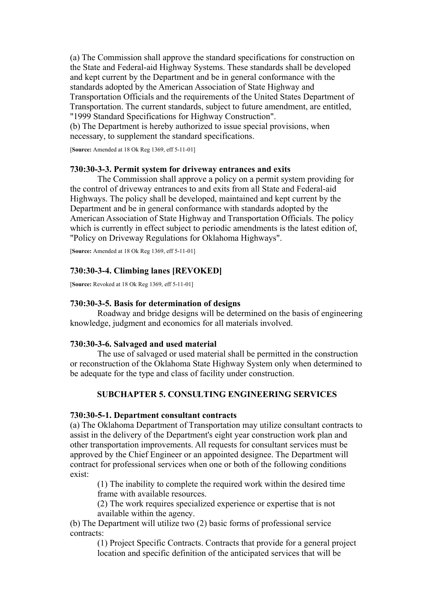(a) The Commission shall approve the standard specifications for construction on the State and Federal-aid Highway Systems. These standards shall be developed and kept current by the Department and be in general conformance with the standards adopted by the American Association of State Highway and Transportation Officials and the requirements of the United States Department of Transportation. The current standards, subject to future amendment, are entitled, "1999 Standard Specifications for Highway Construction".

(b) The Department is hereby authorized to issue special provisions, when necessary, to supplement the standard specifications.

[**Source:** Amended at 18 Ok Reg 1369, eff 5-11-01]

## **730:30-3-3. Permit system for driveway entrances and exits**

The Commission shall approve a policy on a permit system providing for the control of driveway entrances to and exits from all State and Federal-aid Highways. The policy shall be developed, maintained and kept current by the Department and be in general conformance with standards adopted by the American Association of State Highway and Transportation Officials. The policy which is currently in effect subject to periodic amendments is the latest edition of, "Policy on Driveway Regulations for Oklahoma Highways".

[**Source:** Amended at 18 Ok Reg 1369, eff 5-11-01]

# **730:30-3-4. Climbing lanes [REVOKED]**

[**Source:** Revoked at 18 Ok Reg 1369, eff 5-11-01]

# **730:30-3-5. Basis for determination of designs**

Roadway and bridge designs will be determined on the basis of engineering knowledge, judgment and economics for all materials involved.

### **730:30-3-6. Salvaged and used material**

The use of salvaged or used material shall be permitted in the construction or reconstruction of the Oklahoma State Highway System only when determined to be adequate for the type and class of facility under construction.

# **SUBCHAPTER 5. CONSULTING ENGINEERING SERVICES**

### **730:30-5-1. Department consultant contracts**

(a) The Oklahoma Department of Transportation may utilize consultant contracts to assist in the delivery of the Department's eight year construction work plan and other transportation improvements. All requests for consultant services must be approved by the Chief Engineer or an appointed designee. The Department will contract for professional services when one or both of the following conditions exist:

(1) The inability to complete the required work within the desired time frame with available resources.

(2) The work requires specialized experience or expertise that is not available within the agency.

(b) The Department will utilize two (2) basic forms of professional service contracts:

> (1) Project Specific Contracts. Contracts that provide for a general project location and specific definition of the anticipated services that will be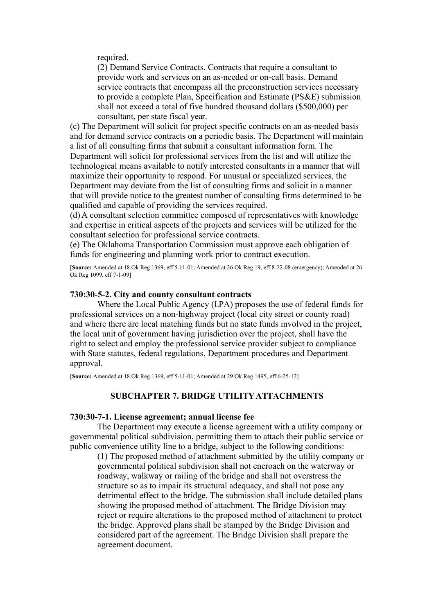required.

(2) Demand Service Contracts. Contracts that require a consultant to provide work and services on an as-needed or on-call basis. Demand service contracts that encompass all the preconstruction services necessary to provide a complete Plan, Specification and Estimate (PS&E) submission shall not exceed a total of five hundred thousand dollars (\$500,000) per consultant, per state fiscal year.

(c) The Department will solicit for project specific contracts on an as-needed basis and for demand service contracts on a periodic basis. The Department will maintain a list of all consulting firms that submit a consultant information form. The Department will solicit for professional services from the list and will utilize the technological means available to notify interested consultants in a manner that will maximize their opportunity to respond. For unusual or specialized services, the Department may deviate from the list of consulting firms and solicit in a manner that will provide notice to the greatest number of consulting firms determined to be qualified and capable of providing the services required.

(d) A consultant selection committee composed of representatives with knowledge and expertise in critical aspects of the projects and services will be utilized for the consultant selection for professional service contracts.

(e) The Oklahoma Transportation Commission must approve each obligation of funds for engineering and planning work prior to contract execution.

[**Source:** Amended at 18 Ok Reg 1369, eff 5-11-01; Amended at 26 Ok Reg 19, eff 8-22-08 (emergency); Amended at 26 Ok Reg 1099, eff 7-1-09]

#### **730:30-5-2. City and county consultant contracts**

Where the Local Public Agency (LPA) proposes the use of federal funds for professional services on a non-highway project (local city street or county road) and where there are local matching funds but no state funds involved in the project, the local unit of government having jurisdiction over the project, shall have the right to select and employ the professional service provider subject to compliance with State statutes, federal regulations, Department procedures and Department approval.

[**Source:** Amended at 18 Ok Reg 1369, eff 5-11-01; Amended at 29 Ok Reg 1495, eff 6-25-12]

## **SUBCHAPTER 7. BRIDGE UTILITY ATTACHMENTS**

### **730:30-7-1. License agreement; annual license fee**

The Department may execute a license agreement with a utility company or governmental political subdivision, permitting them to attach their public service or public convenience utility line to a bridge, subject to the following conditions:

(1) The proposed method of attachment submitted by the utility company or governmental political subdivision shall not encroach on the waterway or roadway, walkway or railing of the bridge and shall not overstress the structure so as to impair its structural adequacy, and shall not pose any detrimental effect to the bridge. The submission shall include detailed plans showing the proposed method of attachment. The Bridge Division may reject or require alterations to the proposed method of attachment to protect the bridge. Approved plans shall be stamped by the Bridge Division and considered part of the agreement. The Bridge Division shall prepare the agreement document.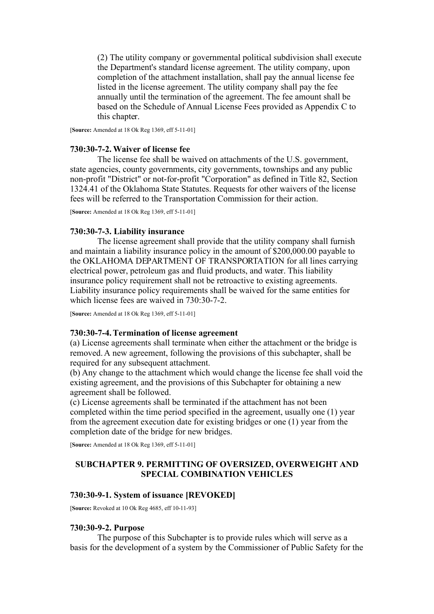(2) The utility company or governmental political subdivision shall execute the Department's standard license agreement. The utility company, upon completion of the attachment installation, shall pay the annual license fee listed in the license agreement. The utility company shall pay the fee annually until the termination of the agreement. The fee amount shall be based on the Schedule of Annual License Fees provided as Appendix C to this chapter.

[**Source:** Amended at 18 Ok Reg 1369, eff 5-11-01]

## **730:30-7-2. Waiver of license fee**

The license fee shall be waived on attachments of the U.S. government, state agencies, county governments, city governments, townships and any public non-profit "District" or not-for-profit "Corporation" as defined in Title 82, Section 1324.41 of the Oklahoma State Statutes. Requests for other waivers of the license fees will be referred to the Transportation Commission for their action.

[**Source:** Amended at 18 Ok Reg 1369, eff 5-11-01]

## **730:30-7-3. Liability insurance**

The license agreement shall provide that the utility company shall furnish and maintain a liability insurance policy in the amount of \$200,000.00 payable to the OKLAHOMA DEPARTMENT OF TRANSPORTATION for all lines carrying electrical power, petroleum gas and fluid products, and water. This liability insurance policy requirement shall not be retroactive to existing agreements. Liability insurance policy requirements shall be waived for the same entities for which license fees are waived in 730:30-7-2.

[**Source:** Amended at 18 Ok Reg 1369, eff 5-11-01]

### **730:30-7-4. Termination of license agreement**

(a) License agreements shall terminate when either the attachment or the bridge is removed. A new agreement, following the provisions of this subchapter, shall be required for any subsequent attachment.

(b) Any change to the attachment which would change the license fee shall void the existing agreement, and the provisions of this Subchapter for obtaining a new agreement shall be followed.

(c) License agreements shall be terminated if the attachment has not been completed within the time period specified in the agreement, usually one (1) year from the agreement execution date for existing bridges or one (1) year from the completion date of the bridge for new bridges.

[**Source:** Amended at 18 Ok Reg 1369, eff 5-11-01]

# **SUBCHAPTER 9. PERMITTING OF OVERSIZED, OVERWEIGHT AND SPECIAL COMBINATION VEHICLES**

# **730:30-9-1. System of issuance [REVOKED]**

[**Source:** Revoked at 10 Ok Reg 4685, eff 10-11-93]

### **730:30-9-2. Purpose**

The purpose of this Subchapter is to provide rules which will serve as a basis for the development of a system by the Commissioner of Public Safety for the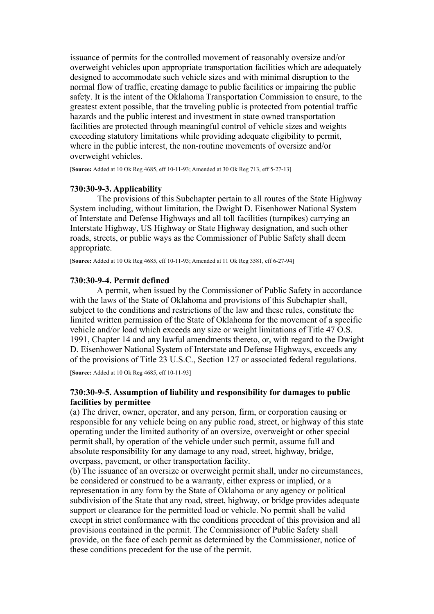issuance of permits for the controlled movement of reasonably oversize and/or overweight vehicles upon appropriate transportation facilities which are adequately designed to accommodate such vehicle sizes and with minimal disruption to the normal flow of traffic, creating damage to public facilities or impairing the public safety. It is the intent of the Oklahoma Transportation Commission to ensure, to the greatest extent possible, that the traveling public is protected from potential traffic hazards and the public interest and investment in state owned transportation facilities are protected through meaningful control of vehicle sizes and weights exceeding statutory limitations while providing adequate eligibility to permit, where in the public interest, the non-routine movements of oversize and/or overweight vehicles.

[**Source:** Added at 10 Ok Reg 4685, eff 10-11-93; Amended at 30 Ok Reg 713, eff 5-27-13]

# **730:30-9-3. Applicability**

The provisions of this Subchapter pertain to all routes of the State Highway System including, without limitation, the Dwight D. Eisenhower National System of Interstate and Defense Highways and all toll facilities (turnpikes) carrying an Interstate Highway, US Highway or State Highway designation, and such other roads, streets, or public ways as the Commissioner of Public Safety shall deem appropriate.

[**Source:** Added at 10 Ok Reg 4685, eff 10-11-93; Amended at 11 Ok Reg 3581, eff 6-27-94]

### **730:30-9-4. Permit defined**

A permit, when issued by the Commissioner of Public Safety in accordance with the laws of the State of Oklahoma and provisions of this Subchapter shall, subject to the conditions and restrictions of the law and these rules, constitute the limited written permission of the State of Oklahoma for the movement of a specific vehicle and/or load which exceeds any size or weight limitations of Title 47 O.S. 1991, Chapter 14 and any lawful amendments thereto, or, with regard to the Dwight D. Eisenhower National System of Interstate and Defense Highways, exceeds any of the provisions of Title 23 U.S.C., Section 127 or associated federal regulations.

[**Source:** Added at 10 Ok Reg 4685, eff 10-11-93]

## **730:30-9-5. Assumption of liability and responsibility for damages to public facilities by permittee**

(a) The driver, owner, operator, and any person, firm, or corporation causing or responsible for any vehicle being on any public road, street, or highway of this state operating under the limited authority of an oversize, overweight or other special permit shall, by operation of the vehicle under such permit, assume full and absolute responsibility for any damage to any road, street, highway, bridge, overpass, pavement, or other transportation facility.

(b) The issuance of an oversize or overweight permit shall, under no circumstances, be considered or construed to be a warranty, either express or implied, or a representation in any form by the State of Oklahoma or any agency or political subdivision of the State that any road, street, highway, or bridge provides adequate support or clearance for the permitted load or vehicle. No permit shall be valid except in strict conformance with the conditions precedent of this provision and all provisions contained in the permit. The Commissioner of Public Safety shall provide, on the face of each permit as determined by the Commissioner, notice of these conditions precedent for the use of the permit.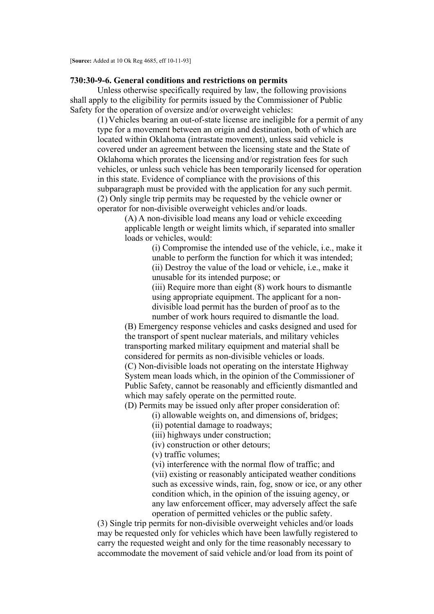### **730:30-9-6. General conditions and restrictions on permits**

Unless otherwise specifically required by law, the following provisions shall apply to the eligibility for permits issued by the Commissioner of Public Safety for the operation of oversize and/or overweight vehicles:

(1) Vehicles bearing an out-of-state license are ineligible for a permit of any type for a movement between an origin and destination, both of which are located within Oklahoma (intrastate movement), unless said vehicle is covered under an agreement between the licensing state and the State of Oklahoma which prorates the licensing and/or registration fees for such vehicles, or unless such vehicle has been temporarily licensed for operation in this state. Evidence of compliance with the provisions of this subparagraph must be provided with the application for any such permit. (2) Only single trip permits may be requested by the vehicle owner or operator for non-divisible overweight vehicles and/or loads.

> (A) A non-divisible load means any load or vehicle exceeding applicable length or weight limits which, if separated into smaller loads or vehicles, would:

> > (i) Compromise the intended use of the vehicle, i.e., make it unable to perform the function for which it was intended; (ii) Destroy the value of the load or vehicle, i.e., make it unusable for its intended purpose; or

(iii) Require more than eight (8) work hours to dismantle using appropriate equipment. The applicant for a nondivisible load permit has the burden of proof as to the number of work hours required to dismantle the load.

(B) Emergency response vehicles and casks designed and used for the transport of spent nuclear materials, and military vehicles transporting marked military equipment and material shall be considered for permits as non-divisible vehicles or loads. (C) Non-divisible loads not operating on the interstate Highway System mean loads which, in the opinion of the Commissioner of Public Safety, cannot be reasonably and efficiently dismantled and which may safely operate on the permitted route.

(D) Permits may be issued only after proper consideration of:

(i) allowable weights on, and dimensions of, bridges;

(ii) potential damage to roadways;

(iii) highways under construction;

(iv) construction or other detours;

(v) traffic volumes;

(vi) interference with the normal flow of traffic; and

(vii) existing or reasonably anticipated weather conditions such as excessive winds, rain, fog, snow or ice, or any other condition which, in the opinion of the issuing agency, or any law enforcement officer, may adversely affect the safe operation of permitted vehicles or the public safety.

(3) Single trip permits for non-divisible overweight vehicles and/or loads may be requested only for vehicles which have been lawfully registered to carry the requested weight and only for the time reasonably necessary to accommodate the movement of said vehicle and/or load from its point of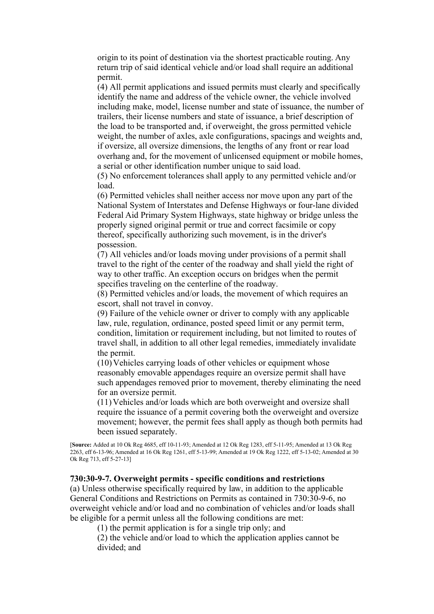origin to its point of destination via the shortest practicable routing. Any return trip of said identical vehicle and/or load shall require an additional permit.

(4) All permit applications and issued permits must clearly and specifically identify the name and address of the vehicle owner, the vehicle involved including make, model, license number and state of issuance, the number of trailers, their license numbers and state of issuance, a brief description of the load to be transported and, if overweight, the gross permitted vehicle weight, the number of axles, axle configurations, spacings and weights and, if oversize, all oversize dimensions, the lengths of any front or rear load overhang and, for the movement of unlicensed equipment or mobile homes, a serial or other identification number unique to said load.

(5) No enforcement tolerances shall apply to any permitted vehicle and/or load.

(6) Permitted vehicles shall neither access nor move upon any part of the National System of Interstates and Defense Highways or four-lane divided Federal Aid Primary System Highways, state highway or bridge unless the properly signed original permit or true and correct facsimile or copy thereof, specifically authorizing such movement, is in the driver's possession.

(7) All vehicles and/or loads moving under provisions of a permit shall travel to the right of the center of the roadway and shall yield the right of way to other traffic. An exception occurs on bridges when the permit specifies traveling on the centerline of the roadway.

(8) Permitted vehicles and/or loads, the movement of which requires an escort, shall not travel in convoy.

(9) Failure of the vehicle owner or driver to comply with any applicable law, rule, regulation, ordinance, posted speed limit or any permit term, condition, limitation or requirement including, but not limited to routes of travel shall, in addition to all other legal remedies, immediately invalidate the permit.

(10) Vehicles carrying loads of other vehicles or equipment whose reasonably emovable appendages require an oversize permit shall have such appendages removed prior to movement, thereby eliminating the need for an oversize permit.

(11) Vehicles and/or loads which are both overweight and oversize shall require the issuance of a permit covering both the overweight and oversize movement; however, the permit fees shall apply as though both permits had been issued separately.

[**Source:** Added at 10 Ok Reg 4685, eff 10-11-93; Amended at 12 Ok Reg 1283, eff 5-11-95; Amended at 13 Ok Reg 2263, eff 6-13-96; Amended at 16 Ok Reg 1261, eff 5-13-99; Amended at 19 Ok Reg 1222, eff 5-13-02; Amended at 30 Ok Reg 713, eff 5-27-13]

### **730:30-9-7. Overweight permits - specific conditions and restrictions**

(a) Unless otherwise specifically required by law, in addition to the applicable General Conditions and Restrictions on Permits as contained in 730:30-9-6, no overweight vehicle and/or load and no combination of vehicles and/or loads shall be eligible for a permit unless all the following conditions are met:

(1) the permit application is for a single trip only; and

(2) the vehicle and/or load to which the application applies cannot be divided; and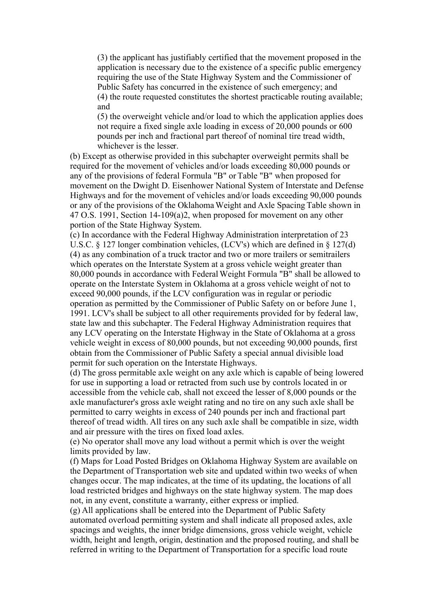(3) the applicant has justifiably certified that the movement proposed in the application is necessary due to the existence of a specific public emergency requiring the use of the State Highway System and the Commissioner of Public Safety has concurred in the existence of such emergency; and (4) the route requested constitutes the shortest practicable routing available; and

(5) the overweight vehicle and/or load to which the application applies does not require a fixed single axle loading in excess of 20,000 pounds or 600 pounds per inch and fractional part thereof of nominal tire tread width, whichever is the lesser.

(b) Except as otherwise provided in this subchapter overweight permits shall be required for the movement of vehicles and/or loads exceeding 80,000 pounds or any of the provisions of federal Formula "B" or Table "B" when proposed for movement on the Dwight D. Eisenhower National System of Interstate and Defense Highways and for the movement of vehicles and/or loads exceeding 90,000 pounds or any of the provisions of the Oklahoma Weight and Axle Spacing Table shown in 47 O.S. 1991, Section 14-109(a)2, when proposed for movement on any other portion of the State Highway System.

(c) In accordance with the Federal Highway Administration interpretation of 23 U.S.C. § 127 longer combination vehicles, (LCV's) which are defined in § 127(d) (4) as any combination of a truck tractor and two or more trailers or semitrailers which operates on the Interstate System at a gross vehicle weight greater than 80,000 pounds in accordance with Federal Weight Formula "B" shall be allowed to operate on the Interstate System in Oklahoma at a gross vehicle weight of not to exceed 90,000 pounds, if the LCV configuration was in regular or periodic operation as permitted by the Commissioner of Public Safety on or before June 1, 1991. LCV's shall be subject to all other requirements provided for by federal law, state law and this subchapter. The Federal Highway Administration requires that any LCV operating on the Interstate Highway in the State of Oklahoma at a gross vehicle weight in excess of 80,000 pounds, but not exceeding 90,000 pounds, first obtain from the Commissioner of Public Safety a special annual divisible load permit for such operation on the Interstate Highways.

(d) The gross permitable axle weight on any axle which is capable of being lowered for use in supporting a load or retracted from such use by controls located in or accessible from the vehicle cab, shall not exceed the lesser of 8,000 pounds or the axle manufacturer's gross axle weight rating and no tire on any such axle shall be permitted to carry weights in excess of 240 pounds per inch and fractional part thereof of tread width. All tires on any such axle shall be compatible in size, width and air pressure with the tires on fixed load axles.

(e) No operator shall move any load without a permit which is over the weight limits provided by law.

(f) Maps for Load Posted Bridges on Oklahoma Highway System are available on the Department of Transportation web site and updated within two weeks of when changes occur. The map indicates, at the time of its updating, the locations of all load restricted bridges and highways on the state highway system. The map does not, in any event, constitute a warranty, either express or implied.

(g) All applications shall be entered into the Department of Public Safety automated overload permitting system and shall indicate all proposed axles, axle spacings and weights, the inner bridge dimensions, gross vehicle weight, vehicle width, height and length, origin, destination and the proposed routing, and shall be referred in writing to the Department of Transportation for a specific load route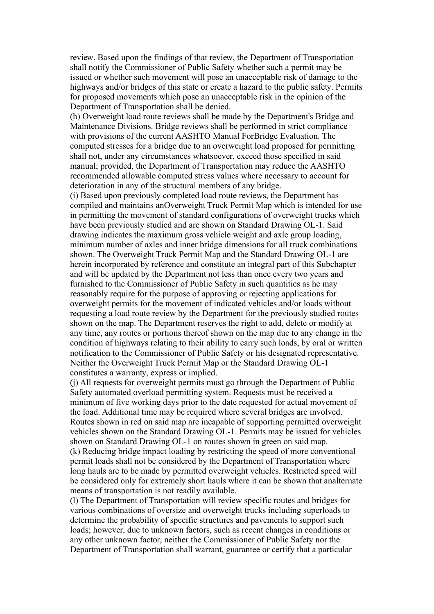review. Based upon the findings of that review, the Department of Transportation shall notify the Commissioner of Public Safety whether such a permit may be issued or whether such movement will pose an unacceptable risk of damage to the highways and/or bridges of this state or create a hazard to the public safety. Permits for proposed movements which pose an unacceptable risk in the opinion of the Department of Transportation shall be denied.

(h) Overweight load route reviews shall be made by the Department's Bridge and Maintenance Divisions. Bridge reviews shall be performed in strict compliance with provisions of the current AASHTO Manual ForBridge Evaluation. The computed stresses for a bridge due to an overweight load proposed for permitting shall not, under any circumstances whatsoever, exceed those specified in said manual; provided, the Department of Transportation may reduce the AASHTO recommended allowable computed stress values where necessary to account for deterioration in any of the structural members of any bridge.

(i) Based upon previously completed load route reviews, the Department has compiled and maintains anOverweight Truck Permit Map which is intended for use in permitting the movement of standard configurations of overweight trucks which have been previously studied and are shown on Standard Drawing OL-1. Said drawing indicates the maximum gross vehicle weight and axle group loading, minimum number of axles and inner bridge dimensions for all truck combinations shown. The Overweight Truck Permit Map and the Standard Drawing OL-1 are herein incorporated by reference and constitute an integral part of this Subchapter and will be updated by the Department not less than once every two years and furnished to the Commissioner of Public Safety in such quantities as he may reasonably require for the purpose of approving or rejecting applications for overweight permits for the movement of indicated vehicles and/or loads without requesting a load route review by the Department for the previously studied routes shown on the map. The Department reserves the right to add, delete or modify at any time, any routes or portions thereof shown on the map due to any change in the condition of highways relating to their ability to carry such loads, by oral or written notification to the Commissioner of Public Safety or his designated representative. Neither the Overweight Truck Permit Map or the Standard Drawing OL-1 constitutes a warranty, express or implied.

(j) All requests for overweight permits must go through the Department of Public Safety automated overload permitting system. Requests must be received a minimum of five working days prior to the date requested for actual movement of the load. Additional time may be required where several bridges are involved. Routes shown in red on said map are incapable of supporting permitted overweight vehicles shown on the Standard Drawing OL-1. Permits may be issued for vehicles shown on Standard Drawing OL-1 on routes shown in green on said map. (k) Reducing bridge impact loading by restricting the speed of more conventional permit loads shall not be considered by the Department of Transportation where long hauls are to be made by permitted overweight vehicles. Restricted speed will be considered only for extremely short hauls where it can be shown that analternate means of transportation is not readily available.

(l) The Department of Transportation will review specific routes and bridges for various combinations of oversize and overweight trucks including superloads to determine the probability of specific structures and pavements to support such loads; however, due to unknown factors, such as recent changes in conditions or any other unknown factor, neither the Commissioner of Public Safety nor the Department of Transportation shall warrant, guarantee or certify that a particular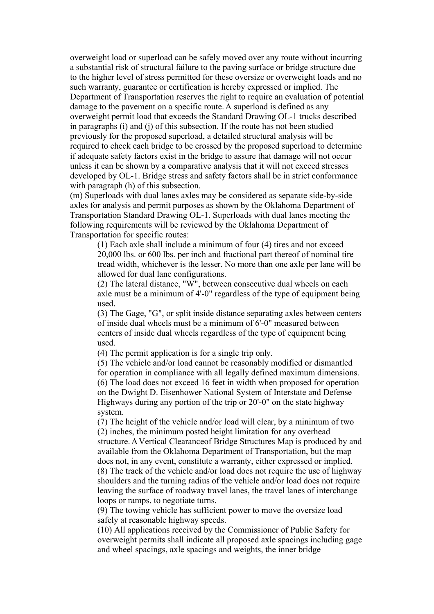overweight load or superload can be safely moved over any route without incurring a substantial risk of structural failure to the paving surface or bridge structure due to the higher level of stress permitted for these oversize or overweight loads and no such warranty, guarantee or certification is hereby expressed or implied. The Department of Transportation reserves the right to require an evaluation of potential damage to the pavement on a specific route. A superload is defined as any overweight permit load that exceeds the Standard Drawing OL-1 trucks described in paragraphs (i) and (j) of this subsection. If the route has not been studied previously for the proposed superload, a detailed structural analysis will be required to check each bridge to be crossed by the proposed superload to determine if adequate safety factors exist in the bridge to assure that damage will not occur unless it can be shown by a comparative analysis that it will not exceed stresses developed by OL-1. Bridge stress and safety factors shall be in strict conformance with paragraph (h) of this subsection.

(m) Superloads with dual lanes axles may be considered as separate side-by-side axles for analysis and permit purposes as shown by the Oklahoma Department of Transportation Standard Drawing OL-1. Superloads with dual lanes meeting the following requirements will be reviewed by the Oklahoma Department of Transportation for specific routes:

(1) Each axle shall include a minimum of four (4) tires and not exceed 20,000 lbs. or 600 lbs. per inch and fractional part thereof of nominal tire tread width, whichever is the lesser. No more than one axle per lane will be allowed for dual lane configurations.

(2) The lateral distance, "W", between consecutive dual wheels on each axle must be a minimum of 4'-0" regardless of the type of equipment being used.

(3) The Gage, "G", or split inside distance separating axles between centers of inside dual wheels must be a minimum of 6'-0" measured between centers of inside dual wheels regardless of the type of equipment being used.

(4) The permit application is for a single trip only.

(5) The vehicle and/or load cannot be reasonably modified or dismantled for operation in compliance with all legally defined maximum dimensions. (6) The load does not exceed 16 feet in width when proposed for operation on the Dwight D. Eisenhower National System of Interstate and Defense Highways during any portion of the trip or 20'-0" on the state highway system.

(7) The height of the vehicle and/or load will clear, by a minimum of two (2) inches, the minimum posted height limitation for any overhead structure. A Vertical Clearanceof Bridge Structures Map is produced by and available from the Oklahoma Department of Transportation, but the map does not, in any event, constitute a warranty, either expressed or implied. (8) The track of the vehicle and/or load does not require the use of highway shoulders and the turning radius of the vehicle and/or load does not require leaving the surface of roadway travel lanes, the travel lanes of interchange loops or ramps, to negotiate turns.

(9) The towing vehicle has sufficient power to move the oversize load safely at reasonable highway speeds.

(10) All applications received by the Commissioner of Public Safety for overweight permits shall indicate all proposed axle spacings including gage and wheel spacings, axle spacings and weights, the inner bridge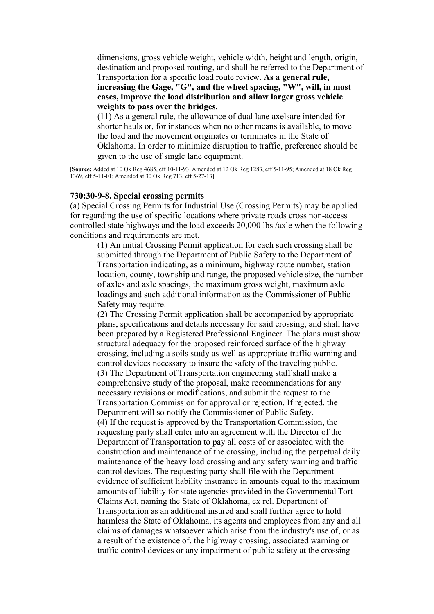dimensions, gross vehicle weight, vehicle width, height and length, origin, destination and proposed routing, and shall be referred to the Department of Transportation for a specific load route review. **As a general rule, increasing the Gage, "G", and the wheel spacing, "W", will, in most cases, improve the load distribution and allow larger gross vehicle weights to pass over the bridges.**

(11) As a general rule, the allowance of dual lane axelsare intended for shorter hauls or, for instances when no other means is available, to move the load and the movement originates or terminates in the State of Oklahoma. In order to minimize disruption to traffic, preference should be given to the use of single lane equipment.

[**Source:** Added at 10 Ok Reg 4685, eff 10-11-93; Amended at 12 Ok Reg 1283, eff 5-11-95; Amended at 18 Ok Reg 1369, eff 5-11-01; Amended at 30 Ok Reg 713, eff 5-27-13]

#### **730:30-9-8. Special crossing permits**

(a) Special Crossing Permits for Industrial Use (Crossing Permits) may be applied for regarding the use of specific locations where private roads cross non-access controlled state highways and the load exceeds 20,000 lbs /axle when the following conditions and requirements are met.

(1) An initial Crossing Permit application for each such crossing shall be submitted through the Department of Public Safety to the Department of Transportation indicating, as a minimum, highway route number, station location, county, township and range, the proposed vehicle size, the number of axles and axle spacings, the maximum gross weight, maximum axle loadings and such additional information as the Commissioner of Public Safety may require.

(2) The Crossing Permit application shall be accompanied by appropriate plans, specifications and details necessary for said crossing, and shall have been prepared by a Registered Professional Engineer. The plans must show structural adequacy for the proposed reinforced surface of the highway crossing, including a soils study as well as appropriate traffic warning and control devices necessary to insure the safety of the traveling public. (3) The Department of Transportation engineering staff shall make a comprehensive study of the proposal, make recommendations for any necessary revisions or modifications, and submit the request to the Transportation Commission for approval or rejection. If rejected, the Department will so notify the Commissioner of Public Safety. (4) If the request is approved by the Transportation Commission, the requesting party shall enter into an agreement with the Director of the Department of Transportation to pay all costs of or associated with the construction and maintenance of the crossing, including the perpetual daily maintenance of the heavy load crossing and any safety warning and traffic control devices. The requesting party shall file with the Department evidence of sufficient liability insurance in amounts equal to the maximum amounts of liability for state agencies provided in the Governmental Tort Claims Act, naming the State of Oklahoma, ex rel. Department of Transportation as an additional insured and shall further agree to hold harmless the State of Oklahoma, its agents and employees from any and all claims of damages whatsoever which arise from the industry's use of, or as a result of the existence of, the highway crossing, associated warning or traffic control devices or any impairment of public safety at the crossing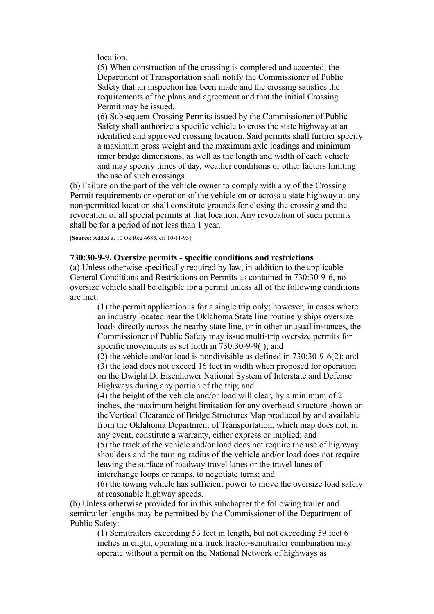location.

(5) When construction of the crossing is completed and accepted, the Department of Transportation shall notify the Commissioner of Public Safety that an inspection has been made and the crossing satisfies the requirements of the plans and agreement and that the initial Crossing Permit may be issued.

(6) Subsequent Crossing Permits issued by the Commissioner of Public Safety shall authorize a specific vehicle to cross the state highway at an identified and approved crossing location. Said permits shall further specify a maximum gross weight and the maximum axle loadings and minimum inner bridge dimensions, as well as the length and width of each vehicle and may specify times of day, weather conditions or other factors limiting the use of such crossings.

(b) Failure on the part of the vehicle owner to comply with any of the Crossing Permit requirements or operation of the vehicle on or across a state highway at any non-permitted location shall constitute grounds for closing the crossing and the revocation of all special permits at that location. Any revocation of such permits shall be for a period of not less than 1 year.

[**Source:** Added at 10 Ok Reg 4685, eff 10-11-93]

### **730:30-9-9. Oversize permits - specific conditions and restrictions**

(a) Unless otherwise specifically required by law, in addition to the applicable General Conditions and Restrictions on Permits as contained in 730:30-9-6, no oversize vehicle shall be eligible for a permit unless all of the following conditions are met:

(1) the permit application is for a single trip only; however, in cases where an industry located near the Oklahoma State line routinely ships oversize loads directly across the nearby state line, or in other unusual instances, the Commissioner of Public Safety may issue multi-trip oversize permits for specific movements as set forth in 730:30-9-9(j); and

(2) the vehicle and/or load is nondivisible as defined in 730:30-9-6(2); and (3) the load does not exceed 16 feet in width when proposed for operation on the Dwight D. Eisenhower National System of Interstate and Defense Highways during any portion of the trip; and

(4) the height of the vehicle and/or load will clear, by a minimum of 2 inches, the maximum height limitation for any overhead structure shown on the Vertical Clearance of Bridge Structures Map produced by and available from the Oklahoma Department of Transportation, which map does not, in any event, constitute a warranty, either express or implied; and

(5) the track of the vehicle and/or load does not require the use of highway shoulders and the turning radius of the vehicle and/or load does not require leaving the surface of roadway travel lanes or the travel lanes of interchange loops or ramps, to negotiate turns; and

(6) the towing vehicle has sufficient power to move the oversize load safely at reasonable highway speeds.

(b) Unless otherwise provided for in this subchapter the following trailer and semitrailer lengths may be permitted by the Commissioner of the Department of Public Safety:

(1) Semitrailers exceeding 53 feet in length, but not exceeding 59 feet 6 inches in ength, operating in a truck tractor-semitrailer combination may operate without a permit on the National Network of highways as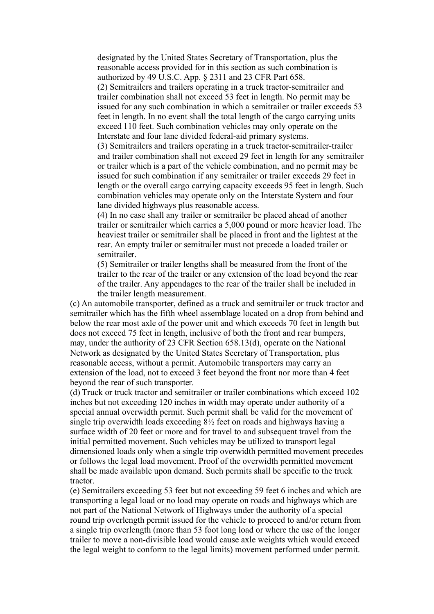designated by the United States Secretary of Transportation, plus the reasonable access provided for in this section as such combination is authorized by 49 U.S.C. App. § 2311 and 23 CFR Part 658.

(2) Semitrailers and trailers operating in a truck tractor-semitrailer and trailer combination shall not exceed 53 feet in length. No permit may be issued for any such combination in which a semitrailer or trailer exceeds 53 feet in length. In no event shall the total length of the cargo carrying units exceed 110 feet. Such combination vehicles may only operate on the Interstate and four lane divided federal-aid primary systems.

(3) Semitrailers and trailers operating in a truck tractor-semitrailer-trailer and trailer combination shall not exceed 29 feet in length for any semitrailer or trailer which is a part of the vehicle combination, and no permit may be issued for such combination if any semitrailer or trailer exceeds 29 feet in length or the overall cargo carrying capacity exceeds 95 feet in length. Such combination vehicles may operate only on the Interstate System and four lane divided highways plus reasonable access.

(4) In no case shall any trailer or semitrailer be placed ahead of another trailer or semitrailer which carries a 5,000 pound or more heavier load. The heaviest trailer or semitrailer shall be placed in front and the lightest at the rear. An empty trailer or semitrailer must not precede a loaded trailer or semitrailer.

(5) Semitrailer or trailer lengths shall be measured from the front of the trailer to the rear of the trailer or any extension of the load beyond the rear of the trailer. Any appendages to the rear of the trailer shall be included in the trailer length measurement.

(c) An automobile transporter, defined as a truck and semitrailer or truck tractor and semitrailer which has the fifth wheel assemblage located on a drop from behind and below the rear most axle of the power unit and which exceeds 70 feet in length but does not exceed 75 feet in length, inclusive of both the front and rear bumpers, may, under the authority of 23 CFR Section 658.13(d), operate on the National Network as designated by the United States Secretary of Transportation, plus reasonable access, without a permit. Automobile transporters may carry an extension of the load, not to exceed 3 feet beyond the front nor more than 4 feet beyond the rear of such transporter.

(d) Truck or truck tractor and semitrailer or trailer combinations which exceed 102 inches but not exceeding 120 inches in width may operate under authority of a special annual overwidth permit. Such permit shall be valid for the movement of single trip overwidth loads exceeding 8½ feet on roads and highways having a surface width of 20 feet or more and for travel to and subsequent travel from the initial permitted movement. Such vehicles may be utilized to transport legal dimensioned loads only when a single trip overwidth permitted movement precedes or follows the legal load movement. Proof of the overwidth permitted movement shall be made available upon demand. Such permits shall be specific to the truck tractor.

(e) Semitrailers exceeding 53 feet but not exceeding 59 feet 6 inches and which are transporting a legal load or no load may operate on roads and highways which are not part of the National Network of Highways under the authority of a special round trip overlength permit issued for the vehicle to proceed to and/or return from a single trip overlength (more than 53 foot long load or where the use of the longer trailer to move a non-divisible load would cause axle weights which would exceed the legal weight to conform to the legal limits) movement performed under permit.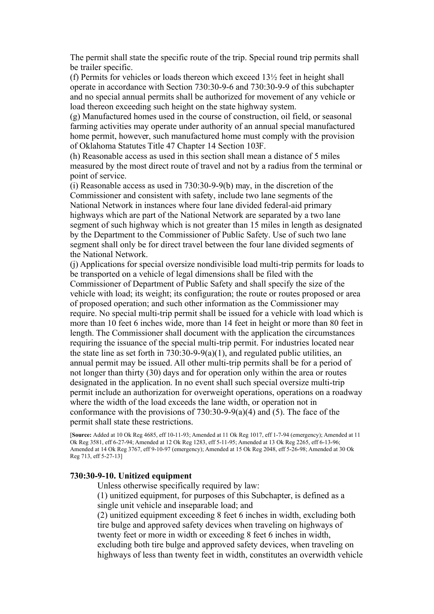The permit shall state the specific route of the trip. Special round trip permits shall be trailer specific.

(f) Permits for vehicles or loads thereon which exceed 13½ feet in height shall operate in accordance with Section 730:30-9-6 and 730:30-9-9 of this subchapter and no special annual permits shall be authorized for movement of any vehicle or load thereon exceeding such height on the state highway system.

(g) Manufactured homes used in the course of construction, oil field, or seasonal farming activities may operate under authority of an annual special manufactured home permit, however, such manufactured home must comply with the provision of Oklahoma Statutes Title 47 Chapter 14 Section 103F.

(h) Reasonable access as used in this section shall mean a distance of 5 miles measured by the most direct route of travel and not by a radius from the terminal or point of service.

(i) Reasonable access as used in 730:30-9-9(b) may, in the discretion of the Commissioner and consistent with safety, include two lane segments of the National Network in instances where four lane divided federal-aid primary highways which are part of the National Network are separated by a two lane segment of such highway which is not greater than 15 miles in length as designated by the Department to the Commissioner of Public Safety. Use of such two lane segment shall only be for direct travel between the four lane divided segments of the National Network.

(j) Applications for special oversize nondivisible load multi-trip permits for loads to be transported on a vehicle of legal dimensions shall be filed with the Commissioner of Department of Public Safety and shall specify the size of the vehicle with load; its weight; its configuration; the route or routes proposed or area of proposed operation; and such other information as the Commissioner may require. No special multi-trip permit shall be issued for a vehicle with load which is more than 10 feet 6 inches wide, more than 14 feet in height or more than 80 feet in length. The Commissioner shall document with the application the circumstances requiring the issuance of the special multi-trip permit. For industries located near the state line as set forth in  $730:30-9-9(a)(1)$ , and regulated public utilities, an annual permit may be issued. All other multi-trip permits shall be for a period of not longer than thirty (30) days and for operation only within the area or routes designated in the application. In no event shall such special oversize multi-trip permit include an authorization for overweight operations, operations on a roadway where the width of the load exceeds the lane width, or operation not in conformance with the provisions of  $730:30-9-9(a)(4)$  and (5). The face of the permit shall state these restrictions.

[**Source:** Added at 10 Ok Reg 4685, eff 10-11-93; Amended at 11 Ok Reg 1017, eff 1-7-94 (emergency); Amended at 11 Ok Reg 3581, eff 6-27-94; Amended at 12 Ok Reg 1283, eff 5-11-95; Amended at 13 Ok Reg 2265, eff 6-13-96; Amended at 14 Ok Reg 3767, eff 9-10-97 (emergency); Amended at 15 Ok Reg 2048, eff 5-26-98; Amended at 30 Ok Reg 713, eff 5-27-13]

### **730:30-9-10. Unitized equipment**

Unless otherwise specifically required by law:

(1) unitized equipment, for purposes of this Subchapter, is defined as a single unit vehicle and inseparable load; and

(2) unitized equipment exceeding 8 feet 6 inches in width, excluding both tire bulge and approved safety devices when traveling on highways of twenty feet or more in width or exceeding 8 feet 6 inches in width, excluding both tire bulge and approved safety devices, when traveling on highways of less than twenty feet in width, constitutes an overwidth vehicle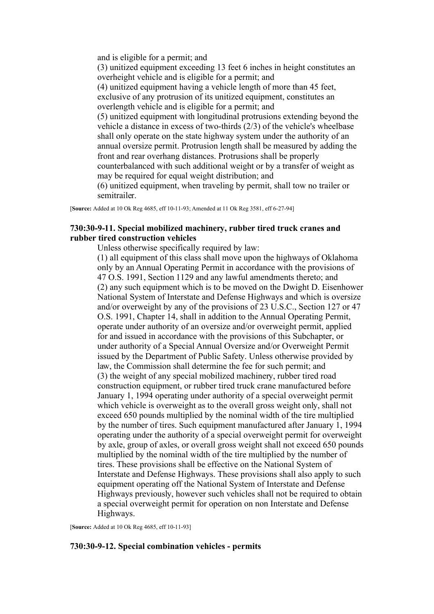and is eligible for a permit; and (3) unitized equipment exceeding 13 feet 6 inches in height constitutes an overheight vehicle and is eligible for a permit; and (4) unitized equipment having a vehicle length of more than 45 feet, exclusive of any protrusion of its unitized equipment, constitutes an overlength vehicle and is eligible for a permit; and (5) unitized equipment with longitudinal protrusions extending beyond the vehicle a distance in excess of two-thirds (2/3) of the vehicle's wheelbase shall only operate on the state highway system under the authority of an annual oversize permit. Protrusion length shall be measured by adding the front and rear overhang distances. Protrusions shall be properly counterbalanced with such additional weight or by a transfer of weight as may be required for equal weight distribution; and (6) unitized equipment, when traveling by permit, shall tow no trailer or

[**Source:** Added at 10 Ok Reg 4685, eff 10-11-93; Amended at 11 Ok Reg 3581, eff 6-27-94]

semitrailer.

# **730:30-9-11. Special mobilized machinery, rubber tired truck cranes and rubber tired construction vehicles**

Unless otherwise specifically required by law:

(1) all equipment of this class shall move upon the highways of Oklahoma only by an Annual Operating Permit in accordance with the provisions of 47 O.S. 1991, Section 1129 and any lawful amendments thereto; and (2) any such equipment which is to be moved on the Dwight D. Eisenhower National System of Interstate and Defense Highways and which is oversize and/or overweight by any of the provisions of 23 U.S.C., Section 127 or 47 O.S. 1991, Chapter 14, shall in addition to the Annual Operating Permit, operate under authority of an oversize and/or overweight permit, applied for and issued in accordance with the provisions of this Subchapter, or under authority of a Special Annual Oversize and/or Overweight Permit issued by the Department of Public Safety. Unless otherwise provided by law, the Commission shall determine the fee for such permit; and (3) the weight of any special mobilized machinery, rubber tired road construction equipment, or rubber tired truck crane manufactured before January 1, 1994 operating under authority of a special overweight permit which vehicle is overweight as to the overall gross weight only, shall not exceed 650 pounds multiplied by the nominal width of the tire multiplied by the number of tires. Such equipment manufactured after January 1, 1994 operating under the authority of a special overweight permit for overweight by axle, group of axles, or overall gross weight shall not exceed 650 pounds multiplied by the nominal width of the tire multiplied by the number of tires. These provisions shall be effective on the National System of Interstate and Defense Highways. These provisions shall also apply to such equipment operating off the National System of Interstate and Defense Highways previously, however such vehicles shall not be required to obtain a special overweight permit for operation on non Interstate and Defense Highways.

[**Source:** Added at 10 Ok Reg 4685, eff 10-11-93]

### **730:30-9-12. Special combination vehicles - permits**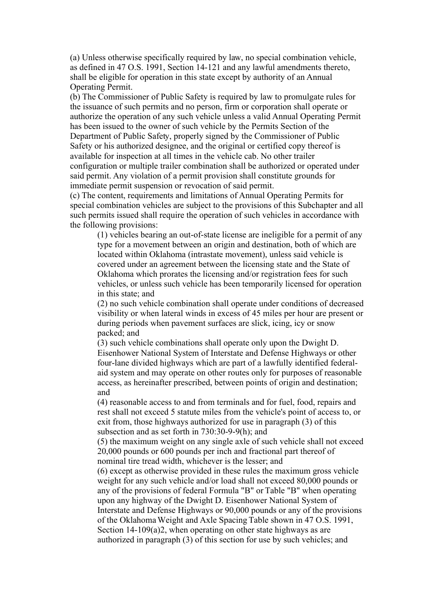(a) Unless otherwise specifically required by law, no special combination vehicle, as defined in 47 O.S. 1991, Section 14-121 and any lawful amendments thereto, shall be eligible for operation in this state except by authority of an Annual Operating Permit.

(b) The Commissioner of Public Safety is required by law to promulgate rules for the issuance of such permits and no person, firm or corporation shall operate or authorize the operation of any such vehicle unless a valid Annual Operating Permit has been issued to the owner of such vehicle by the Permits Section of the Department of Public Safety, properly signed by the Commissioner of Public Safety or his authorized designee, and the original or certified copy thereof is available for inspection at all times in the vehicle cab. No other trailer configuration or multiple trailer combination shall be authorized or operated under said permit. Any violation of a permit provision shall constitute grounds for immediate permit suspension or revocation of said permit.

(c) The content, requirements and limitations of Annual Operating Permits for special combination vehicles are subject to the provisions of this Subchapter and all such permits issued shall require the operation of such vehicles in accordance with the following provisions:

(1) vehicles bearing an out-of-state license are ineligible for a permit of any type for a movement between an origin and destination, both of which are located within Oklahoma (intrastate movement), unless said vehicle is covered under an agreement between the licensing state and the State of Oklahoma which prorates the licensing and/or registration fees for such vehicles, or unless such vehicle has been temporarily licensed for operation in this state; and

(2) no such vehicle combination shall operate under conditions of decreased visibility or when lateral winds in excess of 45 miles per hour are present or during periods when pavement surfaces are slick, icing, icy or snow packed; and

(3) such vehicle combinations shall operate only upon the Dwight D. Eisenhower National System of Interstate and Defense Highways or other four-lane divided highways which are part of a lawfully identified federalaid system and may operate on other routes only for purposes of reasonable access, as hereinafter prescribed, between points of origin and destination; and

(4) reasonable access to and from terminals and for fuel, food, repairs and rest shall not exceed 5 statute miles from the vehicle's point of access to, or exit from, those highways authorized for use in paragraph (3) of this subsection and as set forth in 730:30-9-9(h); and

(5) the maximum weight on any single axle of such vehicle shall not exceed 20,000 pounds or 600 pounds per inch and fractional part thereof of nominal tire tread width, whichever is the lesser; and

(6) except as otherwise provided in these rules the maximum gross vehicle weight for any such vehicle and/or load shall not exceed 80,000 pounds or any of the provisions of federal Formula "B" or Table "B" when operating upon any highway of the Dwight D. Eisenhower National System of Interstate and Defense Highways or 90,000 pounds or any of the provisions of the Oklahoma Weight and Axle Spacing Table shown in 47 O.S. 1991, Section 14-109(a)2, when operating on other state highways as are authorized in paragraph (3) of this section for use by such vehicles; and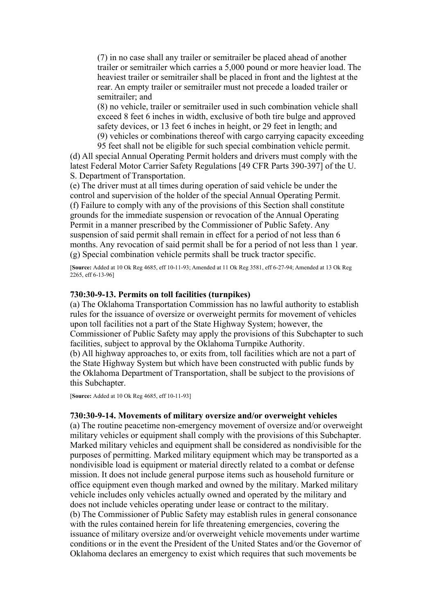(7) in no case shall any trailer or semitrailer be placed ahead of another trailer or semitrailer which carries a 5,000 pound or more heavier load. The heaviest trailer or semitrailer shall be placed in front and the lightest at the rear. An empty trailer or semitrailer must not precede a loaded trailer or semitrailer; and

(8) no vehicle, trailer or semitrailer used in such combination vehicle shall exceed 8 feet 6 inches in width, exclusive of both tire bulge and approved safety devices, or 13 feet 6 inches in height, or 29 feet in length; and (9) vehicles or combinations thereof with cargo carrying capacity exceeding

95 feet shall not be eligible for such special combination vehicle permit. (d) All special Annual Operating Permit holders and drivers must comply with the latest Federal Motor Carrier Safety Regulations [49 CFR Parts 390-397] of the U. S. Department of Transportation.

(e) The driver must at all times during operation of said vehicle be under the control and supervision of the holder of the special Annual Operating Permit. (f) Failure to comply with any of the provisions of this Section shall constitute grounds for the immediate suspension or revocation of the Annual Operating Permit in a manner prescribed by the Commissioner of Public Safety. Any suspension of said permit shall remain in effect for a period of not less than 6 months. Any revocation of said permit shall be for a period of not less than 1 year. (g) Special combination vehicle permits shall be truck tractor specific.

[**Source:** Added at 10 Ok Reg 4685, eff 10-11-93; Amended at 11 Ok Reg 3581, eff 6-27-94; Amended at 13 Ok Reg 2265, eff 6-13-96]

#### **730:30-9-13. Permits on toll facilities (turnpikes)**

(a) The Oklahoma Transportation Commission has no lawful authority to establish rules for the issuance of oversize or overweight permits for movement of vehicles upon toll facilities not a part of the State Highway System; however, the Commissioner of Public Safety may apply the provisions of this Subchapter to such facilities, subject to approval by the Oklahoma Turnpike Authority.

(b) All highway approaches to, or exits from, toll facilities which are not a part of the State Highway System but which have been constructed with public funds by the Oklahoma Department of Transportation, shall be subject to the provisions of this Subchapter.

[**Source:** Added at 10 Ok Reg 4685, eff 10-11-93]

### **730:30-9-14. Movements of military oversize and/or overweight vehicles**

(a) The routine peacetime non-emergency movement of oversize and/or overweight military vehicles or equipment shall comply with the provisions of this Subchapter. Marked military vehicles and equipment shall be considered as nondivisible for the purposes of permitting. Marked military equipment which may be transported as a nondivisible load is equipment or material directly related to a combat or defense mission. It does not include general purpose items such as household furniture or office equipment even though marked and owned by the military. Marked military vehicle includes only vehicles actually owned and operated by the military and does not include vehicles operating under lease or contract to the military. (b) The Commissioner of Public Safety may establish rules in general consonance with the rules contained herein for life threatening emergencies, covering the issuance of military oversize and/or overweight vehicle movements under wartime conditions or in the event the President of the United States and/or the Governor of Oklahoma declares an emergency to exist which requires that such movements be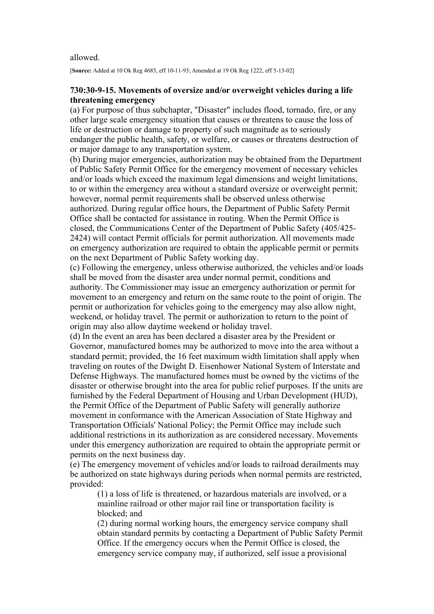#### allowed.

[**Source:** Added at 10 Ok Reg 4685, eff 10-11-93; Amended at 19 Ok Reg 1222, eff 5-13-02]

### **730:30-9-15. Movements of oversize and/or overweight vehicles during a life threatening emergency**

(a) For purpose of thus subchapter, "Disaster" includes flood, tornado, fire, or any other large scale emergency situation that causes or threatens to cause the loss of life or destruction or damage to property of such magnitude as to seriously endanger the public health, safety, or welfare, or causes or threatens destruction of or major damage to any transportation system.

(b) During major emergencies, authorization may be obtained from the Department of Public Safety Permit Office for the emergency movement of necessary vehicles and/or loads which exceed the maximum legal dimensions and weight limitations, to or within the emergency area without a standard oversize or overweight permit; however, normal permit requirements shall be observed unless otherwise authorized. During regular office hours, the Department of Public Safety Permit Office shall be contacted for assistance in routing. When the Permit Office is closed, the Communications Center of the Department of Public Safety (405/425- 2424) will contact Permit officials for permit authorization. All movements made on emergency authorization are required to obtain the applicable permit or permits on the next Department of Public Safety working day.

(c) Following the emergency, unless otherwise authorized, the vehicles and/or loads shall be moved from the disaster area under normal permit, conditions and authority. The Commissioner may issue an emergency authorization or permit for movement to an emergency and return on the same route to the point of origin. The permit or authorization for vehicles going to the emergency may also allow night, weekend, or holiday travel. The permit or authorization to return to the point of origin may also allow daytime weekend or holiday travel.

(d) In the event an area has been declared a disaster area by the President or Governor, manufactured homes may be authorized to move into the area without a standard permit; provided, the 16 feet maximum width limitation shall apply when traveling on routes of the Dwight D. Eisenhower National System of Interstate and Defense Highways. The manufactured homes must be owned by the victims of the disaster or otherwise brought into the area for public relief purposes. If the units are furnished by the Federal Department of Housing and Urban Development (HUD), the Permit Office of the Department of Public Safety will generally authorize movement in conformance with the American Association of State Highway and Transportation Officials' National Policy; the Permit Office may include such additional restrictions in its authorization as are considered necessary. Movements under this emergency authorization are required to obtain the appropriate permit or permits on the next business day.

(e) The emergency movement of vehicles and/or loads to railroad derailments may be authorized on state highways during periods when normal permits are restricted, provided:

(1) a loss of life is threatened, or hazardous materials are involved, or a mainline railroad or other major rail line or transportation facility is blocked; and

(2) during normal working hours, the emergency service company shall obtain standard permits by contacting a Department of Public Safety Permit Office. If the emergency occurs when the Permit Office is closed, the emergency service company may, if authorized, self issue a provisional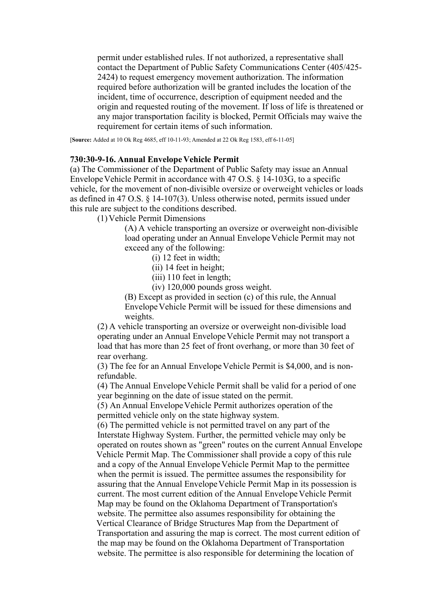permit under established rules. If not authorized, a representative shall contact the Department of Public Safety Communications Center (405/425- 2424) to request emergency movement authorization. The information required before authorization will be granted includes the location of the incident, time of occurrence, description of equipment needed and the origin and requested routing of the movement. If loss of life is threatened or any major transportation facility is blocked, Permit Officials may waive the requirement for certain items of such information.

[**Source:** Added at 10 Ok Reg 4685, eff 10-11-93; Amended at 22 Ok Reg 1583, eff 6-11-05]

### **730:30-9-16. Annual Envelope Vehicle Permit**

(a) The Commissioner of the Department of Public Safety may issue an Annual Envelope Vehicle Permit in accordance with 47 O.S. § 14-103G, to a specific vehicle, for the movement of non-divisible oversize or overweight vehicles or loads as defined in 47 O.S. § 14-107(3). Unless otherwise noted, permits issued under this rule are subject to the conditions described.

(1) Vehicle Permit Dimensions

(A) A vehicle transporting an oversize or overweight non-divisible load operating under an Annual Envelope Vehicle Permit may not exceed any of the following:

(i) 12 feet in width;

(ii) 14 feet in height;

(iii) 110 feet in length;

(iv) 120,000 pounds gross weight.

(B) Except as provided in section (c) of this rule, the Annual Envelope Vehicle Permit will be issued for these dimensions and weights.

(2) A vehicle transporting an oversize or overweight non-divisible load operating under an Annual Envelope Vehicle Permit may not transport a load that has more than 25 feet of front overhang, or more than 30 feet of rear overhang.

(3) The fee for an Annual Envelope Vehicle Permit is \$4,000, and is nonrefundable.

(4) The Annual Envelope Vehicle Permit shall be valid for a period of one year beginning on the date of issue stated on the permit.

(5) An Annual Envelope Vehicle Permit authorizes operation of the permitted vehicle only on the state highway system.

(6) The permitted vehicle is not permitted travel on any part of the Interstate Highway System. Further, the permitted vehicle may only be operated on routes shown as "green" routes on the current Annual Envelope Vehicle Permit Map. The Commissioner shall provide a copy of this rule and a copy of the Annual Envelope Vehicle Permit Map to the permittee when the permit is issued. The permittee assumes the responsibility for assuring that the Annual Envelope Vehicle Permit Map in its possession is current. The most current edition of the Annual Envelope Vehicle Permit Map may be found on the Oklahoma Department of Transportation's website. The permittee also assumes responsibility for obtaining the Vertical Clearance of Bridge Structures Map from the Department of Transportation and assuring the map is correct. The most current edition of the map may be found on the Oklahoma Department of Transportation website. The permittee is also responsible for determining the location of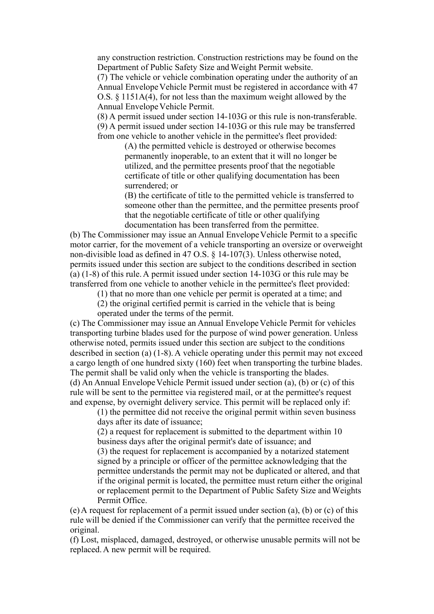any construction restriction. Construction restrictions may be found on the Department of Public Safety Size and Weight Permit website.

(7) The vehicle or vehicle combination operating under the authority of an Annual Envelope Vehicle Permit must be registered in accordance with 47 O.S. § 1151A(4), for not less than the maximum weight allowed by the Annual Envelope Vehicle Permit.

(8) A permit issued under section 14-103G or this rule is non-transferable. (9) A permit issued under section 14-103G or this rule may be transferred from one vehicle to another vehicle in the permittee's fleet provided:

> (A) the permitted vehicle is destroyed or otherwise becomes permanently inoperable, to an extent that it will no longer be utilized, and the permittee presents proof that the negotiable certificate of title or other qualifying documentation has been surrendered; or

(B) the certificate of title to the permitted vehicle is transferred to someone other than the permittee, and the permittee presents proof that the negotiable certificate of title or other qualifying documentation has been transferred from the permittee.

(b) The Commissioner may issue an Annual Envelope Vehicle Permit to a specific motor carrier, for the movement of a vehicle transporting an oversize or overweight non-divisible load as defined in 47 O.S. § 14-107(3). Unless otherwise noted, permits issued under this section are subject to the conditions described in section (a) (1-8) of this rule. A permit issued under section 14-103G or this rule may be transferred from one vehicle to another vehicle in the permittee's fleet provided:

(1) that no more than one vehicle per permit is operated at a time; and

(2) the original certified permit is carried in the vehicle that is being operated under the terms of the permit.

(c) The Commissioner may issue an Annual Envelope Vehicle Permit for vehicles transporting turbine blades used for the purpose of wind power generation. Unless otherwise noted, permits issued under this section are subject to the conditions described in section (a) (1-8). A vehicle operating under this permit may not exceed a cargo length of one hundred sixty (160) feet when transporting the turbine blades. The permit shall be valid only when the vehicle is transporting the blades. (d) An Annual Envelope Vehicle Permit issued under section (a), (b) or (c) of this rule will be sent to the permittee via registered mail, or at the permittee's request and expense, by overnight delivery service. This permit will be replaced only if:

(1) the permittee did not receive the original permit within seven business days after its date of issuance;

(2) a request for replacement is submitted to the department within 10 business days after the original permit's date of issuance; and

(3) the request for replacement is accompanied by a notarized statement signed by a principle or officer of the permittee acknowledging that the permittee understands the permit may not be duplicated or altered, and that if the original permit is located, the permittee must return either the original or replacement permit to the Department of Public Safety Size and Weights Permit Office.

(e) A request for replacement of a permit issued under section (a), (b) or (c) of this rule will be denied if the Commissioner can verify that the permittee received the original.

(f) Lost, misplaced, damaged, destroyed, or otherwise unusable permits will not be replaced. A new permit will be required.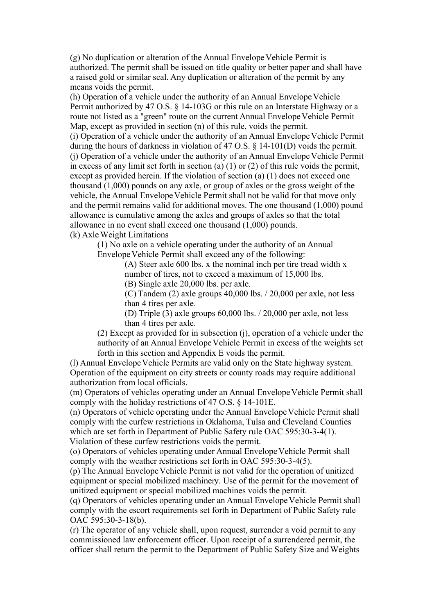(g) No duplication or alteration of the Annual Envelope Vehicle Permit is authorized. The permit shall be issued on title quality or better paper and shall have a raised gold or similar seal. Any duplication or alteration of the permit by any means voids the permit.

(h) Operation of a vehicle under the authority of an Annual Envelope Vehicle Permit authorized by 47 O.S. § 14-103G or this rule on an Interstate Highway or a route not listed as a "green" route on the current Annual Envelope Vehicle Permit Map, except as provided in section (n) of this rule, voids the permit.

(i) Operation of a vehicle under the authority of an Annual Envelope Vehicle Permit during the hours of darkness in violation of 47 O.S. § 14-101(D) voids the permit. (j) Operation of a vehicle under the authority of an Annual Envelope Vehicle Permit in excess of any limit set forth in section (a)  $(1)$  or  $(2)$  of this rule voids the permit, except as provided herein. If the violation of section (a) (1) does not exceed one thousand (1,000) pounds on any axle, or group of axles or the gross weight of the vehicle, the Annual Envelope Vehicle Permit shall not be valid for that move only and the permit remains valid for additional moves. The one thousand (1,000) pound allowance is cumulative among the axles and groups of axles so that the total allowance in no event shall exceed one thousand (1,000) pounds.

(k) Axle Weight Limitations

(1) No axle on a vehicle operating under the authority of an Annual Envelope Vehicle Permit shall exceed any of the following:

> (A) Steer axle 600 lbs. x the nominal inch per tire tread width x number of tires, not to exceed a maximum of 15,000 lbs.

(B) Single axle 20,000 lbs. per axle.

(C) Tandem (2) axle groups 40,000 lbs. / 20,000 per axle, not less than 4 tires per axle.

(D) Triple (3) axle groups 60,000 lbs. / 20,000 per axle, not less than 4 tires per axle.

(2) Except as provided for in subsection (j), operation of a vehicle under the authority of an Annual Envelope Vehicle Permit in excess of the weights set forth in this section and Appendix E voids the permit.

(l) Annual Envelope Vehicle Permits are valid only on the State highway system. Operation of the equipment on city streets or county roads may require additional authorization from local officials.

(m) Operators of vehicles operating under an Annual Envelope Vehicle Permit shall comply with the holiday restrictions of 47 O.S. § 14-101E.

(n) Operators of vehicle operating under the Annual Envelope Vehicle Permit shall comply with the curfew restrictions in Oklahoma, Tulsa and Cleveland Counties which are set forth in Department of Public Safety rule OAC 595:30-3-4(1). Violation of these curfew restrictions voids the permit.

(o) Operators of vehicles operating under Annual Envelope Vehicle Permit shall comply with the weather restrictions set forth in OAC 595:30-3-4(5).

(p) The Annual Envelope Vehicle Permit is not valid for the operation of unitized equipment or special mobilized machinery. Use of the permit for the movement of unitized equipment or special mobilized machines voids the permit.

(q) Operators of vehicles operating under an Annual Envelope Vehicle Permit shall comply with the escort requirements set forth in Department of Public Safety rule OAC 595:30-3-18(b).

(r) The operator of any vehicle shall, upon request, surrender a void permit to any commissioned law enforcement officer. Upon receipt of a surrendered permit, the officer shall return the permit to the Department of Public Safety Size and Weights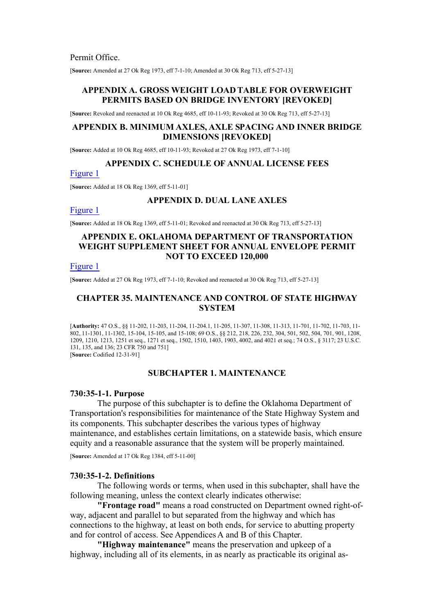Permit Office.

[**Source:** Amended at 27 Ok Reg 1973, eff 7-1-10; Amended at 30 Ok Reg 713, eff 5-27-13]

#### **APPENDIX A. GROSS WEIGHT LOAD TABLE FOR OVERWEIGHT PERMITS BASED ON BRIDGE INVENTORY [REVOKED]**

[**Source:** Revoked and reenacted at 10 Ok Reg 4685, eff 10-11-93; Revoked at 30 Ok Reg 713, eff 5-27-13]

#### **APPENDIX B. MINIMUM AXLES, AXLE SPACING AND INNER BRIDGE DIMENSIONS [REVOKED]**

[**Source:** Added at 10 Ok Reg 4685, eff 10-11-93; Revoked at 27 Ok Reg 1973, eff 7-1-10]

### **APPENDIX C. SCHEDULE OF ANNUAL LICENSE FEES**

[Figure 1](https://oklahomarules.blob.core.windows.net/appendix-figures/730_30c1.tif)

[**Source:** Added at 18 Ok Reg 1369, eff 5-11-01]

### **APPENDIX D. DUAL LANE AXLES**

[Figure 1](https://oklahomarules.blob.core.windows.net/appendix-figures/730_30D1.tif)

[**Source:** Added at 18 Ok Reg 1369, eff 5-11-01; Revoked and reenacted at 30 Ok Reg 713, eff 5-27-13]

## **APPENDIX E. OKLAHOMA DEPARTMENT OF TRANSPORTATION WEIGHT SUPPLEMENT SHEET FOR ANNUAL ENVELOPE PERMIT NOT TO EXCEED 120,000**

### [Figure 1](https://oklahomarules.blob.core.windows.net/appendix-figures/730_30E1.tif)

[**Source:** Added at 27 Ok Reg 1973, eff 7-1-10; Revoked and reenacted at 30 Ok Reg 713, eff 5-27-13]

### **CHAPTER 35. MAINTENANCE AND CONTROL OF STATE HIGHWAY SYSTEM**

[**Authority:** 47 O.S., §§ 11-202, 11-203, 11-204, 11-204.1, 11-205, 11-307, 11-308, 11-313, 11-701, 11-702, 11-703, 11- 802, 11-1301, 11-1302, 15-104, 15-105, and 15-108; 69 O.S., §§ 212, 218, 226, 232, 304, 501, 502, 504, 701, 901, 1208, 1209, 1210, 1213, 1251 et seq., 1271 et seq., 1502, 1510, 1403, 1903, 4002, and 4021 et seq.; 74 O.S., § 3117; 23 U.S.C. 131, 135, and 136; 23 CFR 750 and 751] [**Source:** Codified 12-31-91]

### **SUBCHAPTER 1. MAINTENANCE**

#### **730:35-1-1. Purpose**

The purpose of this subchapter is to define the Oklahoma Department of Transportation's responsibilities for maintenance of the State Highway System and its components. This subchapter describes the various types of highway maintenance, and establishes certain limitations, on a statewide basis, which ensure equity and a reasonable assurance that the system will be properly maintained.

[**Source:** Amended at 17 Ok Reg 1384, eff 5-11-00]

#### **730:35-1-2. Definitions**

The following words or terms, when used in this subchapter, shall have the following meaning, unless the context clearly indicates otherwise:

**"Frontage road"** means a road constructed on Department owned right-ofway, adjacent and parallel to but separated from the highway and which has connections to the highway, at least on both ends, for service to abutting property and for control of access. See Appendices A and B of this Chapter.

**"Highway maintenance"** means the preservation and upkeep of a highway, including all of its elements, in as nearly as practicable its original as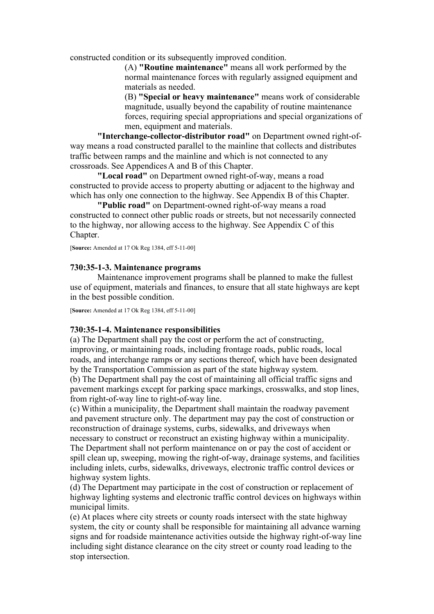constructed condition or its subsequently improved condition.

(A) **"Routine maintenance"** means all work performed by the normal maintenance forces with regularly assigned equipment and materials as needed.

(B) **"Special or heavy maintenance"** means work of considerable magnitude, usually beyond the capability of routine maintenance forces, requiring special appropriations and special organizations of men, equipment and materials.

**"Interchange-collector-distributor road"** on Department owned right-ofway means a road constructed parallel to the mainline that collects and distributes traffic between ramps and the mainline and which is not connected to any crossroads. See Appendices A and B of this Chapter.

**"Local road"** on Department owned right-of-way, means a road constructed to provide access to property abutting or adjacent to the highway and which has only one connection to the highway. See Appendix B of this Chapter.

**"Public road"** on Department-owned right-of-way means a road constructed to connect other public roads or streets, but not necessarily connected to the highway, nor allowing access to the highway. See Appendix C of this Chapter.

[**Source:** Amended at 17 Ok Reg 1384, eff 5-11-00]

### **730:35-1-3. Maintenance programs**

Maintenance improvement programs shall be planned to make the fullest use of equipment, materials and finances, to ensure that all state highways are kept in the best possible condition.

[**Source:** Amended at 17 Ok Reg 1384, eff 5-11-00]

### **730:35-1-4. Maintenance responsibilities**

(a) The Department shall pay the cost or perform the act of constructing, improving, or maintaining roads, including frontage roads, public roads, local roads, and interchange ramps or any sections thereof, which have been designated by the Transportation Commission as part of the state highway system.

(b) The Department shall pay the cost of maintaining all official traffic signs and pavement markings except for parking space markings, crosswalks, and stop lines, from right-of-way line to right-of-way line.

(c) Within a municipality, the Department shall maintain the roadway pavement and pavement structure only. The department may pay the cost of construction or reconstruction of drainage systems, curbs, sidewalks, and driveways when necessary to construct or reconstruct an existing highway within a municipality. The Department shall not perform maintenance on or pay the cost of accident or spill clean up, sweeping, mowing the right-of-way, drainage systems, and facilities including inlets, curbs, sidewalks, driveways, electronic traffic control devices or highway system lights.

(d) The Department may participate in the cost of construction or replacement of highway lighting systems and electronic traffic control devices on highways within municipal limits.

(e) At places where city streets or county roads intersect with the state highway system, the city or county shall be responsible for maintaining all advance warning signs and for roadside maintenance activities outside the highway right-of-way line including sight distance clearance on the city street or county road leading to the stop intersection.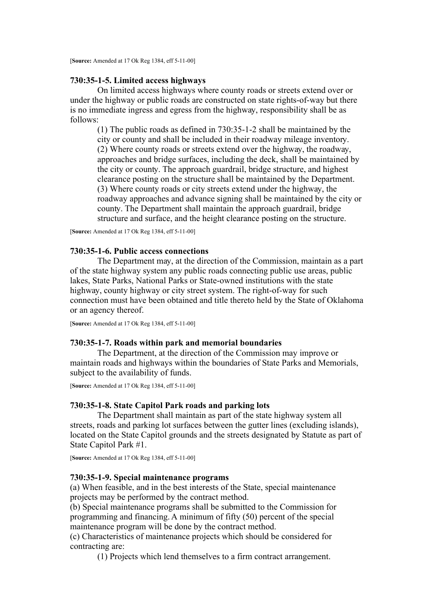## **730:35-1-5. Limited access highways**

On limited access highways where county roads or streets extend over or under the highway or public roads are constructed on state rights-of-way but there is no immediate ingress and egress from the highway, responsibility shall be as follows:

(1) The public roads as defined in 730:35-1-2 shall be maintained by the city or county and shall be included in their roadway mileage inventory. (2) Where county roads or streets extend over the highway, the roadway, approaches and bridge surfaces, including the deck, shall be maintained by the city or county. The approach guardrail, bridge structure, and highest clearance posting on the structure shall be maintained by the Department. (3) Where county roads or city streets extend under the highway, the roadway approaches and advance signing shall be maintained by the city or county. The Department shall maintain the approach guardrail, bridge structure and surface, and the height clearance posting on the structure.

[**Source:** Amended at 17 Ok Reg 1384, eff 5-11-00]

## **730:35-1-6. Public access connections**

The Department may, at the direction of the Commission, maintain as a part of the state highway system any public roads connecting public use areas, public lakes, State Parks, National Parks or State-owned institutions with the state highway, county highway or city street system. The right-of-way for such connection must have been obtained and title thereto held by the State of Oklahoma or an agency thereof.

[**Source:** Amended at 17 Ok Reg 1384, eff 5-11-00]

#### **730:35-1-7. Roads within park and memorial boundaries**

The Department, at the direction of the Commission may improve or maintain roads and highways within the boundaries of State Parks and Memorials, subject to the availability of funds.

[**Source:** Amended at 17 Ok Reg 1384, eff 5-11-00]

#### **730:35-1-8. State Capitol Park roads and parking lots**

The Department shall maintain as part of the state highway system all streets, roads and parking lot surfaces between the gutter lines (excluding islands), located on the State Capitol grounds and the streets designated by Statute as part of State Capitol Park #1.

[**Source:** Amended at 17 Ok Reg 1384, eff 5-11-00]

#### **730:35-1-9. Special maintenance programs**

(a) When feasible, and in the best interests of the State, special maintenance projects may be performed by the contract method.

(b) Special maintenance programs shall be submitted to the Commission for programming and financing. A minimum of fifty (50) percent of the special maintenance program will be done by the contract method.

(c) Characteristics of maintenance projects which should be considered for contracting are:

(1) Projects which lend themselves to a firm contract arrangement.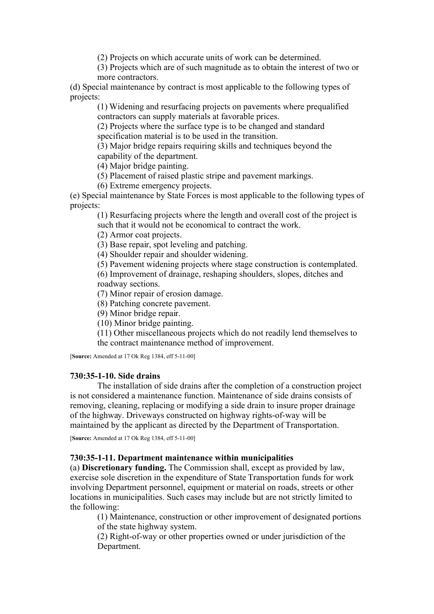(2) Projects on which accurate units of work can be determined.

(3) Projects which are of such magnitude as to obtain the interest of two or more contractors.

(d) Special maintenance by contract is most applicable to the following types of projects:

(1) Widening and resurfacing projects on pavements where prequalified contractors can supply materials at favorable prices.

(2) Projects where the surface type is to be changed and standard specification material is to be used in the transition.

(3) Major bridge repairs requiring skills and techniques beyond the capability of the department.

(4) Major bridge painting.

(5) Placement of raised plastic stripe and pavement markings.

(6) Extreme emergency projects.

(e) Special maintenance by State Forces is most applicable to the following types of projects:

(1) Resurfacing projects where the length and overall cost of the project is such that it would not be economical to contract the work.

(2) Armor coat projects.

(3) Base repair, spot leveling and patching.

(4) Shoulder repair and shoulder widening.

(5) Pavement widening projects where stage construction is contemplated.

(6) Improvement of drainage, reshaping shoulders, slopes, ditches and roadway sections.

(7) Minor repair of erosion damage.

(8) Patching concrete pavement.

(9) Minor bridge repair.

(10) Minor bridge painting.

(11) Other miscellaneous projects which do not readily lend themselves to the contract maintenance method of improvement.

[**Source:** Amended at 17 Ok Reg 1384, eff 5-11-00]

### **730:35-1-10. Side drains**

The installation of side drains after the completion of a construction project is not considered a maintenance function. Maintenance of side drains consists of removing, cleaning, replacing or modifying a side drain to insure proper drainage of the highway. Driveways constructed on highway rights-of-way will be maintained by the applicant as directed by the Department of Transportation.

[**Source:** Amended at 17 Ok Reg 1384, eff 5-11-00]

### **730:35-1-11. Department maintenance within municipalities**

(a) **Discretionary funding.** The Commission shall, except as provided by law, exercise sole discretion in the expenditure of State Transportation funds for work involving Department personnel, equipment or material on roads, streets or other locations in municipalities. Such cases may include but are not strictly limited to the following:

(1) Maintenance, construction or other improvement of designated portions of the state highway system.

(2) Right-of-way or other properties owned or under jurisdiction of the Department.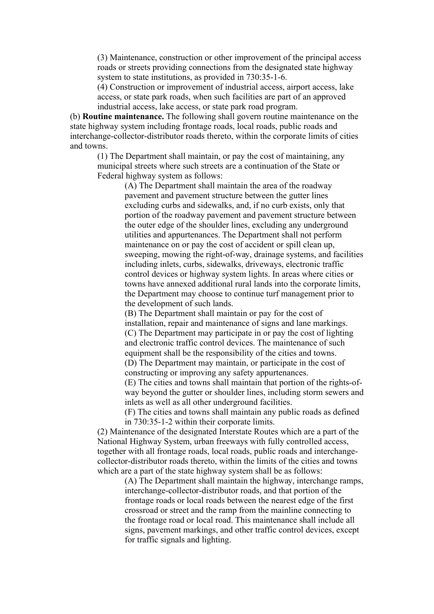(3) Maintenance, construction or other improvement of the principal access roads or streets providing connections from the designated state highway system to state institutions, as provided in 730:35-1-6.

(4) Construction or improvement of industrial access, airport access, lake access, or state park roads, when such facilities are part of an approved industrial access, lake access, or state park road program.

(b) **Routine maintenance.** The following shall govern routine maintenance on the state highway system including frontage roads, local roads, public roads and interchange-collector-distributor roads thereto, within the corporate limits of cities and towns.

(1) The Department shall maintain, or pay the cost of maintaining, any municipal streets where such streets are a continuation of the State or Federal highway system as follows:

> (A) The Department shall maintain the area of the roadway pavement and pavement structure between the gutter lines excluding curbs and sidewalks, and, if no curb exists, only that portion of the roadway pavement and pavement structure between the outer edge of the shoulder lines, excluding any underground utilities and appurtenances. The Department shall not perform maintenance on or pay the cost of accident or spill clean up, sweeping, mowing the right-of-way, drainage systems, and facilities including inlets, curbs, sidewalks, driveways, electronic traffic control devices or highway system lights. In areas where cities or towns have annexed additional rural lands into the corporate limits, the Department may choose to continue turf management prior to the development of such lands.

(B) The Department shall maintain or pay for the cost of installation, repair and maintenance of signs and lane markings. (C) The Department may participate in or pay the cost of lighting and electronic traffic control devices. The maintenance of such equipment shall be the responsibility of the cities and towns.

(D) The Department may maintain, or participate in the cost of constructing or improving any safety appurtenances.

(E) The cities and towns shall maintain that portion of the rights-ofway beyond the gutter or shoulder lines, including storm sewers and inlets as well as all other underground facilities.

(F) The cities and towns shall maintain any public roads as defined in 730:35-1-2 within their corporate limits.

(2) Maintenance of the designated Interstate Routes which are a part of the National Highway System, urban freeways with fully controlled access, together with all frontage roads, local roads, public roads and interchangecollector-distributor roads thereto, within the limits of the cities and towns which are a part of the state highway system shall be as follows:

> (A) The Department shall maintain the highway, interchange ramps, interchange-collector-distributor roads, and that portion of the frontage roads or local roads between the nearest edge of the first crossroad or street and the ramp from the mainline connecting to the frontage road or local road. This maintenance shall include all signs, pavement markings, and other traffic control devices, except for traffic signals and lighting.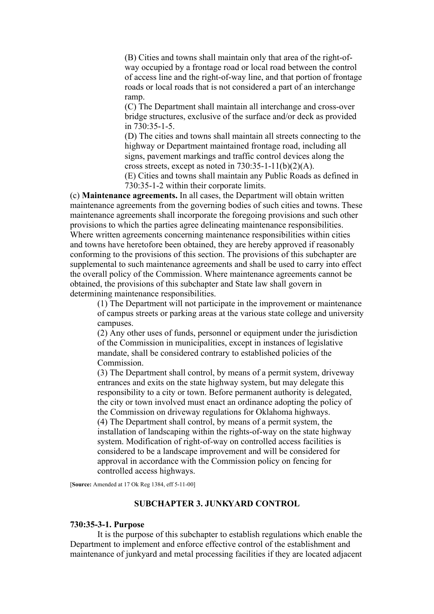(B) Cities and towns shall maintain only that area of the right-ofway occupied by a frontage road or local road between the control of access line and the right-of-way line, and that portion of frontage roads or local roads that is not considered a part of an interchange ramp.

(C) The Department shall maintain all interchange and cross-over bridge structures, exclusive of the surface and/or deck as provided in 730:35-1-5.

(D) The cities and towns shall maintain all streets connecting to the highway or Department maintained frontage road, including all signs, pavement markings and traffic control devices along the cross streets, except as noted in  $730:35-1-11(b)(2)(A)$ .

(E) Cities and towns shall maintain any Public Roads as defined in 730:35-1-2 within their corporate limits.

(c) **Maintenance agreements.** In all cases, the Department will obtain written maintenance agreements from the governing bodies of such cities and towns. These maintenance agreements shall incorporate the foregoing provisions and such other provisions to which the parties agree delineating maintenance responsibilities. Where written agreements concerning maintenance responsibilities within cities and towns have heretofore been obtained, they are hereby approved if reasonably conforming to the provisions of this section. The provisions of this subchapter are supplemental to such maintenance agreements and shall be used to carry into effect the overall policy of the Commission. Where maintenance agreements cannot be obtained, the provisions of this subchapter and State law shall govern in determining maintenance responsibilities.

(1) The Department will not participate in the improvement or maintenance of campus streets or parking areas at the various state college and university campuses.

(2) Any other uses of funds, personnel or equipment under the jurisdiction of the Commission in municipalities, except in instances of legislative mandate, shall be considered contrary to established policies of the Commission.

(3) The Department shall control, by means of a permit system, driveway entrances and exits on the state highway system, but may delegate this responsibility to a city or town. Before permanent authority is delegated, the city or town involved must enact an ordinance adopting the policy of the Commission on driveway regulations for Oklahoma highways. (4) The Department shall control, by means of a permit system, the installation of landscaping within the rights-of-way on the state highway system. Modification of right-of-way on controlled access facilities is considered to be a landscape improvement and will be considered for approval in accordance with the Commission policy on fencing for controlled access highways.

[**Source:** Amended at 17 Ok Reg 1384, eff 5-11-00]

### **SUBCHAPTER 3. JUNKYARD CONTROL**

### **730:35-3-1. Purpose**

It is the purpose of this subchapter to establish regulations which enable the Department to implement and enforce effective control of the establishment and maintenance of junkyard and metal processing facilities if they are located adjacent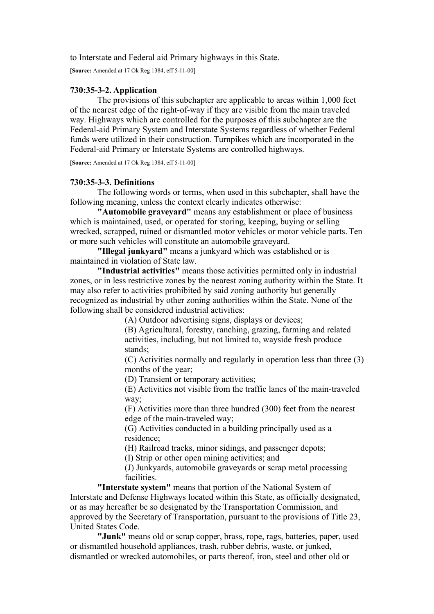to Interstate and Federal aid Primary highways in this State.

[**Source:** Amended at 17 Ok Reg 1384, eff 5-11-00]

### **730:35-3-2. Application**

The provisions of this subchapter are applicable to areas within 1,000 feet of the nearest edge of the right-of-way if they are visible from the main traveled way. Highways which are controlled for the purposes of this subchapter are the Federal-aid Primary System and Interstate Systems regardless of whether Federal funds were utilized in their construction. Turnpikes which are incorporated in the Federal-aid Primary or Interstate Systems are controlled highways.

[**Source:** Amended at 17 Ok Reg 1384, eff 5-11-00]

### **730:35-3-3. Definitions**

The following words or terms, when used in this subchapter, shall have the following meaning, unless the context clearly indicates otherwise:

**"Automobile graveyard"** means any establishment or place of business which is maintained, used, or operated for storing, keeping, buying or selling wrecked, scrapped, ruined or dismantled motor vehicles or motor vehicle parts. Ten or more such vehicles will constitute an automobile graveyard.

**"Illegal junkyard"** means a junkyard which was established or is maintained in violation of State law.

**"Industrial activities"** means those activities permitted only in industrial zones, or in less restrictive zones by the nearest zoning authority within the State. It may also refer to activities prohibited by said zoning authority but generally recognized as industrial by other zoning authorities within the State. None of the following shall be considered industrial activities:

(A) Outdoor advertising signs, displays or devices;

(B) Agricultural, forestry, ranching, grazing, farming and related activities, including, but not limited to, wayside fresh produce stands;

(C) Activities normally and regularly in operation less than three (3) months of the year;

(D) Transient or temporary activities;

(E) Activities not visible from the traffic lanes of the main-traveled way;

(F) Activities more than three hundred (300) feet from the nearest edge of the main-traveled way;

(G) Activities conducted in a building principally used as a residence;

(H) Railroad tracks, minor sidings, and passenger depots;

(I) Strip or other open mining activities; and

(J) Junkyards, automobile graveyards or scrap metal processing facilities.

**"Interstate system"** means that portion of the National System of Interstate and Defense Highways located within this State, as officially designated, or as may hereafter be so designated by the Transportation Commission, and approved by the Secretary of Transportation, pursuant to the provisions of Title 23, United States Code.

**"Junk"** means old or scrap copper, brass, rope, rags, batteries, paper, used or dismantled household appliances, trash, rubber debris, waste, or junked, dismantled or wrecked automobiles, or parts thereof, iron, steel and other old or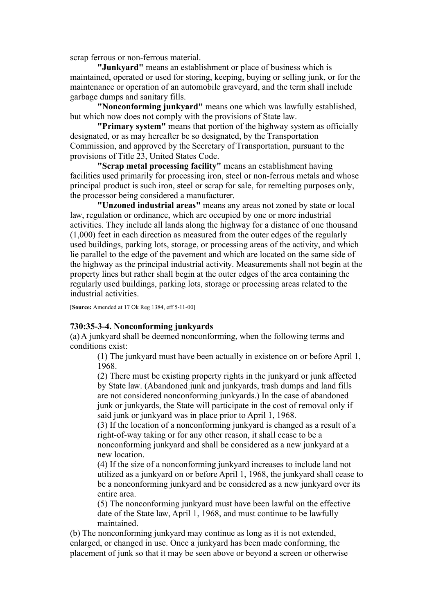scrap ferrous or non-ferrous material.

**"Junkyard"** means an establishment or place of business which is maintained, operated or used for storing, keeping, buying or selling junk, or for the maintenance or operation of an automobile graveyard, and the term shall include garbage dumps and sanitary fills.

**"Nonconforming junkyard"** means one which was lawfully established, but which now does not comply with the provisions of State law.

**"Primary system"** means that portion of the highway system as officially designated, or as may hereafter be so designated, by the Transportation Commission, and approved by the Secretary of Transportation, pursuant to the provisions of Title 23, United States Code.

**"Scrap metal processing facility"** means an establishment having facilities used primarily for processing iron, steel or non-ferrous metals and whose principal product is such iron, steel or scrap for sale, for remelting purposes only, the processor being considered a manufacturer.

**"Unzoned industrial areas"** means any areas not zoned by state or local law, regulation or ordinance, which are occupied by one or more industrial activities. They include all lands along the highway for a distance of one thousand (1,000) feet in each direction as measured from the outer edges of the regularly used buildings, parking lots, storage, or processing areas of the activity, and which lie parallel to the edge of the pavement and which are located on the same side of the highway as the principal industrial activity. Measurements shall not begin at the property lines but rather shall begin at the outer edges of the area containing the regularly used buildings, parking lots, storage or processing areas related to the industrial activities.

[**Source:** Amended at 17 Ok Reg 1384, eff 5-11-00]

### **730:35-3-4. Nonconforming junkyards**

(a) A junkyard shall be deemed nonconforming, when the following terms and conditions exist:

(1) The junkyard must have been actually in existence on or before April 1, 1968.

(2) There must be existing property rights in the junkyard or junk affected by State law. (Abandoned junk and junkyards, trash dumps and land fills are not considered nonconforming junkyards.) In the case of abandoned junk or junkyards, the State will participate in the cost of removal only if said junk or junkyard was in place prior to April 1, 1968.

(3) If the location of a nonconforming junkyard is changed as a result of a right-of-way taking or for any other reason, it shall cease to be a nonconforming junkyard and shall be considered as a new junkyard at a new location.

(4) If the size of a nonconforming junkyard increases to include land not utilized as a junkyard on or before April 1, 1968, the junkyard shall cease to be a nonconforming junkyard and be considered as a new junkyard over its entire area.

(5) The nonconforming junkyard must have been lawful on the effective date of the State law, April 1, 1968, and must continue to be lawfully maintained.

(b) The nonconforming junkyard may continue as long as it is not extended, enlarged, or changed in use. Once a junkyard has been made conforming, the placement of junk so that it may be seen above or beyond a screen or otherwise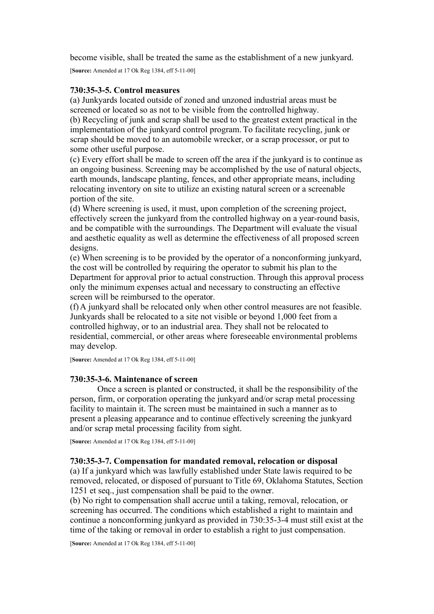become visible, shall be treated the same as the establishment of a new junkyard.

[**Source:** Amended at 17 Ok Reg 1384, eff 5-11-00]

## **730:35-3-5. Control measures**

(a) Junkyards located outside of zoned and unzoned industrial areas must be screened or located so as not to be visible from the controlled highway.

(b) Recycling of junk and scrap shall be used to the greatest extent practical in the implementation of the junkyard control program. To facilitate recycling, junk or scrap should be moved to an automobile wrecker, or a scrap processor, or put to some other useful purpose.

(c) Every effort shall be made to screen off the area if the junkyard is to continue as an ongoing business. Screening may be accomplished by the use of natural objects, earth mounds, landscape planting, fences, and other appropriate means, including relocating inventory on site to utilize an existing natural screen or a screenable portion of the site.

(d) Where screening is used, it must, upon completion of the screening project, effectively screen the junkyard from the controlled highway on a year-round basis, and be compatible with the surroundings. The Department will evaluate the visual and aesthetic equality as well as determine the effectiveness of all proposed screen designs.

(e) When screening is to be provided by the operator of a nonconforming junkyard, the cost will be controlled by requiring the operator to submit his plan to the Department for approval prior to actual construction. Through this approval process only the minimum expenses actual and necessary to constructing an effective screen will be reimbursed to the operator.

(f) A junkyard shall be relocated only when other control measures are not feasible. Junkyards shall be relocated to a site not visible or beyond 1,000 feet from a controlled highway, or to an industrial area. They shall not be relocated to residential, commercial, or other areas where foreseeable environmental problems may develop.

[**Source:** Amended at 17 Ok Reg 1384, eff 5-11-00]

## **730:35-3-6. Maintenance of screen**

Once a screen is planted or constructed, it shall be the responsibility of the person, firm, or corporation operating the junkyard and/or scrap metal processing facility to maintain it. The screen must be maintained in such a manner as to present a pleasing appearance and to continue effectively screening the junkyard and/or scrap metal processing facility from sight.

[**Source:** Amended at 17 Ok Reg 1384, eff 5-11-00]

### **730:35-3-7. Compensation for mandated removal, relocation or disposal**

(a) If a junkyard which was lawfully established under State lawis required to be removed, relocated, or disposed of pursuant to Title 69, Oklahoma Statutes, Section 1251 et seq., just compensation shall be paid to the owner.

(b) No right to compensation shall accrue until a taking, removal, relocation, or screening has occurred. The conditions which established a right to maintain and continue a nonconforming junkyard as provided in 730:35-3-4 must still exist at the time of the taking or removal in order to establish a right to just compensation.

[**Source:** Amended at 17 Ok Reg 1384, eff 5-11-00]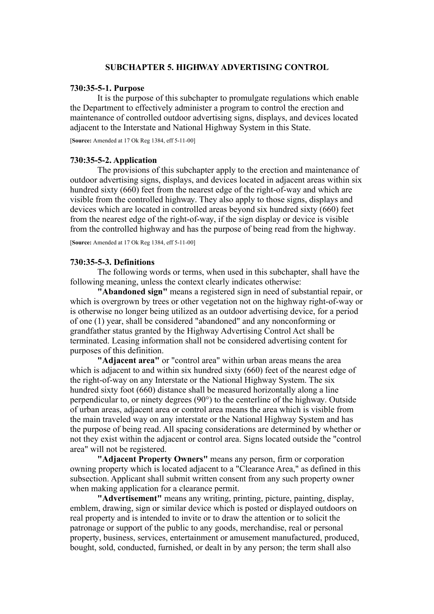### **SUBCHAPTER 5. HIGHWAY ADVERTISING CONTROL**

#### **730:35-5-1. Purpose**

It is the purpose of this subchapter to promulgate regulations which enable the Department to effectively administer a program to control the erection and maintenance of controlled outdoor advertising signs, displays, and devices located adjacent to the Interstate and National Highway System in this State.

[**Source:** Amended at 17 Ok Reg 1384, eff 5-11-00]

#### **730:35-5-2. Application**

The provisions of this subchapter apply to the erection and maintenance of outdoor advertising signs, displays, and devices located in adjacent areas within six hundred sixty (660) feet from the nearest edge of the right-of-way and which are visible from the controlled highway. They also apply to those signs, displays and devices which are located in controlled areas beyond six hundred sixty (660) feet from the nearest edge of the right-of-way, if the sign display or device is visible from the controlled highway and has the purpose of being read from the highway.

[**Source:** Amended at 17 Ok Reg 1384, eff 5-11-00]

#### **730:35-5-3. Definitions**

The following words or terms, when used in this subchapter, shall have the following meaning, unless the context clearly indicates otherwise:

**"Abandoned sign"** means a registered sign in need of substantial repair, or which is overgrown by trees or other vegetation not on the highway right-of-way or is otherwise no longer being utilized as an outdoor advertising device, for a period of one (1) year, shall be considered "abandoned" and any nonconforming or grandfather status granted by the Highway Advertising Control Act shall be terminated. Leasing information shall not be considered advertising content for purposes of this definition.

**"Adjacent area"** or "control area" within urban areas means the area which is adjacent to and within six hundred sixty (660) feet of the nearest edge of the right-of-way on any Interstate or the National Highway System. The six hundred sixty foot (660) distance shall be measured horizontally along a line perpendicular to, or ninety degrees (90°) to the centerline of the highway. Outside of urban areas, adjacent area or control area means the area which is visible from the main traveled way on any interstate or the National Highway System and has the purpose of being read. All spacing considerations are determined by whether or not they exist within the adjacent or control area. Signs located outside the "control area" will not be registered.

**"Adjacent Property Owners"** means any person, firm or corporation owning property which is located adjacent to a "Clearance Area," as defined in this subsection. Applicant shall submit written consent from any such property owner when making application for a clearance permit.

**"Advertisement"** means any writing, printing, picture, painting, display, emblem, drawing, sign or similar device which is posted or displayed outdoors on real property and is intended to invite or to draw the attention or to solicit the patronage or support of the public to any goods, merchandise, real or personal property, business, services, entertainment or amusement manufactured, produced, bought, sold, conducted, furnished, or dealt in by any person; the term shall also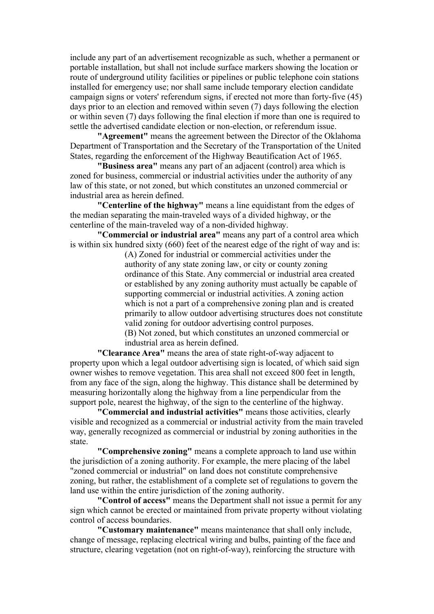include any part of an advertisement recognizable as such, whether a permanent or portable installation, but shall not include surface markers showing the location or route of underground utility facilities or pipelines or public telephone coin stations installed for emergency use; nor shall same include temporary election candidate campaign signs or voters' referendum signs, if erected not more than forty-five (45) days prior to an election and removed within seven (7) days following the election or within seven (7) days following the final election if more than one is required to settle the advertised candidate election or non-election, or referendum issue.

**"Agreement"** means the agreement between the Director of the Oklahoma Department of Transportation and the Secretary of the Transportation of the United States, regarding the enforcement of the Highway Beautification Act of 1965.

**"Business area"** means any part of an adjacent (control) area which is zoned for business, commercial or industrial activities under the authority of any law of this state, or not zoned, but which constitutes an unzoned commercial or industrial area as herein defined.

**"Centerline of the highway"** means a line equidistant from the edges of the median separating the main-traveled ways of a divided highway, or the centerline of the main-traveled way of a non-divided highway.

**"Commercial or industrial area"** means any part of a control area which is within six hundred sixty (660) feet of the nearest edge of the right of way and is:

> (A) Zoned for industrial or commercial activities under the authority of any state zoning law, or city or county zoning ordinance of this State. Any commercial or industrial area created or established by any zoning authority must actually be capable of supporting commercial or industrial activities. A zoning action which is not a part of a comprehensive zoning plan and is created primarily to allow outdoor advertising structures does not constitute valid zoning for outdoor advertising control purposes. (B) Not zoned, but which constitutes an unzoned commercial or

industrial area as herein defined.

**"Clearance Area"** means the area of state right-of-way adjacent to property upon which a legal outdoor advertising sign is located, of which said sign owner wishes to remove vegetation. This area shall not exceed 800 feet in length, from any face of the sign, along the highway. This distance shall be determined by measuring horizontally along the highway from a line perpendicular from the support pole, nearest the highway, of the sign to the centerline of the highway.

**"Commercial and industrial activities"** means those activities, clearly visible and recognized as a commercial or industrial activity from the main traveled way, generally recognized as commercial or industrial by zoning authorities in the state.

**"Comprehensive zoning"** means a complete approach to land use within the jurisdiction of a zoning authority. For example, the mere placing of the label "zoned commercial or industrial" on land does not constitute comprehensive zoning, but rather, the establishment of a complete set of regulations to govern the land use within the entire jurisdiction of the zoning authority.

**"Control of access"** means the Department shall not issue a permit for any sign which cannot be erected or maintained from private property without violating control of access boundaries.

**"Customary maintenance"** means maintenance that shall only include, change of message, replacing electrical wiring and bulbs, painting of the face and structure, clearing vegetation (not on right-of-way), reinforcing the structure with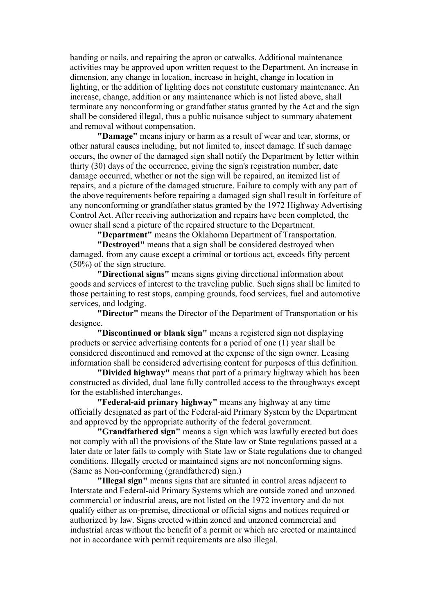banding or nails, and repairing the apron or catwalks. Additional maintenance activities may be approved upon written request to the Department. An increase in dimension, any change in location, increase in height, change in location in lighting, or the addition of lighting does not constitute customary maintenance. An increase, change, addition or any maintenance which is not listed above, shall terminate any nonconforming or grandfather status granted by the Act and the sign shall be considered illegal, thus a public nuisance subject to summary abatement and removal without compensation.

**"Damage"** means injury or harm as a result of wear and tear, storms, or other natural causes including, but not limited to, insect damage. If such damage occurs, the owner of the damaged sign shall notify the Department by letter within thirty (30) days of the occurrence, giving the sign's registration number, date damage occurred, whether or not the sign will be repaired, an itemized list of repairs, and a picture of the damaged structure. Failure to comply with any part of the above requirements before repairing a damaged sign shall result in forfeiture of any nonconforming or grandfather status granted by the 1972 Highway Advertising Control Act. After receiving authorization and repairs have been completed, the owner shall send a picture of the repaired structure to the Department.

**"Department"** means the Oklahoma Department of Transportation.

**"Destroyed"** means that a sign shall be considered destroyed when damaged, from any cause except a criminal or tortious act, exceeds fifty percent (50%) of the sign structure.

**"Directional signs"** means signs giving directional information about goods and services of interest to the traveling public. Such signs shall be limited to those pertaining to rest stops, camping grounds, food services, fuel and automotive services, and lodging.

**"Director"** means the Director of the Department of Transportation or his designee.

**"Discontinued or blank sign"** means a registered sign not displaying products or service advertising contents for a period of one (1) year shall be considered discontinued and removed at the expense of the sign owner. Leasing information shall be considered advertising content for purposes of this definition.

**"Divided highway"** means that part of a primary highway which has been constructed as divided, dual lane fully controlled access to the throughways except for the established interchanges.

**"Federal-aid primary highway"** means any highway at any time officially designated as part of the Federal-aid Primary System by the Department and approved by the appropriate authority of the federal government.

**"Grandfathered sign"** means a sign which was lawfully erected but does not comply with all the provisions of the State law or State regulations passed at a later date or later fails to comply with State law or State regulations due to changed conditions. Illegally erected or maintained signs are not nonconforming signs. (Same as Non-conforming (grandfathered) sign.)

**"Illegal sign"** means signs that are situated in control areas adjacent to Interstate and Federal-aid Primary Systems which are outside zoned and unzoned commercial or industrial areas, are not listed on the 1972 inventory and do not qualify either as on-premise, directional or official signs and notices required or authorized by law. Signs erected within zoned and unzoned commercial and industrial areas without the benefit of a permit or which are erected or maintained not in accordance with permit requirements are also illegal.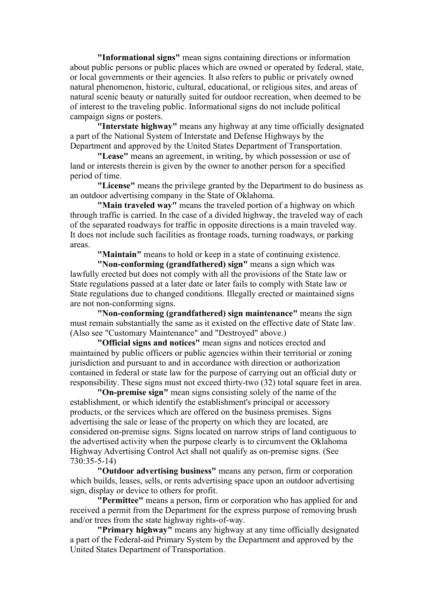**"Informational signs"** mean signs containing directions or information about public persons or public places which are owned or operated by federal, state, or local governments or their agencies. It also refers to public or privately owned natural phenomenon, historic, cultural, educational, or religious sites, and areas of natural scenic beauty or naturally suited for outdoor recreation, when deemed to be of interest to the traveling public. Informational signs do not include political campaign signs or posters.

**"Interstate highway"** means any highway at any time officially designated a part of the National System of Interstate and Defense Highways by the Department and approved by the United States Department of Transportation.

**"Lease"** means an agreement, in writing, by which possession or use of land or interests therein is given by the owner to another person for a specified period of time.

**"License"** means the privilege granted by the Department to do business as an outdoor advertising company in the State of Oklahoma.

**"Main traveled way"** means the traveled portion of a highway on which through traffic is carried. In the case of a divided highway, the traveled way of each of the separated roadways for traffic in opposite directions is a main traveled way. It does not include such facilities as frontage roads, turning roadways, or parking areas.

**"Maintain"** means to hold or keep in a state of continuing existence.

**"Non-conforming (grandfathered) sign"** means a sign which was lawfully erected but does not comply with all the provisions of the State law or State regulations passed at a later date or later fails to comply with State law or State regulations due to changed conditions. Illegally erected or maintained signs are not non-conforming signs.

**"Non-conforming (grandfathered) sign maintenance"** means the sign must remain substantially the same as it existed on the effective date of State law. (Also see "Customary Maintenance" and "Destroyed" above.)

**"Official signs and notices"** mean signs and notices erected and maintained by public officers or public agencies within their territorial or zoning jurisdiction and pursuant to and in accordance with direction or authorization contained in federal or state law for the purpose of carrying out an official duty or responsibility. These signs must not exceed thirty-two (32) total square feet in area.

**"On-premise sign"** mean signs consisting solely of the name of the establishment, or which identify the establishment's principal or accessory products, or the services which are offered on the business premises. Signs advertising the sale or lease of the property on which they are located, are considered on-premise signs. Signs located on narrow strips of land contiguous to the advertised activity when the purpose clearly is to circumvent the Oklahoma Highway Advertising Control Act shall not qualify as on-premise signs. (See 730:35-5-14)

**"Outdoor advertising business"** means any person, firm or corporation which builds, leases, sells, or rents advertising space upon an outdoor advertising sign, display or device to others for profit.

**"Permittee"** means a person, firm or corporation who has applied for and received a permit from the Department for the express purpose of removing brush and/or trees from the state highway rights-of-way.

**"Primary highway"** means any highway at any time officially designated a part of the Federal-aid Primary System by the Department and approved by the United States Department of Transportation.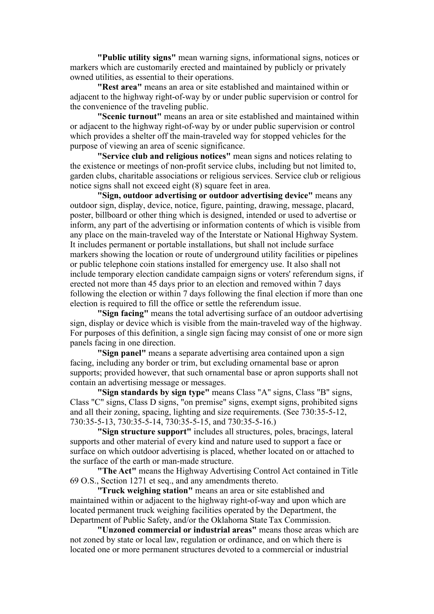**"Public utility signs"** mean warning signs, informational signs, notices or markers which are customarily erected and maintained by publicly or privately owned utilities, as essential to their operations.

**"Rest area"** means an area or site established and maintained within or adjacent to the highway right-of-way by or under public supervision or control for the convenience of the traveling public.

**"Scenic turnout"** means an area or site established and maintained within or adjacent to the highway right-of-way by or under public supervision or control which provides a shelter off the main-traveled way for stopped vehicles for the purpose of viewing an area of scenic significance.

**"Service club and religious notices"** mean signs and notices relating to the existence or meetings of non-profit service clubs, including but not limited to, garden clubs, charitable associations or religious services. Service club or religious notice signs shall not exceed eight (8) square feet in area.

**"Sign, outdoor advertising or outdoor advertising device"** means any outdoor sign, display, device, notice, figure, painting, drawing, message, placard, poster, billboard or other thing which is designed, intended or used to advertise or inform, any part of the advertising or information contents of which is visible from any place on the main-traveled way of the Interstate or National Highway System. It includes permanent or portable installations, but shall not include surface markers showing the location or route of underground utility facilities or pipelines or public telephone coin stations installed for emergency use. It also shall not include temporary election candidate campaign signs or voters' referendum signs, if erected not more than 45 days prior to an election and removed within 7 days following the election or within 7 days following the final election if more than one election is required to fill the office or settle the referendum issue.

**"Sign facing"** means the total advertising surface of an outdoor advertising sign, display or device which is visible from the main-traveled way of the highway. For purposes of this definition, a single sign facing may consist of one or more sign panels facing in one direction.

**"Sign panel"** means a separate advertising area contained upon a sign facing, including any border or trim, but excluding ornamental base or apron supports; provided however, that such ornamental base or apron supports shall not contain an advertising message or messages.

**"Sign standards by sign type"** means Class "A" signs, Class "B" signs, Class "C" signs, Class D signs, "on premise" signs, exempt signs, prohibited signs and all their zoning, spacing, lighting and size requirements. (See 730:35-5-12, 730:35-5-13, 730:35-5-14, 730:35-5-15, and 730:35-5-16.)

**"Sign structure support"** includes all structures, poles, bracings, lateral supports and other material of every kind and nature used to support a face or surface on which outdoor advertising is placed, whether located on or attached to the surface of the earth or man-made structure.

**"The Act"** means the Highway Advertising Control Act contained in Title 69 O.S., Section 1271 et seq., and any amendments thereto.

**"Truck weighing station"** means an area or site established and maintained within or adjacent to the highway right-of-way and upon which are located permanent truck weighing facilities operated by the Department, the Department of Public Safety, and/or the Oklahoma State Tax Commission.

**"Unzoned commercial or industrial areas"** means those areas which are not zoned by state or local law, regulation or ordinance, and on which there is located one or more permanent structures devoted to a commercial or industrial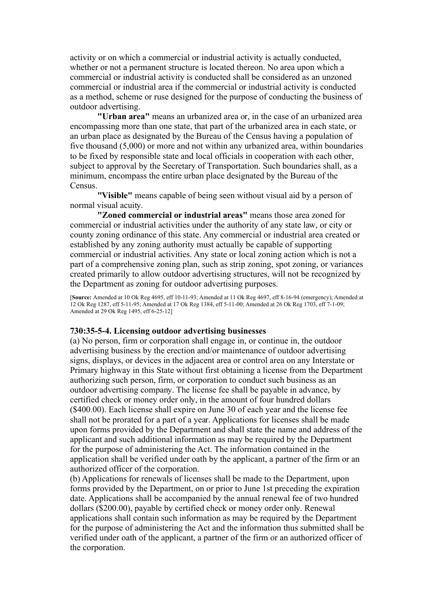activity or on which a commercial or industrial activity is actually conducted, whether or not a permanent structure is located thereon. No area upon which a commercial or industrial activity is conducted shall be considered as an unzoned commercial or industrial area if the commercial or industrial activity is conducted as a method, scheme or ruse designed for the purpose of conducting the business of outdoor advertising.

**"Urban area"** means an urbanized area or, in the case of an urbanized area encompassing more than one state, that part of the urbanized area in each state, or an urban place as designated by the Bureau of the Census having a population of five thousand (5,000) or more and not within any urbanized area, within boundaries to be fixed by responsible state and local officials in cooperation with each other, subject to approval by the Secretary of Transportation. Such boundaries shall, as a minimum, encompass the entire urban place designated by the Bureau of the Census.

**"Visible"** means capable of being seen without visual aid by a person of normal visual acuity.

**"Zoned commercial or industrial areas"** means those area zoned for commercial or industrial activities under the authority of any state law, or city or county zoning ordinance of this state. Any commercial or industrial area created or established by any zoning authority must actually be capable of supporting commercial or industrial activities. Any state or local zoning action which is not a part of a comprehensive zoning plan, such as strip zoning, spot zoning, or variances created primarily to allow outdoor advertising structures, will not be recognized by the Department as zoning for outdoor advertising purposes.

[**Source:** Amended at 10 Ok Reg 4695, eff 10-11-93; Amended at 11 Ok Reg 4697, eff 8-16-94 (emergency); Amended at 12 Ok Reg 1287, eff 5-11-95; Amended at 17 Ok Reg 1384, eff 5-11-00; Amended at 26 Ok Reg 1703, eff 7-1-09; Amended at 29 Ok Reg 1495, eff 6-25-12]

#### **730:35-5-4. Licensing outdoor advertising businesses**

(a) No person, firm or corporation shall engage in, or continue in, the outdoor advertising business by the erection and/or maintenance of outdoor advertising signs, displays, or devices in the adjacent area or control area on any Interstate or Primary highway in this State without first obtaining a license from the Department authorizing such person, firm, or corporation to conduct such business as an outdoor advertising company. The license fee shall be payable in advance, by certified check or money order only, in the amount of four hundred dollars (\$400.00). Each license shall expire on June 30 of each year and the license fee shall not be prorated for a part of a year. Applications for licenses shall be made upon forms provided by the Department and shall state the name and address of the applicant and such additional information as may be required by the Department for the purpose of administering the Act. The information contained in the application shall be verified under oath by the applicant, a partner of the firm or an authorized officer of the corporation.

(b) Applications for renewals of licenses shall be made to the Department, upon forms provided by the Department, on or prior to June 1st preceding the expiration date. Applications shall be accompanied by the annual renewal fee of two hundred dollars (\$200.00), payable by certified check or money order only. Renewal applications shall contain such information as may be required by the Department for the purpose of administering the Act and the information thus submitted shall be verified under oath of the applicant, a partner of the firm or an authorized officer of the corporation.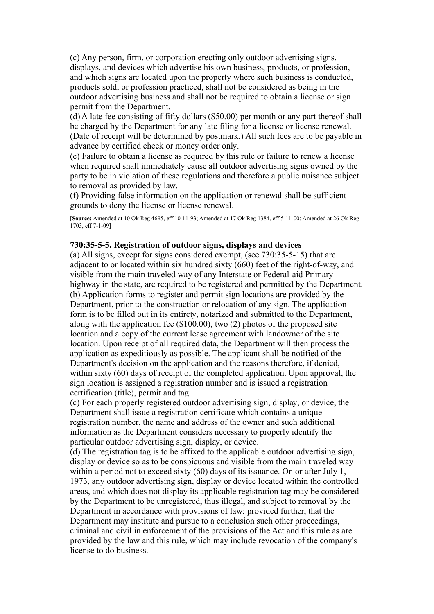(c) Any person, firm, or corporation erecting only outdoor advertising signs, displays, and devices which advertise his own business, products, or profession, and which signs are located upon the property where such business is conducted, products sold, or profession practiced, shall not be considered as being in the outdoor advertising business and shall not be required to obtain a license or sign permit from the Department.

(d) A late fee consisting of fifty dollars (\$50.00) per month or any part thereof shall be charged by the Department for any late filing for a license or license renewal. (Date of receipt will be determined by postmark.) All such fees are to be payable in advance by certified check or money order only.

(e) Failure to obtain a license as required by this rule or failure to renew a license when required shall immediately cause all outdoor advertising signs owned by the party to be in violation of these regulations and therefore a public nuisance subject to removal as provided by law.

(f) Providing false information on the application or renewal shall be sufficient grounds to deny the license or license renewal.

[**Source:** Amended at 10 Ok Reg 4695, eff 10-11-93; Amended at 17 Ok Reg 1384, eff 5-11-00; Amended at 26 Ok Reg 1703, eff 7-1-09]

### **730:35-5-5. Registration of outdoor signs, displays and devices**

(a) All signs, except for signs considered exempt, (see 730:35-5-15) that are adjacent to or located within six hundred sixty (660) feet of the right-of-way, and visible from the main traveled way of any Interstate or Federal-aid Primary highway in the state, are required to be registered and permitted by the Department. (b) Application forms to register and permit sign locations are provided by the Department, prior to the construction or relocation of any sign. The application form is to be filled out in its entirety, notarized and submitted to the Department, along with the application fee (\$100.00), two (2) photos of the proposed site location and a copy of the current lease agreement with landowner of the site location. Upon receipt of all required data, the Department will then process the application as expeditiously as possible. The applicant shall be notified of the Department's decision on the application and the reasons therefore, if denied, within sixty (60) days of receipt of the completed application. Upon approval, the sign location is assigned a registration number and is issued a registration certification (title), permit and tag.

(c) For each properly registered outdoor advertising sign, display, or device, the Department shall issue a registration certificate which contains a unique registration number, the name and address of the owner and such additional information as the Department considers necessary to properly identify the particular outdoor advertising sign, display, or device.

(d) The registration tag is to be affixed to the applicable outdoor advertising sign, display or device so as to be conspicuous and visible from the main traveled way within a period not to exceed sixty (60) days of its issuance. On or after July 1, 1973, any outdoor advertising sign, display or device located within the controlled areas, and which does not display its applicable registration tag may be considered by the Department to be unregistered, thus illegal, and subject to removal by the Department in accordance with provisions of law; provided further, that the Department may institute and pursue to a conclusion such other proceedings, criminal and civil in enforcement of the provisions of the Act and this rule as are provided by the law and this rule, which may include revocation of the company's license to do business.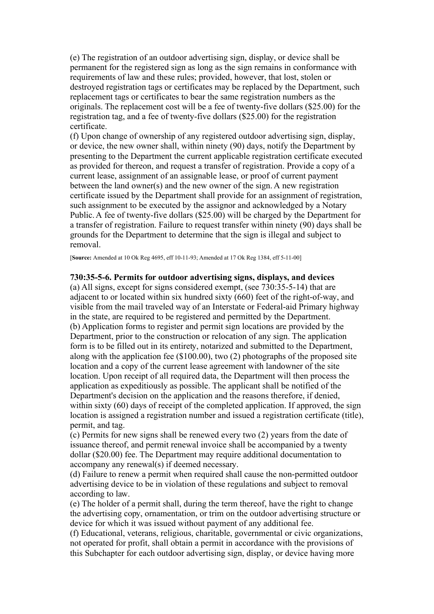(e) The registration of an outdoor advertising sign, display, or device shall be permanent for the registered sign as long as the sign remains in conformance with requirements of law and these rules; provided, however, that lost, stolen or destroyed registration tags or certificates may be replaced by the Department, such replacement tags or certificates to bear the same registration numbers as the originals. The replacement cost will be a fee of twenty-five dollars (\$25.00) for the registration tag, and a fee of twenty-five dollars (\$25.00) for the registration certificate.

(f) Upon change of ownership of any registered outdoor advertising sign, display, or device, the new owner shall, within ninety (90) days, notify the Department by presenting to the Department the current applicable registration certificate executed as provided for thereon, and request a transfer of registration. Provide a copy of a current lease, assignment of an assignable lease, or proof of current payment between the land owner(s) and the new owner of the sign. A new registration certificate issued by the Department shall provide for an assignment of registration, such assignment to be executed by the assignor and acknowledged by a Notary Public. A fee of twenty-five dollars (\$25.00) will be charged by the Department for a transfer of registration. Failure to request transfer within ninety (90) days shall be grounds for the Department to determine that the sign is illegal and subject to removal.

[**Source:** Amended at 10 Ok Reg 4695, eff 10-11-93; Amended at 17 Ok Reg 1384, eff 5-11-00]

### **730:35-5-6. Permits for outdoor advertising signs, displays, and devices**

(a) All signs, except for signs considered exempt, (see 730:35-5-14) that are adjacent to or located within six hundred sixty (660) feet of the right-of-way, and visible from the mail traveled way of an Interstate or Federal-aid Primary highway in the state, are required to be registered and permitted by the Department. (b) Application forms to register and permit sign locations are provided by the Department, prior to the construction or relocation of any sign. The application form is to be filled out in its entirety, notarized and submitted to the Department, along with the application fee (\$100.00), two (2) photographs of the proposed site location and a copy of the current lease agreement with landowner of the site location. Upon receipt of all required data, the Department will then process the application as expeditiously as possible. The applicant shall be notified of the Department's decision on the application and the reasons therefore, if denied, within sixty (60) days of receipt of the completed application. If approved, the sign location is assigned a registration number and issued a registration certificate (title), permit, and tag.

(c) Permits for new signs shall be renewed every two (2) years from the date of issuance thereof, and permit renewal invoice shall be accompanied by a twenty dollar (\$20.00) fee. The Department may require additional documentation to accompany any renewal(s) if deemed necessary.

(d) Failure to renew a permit when required shall cause the non-permitted outdoor advertising device to be in violation of these regulations and subject to removal according to law.

(e) The holder of a permit shall, during the term thereof, have the right to change the advertising copy, ornamentation, or trim on the outdoor advertising structure or device for which it was issued without payment of any additional fee.

(f) Educational, veterans, religious, charitable, governmental or civic organizations, not operated for profit, shall obtain a permit in accordance with the provisions of this Subchapter for each outdoor advertising sign, display, or device having more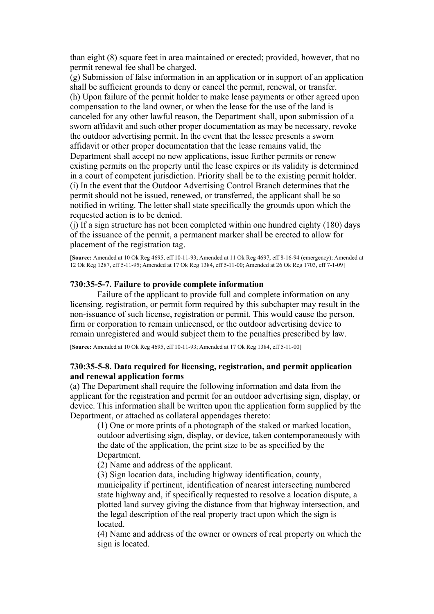than eight (8) square feet in area maintained or erected; provided, however, that no permit renewal fee shall be charged.

(g) Submission of false information in an application or in support of an application shall be sufficient grounds to deny or cancel the permit, renewal, or transfer. (h) Upon failure of the permit holder to make lease payments or other agreed upon compensation to the land owner, or when the lease for the use of the land is canceled for any other lawful reason, the Department shall, upon submission of a sworn affidavit and such other proper documentation as may be necessary, revoke the outdoor advertising permit. In the event that the lessee presents a sworn affidavit or other proper documentation that the lease remains valid, the Department shall accept no new applications, issue further permits or renew existing permits on the property until the lease expires or its validity is determined in a court of competent jurisdiction. Priority shall be to the existing permit holder. (i) In the event that the Outdoor Advertising Control Branch determines that the permit should not be issued, renewed, or transferred, the applicant shall be so notified in writing. The letter shall state specifically the grounds upon which the requested action is to be denied.

(j) If a sign structure has not been completed within one hundred eighty (180) days of the issuance of the permit, a permanent marker shall be erected to allow for placement of the registration tag.

[**Source:** Amended at 10 Ok Reg 4695, eff 10-11-93; Amended at 11 Ok Reg 4697, eff 8-16-94 (emergency); Amended at 12 Ok Reg 1287, eff 5-11-95; Amended at 17 Ok Reg 1384, eff 5-11-00; Amended at 26 Ok Reg 1703, eff 7-1-09]

### **730:35-5-7. Failure to provide complete information**

Failure of the applicant to provide full and complete information on any licensing, registration, or permit form required by this subchapter may result in the non-issuance of such license, registration or permit. This would cause the person, firm or corporation to remain unlicensed, or the outdoor advertising device to remain unregistered and would subject them to the penalties prescribed by law.

[**Source:** Amended at 10 Ok Reg 4695, eff 10-11-93; Amended at 17 Ok Reg 1384, eff 5-11-00]

### **730:35-5-8. Data required for licensing, registration, and permit application and renewal application forms**

(a) The Department shall require the following information and data from the applicant for the registration and permit for an outdoor advertising sign, display, or device. This information shall be written upon the application form supplied by the Department, or attached as collateral appendages thereto:

(1) One or more prints of a photograph of the staked or marked location, outdoor advertising sign, display, or device, taken contemporaneously with the date of the application, the print size to be as specified by the Department.

(2) Name and address of the applicant.

(3) Sign location data, including highway identification, county,

municipality if pertinent, identification of nearest intersecting numbered state highway and, if specifically requested to resolve a location dispute, a plotted land survey giving the distance from that highway intersection, and the legal description of the real property tract upon which the sign is located.

(4) Name and address of the owner or owners of real property on which the sign is located.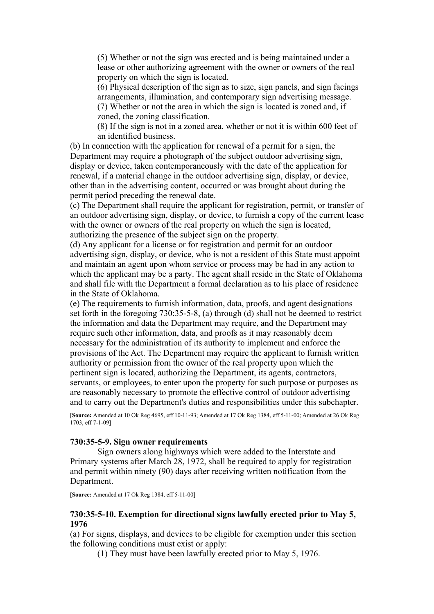(5) Whether or not the sign was erected and is being maintained under a lease or other authorizing agreement with the owner or owners of the real property on which the sign is located.

(6) Physical description of the sign as to size, sign panels, and sign facings arrangements, illumination, and contemporary sign advertising message.

(7) Whether or not the area in which the sign is located is zoned and, if zoned, the zoning classification.

(8) If the sign is not in a zoned area, whether or not it is within 600 feet of an identified business.

(b) In connection with the application for renewal of a permit for a sign, the Department may require a photograph of the subject outdoor advertising sign, display or device, taken contemporaneously with the date of the application for renewal, if a material change in the outdoor advertising sign, display, or device, other than in the advertising content, occurred or was brought about during the permit period preceding the renewal date.

(c) The Department shall require the applicant for registration, permit, or transfer of an outdoor advertising sign, display, or device, to furnish a copy of the current lease with the owner or owners of the real property on which the sign is located, authorizing the presence of the subject sign on the property.

(d) Any applicant for a license or for registration and permit for an outdoor advertising sign, display, or device, who is not a resident of this State must appoint and maintain an agent upon whom service or process may be had in any action to which the applicant may be a party. The agent shall reside in the State of Oklahoma and shall file with the Department a formal declaration as to his place of residence in the State of Oklahoma.

(e) The requirements to furnish information, data, proofs, and agent designations set forth in the foregoing 730:35-5-8, (a) through (d) shall not be deemed to restrict the information and data the Department may require, and the Department may require such other information, data, and proofs as it may reasonably deem necessary for the administration of its authority to implement and enforce the provisions of the Act. The Department may require the applicant to furnish written authority or permission from the owner of the real property upon which the pertinent sign is located, authorizing the Department, its agents, contractors, servants, or employees, to enter upon the property for such purpose or purposes as are reasonably necessary to promote the effective control of outdoor advertising and to carry out the Department's duties and responsibilities under this subchapter.

[**Source:** Amended at 10 Ok Reg 4695, eff 10-11-93; Amended at 17 Ok Reg 1384, eff 5-11-00; Amended at 26 Ok Reg 1703, eff 7-1-09]

### **730:35-5-9. Sign owner requirements**

Sign owners along highways which were added to the Interstate and Primary systems after March 28, 1972, shall be required to apply for registration and permit within ninety (90) days after receiving written notification from the Department.

[**Source:** Amended at 17 Ok Reg 1384, eff 5-11-00]

### **730:35-5-10. Exemption for directional signs lawfully erected prior to May 5, 1976**

(a) For signs, displays, and devices to be eligible for exemption under this section the following conditions must exist or apply:

(1) They must have been lawfully erected prior to May 5, 1976.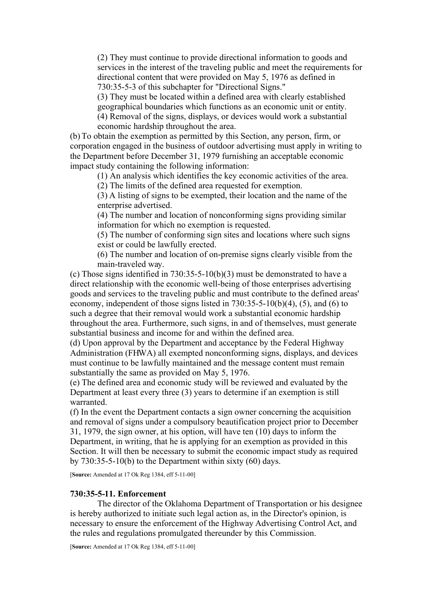(2) They must continue to provide directional information to goods and services in the interest of the traveling public and meet the requirements for directional content that were provided on May 5, 1976 as defined in 730:35-5-3 of this subchapter for "Directional Signs."

(3) They must be located within a defined area with clearly established

geographical boundaries which functions as an economic unit or entity.

(4) Removal of the signs, displays, or devices would work a substantial economic hardship throughout the area.

(b) To obtain the exemption as permitted by this Section, any person, firm, or corporation engaged in the business of outdoor advertising must apply in writing to the Department before December 31, 1979 furnishing an acceptable economic impact study containing the following information:

(1) An analysis which identifies the key economic activities of the area.

(2) The limits of the defined area requested for exemption.

(3) A listing of signs to be exempted, their location and the name of the enterprise advertised.

(4) The number and location of nonconforming signs providing similar information for which no exemption is requested.

(5) The number of conforming sign sites and locations where such signs exist or could be lawfully erected.

(6) The number and location of on-premise signs clearly visible from the main-traveled way.

(c) Those signs identified in 730:35-5-10(b)(3) must be demonstrated to have a direct relationship with the economic well-being of those enterprises advertising goods and services to the traveling public and must contribute to the defined areas' economy, independent of those signs listed in 730:35-5-10(b)(4), (5), and (6) to such a degree that their removal would work a substantial economic hardship throughout the area. Furthermore, such signs, in and of themselves, must generate substantial business and income for and within the defined area.

(d) Upon approval by the Department and acceptance by the Federal Highway Administration (FHWA) all exempted nonconforming signs, displays, and devices must continue to be lawfully maintained and the message content must remain substantially the same as provided on May 5, 1976.

(e) The defined area and economic study will be reviewed and evaluated by the Department at least every three (3) years to determine if an exemption is still warranted.

(f) In the event the Department contacts a sign owner concerning the acquisition and removal of signs under a compulsory beautification project prior to December 31, 1979, the sign owner, at his option, will have ten (10) days to inform the Department, in writing, that he is applying for an exemption as provided in this Section. It will then be necessary to submit the economic impact study as required by 730:35-5-10(b) to the Department within sixty (60) days.

[**Source:** Amended at 17 Ok Reg 1384, eff 5-11-00]

### **730:35-5-11. Enforcement**

The director of the Oklahoma Department of Transportation or his designee is hereby authorized to initiate such legal action as, in the Director's opinion, is necessary to ensure the enforcement of the Highway Advertising Control Act, and the rules and regulations promulgated thereunder by this Commission.

[**Source:** Amended at 17 Ok Reg 1384, eff 5-11-00]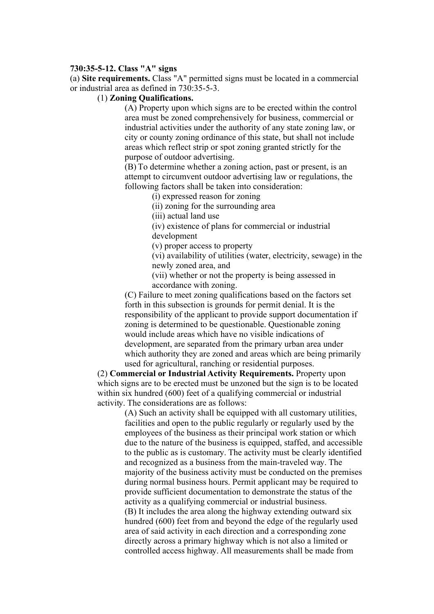### **730:35-5-12. Class "A" signs**

(a) **Site requirements.** Class "A" permitted signs must be located in a commercial or industrial area as defined in 730:35-5-3.

#### (1) **Zoning Qualifications.**

(A) Property upon which signs are to be erected within the control area must be zoned comprehensively for business, commercial or industrial activities under the authority of any state zoning law, or city or county zoning ordinance of this state, but shall not include areas which reflect strip or spot zoning granted strictly for the purpose of outdoor advertising.

(B) To determine whether a zoning action, past or present, is an attempt to circumvent outdoor advertising law or regulations, the following factors shall be taken into consideration:

(i) expressed reason for zoning

(ii) zoning for the surrounding area

(iii) actual land use

(iv) existence of plans for commercial or industrial development

(v) proper access to property

(vi) availability of utilities (water, electricity, sewage) in the newly zoned area, and

(vii) whether or not the property is being assessed in accordance with zoning.

(C) Failure to meet zoning qualifications based on the factors set forth in this subsection is grounds for permit denial. It is the responsibility of the applicant to provide support documentation if zoning is determined to be questionable. Questionable zoning would include areas which have no visible indications of development, are separated from the primary urban area under which authority they are zoned and areas which are being primarily used for agricultural, ranching or residential purposes.

(2) **Commercial or Industrial Activity Requirements.** Property upon which signs are to be erected must be unzoned but the sign is to be located within six hundred (600) feet of a qualifying commercial or industrial activity. The considerations are as follows:

> (A) Such an activity shall be equipped with all customary utilities, facilities and open to the public regularly or regularly used by the employees of the business as their principal work station or which due to the nature of the business is equipped, staffed, and accessible to the public as is customary. The activity must be clearly identified and recognized as a business from the main-traveled way. The majority of the business activity must be conducted on the premises during normal business hours. Permit applicant may be required to provide sufficient documentation to demonstrate the status of the activity as a qualifying commercial or industrial business. (B) It includes the area along the highway extending outward six hundred (600) feet from and beyond the edge of the regularly used area of said activity in each direction and a corresponding zone directly across a primary highway which is not also a limited or controlled access highway. All measurements shall be made from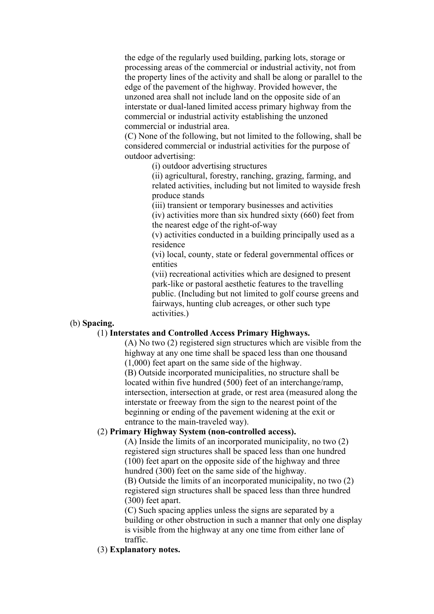the edge of the regularly used building, parking lots, storage or processing areas of the commercial or industrial activity, not from the property lines of the activity and shall be along or parallel to the edge of the pavement of the highway. Provided however, the unzoned area shall not include land on the opposite side of an interstate or dual-laned limited access primary highway from the commercial or industrial activity establishing the unzoned commercial or industrial area.

(C) None of the following, but not limited to the following, shall be considered commercial or industrial activities for the purpose of outdoor advertising:

(i) outdoor advertising structures

(ii) agricultural, forestry, ranching, grazing, farming, and related activities, including but not limited to wayside fresh produce stands

(iii) transient or temporary businesses and activities

(iv) activities more than six hundred sixty (660) feet from the nearest edge of the right-of-way

(v) activities conducted in a building principally used as a residence

(vi) local, county, state or federal governmental offices or entities

(vii) recreational activities which are designed to present park-like or pastoral aesthetic features to the travelling public. (Including but not limited to golf course greens and fairways, hunting club acreages, or other such type activities.)

# (b) **Spacing.**

## (1) **Interstates and Controlled Access Primary Highways.**

(A) No two (2) registered sign structures which are visible from the highway at any one time shall be spaced less than one thousand (1,000) feet apart on the same side of the highway.

(B) Outside incorporated municipalities, no structure shall be located within five hundred (500) feet of an interchange/ramp, intersection, intersection at grade, or rest area (measured along the interstate or freeway from the sign to the nearest point of the beginning or ending of the pavement widening at the exit or entrance to the main-traveled way).

# (2) **Primary Highway System (non-controlled access).**

(A) Inside the limits of an incorporated municipality, no two (2) registered sign structures shall be spaced less than one hundred (100) feet apart on the opposite side of the highway and three hundred (300) feet on the same side of the highway. (B) Outside the limits of an incorporated municipality, no two (2) registered sign structures shall be spaced less than three hundred (300) feet apart.

(C) Such spacing applies unless the signs are separated by a building or other obstruction in such a manner that only one display is visible from the highway at any one time from either lane of traffic.

## (3) **Explanatory notes.**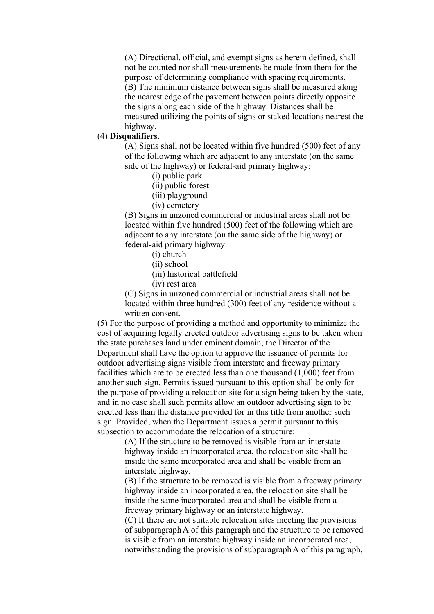(A) Directional, official, and exempt signs as herein defined, shall not be counted nor shall measurements be made from them for the purpose of determining compliance with spacing requirements. (B) The minimum distance between signs shall be measured along the nearest edge of the pavement between points directly opposite the signs along each side of the highway. Distances shall be measured utilizing the points of signs or staked locations nearest the highway.

## (4) **Disqualifiers.**

(A) Signs shall not be located within five hundred (500) feet of any of the following which are adjacent to any interstate (on the same side of the highway) or federal-aid primary highway:

- (i) public park
- (ii) public forest
- (iii) playground
- (iv) cemetery

(B) Signs in unzoned commercial or industrial areas shall not be located within five hundred (500) feet of the following which are adjacent to any interstate (on the same side of the highway) or federal-aid primary highway:

- (i) church
- (ii) school
- (iii) historical battlefield
- (iv) rest area

(C) Signs in unzoned commercial or industrial areas shall not be located within three hundred (300) feet of any residence without a written consent.

(5) For the purpose of providing a method and opportunity to minimize the cost of acquiring legally erected outdoor advertising signs to be taken when the state purchases land under eminent domain, the Director of the Department shall have the option to approve the issuance of permits for outdoor advertising signs visible from interstate and freeway primary facilities which are to be erected less than one thousand (1,000) feet from another such sign. Permits issued pursuant to this option shall be only for the purpose of providing a relocation site for a sign being taken by the state, and in no case shall such permits allow an outdoor advertising sign to be erected less than the distance provided for in this title from another such sign. Provided, when the Department issues a permit pursuant to this subsection to accommodate the relocation of a structure:

> (A) If the structure to be removed is visible from an interstate highway inside an incorporated area, the relocation site shall be inside the same incorporated area and shall be visible from an interstate highway.

(B) If the structure to be removed is visible from a freeway primary highway inside an incorporated area, the relocation site shall be inside the same incorporated area and shall be visible from a freeway primary highway or an interstate highway.

(C) If there are not suitable relocation sites meeting the provisions of subparagraph A of this paragraph and the structure to be removed is visible from an interstate highway inside an incorporated area, notwithstanding the provisions of subparagraph A of this paragraph,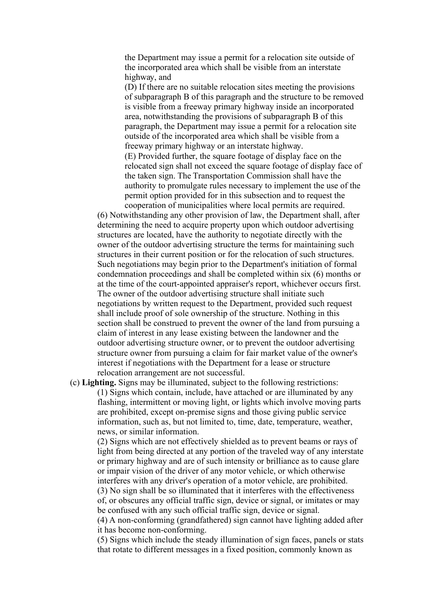the Department may issue a permit for a relocation site outside of the incorporated area which shall be visible from an interstate highway, and

(D) If there are no suitable relocation sites meeting the provisions of subparagraph B of this paragraph and the structure to be removed is visible from a freeway primary highway inside an incorporated area, notwithstanding the provisions of subparagraph B of this paragraph, the Department may issue a permit for a relocation site outside of the incorporated area which shall be visible from a freeway primary highway or an interstate highway. (E) Provided further, the square footage of display face on the relocated sign shall not exceed the square footage of display face of the taken sign. The Transportation Commission shall have the authority to promulgate rules necessary to implement the use of the permit option provided for in this subsection and to request the cooperation of municipalities where local permits are required.

(6) Notwithstanding any other provision of law, the Department shall, after determining the need to acquire property upon which outdoor advertising structures are located, have the authority to negotiate directly with the owner of the outdoor advertising structure the terms for maintaining such structures in their current position or for the relocation of such structures. Such negotiations may begin prior to the Department's initiation of formal condemnation proceedings and shall be completed within six (6) months or at the time of the court-appointed appraiser's report, whichever occurs first. The owner of the outdoor advertising structure shall initiate such negotiations by written request to the Department, provided such request shall include proof of sole ownership of the structure. Nothing in this section shall be construed to prevent the owner of the land from pursuing a claim of interest in any lease existing between the landowner and the outdoor advertising structure owner, or to prevent the outdoor advertising structure owner from pursuing a claim for fair market value of the owner's interest if negotiations with the Department for a lease or structure relocation arrangement are not successful.

(c) **Lighting.** Signs may be illuminated, subject to the following restrictions: (1) Signs which contain, include, have attached or are illuminated by any flashing, intermittent or moving light, or lights which involve moving parts are prohibited, except on-premise signs and those giving public service information, such as, but not limited to, time, date, temperature, weather, news, or similar information.

(2) Signs which are not effectively shielded as to prevent beams or rays of light from being directed at any portion of the traveled way of any interstate or primary highway and are of such intensity or brilliance as to cause glare or impair vision of the driver of any motor vehicle, or which otherwise interferes with any driver's operation of a motor vehicle, are prohibited. (3) No sign shall be so illuminated that it interferes with the effectiveness of, or obscures any official traffic sign, device or signal, or imitates or may be confused with any such official traffic sign, device or signal. (4) A non-conforming (grandfathered) sign cannot have lighting added after it has become non-conforming.

(5) Signs which include the steady illumination of sign faces, panels or stats that rotate to different messages in a fixed position, commonly known as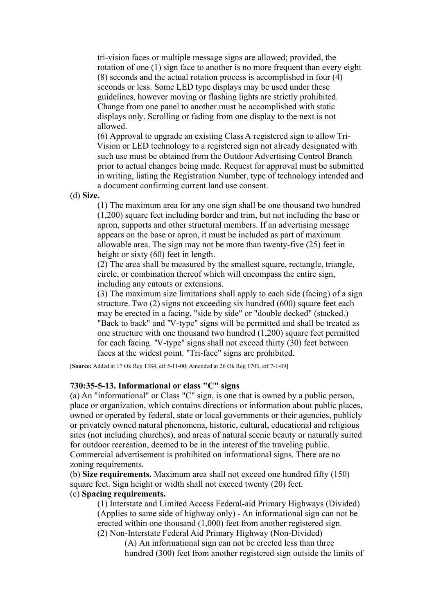tri-vision faces or multiple message signs are allowed; provided, the rotation of one (1) sign face to another is no more frequent than every eight (8) seconds and the actual rotation process is accomplished in four (4) seconds or less. Some LED type displays may be used under these guidelines, however moving or flashing lights are strictly prohibited. Change from one panel to another must be accomplished with static displays only. Scrolling or fading from one display to the next is not allowed.

(6) Approval to upgrade an existing Class A registered sign to allow Tri-Vision or LED technology to a registered sign not already designated with such use must be obtained from the Outdoor Advertising Control Branch prior to actual changes being made. Request for approval must be submitted in writing, listing the Registration Number, type of technology intended and a document confirming current land use consent.

(d) **Size.**

(1) The maximum area for any one sign shall be one thousand two hundred (1,200) square feet including border and trim, but not including the base or apron, supports and other structural members. If an advertising message appears on the base or apron, it must be included as part of maximum allowable area. The sign may not be more than twenty-five (25) feet in height or sixty (60) feet in length.

(2) The area shall be measured by the smallest square, rectangle, triangle, circle, or combination thereof which will encompass the entire sign, including any cutouts or extensions.

(3) The maximum size limitations shall apply to each side (facing) of a sign structure. Two (2) signs not exceeding six hundred (600) square feet each may be erected in a facing, "side by side" or "double decked" (stacked.) "Back to back" and "V-type" signs will be permitted and shall be treated as one structure with one thousand two hundred (1,200) square feet permitted for each facing. "V-type" signs shall not exceed thirty (30) feet between faces at the widest point. "Tri-face" signs are prohibited.

[**Source:** Added at 17 Ok Reg 1384, eff 5-11-00; Amended at 26 Ok Reg 1703, eff 7-1-09]

### **730:35-5-13. Informational or class "C" signs**

(a) An "informational" or Class "C" sign, is one that is owned by a public person, place or organization, which contains directions or information about public places, owned or operated by federal, state or local governments or their agencies, publicly or privately owned natural phenomena, historic, cultural, educational and religious sites (not including churches), and areas of natural scenic beauty or naturally suited for outdoor recreation, deemed to be in the interest of the traveling public. Commercial advertisement is prohibited on informational signs. There are no zoning requirements.

(b) **Size requirements.** Maximum area shall not exceed one hundred fifty (150) square feet. Sign height or width shall not exceed twenty (20) feet.

# (c) **Spacing requirements.**

(1) Interstate and Limited Access Federal-aid Primary Highways (Divided) (Applies to same side of highway only) - An informational sign can not be erected within one thousand (1,000) feet from another registered sign. (2) Non-Interstate Federal Aid Primary Highway (Non-Divided)

(A) An informational sign can not be erected less than three hundred (300) feet from another registered sign outside the limits of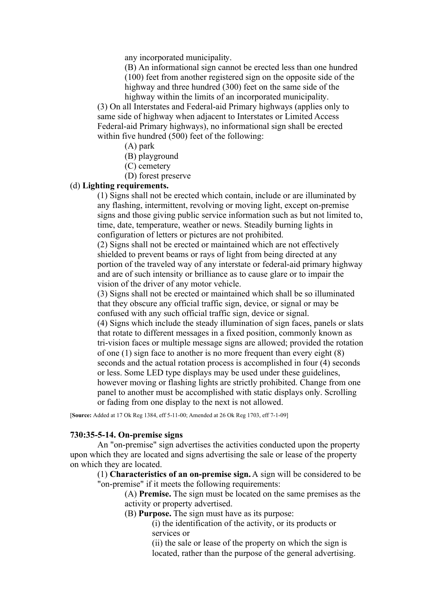any incorporated municipality.

(B) An informational sign cannot be erected less than one hundred (100) feet from another registered sign on the opposite side of the highway and three hundred (300) feet on the same side of the highway within the limits of an incorporated municipality.

(3) On all Interstates and Federal-aid Primary highways (applies only to same side of highway when adjacent to Interstates or Limited Access Federal-aid Primary highways), no informational sign shall be erected within five hundred (500) feet of the following:

- (A) park
- (B) playground
- (C) cemetery
- (D) forest preserve

# (d) **Lighting requirements.**

(1) Signs shall not be erected which contain, include or are illuminated by any flashing, intermittent, revolving or moving light, except on-premise signs and those giving public service information such as but not limited to, time, date, temperature, weather or news. Steadily burning lights in configuration of letters or pictures are not prohibited.

(2) Signs shall not be erected or maintained which are not effectively shielded to prevent beams or rays of light from being directed at any portion of the traveled way of any interstate or federal-aid primary highway and are of such intensity or brilliance as to cause glare or to impair the vision of the driver of any motor vehicle.

(3) Signs shall not be erected or maintained which shall be so illuminated that they obscure any official traffic sign, device, or signal or may be confused with any such official traffic sign, device or signal.

(4) Signs which include the steady illumination of sign faces, panels or slats that rotate to different messages in a fixed position, commonly known as tri-vision faces or multiple message signs are allowed; provided the rotation of one (1) sign face to another is no more frequent than every eight (8) seconds and the actual rotation process is accomplished in four (4) seconds or less. Some LED type displays may be used under these guidelines, however moving or flashing lights are strictly prohibited. Change from one panel to another must be accomplished with static displays only. Scrolling or fading from one display to the next is not allowed.

[**Source:** Added at 17 Ok Reg 1384, eff 5-11-00; Amended at 26 Ok Reg 1703, eff 7-1-09]

#### **730:35-5-14. On-premise signs**

An "on-premise" sign advertises the activities conducted upon the property upon which they are located and signs advertising the sale or lease of the property on which they are located.

(1) **Characteristics of an on-premise sign.** A sign will be considered to be "on-premise" if it meets the following requirements:

> (A) **Premise.** The sign must be located on the same premises as the activity or property advertised.

- (B) **Purpose.** The sign must have as its purpose:
	- (i) the identification of the activity, or its products or services or

(ii) the sale or lease of the property on which the sign is located, rather than the purpose of the general advertising.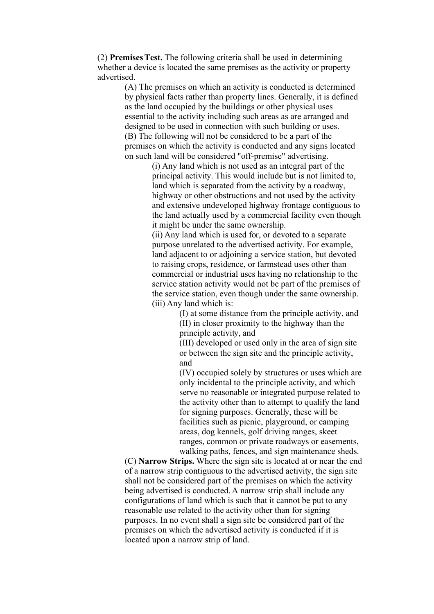(2) **Premises Test.** The following criteria shall be used in determining whether a device is located the same premises as the activity or property advertised.

> (A) The premises on which an activity is conducted is determined by physical facts rather than property lines. Generally, it is defined as the land occupied by the buildings or other physical uses essential to the activity including such areas as are arranged and designed to be used in connection with such building or uses. (B) The following will not be considered to be a part of the premises on which the activity is conducted and any signs located on such land will be considered "off-premise" advertising.

(i) Any land which is not used as an integral part of the principal activity. This would include but is not limited to, land which is separated from the activity by a roadway, highway or other obstructions and not used by the activity and extensive undeveloped highway frontage contiguous to the land actually used by a commercial facility even though it might be under the same ownership.

(ii) Any land which is used for, or devoted to a separate purpose unrelated to the advertised activity. For example, land adjacent to or adjoining a service station, but devoted to raising crops, residence, or farmstead uses other than commercial or industrial uses having no relationship to the service station activity would not be part of the premises of the service station, even though under the same ownership. (iii) Any land which is:

> (I) at some distance from the principle activity, and (II) in closer proximity to the highway than the principle activity, and

(III) developed or used only in the area of sign site or between the sign site and the principle activity, and

(IV) occupied solely by structures or uses which are only incidental to the principle activity, and which serve no reasonable or integrated purpose related to the activity other than to attempt to qualify the land for signing purposes. Generally, these will be facilities such as picnic, playground, or camping areas, dog kennels, golf driving ranges, skeet ranges, common or private roadways or easements, walking paths, fences, and sign maintenance sheds.

(C) **Narrow Strips.** Where the sign site is located at or near the end of a narrow strip contiguous to the advertised activity, the sign site shall not be considered part of the premises on which the activity being advertised is conducted. A narrow strip shall include any configurations of land which is such that it cannot be put to any reasonable use related to the activity other than for signing purposes. In no event shall a sign site be considered part of the premises on which the advertised activity is conducted if it is located upon a narrow strip of land.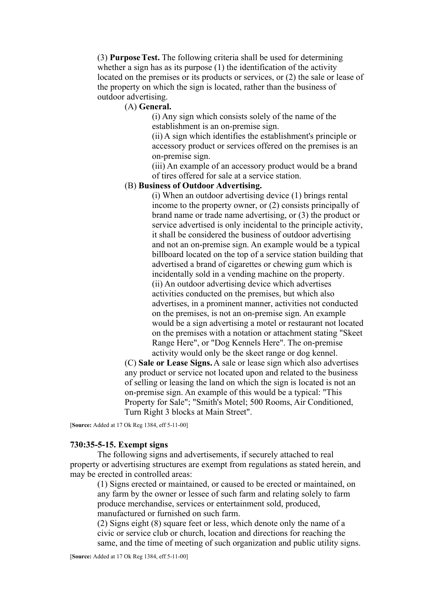(3) **Purpose Test.** The following criteria shall be used for determining whether a sign has as its purpose (1) the identification of the activity located on the premises or its products or services, or (2) the sale or lease of the property on which the sign is located, rather than the business of outdoor advertising.

## (A) **General.**

(i) Any sign which consists solely of the name of the establishment is an on-premise sign.

(ii) A sign which identifies the establishment's principle or accessory product or services offered on the premises is an on-premise sign.

(iii) An example of an accessory product would be a brand of tires offered for sale at a service station.

### (B) **Business of Outdoor Advertising.**

(i) When an outdoor advertising device (1) brings rental income to the property owner, or (2) consists principally of brand name or trade name advertising, or (3) the product or service advertised is only incidental to the principle activity, it shall be considered the business of outdoor advertising and not an on-premise sign. An example would be a typical billboard located on the top of a service station building that advertised a brand of cigarettes or chewing gum which is incidentally sold in a vending machine on the property. (ii) An outdoor advertising device which advertises activities conducted on the premises, but which also advertises, in a prominent manner, activities not conducted on the premises, is not an on-premise sign. An example would be a sign advertising a motel or restaurant not located on the premises with a notation or attachment stating "Skeet Range Here", or "Dog Kennels Here". The on-premise activity would only be the skeet range or dog kennel.

(C) **Sale or Lease Signs.** A sale or lease sign which also advertises any product or service not located upon and related to the business of selling or leasing the land on which the sign is located is not an on-premise sign. An example of this would be a typical: "This Property for Sale"; "Smith's Motel; 500 Rooms, Air Conditioned, Turn Right 3 blocks at Main Street".

[**Source:** Added at 17 Ok Reg 1384, eff 5-11-00]

# **730:35-5-15. Exempt signs**

The following signs and advertisements, if securely attached to real property or advertising structures are exempt from regulations as stated herein, and may be erected in controlled areas:

(1) Signs erected or maintained, or caused to be erected or maintained, on any farm by the owner or lessee of such farm and relating solely to farm produce merchandise, services or entertainment sold, produced, manufactured or furnished on such farm.

(2) Signs eight (8) square feet or less, which denote only the name of a civic or service club or church, location and directions for reaching the same, and the time of meeting of such organization and public utility signs.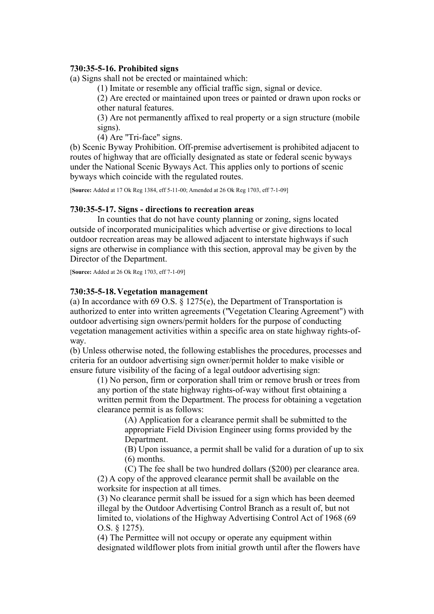# **730:35-5-16. Prohibited signs**

(a) Signs shall not be erected or maintained which:

(1) Imitate or resemble any official traffic sign, signal or device.

(2) Are erected or maintained upon trees or painted or drawn upon rocks or other natural features.

(3) Are not permanently affixed to real property or a sign structure (mobile signs).

(4) Are "Tri-face" signs.

(b) Scenic Byway Prohibition. Off-premise advertisement is prohibited adjacent to routes of highway that are officially designated as state or federal scenic byways under the National Scenic Byways Act. This applies only to portions of scenic byways which coincide with the regulated routes.

[**Source:** Added at 17 Ok Reg 1384, eff 5-11-00; Amended at 26 Ok Reg 1703, eff 7-1-09]

### **730:35-5-17. Signs - directions to recreation areas**

In counties that do not have county planning or zoning, signs located outside of incorporated municipalities which advertise or give directions to local outdoor recreation areas may be allowed adjacent to interstate highways if such signs are otherwise in compliance with this section, approval may be given by the Director of the Department.

[**Source:** Added at 26 Ok Reg 1703, eff 7-1-09]

## **730:35-5-18. Vegetation management**

(a) In accordance with 69 O.S. § 1275(e), the Department of Transportation is authorized to enter into written agreements ("Vegetation Clearing Agreement") with outdoor advertising sign owners/permit holders for the purpose of conducting vegetation management activities within a specific area on state highway rights-ofway.

(b) Unless otherwise noted, the following establishes the procedures, processes and criteria for an outdoor advertising sign owner/permit holder to make visible or ensure future visibility of the facing of a legal outdoor advertising sign:

(1) No person, firm or corporation shall trim or remove brush or trees from any portion of the state highway rights-of-way without first obtaining a written permit from the Department. The process for obtaining a vegetation clearance permit is as follows:

> (A) Application for a clearance permit shall be submitted to the appropriate Field Division Engineer using forms provided by the Department.

(B) Upon issuance, a permit shall be valid for a duration of up to six (6) months.

(C) The fee shall be two hundred dollars (\$200) per clearance area. (2) A copy of the approved clearance permit shall be available on the worksite for inspection at all times.

(3) No clearance permit shall be issued for a sign which has been deemed illegal by the Outdoor Advertising Control Branch as a result of, but not limited to, violations of the Highway Advertising Control Act of 1968 (69 O.S. § 1275).

(4) The Permittee will not occupy or operate any equipment within designated wildflower plots from initial growth until after the flowers have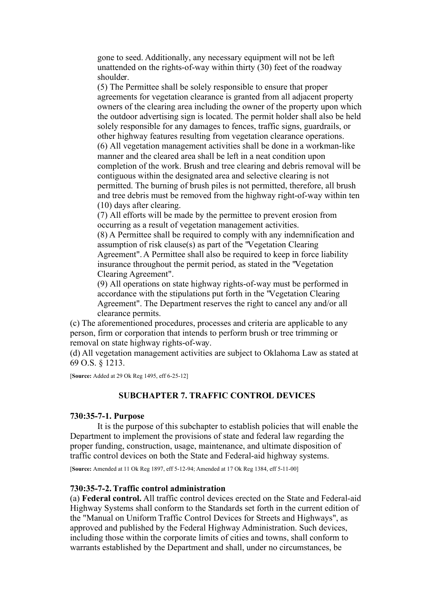gone to seed. Additionally, any necessary equipment will not be left unattended on the rights-of-way within thirty (30) feet of the roadway shoulder.

(5) The Permittee shall be solely responsible to ensure that proper agreements for vegetation clearance is granted from all adjacent property owners of the clearing area including the owner of the property upon which the outdoor advertising sign is located. The permit holder shall also be held solely responsible for any damages to fences, traffic signs, guardrails, or other highway features resulting from vegetation clearance operations. (6) All vegetation management activities shall be done in a workman-like manner and the cleared area shall be left in a neat condition upon completion of the work. Brush and tree clearing and debris removal will be contiguous within the designated area and selective clearing is not permitted. The burning of brush piles is not permitted, therefore, all brush and tree debris must be removed from the highway right-of-way within ten (10) days after clearing.

(7) All efforts will be made by the permittee to prevent erosion from occurring as a result of vegetation management activities.

(8) A Permittee shall be required to comply with any indemnification and assumption of risk clause(s) as part of the "Vegetation Clearing Agreement". A Permittee shall also be required to keep in force liability insurance throughout the permit period, as stated in the "Vegetation Clearing Agreement".

(9) All operations on state highway rights-of-way must be performed in accordance with the stipulations put forth in the "Vegetation Clearing Agreement". The Department reserves the right to cancel any and/or all clearance permits.

(c) The aforementioned procedures, processes and criteria are applicable to any person, firm or corporation that intends to perform brush or tree trimming or removal on state highway rights-of-way.

(d) All vegetation management activities are subject to Oklahoma Law as stated at 69 O.S. § 1213.

[**Source:** Added at 29 Ok Reg 1495, eff 6-25-12]

# **SUBCHAPTER 7. TRAFFIC CONTROL DEVICES**

### **730:35-7-1. Purpose**

It is the purpose of this subchapter to establish policies that will enable the Department to implement the provisions of state and federal law regarding the proper funding, construction, usage, maintenance, and ultimate disposition of traffic control devices on both the State and Federal-aid highway systems.

[**Source:** Amended at 11 Ok Reg 1897, eff 5-12-94; Amended at 17 Ok Reg 1384, eff 5-11-00]

### **730:35-7-2. Traffic control administration**

(a) **Federal control.** All traffic control devices erected on the State and Federal-aid Highway Systems shall conform to the Standards set forth in the current edition of the "Manual on Uniform Traffic Control Devices for Streets and Highways", as approved and published by the Federal Highway Administration. Such devices, including those within the corporate limits of cities and towns, shall conform to warrants established by the Department and shall, under no circumstances, be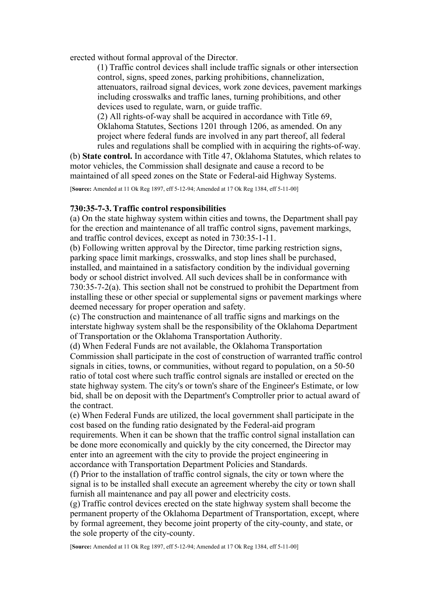erected without formal approval of the Director.

(1) Traffic control devices shall include traffic signals or other intersection control, signs, speed zones, parking prohibitions, channelization, attenuators, railroad signal devices, work zone devices, pavement markings including crosswalks and traffic lanes, turning prohibitions, and other devices used to regulate, warn, or guide traffic.

(2) All rights-of-way shall be acquired in accordance with Title 69, Oklahoma Statutes, Sections 1201 through 1206, as amended. On any project where federal funds are involved in any part thereof, all federal rules and regulations shall be complied with in acquiring the rights-of-way.

(b) **State control.** In accordance with Title 47, Oklahoma Statutes, which relates to motor vehicles, the Commission shall designate and cause a record to be maintained of all speed zones on the State or Federal-aid Highway Systems.

[**Source:** Amended at 11 Ok Reg 1897, eff 5-12-94; Amended at 17 Ok Reg 1384, eff 5-11-00]

# **730:35-7-3. Traffic control responsibilities**

(a) On the state highway system within cities and towns, the Department shall pay for the erection and maintenance of all traffic control signs, pavement markings, and traffic control devices, except as noted in 730:35-1-11.

(b) Following written approval by the Director, time parking restriction signs, parking space limit markings, crosswalks, and stop lines shall be purchased, installed, and maintained in a satisfactory condition by the individual governing body or school district involved. All such devices shall be in conformance with 730:35-7-2(a). This section shall not be construed to prohibit the Department from installing these or other special or supplemental signs or pavement markings where deemed necessary for proper operation and safety.

(c) The construction and maintenance of all traffic signs and markings on the interstate highway system shall be the responsibility of the Oklahoma Department of Transportation or the Oklahoma Transportation Authority.

(d) When Federal Funds are not available, the Oklahoma Transportation Commission shall participate in the cost of construction of warranted traffic control signals in cities, towns, or communities, without regard to population, on a 50-50 ratio of total cost where such traffic control signals are installed or erected on the state highway system. The city's or town's share of the Engineer's Estimate, or low bid, shall be on deposit with the Department's Comptroller prior to actual award of the contract.

(e) When Federal Funds are utilized, the local government shall participate in the cost based on the funding ratio designated by the Federal-aid program requirements. When it can be shown that the traffic control signal installation can be done more economically and quickly by the city concerned, the Director may enter into an agreement with the city to provide the project engineering in accordance with Transportation Department Policies and Standards.

(f) Prior to the installation of traffic control signals, the city or town where the signal is to be installed shall execute an agreement whereby the city or town shall furnish all maintenance and pay all power and electricity costs.

(g) Traffic control devices erected on the state highway system shall become the permanent property of the Oklahoma Department of Transportation, except, where by formal agreement, they become joint property of the city-county, and state, or the sole property of the city-county.

[**Source:** Amended at 11 Ok Reg 1897, eff 5-12-94; Amended at 17 Ok Reg 1384, eff 5-11-00]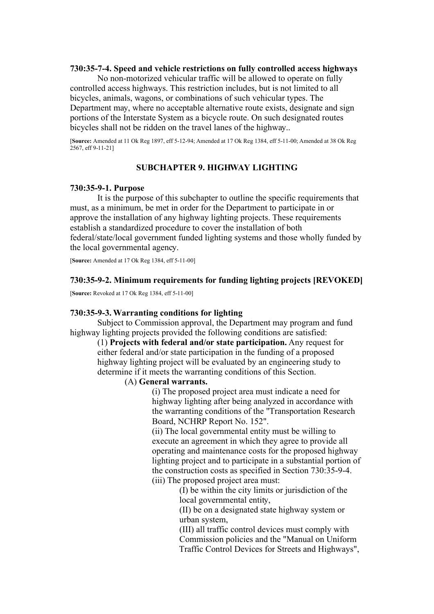# **730:35-7-4. Speed and vehicle restrictions on fully controlled access highways**

No non-motorized vehicular traffic will be allowed to operate on fully controlled access highways. This restriction includes, but is not limited to all bicycles, animals, wagons, or combinations of such vehicular types. The Department may, where no acceptable alternative route exists, designate and sign portions of the Interstate System as a bicycle route. On such designated routes bicycles shall not be ridden on the travel lanes of the highway..

[**Source:** Amended at 11 Ok Reg 1897, eff 5-12-94; Amended at 17 Ok Reg 1384, eff 5-11-00; Amended at 38 Ok Reg  $2567$ , eff 9-11-211

# **SUBCHAPTER 9. HIGHWAY LIGHTING**

#### **730:35-9-1. Purpose**

It is the purpose of this subchapter to outline the specific requirements that must, as a minimum, be met in order for the Department to participate in or approve the installation of any highway lighting projects. These requirements establish a standardized procedure to cover the installation of both federal/state/local government funded lighting systems and those wholly funded by the local governmental agency.

[**Source:** Amended at 17 Ok Reg 1384, eff 5-11-00]

### **730:35-9-2. Minimum requirements for funding lighting projects [REVOKED]**

[**Source:** Revoked at 17 Ok Reg 1384, eff 5-11-00]

#### **730:35-9-3. Warranting conditions for lighting**

Subject to Commission approval, the Department may program and fund highway lighting projects provided the following conditions are satisfied:

(1) **Projects with federal and/or state participation.** Any request for either federal and/or state participation in the funding of a proposed highway lighting project will be evaluated by an engineering study to determine if it meets the warranting conditions of this Section.

# (A) **General warrants.**

(i) The proposed project area must indicate a need for highway lighting after being analyzed in accordance with the warranting conditions of the "Transportation Research Board, NCHRP Report No. 152".

(ii) The local governmental entity must be willing to execute an agreement in which they agree to provide all operating and maintenance costs for the proposed highway lighting project and to participate in a substantial portion of the construction costs as specified in Section 730:35-9-4. (iii) The proposed project area must:

> (I) be within the city limits or jurisdiction of the local governmental entity,

(II) be on a designated state highway system or urban system,

(III) all traffic control devices must comply with Commission policies and the "Manual on Uniform Traffic Control Devices for Streets and Highways",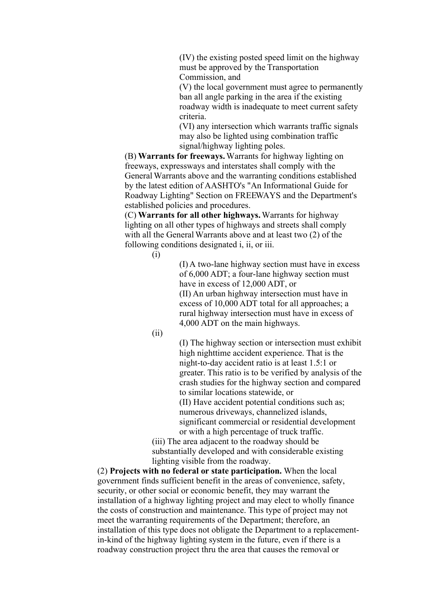(IV) the existing posted speed limit on the highway must be approved by the Transportation Commission, and

(V) the local government must agree to permanently ban all angle parking in the area if the existing roadway width is inadequate to meet current safety criteria.

(VI) any intersection which warrants traffic signals may also be lighted using combination traffic signal/highway lighting poles.

(B) **Warrants for freeways.** Warrants for highway lighting on freeways, expressways and interstates shall comply with the General Warrants above and the warranting conditions established by the latest edition of AASHTO's "An Informational Guide for Roadway Lighting" Section on FREEWAYS and the Department's established policies and procedures.

(C) **Warrants for all other highways.** Warrants for highway lighting on all other types of highways and streets shall comply with all the General Warrants above and at least two (2) of the following conditions designated i, ii, or iii.

(i)

(I) A two-lane highway section must have in excess of 6,000 ADT; a four-lane highway section must have in excess of 12,000 ADT, or (II) An urban highway intersection must have in excess of 10,000 ADT total for all approaches; a rural highway intersection must have in excess of 4,000 ADT on the main highways.

(ii)

(I) The highway section or intersection must exhibit high nighttime accident experience. That is the night-to-day accident ratio is at least 1.5:1 or greater. This ratio is to be verified by analysis of the crash studies for the highway section and compared to similar locations statewide, or

(II) Have accident potential conditions such as; numerous driveways, channelized islands, significant commercial or residential development or with a high percentage of truck traffic.

(iii) The area adjacent to the roadway should be substantially developed and with considerable existing lighting visible from the roadway.

(2) **Projects with no federal or state participation.** When the local government finds sufficient benefit in the areas of convenience, safety, security, or other social or economic benefit, they may warrant the installation of a highway lighting project and may elect to wholly finance the costs of construction and maintenance. This type of project may not meet the warranting requirements of the Department; therefore, an installation of this type does not obligate the Department to a replacementin-kind of the highway lighting system in the future, even if there is a roadway construction project thru the area that causes the removal or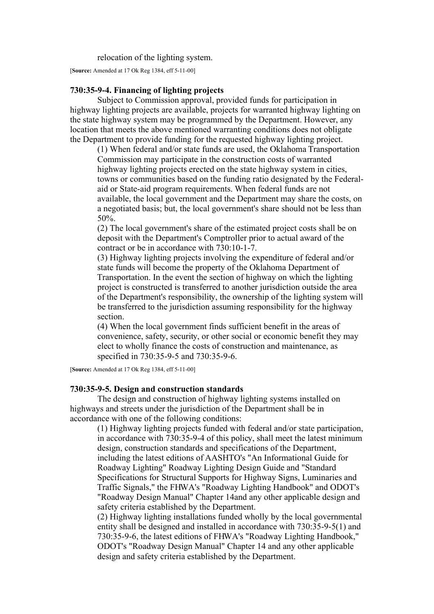relocation of the lighting system.

[**Source:** Amended at 17 Ok Reg 1384, eff 5-11-00]

# **730:35-9-4. Financing of lighting projects**

Subject to Commission approval, provided funds for participation in highway lighting projects are available, projects for warranted highway lighting on the state highway system may be programmed by the Department. However, any location that meets the above mentioned warranting conditions does not obligate the Department to provide funding for the requested highway lighting project.

(1) When federal and/or state funds are used, the Oklahoma Transportation Commission may participate in the construction costs of warranted highway lighting projects erected on the state highway system in cities, towns or communities based on the funding ratio designated by the Federalaid or State-aid program requirements. When federal funds are not available, the local government and the Department may share the costs, on a negotiated basis; but, the local government's share should not be less than 50%.

(2) The local government's share of the estimated project costs shall be on deposit with the Department's Comptroller prior to actual award of the contract or be in accordance with 730:10-1-7.

(3) Highway lighting projects involving the expenditure of federal and/or state funds will become the property of the Oklahoma Department of Transportation. In the event the section of highway on which the lighting project is constructed is transferred to another jurisdiction outside the area of the Department's responsibility, the ownership of the lighting system will be transferred to the jurisdiction assuming responsibility for the highway section.

(4) When the local government finds sufficient benefit in the areas of convenience, safety, security, or other social or economic benefit they may elect to wholly finance the costs of construction and maintenance, as specified in 730:35-9-5 and 730:35-9-6.

[**Source:** Amended at 17 Ok Reg 1384, eff 5-11-00]

### **730:35-9-5. Design and construction standards**

The design and construction of highway lighting systems installed on highways and streets under the jurisdiction of the Department shall be in accordance with one of the following conditions:

(1) Highway lighting projects funded with federal and/or state participation, in accordance with 730:35-9-4 of this policy, shall meet the latest minimum design, construction standards and specifications of the Department, including the latest editions of AASHTO's "An Informational Guide for Roadway Lighting" Roadway Lighting Design Guide and "Standard Specifications for Structural Supports for Highway Signs, Luminaries and Traffic Signals," the FHWA's "Roadway Lighting Handbook" and ODOT's "Roadway Design Manual" Chapter 14and any other applicable design and safety criteria established by the Department.

(2) Highway lighting installations funded wholly by the local governmental entity shall be designed and installed in accordance with 730:35-9-5(1) and 730:35-9-6, the latest editions of FHWA's "Roadway Lighting Handbook," ODOT's "Roadway Design Manual" Chapter 14 and any other applicable design and safety criteria established by the Department.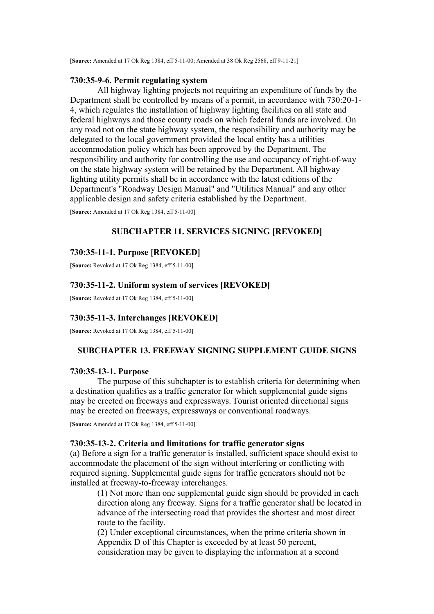[**Source:** Amended at 17 Ok Reg 1384, eff 5-11-00; Amended at 38 Ok Reg 2568, eff 9-11-21]

# **730:35-9-6. Permit regulating system**

All highway lighting projects not requiring an expenditure of funds by the Department shall be controlled by means of a permit, in accordance with 730:20-1- 4, which regulates the installation of highway lighting facilities on all state and federal highways and those county roads on which federal funds are involved. On any road not on the state highway system, the responsibility and authority may be delegated to the local government provided the local entity has a utilities accommodation policy which has been approved by the Department. The responsibility and authority for controlling the use and occupancy of right-of-way on the state highway system will be retained by the Department. All highway lighting utility permits shall be in accordance with the latest editions of the Department's "Roadway Design Manual" and "Utilities Manual" and any other applicable design and safety criteria established by the Department.

[**Source:** Amended at 17 Ok Reg 1384, eff 5-11-00]

### **SUBCHAPTER 11. SERVICES SIGNING [REVOKED]**

# **730:35-11-1. Purpose [REVOKED]**

[**Source:** Revoked at 17 Ok Reg 1384, eff 5-11-00]

## **730:35-11-2. Uniform system of services [REVOKED]**

[**Source:** Revoked at 17 Ok Reg 1384, eff 5-11-00]

# **730:35-11-3. Interchanges [REVOKED]**

[**Source:** Revoked at 17 Ok Reg 1384, eff 5-11-00]

### **SUBCHAPTER 13. FREEWAY SIGNING SUPPLEMENT GUIDE SIGNS**

### **730:35-13-1. Purpose**

The purpose of this subchapter is to establish criteria for determining when a destination qualifies as a traffic generator for which supplemental guide signs may be erected on freeways and expressways. Tourist oriented directional signs may be erected on freeways, expressways or conventional roadways.

[**Source:** Amended at 17 Ok Reg 1384, eff 5-11-00]

#### **730:35-13-2. Criteria and limitations for traffic generator signs**

(a) Before a sign for a traffic generator is installed, sufficient space should exist to accommodate the placement of the sign without interfering or conflicting with required signing. Supplemental guide signs for traffic generators should not be installed at freeway-to-freeway interchanges.

(1) Not more than one supplemental guide sign should be provided in each direction along any freeway. Signs for a traffic generator shall be located in advance of the intersecting road that provides the shortest and most direct route to the facility.

(2) Under exceptional circumstances, when the prime criteria shown in Appendix D of this Chapter is exceeded by at least 50 percent, consideration may be given to displaying the information at a second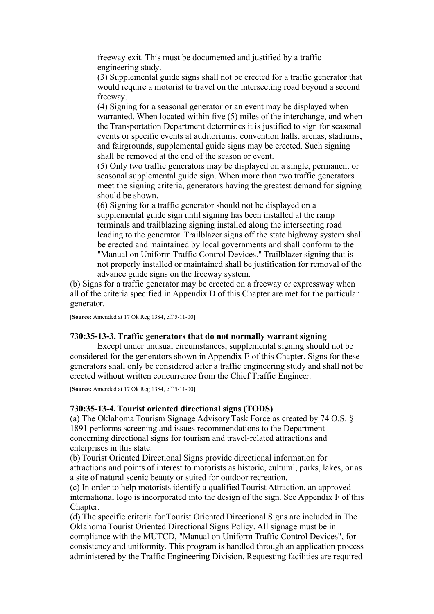freeway exit. This must be documented and justified by a traffic engineering study.

(3) Supplemental guide signs shall not be erected for a traffic generator that would require a motorist to travel on the intersecting road beyond a second freeway.

(4) Signing for a seasonal generator or an event may be displayed when warranted. When located within five (5) miles of the interchange, and when the Transportation Department determines it is justified to sign for seasonal events or specific events at auditoriums, convention halls, arenas, stadiums, and fairgrounds, supplemental guide signs may be erected. Such signing shall be removed at the end of the season or event.

(5) Only two traffic generators may be displayed on a single, permanent or seasonal supplemental guide sign. When more than two traffic generators meet the signing criteria, generators having the greatest demand for signing should be shown.

(6) Signing for a traffic generator should not be displayed on a supplemental guide sign until signing has been installed at the ramp terminals and trailblazing signing installed along the intersecting road leading to the generator. Trailblazer signs off the state highway system shall be erected and maintained by local governments and shall conform to the "Manual on Uniform Traffic Control Devices." Trailblazer signing that is not properly installed or maintained shall be justification for removal of the advance guide signs on the freeway system.

(b) Signs for a traffic generator may be erected on a freeway or expressway when all of the criteria specified in Appendix D of this Chapter are met for the particular generator.

[**Source:** Amended at 17 Ok Reg 1384, eff 5-11-00]

### **730:35-13-3. Traffic generators that do not normally warrant signing**

Except under unusual circumstances, supplemental signing should not be considered for the generators shown in Appendix E of this Chapter. Signs for these generators shall only be considered after a traffic engineering study and shall not be erected without written concurrence from the Chief Traffic Engineer.

[**Source:** Amended at 17 Ok Reg 1384, eff 5-11-00]

### **730:35-13-4. Tourist oriented directional signs (TODS)**

(a) The Oklahoma Tourism Signage Advisory Task Force as created by 74 O.S. § 1891 performs screening and issues recommendations to the Department concerning directional signs for tourism and travel-related attractions and enterprises in this state.

(b) Tourist Oriented Directional Signs provide directional information for attractions and points of interest to motorists as historic, cultural, parks, lakes, or as a site of natural scenic beauty or suited for outdoor recreation.

(c) In order to help motorists identify a qualified Tourist Attraction, an approved international logo is incorporated into the design of the sign. See Appendix F of this Chapter.

(d) The specific criteria for Tourist Oriented Directional Signs are included in The Oklahoma Tourist Oriented Directional Signs Policy. All signage must be in compliance with the MUTCD, "Manual on Uniform Traffic Control Devices", for consistency and uniformity. This program is handled through an application process administered by the Traffic Engineering Division. Requesting facilities are required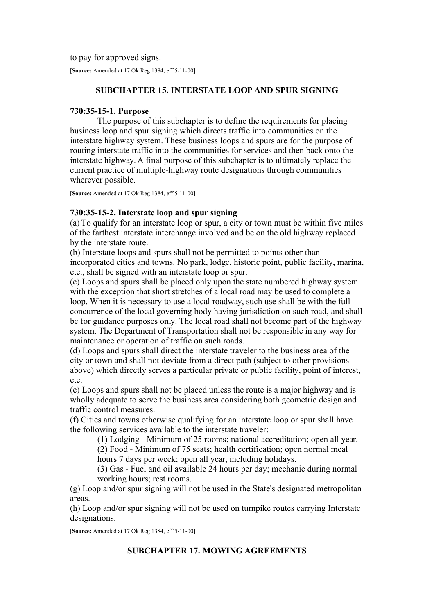to pay for approved signs.

[**Source:** Amended at 17 Ok Reg 1384, eff 5-11-00]

# **SUBCHAPTER 15. INTERSTATE LOOP AND SPUR SIGNING**

# **730:35-15-1. Purpose**

The purpose of this subchapter is to define the requirements for placing business loop and spur signing which directs traffic into communities on the interstate highway system. These business loops and spurs are for the purpose of routing interstate traffic into the communities for services and then back onto the interstate highway. A final purpose of this subchapter is to ultimately replace the current practice of multiple-highway route designations through communities wherever possible.

[**Source:** Amended at 17 Ok Reg 1384, eff 5-11-00]

# **730:35-15-2. Interstate loop and spur signing**

(a) To qualify for an interstate loop or spur, a city or town must be within five miles of the farthest interstate interchange involved and be on the old highway replaced by the interstate route.

(b) Interstate loops and spurs shall not be permitted to points other than incorporated cities and towns. No park, lodge, historic point, public facility, marina, etc., shall be signed with an interstate loop or spur.

(c) Loops and spurs shall be placed only upon the state numbered highway system with the exception that short stretches of a local road may be used to complete a loop. When it is necessary to use a local roadway, such use shall be with the full concurrence of the local governing body having jurisdiction on such road, and shall be for guidance purposes only. The local road shall not become part of the highway system. The Department of Transportation shall not be responsible in any way for maintenance or operation of traffic on such roads.

(d) Loops and spurs shall direct the interstate traveler to the business area of the city or town and shall not deviate from a direct path (subject to other provisions above) which directly serves a particular private or public facility, point of interest, etc.

(e) Loops and spurs shall not be placed unless the route is a major highway and is wholly adequate to serve the business area considering both geometric design and traffic control measures.

(f) Cities and towns otherwise qualifying for an interstate loop or spur shall have the following services available to the interstate traveler:

(1) Lodging - Minimum of 25 rooms; national accreditation; open all year.

(2) Food - Minimum of 75 seats; health certification; open normal meal hours 7 days per week; open all year, including holidays.

(3) Gas - Fuel and oil available 24 hours per day; mechanic during normal working hours; rest rooms.

(g) Loop and/or spur signing will not be used in the State's designated metropolitan areas.

(h) Loop and/or spur signing will not be used on turnpike routes carrying Interstate designations.

[**Source:** Amended at 17 Ok Reg 1384, eff 5-11-00]

# **SUBCHAPTER 17. MOWING AGREEMENTS**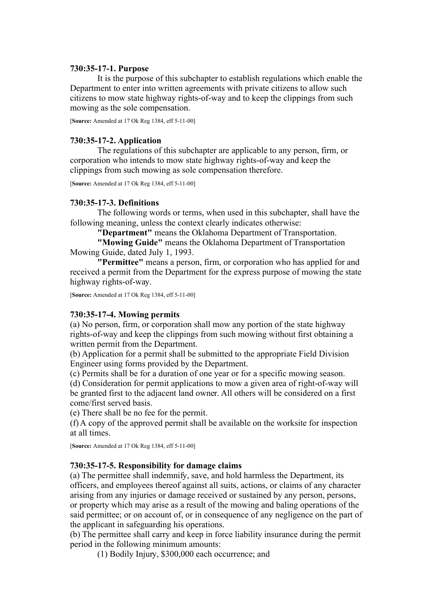## **730:35-17-1. Purpose**

It is the purpose of this subchapter to establish regulations which enable the Department to enter into written agreements with private citizens to allow such citizens to mow state highway rights-of-way and to keep the clippings from such mowing as the sole compensation.

[**Source:** Amended at 17 Ok Reg 1384, eff 5-11-00]

# **730:35-17-2. Application**

The regulations of this subchapter are applicable to any person, firm, or corporation who intends to mow state highway rights-of-way and keep the clippings from such mowing as sole compensation therefore.

[**Source:** Amended at 17 Ok Reg 1384, eff 5-11-00]

## **730:35-17-3. Definitions**

The following words or terms, when used in this subchapter, shall have the following meaning, unless the context clearly indicates otherwise:

**"Department"** means the Oklahoma Department of Transportation.

**"Mowing Guide"** means the Oklahoma Department of Transportation Mowing Guide, dated July 1, 1993.

**"Permittee"** means a person, firm, or corporation who has applied for and received a permit from the Department for the express purpose of mowing the state highway rights-of-way.

[**Source:** Amended at 17 Ok Reg 1384, eff 5-11-00]

### **730:35-17-4. Mowing permits**

(a) No person, firm, or corporation shall mow any portion of the state highway rights-of-way and keep the clippings from such mowing without first obtaining a written permit from the Department.

(b) Application for a permit shall be submitted to the appropriate Field Division Engineer using forms provided by the Department.

(c) Permits shall be for a duration of one year or for a specific mowing season.

(d) Consideration for permit applications to mow a given area of right-of-way will be granted first to the adjacent land owner. All others will be considered on a first come/first served basis.

(e) There shall be no fee for the permit.

(f) A copy of the approved permit shall be available on the worksite for inspection at all times.

[**Source:** Amended at 17 Ok Reg 1384, eff 5-11-00]

# **730:35-17-5. Responsibility for damage claims**

(a) The permittee shall indemnify, save, and hold harmless the Department, its officers, and employees thereof against all suits, actions, or claims of any character arising from any injuries or damage received or sustained by any person, persons, or property which may arise as a result of the mowing and baling operations of the said permittee; or on account of, or in consequence of any negligence on the part of the applicant in safeguarding his operations.

(b) The permittee shall carry and keep in force liability insurance during the permit period in the following minimum amounts:

(1) Bodily Injury, \$300,000 each occurrence; and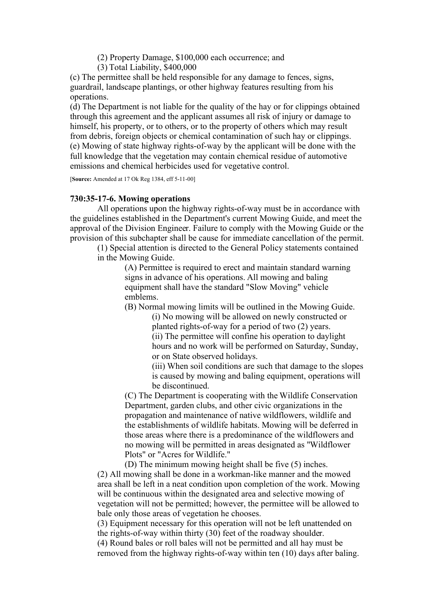(2) Property Damage, \$100,000 each occurrence; and

(3) Total Liability, \$400,000

(c) The permittee shall be held responsible for any damage to fences, signs, guardrail, landscape plantings, or other highway features resulting from his operations.

(d) The Department is not liable for the quality of the hay or for clippings obtained through this agreement and the applicant assumes all risk of injury or damage to himself, his property, or to others, or to the property of others which may result from debris, foreign objects or chemical contamination of such hay or clippings. (e) Mowing of state highway rights-of-way by the applicant will be done with the full knowledge that the vegetation may contain chemical residue of automotive emissions and chemical herbicides used for vegetative control.

[**Source:** Amended at 17 Ok Reg 1384, eff 5-11-00]

### **730:35-17-6. Mowing operations**

All operations upon the highway rights-of-way must be in accordance with the guidelines established in the Department's current Mowing Guide, and meet the approval of the Division Engineer. Failure to comply with the Mowing Guide or the provision of this subchapter shall be cause for immediate cancellation of the permit.

(1) Special attention is directed to the General Policy statements contained in the Mowing Guide.

> (A) Permittee is required to erect and maintain standard warning signs in advance of his operations. All mowing and baling equipment shall have the standard "Slow Moving" vehicle emblems.

(B) Normal mowing limits will be outlined in the Mowing Guide.

(i) No mowing will be allowed on newly constructed or planted rights-of-way for a period of two (2) years.

(ii) The permittee will confine his operation to daylight hours and no work will be performed on Saturday, Sunday, or on State observed holidays.

(iii) When soil conditions are such that damage to the slopes is caused by mowing and baling equipment, operations will be discontinued.

(C) The Department is cooperating with the Wildlife Conservation Department, garden clubs, and other civic organizations in the propagation and maintenance of native wildflowers, wildlife and the establishments of wildlife habitats. Mowing will be deferred in those areas where there is a predominance of the wildflowers and no mowing will be permitted in areas designated as "Wildflower Plots" or "Acres for Wildlife."

(D) The minimum mowing height shall be five (5) inches. (2) All mowing shall be done in a workman-like manner and the mowed area shall be left in a neat condition upon completion of the work. Mowing will be continuous within the designated area and selective mowing of vegetation will not be permitted; however, the permittee will be allowed to bale only those areas of vegetation he chooses.

(3) Equipment necessary for this operation will not be left unattended on the rights-of-way within thirty (30) feet of the roadway shoulder.

(4) Round bales or roll bales will not be permitted and all hay must be removed from the highway rights-of-way within ten (10) days after baling.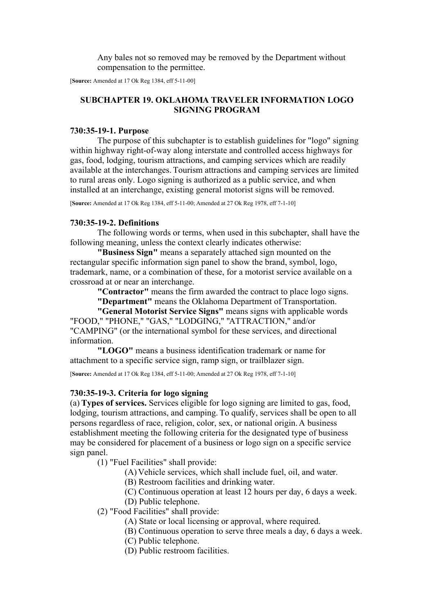Any bales not so removed may be removed by the Department without compensation to the permittee.

[**Source:** Amended at 17 Ok Reg 1384, eff 5-11-00]

# **SUBCHAPTER 19. OKLAHOMA TRAVELER INFORMATION LOGO SIGNING PROGRAM**

### **730:35-19-1. Purpose**

The purpose of this subchapter is to establish guidelines for "logo" signing within highway right-of-way along interstate and controlled access highways for gas, food, lodging, tourism attractions, and camping services which are readily available at the interchanges. Tourism attractions and camping services are limited to rural areas only. Logo signing is authorized as a public service, and when installed at an interchange, existing general motorist signs will be removed.

[**Source:** Amended at 17 Ok Reg 1384, eff 5-11-00; Amended at 27 Ok Reg 1978, eff 7-1-10]

### **730:35-19-2. Definitions**

The following words or terms, when used in this subchapter, shall have the following meaning, unless the context clearly indicates otherwise:

**"Business Sign"** means a separately attached sign mounted on the rectangular specific information sign panel to show the brand, symbol, logo, trademark, name, or a combination of these, for a motorist service available on a crossroad at or near an interchange.

**"Contractor"** means the firm awarded the contract to place logo signs.

**"Department"** means the Oklahoma Department of Transportation.

**"General Motorist Service Signs"** means signs with applicable words "FOOD," "PHONE," "GAS," "LODGING," "ATTRACTION," and/or "CAMPING" (or the international symbol for these services, and directional information.

**"LOGO"** means a business identification trademark or name for attachment to a specific service sign, ramp sign, or trailblazer sign.

[**Source:** Amended at 17 Ok Reg 1384, eff 5-11-00; Amended at 27 Ok Reg 1978, eff 7-1-10]

### **730:35-19-3. Criteria for logo signing**

(a) **Types of services.** Services eligible for logo signing are limited to gas, food, lodging, tourism attractions, and camping. To qualify, services shall be open to all persons regardless of race, religion, color, sex, or national origin. A business establishment meeting the following criteria for the designated type of business may be considered for placement of a business or logo sign on a specific service sign panel.

(1) "Fuel Facilities" shall provide:

(A) Vehicle services, which shall include fuel, oil, and water.

(B) Restroom facilities and drinking water.

(C) Continuous operation at least 12 hours per day, 6 days a week.

- (D) Public telephone.
- (2) "Food Facilities" shall provide:
	- (A) State or local licensing or approval, where required.
	- (B) Continuous operation to serve three meals a day, 6 days a week.
	- (C) Public telephone.
	- (D) Public restroom facilities.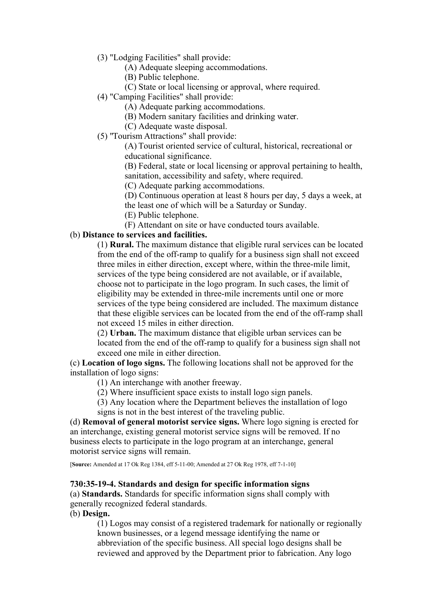- (3) "Lodging Facilities" shall provide:
	- (A) Adequate sleeping accommodations.
	- (B) Public telephone.
	- (C) State or local licensing or approval, where required.
- (4) "Camping Facilities" shall provide:
	- (A) Adequate parking accommodations.
	- (B) Modern sanitary facilities and drinking water.

(C) Adequate waste disposal.

(5) "Tourism Attractions" shall provide:

(A) Tourist oriented service of cultural, historical, recreational or educational significance.

(B) Federal, state or local licensing or approval pertaining to health, sanitation, accessibility and safety, where required.

(C) Adequate parking accommodations.

(D) Continuous operation at least 8 hours per day, 5 days a week, at the least one of which will be a Saturday or Sunday.

(E) Public telephone.

(F) Attendant on site or have conducted tours available.

# (b) **Distance to services and facilities.**

(1) **Rural.** The maximum distance that eligible rural services can be located from the end of the off-ramp to qualify for a business sign shall not exceed three miles in either direction, except where, within the three-mile limit, services of the type being considered are not available, or if available, choose not to participate in the logo program. In such cases, the limit of eligibility may be extended in three-mile increments until one or more services of the type being considered are included. The maximum distance that these eligible services can be located from the end of the off-ramp shall not exceed 15 miles in either direction.

(2) **Urban.** The maximum distance that eligible urban services can be located from the end of the off-ramp to qualify for a business sign shall not exceed one mile in either direction.

(c) **Location of logo signs.** The following locations shall not be approved for the installation of logo signs:

(1) An interchange with another freeway.

- (2) Where insufficient space exists to install logo sign panels.
- (3) Any location where the Department believes the installation of logo signs is not in the best interest of the traveling public.

(d) **Removal of general motorist service signs.** Where logo signing is erected for an interchange, existing general motorist service signs will be removed. If no business elects to participate in the logo program at an interchange, general motorist service signs will remain.

[**Source:** Amended at 17 Ok Reg 1384, eff 5-11-00; Amended at 27 Ok Reg 1978, eff 7-1-10]

# **730:35-19-4. Standards and design for specific information signs**

(a) **Standards.** Standards for specific information signs shall comply with generally recognized federal standards.

(b) **Design.**

(1) Logos may consist of a registered trademark for nationally or regionally known businesses, or a legend message identifying the name or abbreviation of the specific business. All special logo designs shall be reviewed and approved by the Department prior to fabrication. Any logo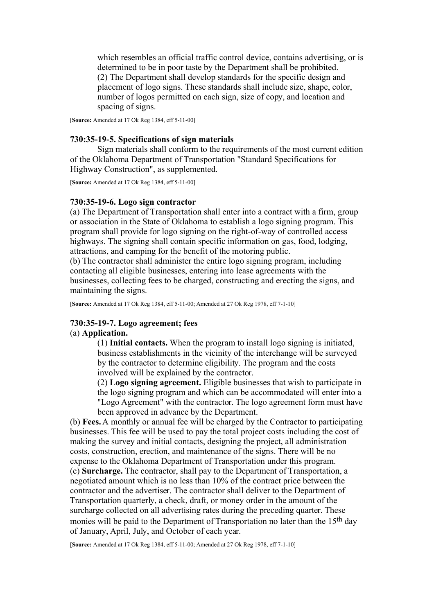which resembles an official traffic control device, contains advertising, or is determined to be in poor taste by the Department shall be prohibited. (2) The Department shall develop standards for the specific design and placement of logo signs. These standards shall include size, shape, color, number of logos permitted on each sign, size of copy, and location and spacing of signs.

[**Source:** Amended at 17 Ok Reg 1384, eff 5-11-00]

### **730:35-19-5. Specifications of sign materials**

Sign materials shall conform to the requirements of the most current edition of the Oklahoma Department of Transportation "Standard Specifications for Highway Construction", as supplemented.

[**Source:** Amended at 17 Ok Reg 1384, eff 5-11-00]

#### **730:35-19-6. Logo sign contractor**

(a) The Department of Transportation shall enter into a contract with a firm, group or association in the State of Oklahoma to establish a logo signing program. This program shall provide for logo signing on the right-of-way of controlled access highways. The signing shall contain specific information on gas, food, lodging, attractions, and camping for the benefit of the motoring public.

(b) The contractor shall administer the entire logo signing program, including contacting all eligible businesses, entering into lease agreements with the businesses, collecting fees to be charged, constructing and erecting the signs, and maintaining the signs.

[**Source:** Amended at 17 Ok Reg 1384, eff 5-11-00; Amended at 27 Ok Reg 1978, eff 7-1-10]

### **730:35-19-7. Logo agreement; fees** (a) **Application.**

(1) **Initial contacts.** When the program to install logo signing is initiated, business establishments in the vicinity of the interchange will be surveyed by the contractor to determine eligibility. The program and the costs involved will be explained by the contractor.

(2) **Logo signing agreement.** Eligible businesses that wish to participate in the logo signing program and which can be accommodated will enter into a "Logo Agreement" with the contractor. The logo agreement form must have been approved in advance by the Department.

(b) **Fees.** A monthly or annual fee will be charged by the Contractor to participating businesses. This fee will be used to pay the total project costs including the cost of making the survey and initial contacts, designing the project, all administration costs, construction, erection, and maintenance of the signs. There will be no expense to the Oklahoma Department of Transportation under this program. (c) **Surcharge.** The contractor, shall pay to the Department of Transportation, a negotiated amount which is no less than 10% of the contract price between the contractor and the advertiser. The contractor shall deliver to the Department of Transportation quarterly, a check, draft, or money order in the amount of the surcharge collected on all advertising rates during the preceding quarter. These monies will be paid to the Department of Transportation no later than the 15<sup>th</sup> day of January, April, July, and October of each year.

[**Source:** Amended at 17 Ok Reg 1384, eff 5-11-00; Amended at 27 Ok Reg 1978, eff 7-1-10]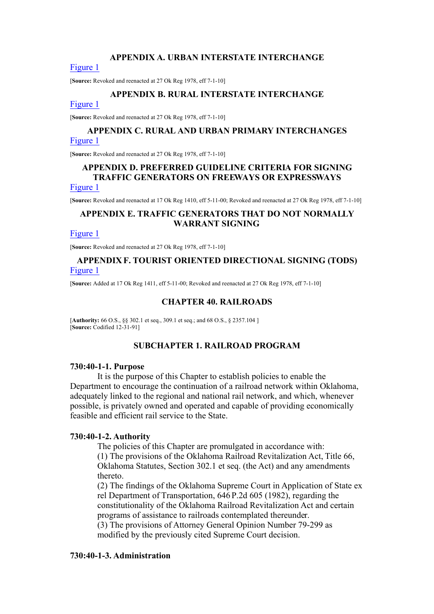### **APPENDIX A. URBAN INTERSTATE INTERCHANGE**

#### [Figure 1](https://oklahomarules.blob.core.windows.net/appendix-figures/730_35A1.tif)

[**Source:** Revoked and reenacted at 27 Ok Reg 1978, eff 7-1-10]

### **APPENDIX B. RURAL INTERSTATE INTERCHANGE**

#### [Figure 1](https://oklahomarules.blob.core.windows.net/appendix-figures/730_35B1.tif)

[**Source:** Revoked and reenacted at 27 Ok Reg 1978, eff 7-1-10]

# **APPENDIX C. RURAL AND URBAN PRIMARY INTERCHANGES** [Figure 1](https://oklahomarules.blob.core.windows.net/appendix-figures/730_35C1.tif)

[**Source:** Revoked and reenacted at 27 Ok Reg 1978, eff 7-1-10]

# **APPENDIX D. PREFERRED GUIDELINE CRITERIA FOR SIGNING TRAFFIC GENERATORS ON FREEWAYS OR EXPRESSWAYS**

# [Figure 1](https://oklahomarules.blob.core.windows.net/appendix-figures/730_35D1.tif)

[**Source:** Revoked and reenacted at 17 Ok Reg 1410, eff 5-11-00; Revoked and reenacted at 27 Ok Reg 1978, eff 7-1-10]

# **APPENDIX E. TRAFFIC GENERATORS THAT DO NOT NORMALLY WARRANT SIGNING**

#### [Figure 1](https://oklahomarules.blob.core.windows.net/appendix-figures/730_35E1.tif)

[**Source:** Revoked and reenacted at 27 Ok Reg 1978, eff 7-1-10]

# **APPENDIX F. TOURIST ORIENTED DIRECTIONAL SIGNING (TODS)** [Figure 1](https://oklahomarules.blob.core.windows.net/appendix-figures/730_35F1.tif)

[**Source:** Added at 17 Ok Reg 1411, eff 5-11-00; Revoked and reenacted at 27 Ok Reg 1978, eff 7-1-10]

### **CHAPTER 40. RAILROADS**

[**Authority:** 66 O.S., §§ 302.1 et seq., 309.1 et seq.; and 68 O.S., § 2357.104 ] [**Source:** Codified 12-31-91]

## **SUBCHAPTER 1. RAILROAD PROGRAM**

#### **730:40-1-1. Purpose**

It is the purpose of this Chapter to establish policies to enable the Department to encourage the continuation of a railroad network within Oklahoma, adequately linked to the regional and national rail network, and which, whenever possible, is privately owned and operated and capable of providing economically feasible and efficient rail service to the State.

### **730:40-1-2. Authority**

The policies of this Chapter are promulgated in accordance with: (1) The provisions of the Oklahoma Railroad Revitalization Act, Title 66, Oklahoma Statutes, Section 302.1 et seq. (the Act) and any amendments thereto.

(2) The findings of the Oklahoma Supreme Court in Application of State ex rel Department of Transportation, 646 P.2d 605 (1982), regarding the constitutionality of the Oklahoma Railroad Revitalization Act and certain programs of assistance to railroads contemplated thereunder.

(3) The provisions of Attorney General Opinion Number 79-299 as modified by the previously cited Supreme Court decision.

### **730:40-1-3. Administration**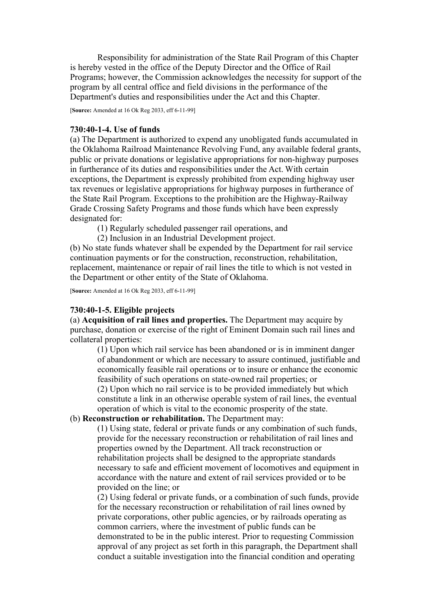Responsibility for administration of the State Rail Program of this Chapter is hereby vested in the office of the Deputy Director and the Office of Rail Programs; however, the Commission acknowledges the necessity for support of the program by all central office and field divisions in the performance of the Department's duties and responsibilities under the Act and this Chapter.

[**Source:** Amended at 16 Ok Reg 2033, eff 6-11-99]

### **730:40-1-4. Use of funds**

(a) The Department is authorized to expend any unobligated funds accumulated in the Oklahoma Railroad Maintenance Revolving Fund, any available federal grants, public or private donations or legislative appropriations for non-highway purposes in furtherance of its duties and responsibilities under the Act. With certain exceptions, the Department is expressly prohibited from expending highway user tax revenues or legislative appropriations for highway purposes in furtherance of the State Rail Program. Exceptions to the prohibition are the Highway-Railway Grade Crossing Safety Programs and those funds which have been expressly designated for:

(1) Regularly scheduled passenger rail operations, and

(2) Inclusion in an Industrial Development project.

(b) No state funds whatever shall be expended by the Department for rail service continuation payments or for the construction, reconstruction, rehabilitation, replacement, maintenance or repair of rail lines the title to which is not vested in the Department or other entity of the State of Oklahoma.

[**Source:** Amended at 16 Ok Reg 2033, eff 6-11-99]

### **730:40-1-5. Eligible projects**

(a) **Acquisition of rail lines and properties.** The Department may acquire by purchase, donation or exercise of the right of Eminent Domain such rail lines and collateral properties:

(1) Upon which rail service has been abandoned or is in imminent danger of abandonment or which are necessary to assure continued, justifiable and economically feasible rail operations or to insure or enhance the economic feasibility of such operations on state-owned rail properties; or (2) Upon which no rail service is to be provided immediately but which constitute a link in an otherwise operable system of rail lines, the eventual operation of which is vital to the economic prosperity of the state.

# (b) **Reconstruction or rehabilitation.** The Department may:

(1) Using state, federal or private funds or any combination of such funds, provide for the necessary reconstruction or rehabilitation of rail lines and properties owned by the Department. All track reconstruction or rehabilitation projects shall be designed to the appropriate standards necessary to safe and efficient movement of locomotives and equipment in accordance with the nature and extent of rail services provided or to be provided on the line; or

(2) Using federal or private funds, or a combination of such funds, provide for the necessary reconstruction or rehabilitation of rail lines owned by private corporations, other public agencies, or by railroads operating as common carriers, where the investment of public funds can be demonstrated to be in the public interest. Prior to requesting Commission approval of any project as set forth in this paragraph, the Department shall conduct a suitable investigation into the financial condition and operating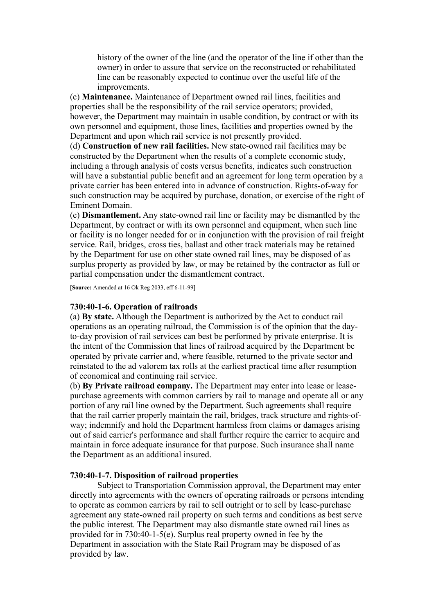history of the owner of the line (and the operator of the line if other than the owner) in order to assure that service on the reconstructed or rehabilitated line can be reasonably expected to continue over the useful life of the improvements.

(c) **Maintenance.** Maintenance of Department owned rail lines, facilities and properties shall be the responsibility of the rail service operators; provided, however, the Department may maintain in usable condition, by contract or with its own personnel and equipment, those lines, facilities and properties owned by the Department and upon which rail service is not presently provided.

(d) **Construction of new rail facilities.** New state-owned rail facilities may be constructed by the Department when the results of a complete economic study, including a through analysis of costs versus benefits, indicates such construction will have a substantial public benefit and an agreement for long term operation by a private carrier has been entered into in advance of construction. Rights-of-way for such construction may be acquired by purchase, donation, or exercise of the right of Eminent Domain.

(e) **Dismantlement.** Any state-owned rail line or facility may be dismantled by the Department, by contract or with its own personnel and equipment, when such line or facility is no longer needed for or in conjunction with the provision of rail freight service. Rail, bridges, cross ties, ballast and other track materials may be retained by the Department for use on other state owned rail lines, may be disposed of as surplus property as provided by law, or may be retained by the contractor as full or partial compensation under the dismantlement contract.

[**Source:** Amended at 16 Ok Reg 2033, eff 6-11-99]

### **730:40-1-6. Operation of railroads**

(a) **By state.** Although the Department is authorized by the Act to conduct rail operations as an operating railroad, the Commission is of the opinion that the dayto-day provision of rail services can best be performed by private enterprise. It is the intent of the Commission that lines of railroad acquired by the Department be operated by private carrier and, where feasible, returned to the private sector and reinstated to the ad valorem tax rolls at the earliest practical time after resumption of economical and continuing rail service.

(b) **By Private railroad company.** The Department may enter into lease or leasepurchase agreements with common carriers by rail to manage and operate all or any portion of any rail line owned by the Department. Such agreements shall require that the rail carrier properly maintain the rail, bridges, track structure and rights-ofway; indemnify and hold the Department harmless from claims or damages arising out of said carrier's performance and shall further require the carrier to acquire and maintain in force adequate insurance for that purpose. Such insurance shall name the Department as an additional insured.

#### **730:40-1-7. Disposition of railroad properties**

Subject to Transportation Commission approval, the Department may enter directly into agreements with the owners of operating railroads or persons intending to operate as common carriers by rail to sell outright or to sell by lease-purchase agreement any state-owned rail property on such terms and conditions as best serve the public interest. The Department may also dismantle state owned rail lines as provided for in 730:40-1-5(e). Surplus real property owned in fee by the Department in association with the State Rail Program may be disposed of as provided by law.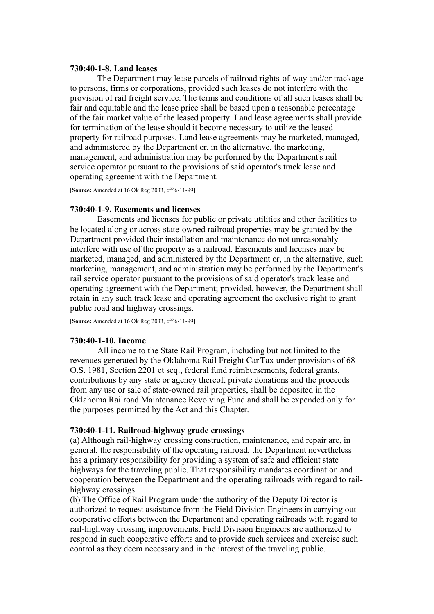### **730:40-1-8. Land leases**

The Department may lease parcels of railroad rights-of-way and/or trackage to persons, firms or corporations, provided such leases do not interfere with the provision of rail freight service. The terms and conditions of all such leases shall be fair and equitable and the lease price shall be based upon a reasonable percentage of the fair market value of the leased property. Land lease agreements shall provide for termination of the lease should it become necessary to utilize the leased property for railroad purposes. Land lease agreements may be marketed, managed, and administered by the Department or, in the alternative, the marketing, management, and administration may be performed by the Department's rail service operator pursuant to the provisions of said operator's track lease and operating agreement with the Department.

[**Source:** Amended at 16 Ok Reg 2033, eff 6-11-99]

#### **730:40-1-9. Easements and licenses**

Easements and licenses for public or private utilities and other facilities to be located along or across state-owned railroad properties may be granted by the Department provided their installation and maintenance do not unreasonably interfere with use of the property as a railroad. Easements and licenses may be marketed, managed, and administered by the Department or, in the alternative, such marketing, management, and administration may be performed by the Department's rail service operator pursuant to the provisions of said operator's track lease and operating agreement with the Department; provided, however, the Department shall retain in any such track lease and operating agreement the exclusive right to grant public road and highway crossings.

[**Source:** Amended at 16 Ok Reg 2033, eff 6-11-99]

#### **730:40-1-10. Income**

All income to the State Rail Program, including but not limited to the revenues generated by the Oklahoma Rail Freight Car Tax under provisions of 68 O.S. 1981, Section 2201 et seq., federal fund reimbursements, federal grants, contributions by any state or agency thereof, private donations and the proceeds from any use or sale of state-owned rail properties, shall be deposited in the Oklahoma Railroad Maintenance Revolving Fund and shall be expended only for the purposes permitted by the Act and this Chapter.

#### **730:40-1-11. Railroad-highway grade crossings**

(a) Although rail-highway crossing construction, maintenance, and repair are, in general, the responsibility of the operating railroad, the Department nevertheless has a primary responsibility for providing a system of safe and efficient state highways for the traveling public. That responsibility mandates coordination and cooperation between the Department and the operating railroads with regard to railhighway crossings.

(b) The Office of Rail Program under the authority of the Deputy Director is authorized to request assistance from the Field Division Engineers in carrying out cooperative efforts between the Department and operating railroads with regard to rail-highway crossing improvements. Field Division Engineers are authorized to respond in such cooperative efforts and to provide such services and exercise such control as they deem necessary and in the interest of the traveling public.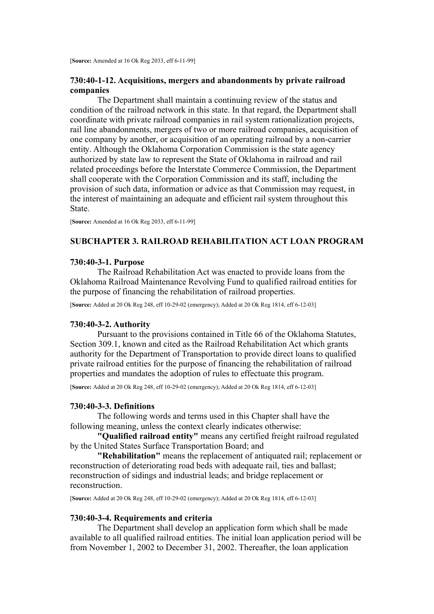# **730:40-1-12. Acquisitions, mergers and abandonments by private railroad companies**

The Department shall maintain a continuing review of the status and condition of the railroad network in this state. In that regard, the Department shall coordinate with private railroad companies in rail system rationalization projects, rail line abandonments, mergers of two or more railroad companies, acquisition of one company by another, or acquisition of an operating railroad by a non-carrier entity. Although the Oklahoma Corporation Commission is the state agency authorized by state law to represent the State of Oklahoma in railroad and rail related proceedings before the Interstate Commerce Commission, the Department shall cooperate with the Corporation Commission and its staff, including the provision of such data, information or advice as that Commission may request, in the interest of maintaining an adequate and efficient rail system throughout this State.

[**Source:** Amended at 16 Ok Reg 2033, eff 6-11-99]

## **SUBCHAPTER 3. RAILROAD REHABILITATION ACT LOAN PROGRAM**

# **730:40-3-1. Purpose**

The Railroad Rehabilitation Act was enacted to provide loans from the Oklahoma Railroad Maintenance Revolving Fund to qualified railroad entities for the purpose of financing the rehabilitation of railroad properties.

[**Source:** Added at 20 Ok Reg 248, eff 10-29-02 (emergency); Added at 20 Ok Reg 1814, eff 6-12-03]

### **730:40-3-2. Authority**

Pursuant to the provisions contained in Title 66 of the Oklahoma Statutes, Section 309.1, known and cited as the Railroad Rehabilitation Act which grants authority for the Department of Transportation to provide direct loans to qualified private railroad entities for the purpose of financing the rehabilitation of railroad properties and mandates the adoption of rules to effectuate this program.

[**Source:** Added at 20 Ok Reg 248, eff 10-29-02 (emergency); Added at 20 Ok Reg 1814, eff 6-12-03]

### **730:40-3-3. Definitions**

The following words and terms used in this Chapter shall have the following meaning, unless the context clearly indicates otherwise:

**"Qualified railroad entity"** means any certified freight railroad regulated by the United States Surface Transportation Board; and

**"Rehabilitation"** means the replacement of antiquated rail; replacement or reconstruction of deteriorating road beds with adequate rail, ties and ballast; reconstruction of sidings and industrial leads; and bridge replacement or reconstruction.

[**Source:** Added at 20 Ok Reg 248, eff 10-29-02 (emergency); Added at 20 Ok Reg 1814, eff 6-12-03]

### **730:40-3-4. Requirements and criteria**

The Department shall develop an application form which shall be made available to all qualified railroad entities. The initial loan application period will be from November 1, 2002 to December 31, 2002. Thereafter, the loan application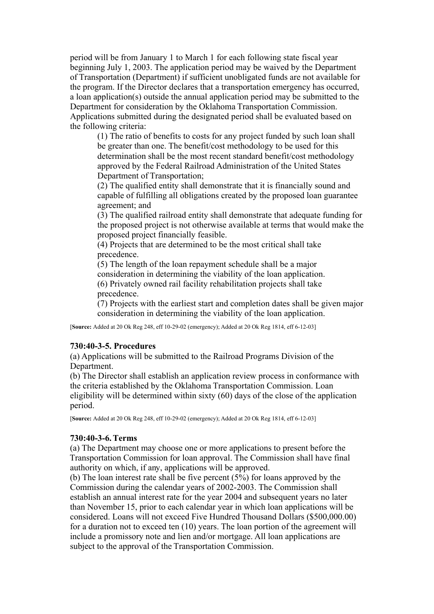period will be from January 1 to March 1 for each following state fiscal year beginning July 1, 2003. The application period may be waived by the Department of Transportation (Department) if sufficient unobligated funds are not available for the program. If the Director declares that a transportation emergency has occurred, a loan application(s) outside the annual application period may be submitted to the Department for consideration by the Oklahoma Transportation Commission. Applications submitted during the designated period shall be evaluated based on the following criteria:

(1) The ratio of benefits to costs for any project funded by such loan shall be greater than one. The benefit/cost methodology to be used for this determination shall be the most recent standard benefit/cost methodology approved by the Federal Railroad Administration of the United States Department of Transportation;

(2) The qualified entity shall demonstrate that it is financially sound and capable of fulfilling all obligations created by the proposed loan guarantee agreement; and

(3) The qualified railroad entity shall demonstrate that adequate funding for the proposed project is not otherwise available at terms that would make the proposed project financially feasible.

(4) Projects that are determined to be the most critical shall take precedence.

(5) The length of the loan repayment schedule shall be a major consideration in determining the viability of the loan application. (6) Privately owned rail facility rehabilitation projects shall take precedence.

(7) Projects with the earliest start and completion dates shall be given major consideration in determining the viability of the loan application.

[**Source:** Added at 20 Ok Reg 248, eff 10-29-02 (emergency); Added at 20 Ok Reg 1814, eff 6-12-03]

### **730:40-3-5. Procedures**

(a) Applications will be submitted to the Railroad Programs Division of the Department.

(b) The Director shall establish an application review process in conformance with the criteria established by the Oklahoma Transportation Commission. Loan eligibility will be determined within sixty (60) days of the close of the application period.

[**Source:** Added at 20 Ok Reg 248, eff 10-29-02 (emergency); Added at 20 Ok Reg 1814, eff 6-12-03]

## **730:40-3-6. Terms**

(a) The Department may choose one or more applications to present before the Transportation Commission for loan approval. The Commission shall have final authority on which, if any, applications will be approved.

(b) The loan interest rate shall be five percent (5%) for loans approved by the Commission during the calendar years of 2002-2003. The Commission shall establish an annual interest rate for the year 2004 and subsequent years no later than November 15, prior to each calendar year in which loan applications will be considered. Loans will not exceed Five Hundred Thousand Dollars (\$500,000.00) for a duration not to exceed ten (10) years. The loan portion of the agreement will include a promissory note and lien and/or mortgage. All loan applications are subject to the approval of the Transportation Commission.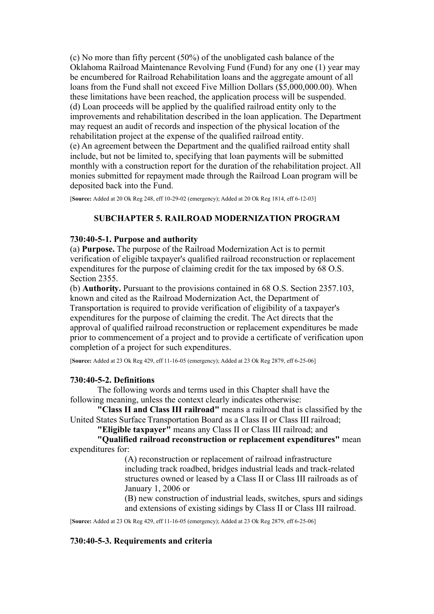(c) No more than fifty percent (50%) of the unobligated cash balance of the Oklahoma Railroad Maintenance Revolving Fund (Fund) for any one (1) year may be encumbered for Railroad Rehabilitation loans and the aggregate amount of all loans from the Fund shall not exceed Five Million Dollars (\$5,000,000,00). When these limitations have been reached, the application process will be suspended. (d) Loan proceeds will be applied by the qualified railroad entity only to the improvements and rehabilitation described in the loan application. The Department may request an audit of records and inspection of the physical location of the rehabilitation project at the expense of the qualified railroad entity. (e) An agreement between the Department and the qualified railroad entity shall include, but not be limited to, specifying that loan payments will be submitted monthly with a construction report for the duration of the rehabilitation project. All monies submitted for repayment made through the Railroad Loan program will be deposited back into the Fund.

[**Source:** Added at 20 Ok Reg 248, eff 10-29-02 (emergency); Added at 20 Ok Reg 1814, eff 6-12-03]

### **SUBCHAPTER 5. RAILROAD MODERNIZATION PROGRAM**

### **730:40-5-1. Purpose and authority**

(a) **Purpose.** The purpose of the Railroad Modernization Act is to permit verification of eligible taxpayer's qualified railroad reconstruction or replacement expenditures for the purpose of claiming credit for the tax imposed by 68 O.S. Section 2355.

(b) **Authority.** Pursuant to the provisions contained in 68 O.S. Section 2357.103, known and cited as the Railroad Modernization Act, the Department of Transportation is required to provide verification of eligibility of a taxpayer's expenditures for the purpose of claiming the credit. The Act directs that the approval of qualified railroad reconstruction or replacement expenditures be made prior to commencement of a project and to provide a certificate of verification upon completion of a project for such expenditures.

[**Source:** Added at 23 Ok Reg 429, eff 11-16-05 (emergency); Added at 23 Ok Reg 2879, eff 6-25-06]

#### **730:40-5-2. Definitions**

The following words and terms used in this Chapter shall have the following meaning, unless the context clearly indicates otherwise:

**"Class II and Class III railroad"** means a railroad that is classified by the United States Surface Transportation Board as a Class II or Class III railroad;

**"Eligible taxpayer"** means any Class II or Class III railroad; and

**"Qualified railroad reconstruction or replacement expenditures"** mean expenditures for:

(A) reconstruction or replacement of railroad infrastructure including track roadbed, bridges industrial leads and track-related structures owned or leased by a Class II or Class III railroads as of January 1, 2006 or

(B) new construction of industrial leads, switches, spurs and sidings and extensions of existing sidings by Class II or Class III railroad.

[**Source:** Added at 23 Ok Reg 429, eff 11-16-05 (emergency); Added at 23 Ok Reg 2879, eff 6-25-06]

### **730:40-5-3. Requirements and criteria**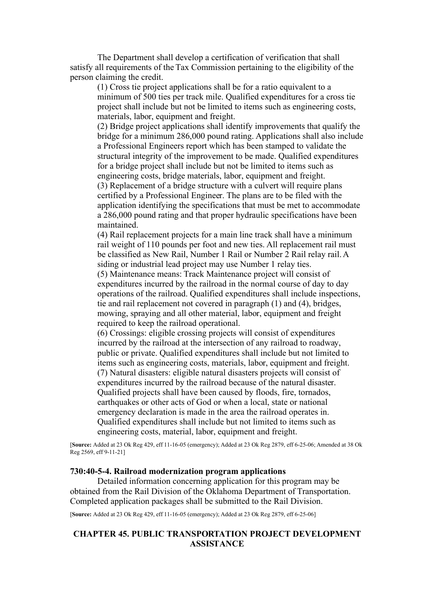The Department shall develop a certification of verification that shall satisfy all requirements of the Tax Commission pertaining to the eligibility of the person claiming the credit.

(1) Cross tie project applications shall be for a ratio equivalent to a minimum of 500 ties per track mile. Qualified expenditures for a cross tie project shall include but not be limited to items such as engineering costs, materials, labor, equipment and freight.

(2) Bridge project applications shall identify improvements that qualify the bridge for a minimum 286,000 pound rating. Applications shall also include a Professional Engineers report which has been stamped to validate the structural integrity of the improvement to be made. Qualified expenditures for a bridge project shall include but not be limited to items such as engineering costs, bridge materials, labor, equipment and freight.

(3) Replacement of a bridge structure with a culvert will require plans certified by a Professional Engineer. The plans are to be filed with the application identifying the specifications that must be met to accommodate a 286,000 pound rating and that proper hydraulic specifications have been maintained.

(4) Rail replacement projects for a main line track shall have a minimum rail weight of 110 pounds per foot and new ties. All replacement rail must be classified as New Rail, Number 1 Rail or Number 2 Rail relay rail. A siding or industrial lead project may use Number 1 relay ties.

(5) Maintenance means: Track Maintenance project will consist of expenditures incurred by the railroad in the normal course of day to day operations of the railroad. Qualified expenditures shall include inspections, tie and rail replacement not covered in paragraph (1) and (4), bridges, mowing, spraying and all other material, labor, equipment and freight required to keep the railroad operational.

(6) Crossings: eligible crossing projects will consist of expenditures incurred by the railroad at the intersection of any railroad to roadway, public or private. Qualified expenditures shall include but not limited to items such as engineering costs, materials, labor, equipment and freight. (7) Natural disasters: eligible natural disasters projects will consist of expenditures incurred by the railroad because of the natural disaster. Qualified projects shall have been caused by floods, fire, tornados, earthquakes or other acts of God or when a local, state or national emergency declaration is made in the area the railroad operates in. Qualified expenditures shall include but not limited to items such as engineering costs, material, labor, equipment and freight.

[**Source:** Added at 23 Ok Reg 429, eff 11-16-05 (emergency); Added at 23 Ok Reg 2879, eff 6-25-06; Amended at 38 Ok Reg 2569, eff 9-11-21]

#### **730:40-5-4. Railroad modernization program applications**

Detailed information concerning application for this program may be obtained from the Rail Division of the Oklahoma Department of Transportation. Completed application packages shall be submitted to the Rail Division.

[**Source:** Added at 23 Ok Reg 429, eff 11-16-05 (emergency); Added at 23 Ok Reg 2879, eff 6-25-06]

# **CHAPTER 45. PUBLIC TRANSPORTATION PROJECT DEVELOPMENT ASSISTANCE**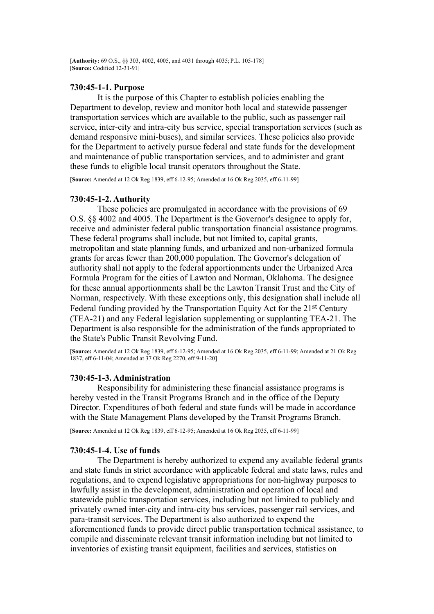[**Authority:** 69 O.S., §§ 303, 4002, 4005, and 4031 through 4035; P.L. 105-178] [**Source:** Codified 12-31-91]

### **730:45-1-1. Purpose**

It is the purpose of this Chapter to establish policies enabling the Department to develop, review and monitor both local and statewide passenger transportation services which are available to the public, such as passenger rail service, inter-city and intra-city bus service, special transportation services (such as demand responsive mini-buses), and similar services. These policies also provide for the Department to actively pursue federal and state funds for the development and maintenance of public transportation services, and to administer and grant these funds to eligible local transit operators throughout the State.

[**Source:** Amended at 12 Ok Reg 1839, eff 6-12-95; Amended at 16 Ok Reg 2035, eff 6-11-99]

### **730:45-1-2. Authority**

These policies are promulgated in accordance with the provisions of 69 O.S. §§ 4002 and 4005. The Department is the Governor's designee to apply for, receive and administer federal public transportation financial assistance programs. These federal programs shall include, but not limited to, capital grants, metropolitan and state planning funds, and urbanized and non-urbanized formula grants for areas fewer than 200,000 population. The Governor's delegation of authority shall not apply to the federal apportionments under the Urbanized Area Formula Program for the cities of Lawton and Norman, Oklahoma. The designee for these annual apportionments shall be the Lawton Transit Trust and the City of Norman, respectively. With these exceptions only, this designation shall include all Federal funding provided by the Transportation Equity Act for the 21st Century (TEA-21) and any Federal legislation supplementing or supplanting TEA-21. The Department is also responsible for the administration of the funds appropriated to the State's Public Transit Revolving Fund.

[**Source:** Amended at 12 Ok Reg 1839, eff 6-12-95; Amended at 16 Ok Reg 2035, eff 6-11-99; Amended at 21 Ok Reg 1837, eff 6-11-04; Amended at 37 Ok Reg 2270, eff 9-11-20]

#### **730:45-1-3. Administration**

Responsibility for administering these financial assistance programs is hereby vested in the Transit Programs Branch and in the office of the Deputy Director. Expenditures of both federal and state funds will be made in accordance with the State Management Plans developed by the Transit Programs Branch.

[**Source:** Amended at 12 Ok Reg 1839, eff 6-12-95; Amended at 16 Ok Reg 2035, eff 6-11-99]

#### **730:45-1-4. Use of funds**

The Department is hereby authorized to expend any available federal grants and state funds in strict accordance with applicable federal and state laws, rules and regulations, and to expend legislative appropriations for non-highway purposes to lawfully assist in the development, administration and operation of local and statewide public transportation services, including but not limited to publicly and privately owned inter-city and intra-city bus services, passenger rail services, and para-transit services. The Department is also authorized to expend the aforementioned funds to provide direct public transportation technical assistance, to compile and disseminate relevant transit information including but not limited to inventories of existing transit equipment, facilities and services, statistics on